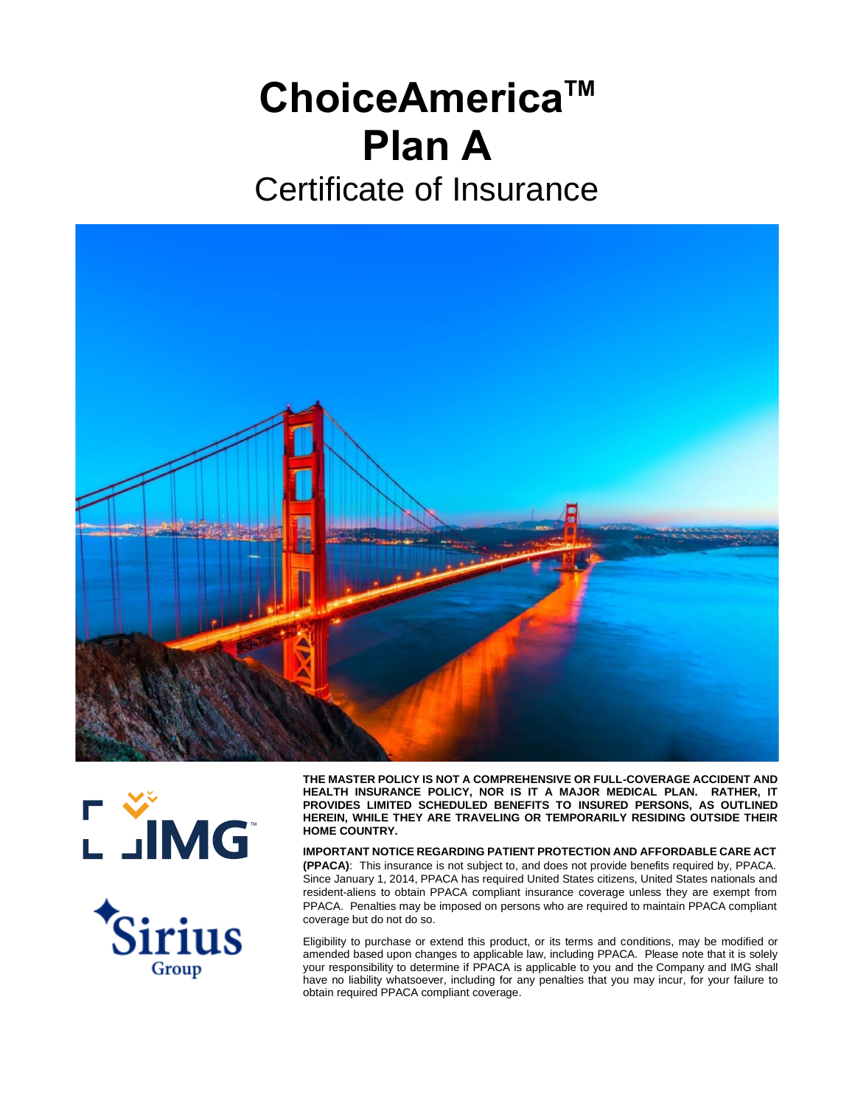## **ChoiceAmericaTM Plan A** Certificate of Insurance







**THE MASTER POLICY IS NOT A COMPREHENSIVE OR FULL-COVERAGE ACCIDENT AND HEALTH INSURANCE POLICY, NOR IS IT A MAJOR MEDICAL PLAN. RATHER, IT PROVIDES LIMITED SCHEDULED BENEFITS TO INSURED PERSONS, AS OUTLINED HEREIN, WHILE THEY ARE TRAVELING OR TEMPORARILY RESIDING OUTSIDE THEIR HOME COUNTRY.**

**IMPORTANT NOTICE REGARDING PATIENT PROTECTION AND AFFORDABLE CARE ACT (PPACA)**: This insurance is not subject to, and does not provide benefits required by, PPACA. Since January 1, 2014, PPACA has required United States citizens, United States nationals and resident-aliens to obtain PPACA compliant insurance coverage unless they are exempt from PPACA. Penalties may be imposed on persons who are required to maintain PPACA compliant coverage but do not do so.

Eligibility to purchase or extend this product, or its terms and conditions, may be modified or amended based upon changes to applicable law, including PPACA. Please note that it is solely your responsibility to determine if PPACA is applicable to you and the Company and IMG shall have no liability whatsoever, including for any penalties that you may incur, for your failure to obtain required PPACA compliant coverage.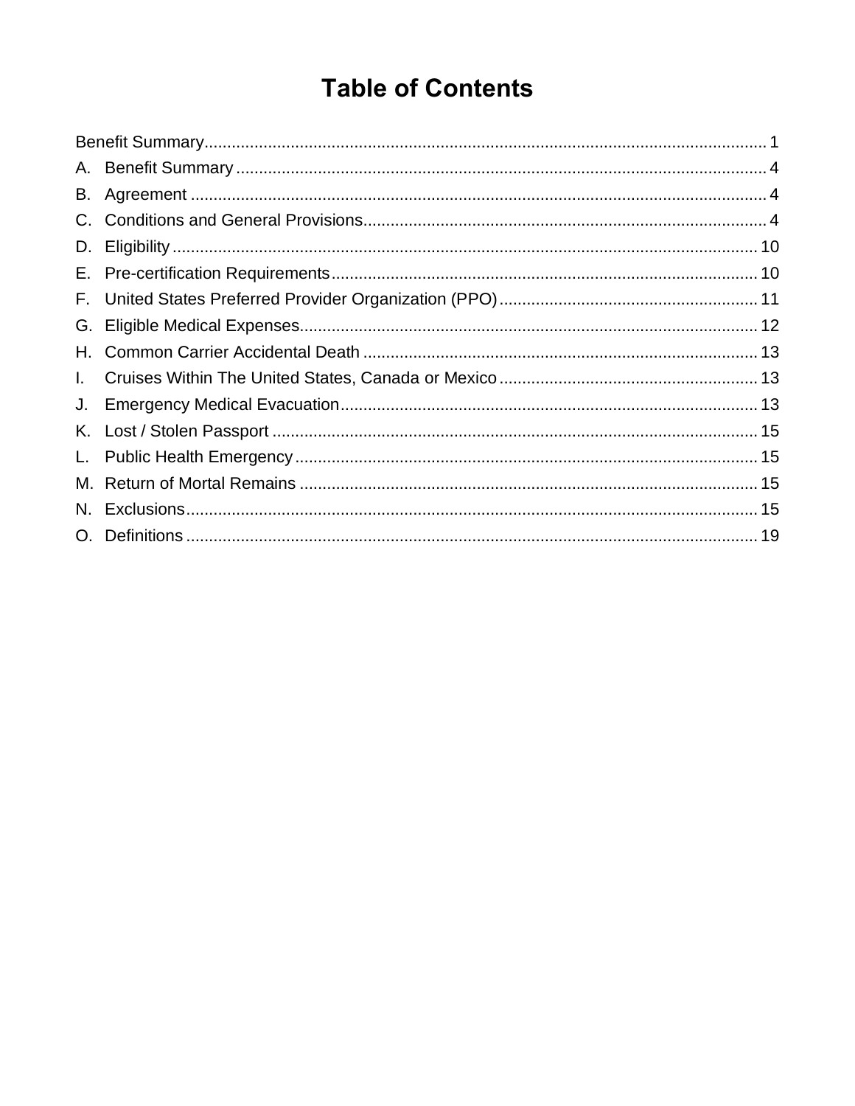### **Table of Contents**

| В. |  |
|----|--|
|    |  |
|    |  |
|    |  |
|    |  |
|    |  |
|    |  |
|    |  |
|    |  |
|    |  |
|    |  |
|    |  |
|    |  |
|    |  |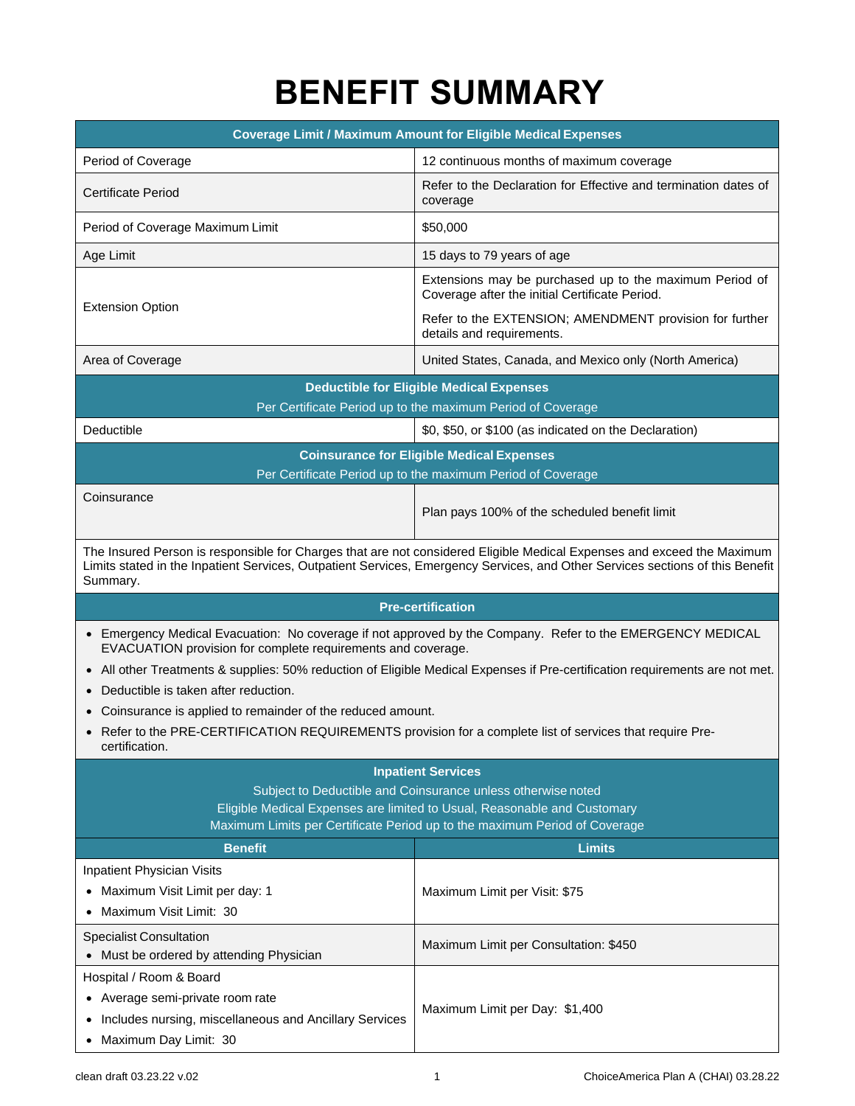## **BENEFIT SUMMARY**

<span id="page-2-0"></span>

| <b>Coverage Limit / Maximum Amount for Eligible Medical Expenses</b>                                                                                                                                                                                                                                                                                            |                                                                                                                                          |  |
|-----------------------------------------------------------------------------------------------------------------------------------------------------------------------------------------------------------------------------------------------------------------------------------------------------------------------------------------------------------------|------------------------------------------------------------------------------------------------------------------------------------------|--|
| Period of Coverage                                                                                                                                                                                                                                                                                                                                              | 12 continuous months of maximum coverage                                                                                                 |  |
| Certificate Period                                                                                                                                                                                                                                                                                                                                              | Refer to the Declaration for Effective and termination dates of<br>coverage                                                              |  |
| Period of Coverage Maximum Limit                                                                                                                                                                                                                                                                                                                                | \$50,000                                                                                                                                 |  |
| Age Limit                                                                                                                                                                                                                                                                                                                                                       | 15 days to 79 years of age                                                                                                               |  |
| <b>Extension Option</b>                                                                                                                                                                                                                                                                                                                                         | Extensions may be purchased up to the maximum Period of<br>Coverage after the initial Certificate Period.                                |  |
|                                                                                                                                                                                                                                                                                                                                                                 | Refer to the EXTENSION; AMENDMENT provision for further<br>details and requirements.                                                     |  |
| Area of Coverage                                                                                                                                                                                                                                                                                                                                                | United States, Canada, and Mexico only (North America)                                                                                   |  |
|                                                                                                                                                                                                                                                                                                                                                                 | <b>Deductible for Eligible Medical Expenses</b>                                                                                          |  |
|                                                                                                                                                                                                                                                                                                                                                                 | Per Certificate Period up to the maximum Period of Coverage                                                                              |  |
| Deductible                                                                                                                                                                                                                                                                                                                                                      | \$0, \$50, or \$100 (as indicated on the Declaration)                                                                                    |  |
|                                                                                                                                                                                                                                                                                                                                                                 | <b>Coinsurance for Eligible Medical Expenses</b><br>Per Certificate Period up to the maximum Period of Coverage                          |  |
| Coinsurance                                                                                                                                                                                                                                                                                                                                                     |                                                                                                                                          |  |
|                                                                                                                                                                                                                                                                                                                                                                 | Plan pays 100% of the scheduled benefit limit                                                                                            |  |
| The Insured Person is responsible for Charges that are not considered Eligible Medical Expenses and exceed the Maximum<br>Limits stated in the Inpatient Services, Outpatient Services, Emergency Services, and Other Services sections of this Benefit<br>Summary.                                                                                             |                                                                                                                                          |  |
|                                                                                                                                                                                                                                                                                                                                                                 | <b>Pre-certification</b>                                                                                                                 |  |
| • Emergency Medical Evacuation: No coverage if not approved by the Company. Refer to the EMERGENCY MEDICAL<br>EVACUATION provision for complete requirements and coverage.<br>• All other Treatments & supplies: 50% reduction of Eligible Medical Expenses if Pre-certification requirements are not met.<br>Deductible is taken after reduction.<br>$\bullet$ |                                                                                                                                          |  |
| Coinsurance is applied to remainder of the reduced amount.                                                                                                                                                                                                                                                                                                      |                                                                                                                                          |  |
| • Refer to the PRE-CERTIFICATION REQUIREMENTS provision for a complete list of services that require Pre-<br>certification.                                                                                                                                                                                                                                     |                                                                                                                                          |  |
|                                                                                                                                                                                                                                                                                                                                                                 | <b>Inpatient Services</b>                                                                                                                |  |
|                                                                                                                                                                                                                                                                                                                                                                 | Subject to Deductible and Coinsurance unless otherwise noted<br>Eligible Medical Expenses are limited to Usual, Reasonable and Customary |  |
|                                                                                                                                                                                                                                                                                                                                                                 | Maximum Limits per Certificate Period up to the maximum Period of Coverage                                                               |  |
| <b>Benefit</b>                                                                                                                                                                                                                                                                                                                                                  | <b>Limits</b>                                                                                                                            |  |
| Inpatient Physician Visits<br>• Maximum Visit Limit per day: 1                                                                                                                                                                                                                                                                                                  | Maximum Limit per Visit: \$75                                                                                                            |  |
| Maximum Visit Limit: 30                                                                                                                                                                                                                                                                                                                                         |                                                                                                                                          |  |
| <b>Specialist Consultation</b><br>• Must be ordered by attending Physician                                                                                                                                                                                                                                                                                      | Maximum Limit per Consultation: \$450                                                                                                    |  |
| Hospital / Room & Board<br>• Average semi-private room rate<br>Includes nursing, miscellaneous and Ancillary Services<br>٠<br>Maximum Day Limit: 30                                                                                                                                                                                                             | Maximum Limit per Day: \$1,400                                                                                                           |  |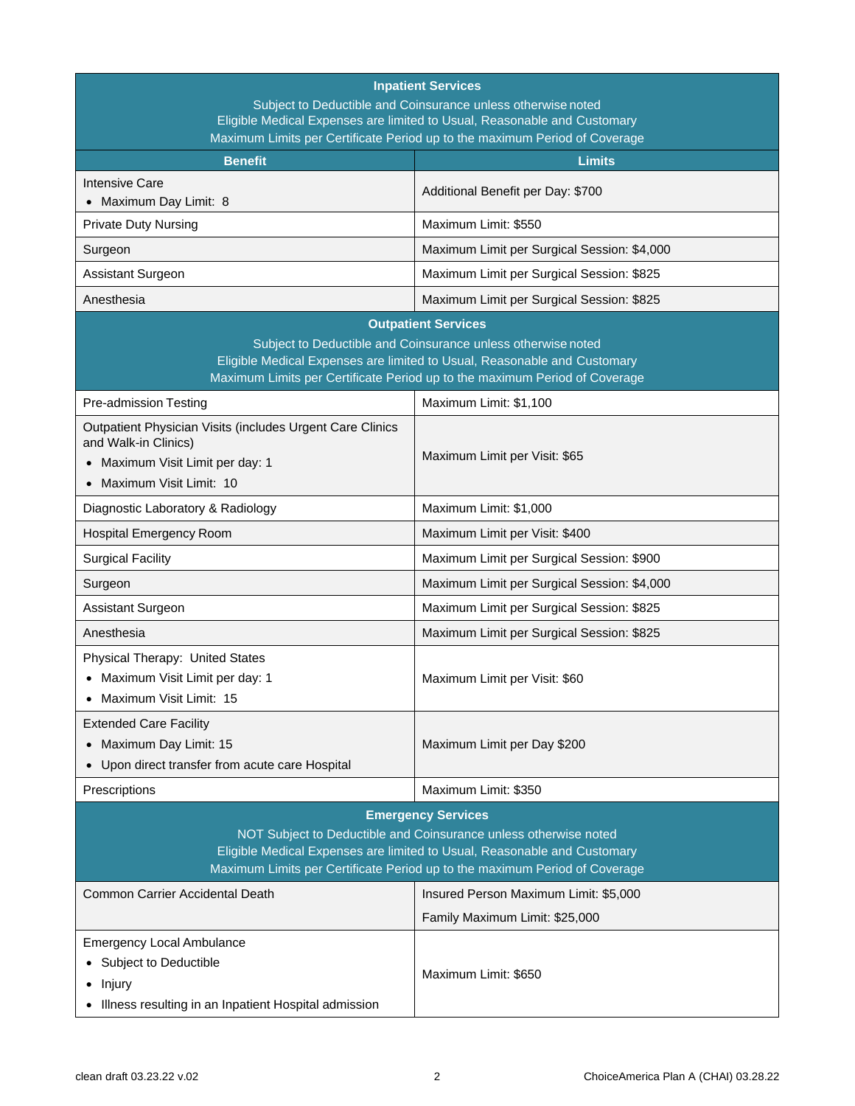| <b>Inpatient Services</b>                                                                                                                    |                                                                                                                                                        |  |
|----------------------------------------------------------------------------------------------------------------------------------------------|--------------------------------------------------------------------------------------------------------------------------------------------------------|--|
|                                                                                                                                              | Subject to Deductible and Coinsurance unless otherwise noted                                                                                           |  |
|                                                                                                                                              | Eligible Medical Expenses are limited to Usual, Reasonable and Customary<br>Maximum Limits per Certificate Period up to the maximum Period of Coverage |  |
| <b>Benefit</b>                                                                                                                               | Limits                                                                                                                                                 |  |
| <b>Intensive Care</b>                                                                                                                        |                                                                                                                                                        |  |
| • Maximum Day Limit: 8                                                                                                                       | Additional Benefit per Day: \$700                                                                                                                      |  |
| <b>Private Duty Nursing</b>                                                                                                                  | Maximum Limit: \$550                                                                                                                                   |  |
| Surgeon                                                                                                                                      | Maximum Limit per Surgical Session: \$4,000                                                                                                            |  |
| Assistant Surgeon                                                                                                                            | Maximum Limit per Surgical Session: \$825                                                                                                              |  |
| Anesthesia                                                                                                                                   | Maximum Limit per Surgical Session: \$825                                                                                                              |  |
|                                                                                                                                              | <b>Outpatient Services</b>                                                                                                                             |  |
|                                                                                                                                              | Subject to Deductible and Coinsurance unless otherwise noted                                                                                           |  |
|                                                                                                                                              | Eligible Medical Expenses are limited to Usual, Reasonable and Customary<br>Maximum Limits per Certificate Period up to the maximum Period of Coverage |  |
| Pre-admission Testing                                                                                                                        | Maximum Limit: \$1,100                                                                                                                                 |  |
| Outpatient Physician Visits (includes Urgent Care Clinics                                                                                    |                                                                                                                                                        |  |
| and Walk-in Clinics)                                                                                                                         |                                                                                                                                                        |  |
| • Maximum Visit Limit per day: 1                                                                                                             | Maximum Limit per Visit: \$65                                                                                                                          |  |
| • Maximum Visit Limit: 10                                                                                                                    |                                                                                                                                                        |  |
| Diagnostic Laboratory & Radiology                                                                                                            | Maximum Limit: \$1,000                                                                                                                                 |  |
| <b>Hospital Emergency Room</b>                                                                                                               | Maximum Limit per Visit: \$400                                                                                                                         |  |
| <b>Surgical Facility</b>                                                                                                                     | Maximum Limit per Surgical Session: \$900                                                                                                              |  |
| Surgeon                                                                                                                                      | Maximum Limit per Surgical Session: \$4,000                                                                                                            |  |
| Assistant Surgeon                                                                                                                            | Maximum Limit per Surgical Session: \$825                                                                                                              |  |
| Anesthesia                                                                                                                                   | Maximum Limit per Surgical Session: \$825                                                                                                              |  |
| Physical Therapy: United States                                                                                                              |                                                                                                                                                        |  |
| • Maximum Visit Limit per day: 1                                                                                                             | Maximum Limit per Visit: \$60                                                                                                                          |  |
| Maximum Visit Limit: 15                                                                                                                      |                                                                                                                                                        |  |
| <b>Extended Care Facility</b>                                                                                                                |                                                                                                                                                        |  |
| • Maximum Day Limit: 15                                                                                                                      | Maximum Limit per Day \$200                                                                                                                            |  |
| Upon direct transfer from acute care Hospital                                                                                                |                                                                                                                                                        |  |
| Prescriptions                                                                                                                                | Maximum Limit: \$350                                                                                                                                   |  |
| <b>Emergency Services</b>                                                                                                                    |                                                                                                                                                        |  |
| NOT Subject to Deductible and Coinsurance unless otherwise noted<br>Eligible Medical Expenses are limited to Usual, Reasonable and Customary |                                                                                                                                                        |  |
|                                                                                                                                              | Maximum Limits per Certificate Period up to the maximum Period of Coverage                                                                             |  |
| Common Carrier Accidental Death                                                                                                              | Insured Person Maximum Limit: \$5,000                                                                                                                  |  |
|                                                                                                                                              | Family Maximum Limit: \$25,000                                                                                                                         |  |
| <b>Emergency Local Ambulance</b>                                                                                                             |                                                                                                                                                        |  |
| • Subject to Deductible                                                                                                                      | Maximum Limit: \$650                                                                                                                                   |  |
| • Injury                                                                                                                                     |                                                                                                                                                        |  |
| Illness resulting in an Inpatient Hospital admission                                                                                         |                                                                                                                                                        |  |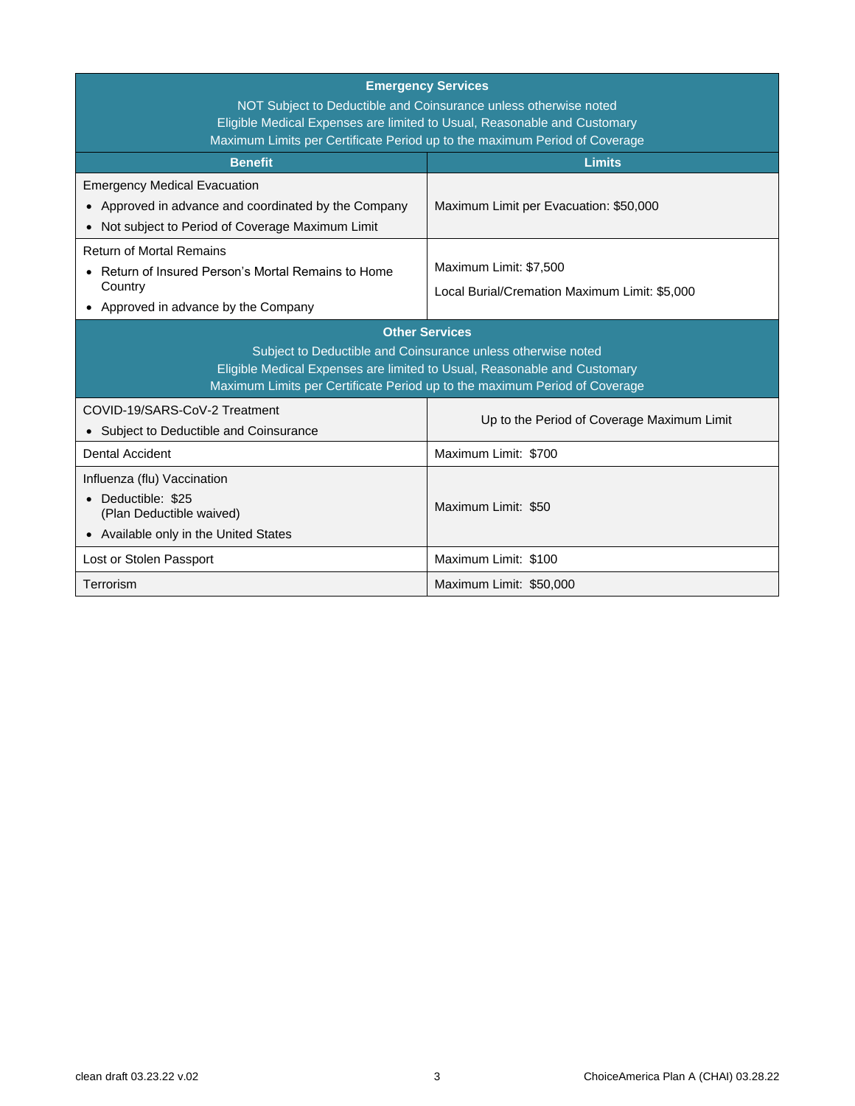| <b>Emergency Services</b><br>NOT Subject to Deductible and Coinsurance unless otherwise noted<br>Eligible Medical Expenses are limited to Usual, Reasonable and Customary<br>Maximum Limits per Certificate Period up to the maximum Period of Coverage |                                               |  |
|---------------------------------------------------------------------------------------------------------------------------------------------------------------------------------------------------------------------------------------------------------|-----------------------------------------------|--|
| <b>Benefit</b>                                                                                                                                                                                                                                          | <b>Limits</b>                                 |  |
| <b>Emergency Medical Evacuation</b>                                                                                                                                                                                                                     |                                               |  |
| • Approved in advance and coordinated by the Company                                                                                                                                                                                                    | Maximum Limit per Evacuation: \$50,000        |  |
| Not subject to Period of Coverage Maximum Limit<br>$\bullet$                                                                                                                                                                                            |                                               |  |
| <b>Return of Mortal Remains</b>                                                                                                                                                                                                                         |                                               |  |
| Return of Insured Person's Mortal Remains to Home                                                                                                                                                                                                       | Maximum Limit: \$7,500                        |  |
| Country                                                                                                                                                                                                                                                 | Local Burial/Cremation Maximum Limit: \$5,000 |  |
| • Approved in advance by the Company                                                                                                                                                                                                                    |                                               |  |
| <b>Other Services</b><br>Subject to Deductible and Coinsurance unless otherwise noted<br>Eligible Medical Expenses are limited to Usual, Reasonable and Customary<br>Maximum Limits per Certificate Period up to the maximum Period of Coverage         |                                               |  |
| COVID-19/SARS-CoV-2 Treatment<br>• Subject to Deductible and Coinsurance                                                                                                                                                                                | Up to the Period of Coverage Maximum Limit    |  |
| Dental Accident                                                                                                                                                                                                                                         | Maximum Limit: \$700                          |  |
| Influenza (flu) Vaccination                                                                                                                                                                                                                             |                                               |  |
| Deductible: \$25                                                                                                                                                                                                                                        | Maximum Limit: \$50                           |  |
| (Plan Deductible waived)                                                                                                                                                                                                                                |                                               |  |
| • Available only in the United States                                                                                                                                                                                                                   |                                               |  |
| Lost or Stolen Passport                                                                                                                                                                                                                                 | Maximum Limit: \$100                          |  |
| Terrorism                                                                                                                                                                                                                                               | Maximum Limit: \$50,000                       |  |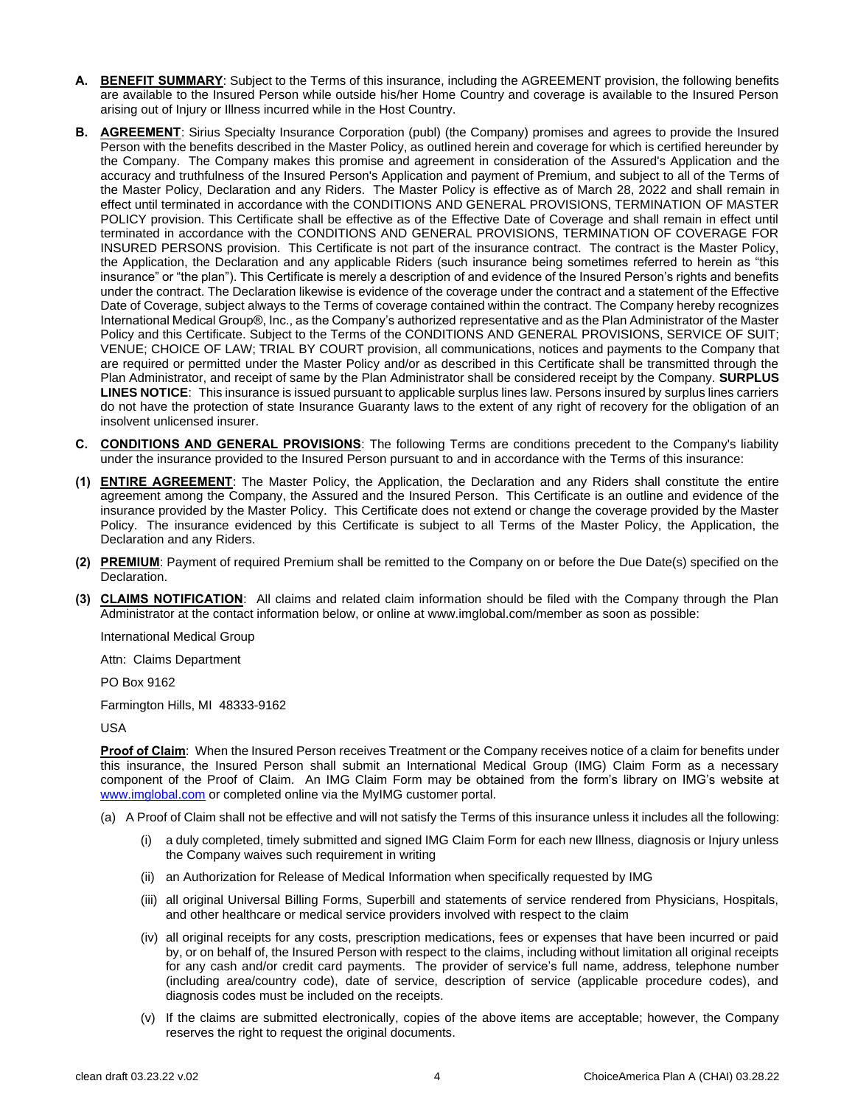- <span id="page-5-0"></span>**A. BENEFIT SUMMARY**: Subject to the Terms of this insurance, including the AGREEMENT provision, the following benefits are available to the Insured Person while outside his/her Home Country and coverage is available to the Insured Person arising out of Injury or Illness incurred while in the Host Country.
- <span id="page-5-1"></span>**B. AGREEMENT**: Sirius Specialty Insurance Corporation (publ) (the Company) promises and agrees to provide the Insured Person with the benefits described in the Master Policy, as outlined herein and coverage for which is certified hereunder by the Company. The Company makes this promise and agreement in consideration of the Assured's Application and the accuracy and truthfulness of the Insured Person's Application and payment of Premium, and subject to all of the Terms of the Master Policy, Declaration and any Riders. The Master Policy is effective as of March 28, 2022 and shall remain in effect until terminated in accordance with the CONDITIONS AND GENERAL PROVISIONS, TERMINATION OF MASTER POLICY provision. This Certificate shall be effective as of the Effective Date of Coverage and shall remain in effect until terminated in accordance with the CONDITIONS AND GENERAL PROVISIONS, TERMINATION OF COVERAGE FOR INSURED PERSONS provision. This Certificate is not part of the insurance contract. The contract is the Master Policy, the Application, the Declaration and any applicable Riders (such insurance being sometimes referred to herein as "this insurance" or "the plan"). This Certificate is merely a description of and evidence of the Insured Person's rights and benefits under the contract. The Declaration likewise is evidence of the coverage under the contract and a statement of the Effective Date of Coverage, subject always to the Terms of coverage contained within the contract. The Company hereby recognizes International Medical Group®, Inc., as the Company's authorized representative and as the Plan Administrator of the Master Policy and this Certificate. Subject to the Terms of the CONDITIONS AND GENERAL PROVISIONS, SERVICE OF SUIT; VENUE; CHOICE OF LAW; TRIAL BY COURT provision, all communications, notices and payments to the Company that are required or permitted under the Master Policy and/or as described in this Certificate shall be transmitted through the Plan Administrator, and receipt of same by the Plan Administrator shall be considered receipt by the Company. **SURPLUS LINES NOTICE**: This insurance is issued pursuant to applicable surplus lines law. Persons insured by surplus lines carriers do not have the protection of state Insurance Guaranty laws to the extent of any right of recovery for the obligation of an insolvent unlicensed insurer.
- <span id="page-5-2"></span>**C. CONDITIONS AND GENERAL PROVISIONS**: The following Terms are conditions precedent to the Company's liability under the insurance provided to the Insured Person pursuant to and in accordance with the Terms of this insurance:
- **(1) ENTIRE AGREEMENT**: The Master Policy, the Application, the Declaration and any Riders shall constitute the entire agreement among the Company, the Assured and the Insured Person. This Certificate is an outline and evidence of the insurance provided by the Master Policy. This Certificate does not extend or change the coverage provided by the Master Policy. The insurance evidenced by this Certificate is subject to all Terms of the Master Policy, the Application, the Declaration and any Riders.
- **(2) PREMIUM**: Payment of required Premium shall be remitted to the Company on or before the Due Date(s) specified on the Declaration.
- **(3) CLAIMS NOTIFICATION**: All claims and related claim information should be filed with the Company through the Plan Administrator at the contact information below, or online a[t www.imglobal.com/member](http://www.imglobal.com/member) as soon as possible:

International Medical Group

Attn: Claims Department

PO Box 9162

Farmington Hills, MI 48333-9162

USA

**Proof of Claim**: When the Insured Person receives Treatment or the Company receives notice of a claim for benefits under this insurance, the Insured Person shall submit an International Medical Group (IMG) Claim Form as a necessary component of the Proof of Claim. An IMG Claim Form may be obtained from the form's library on IMG's website at [www.imglobal.com](http://www.imglobal.com/) or completed online via the MyIMG customer portal.

- (a) A Proof of Claim shall not be effective and will not satisfy the Terms of this insurance unless it includes all the following:
	- (i) a duly completed, timely submitted and signed IMG Claim Form for each new Illness, diagnosis or Injury unless the Company waives such requirement in writing
	- (ii) an Authorization for Release of Medical Information when specifically requested by IMG
	- (iii) all original Universal Billing Forms, Superbill and statements of service rendered from Physicians, Hospitals, and other healthcare or medical service providers involved with respect to the claim
	- (iv) all original receipts for any costs, prescription medications, fees or expenses that have been incurred or paid by, or on behalf of, the Insured Person with respect to the claims, including without limitation all original receipts for any cash and/or credit card payments. The provider of service's full name, address, telephone number (including area/country code), date of service, description of service (applicable procedure codes), and diagnosis codes must be included on the receipts.
	- (v) If the claims are submitted electronically, copies of the above items are acceptable; however, the Company reserves the right to request the original documents.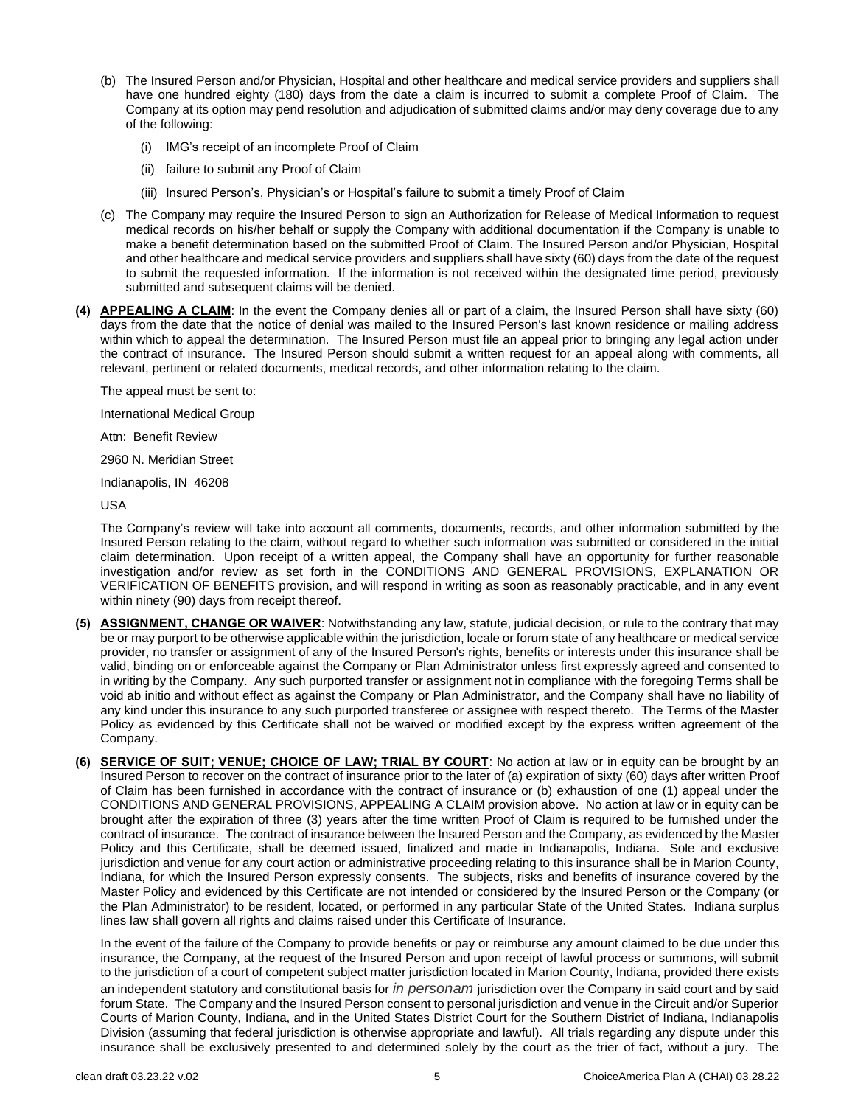- (b) The Insured Person and/or Physician, Hospital and other healthcare and medical service providers and suppliers shall have one hundred eighty (180) days from the date a claim is incurred to submit a complete Proof of Claim. The Company at its option may pend resolution and adjudication of submitted claims and/or may deny coverage due to any of the following:
	- (i) IMG's receipt of an incomplete Proof of Claim
	- (ii) failure to submit any Proof of Claim
	- (iii) Insured Person's, Physician's or Hospital's failure to submit a timely Proof of Claim
- (c) The Company may require the Insured Person to sign an Authorization for Release of Medical Information to request medical records on his/her behalf or supply the Company with additional documentation if the Company is unable to make a benefit determination based on the submitted Proof of Claim. The Insured Person and/or Physician, Hospital and other healthcare and medical service providers and suppliers shall have sixty (60) days from the date of the request to submit the requested information. If the information is not received within the designated time period, previously submitted and subsequent claims will be denied.
- **(4) APPEALING A CLAIM**: In the event the Company denies all or part of a claim, the Insured Person shall have sixty (60) days from the date that the notice of denial was mailed to the Insured Person's last known residence or mailing address within which to appeal the determination. The Insured Person must file an appeal prior to bringing any legal action under the contract of insurance. The Insured Person should submit a written request for an appeal along with comments, all relevant, pertinent or related documents, medical records, and other information relating to the claim.

The appeal must be sent to:

International Medical Group

Attn: Benefit Review

2960 N. Meridian Street

Indianapolis, IN 46208

USA

The Company's review will take into account all comments, documents, records, and other information submitted by the Insured Person relating to the claim, without regard to whether such information was submitted or considered in the initial claim determination. Upon receipt of a written appeal, the Company shall have an opportunity for further reasonable investigation and/or review as set forth in the CONDITIONS AND GENERAL PROVISIONS, EXPLANATION OR VERIFICATION OF BENEFITS provision, and will respond in writing as soon as reasonably practicable, and in any event within ninety (90) days from receipt thereof.

- **(5) ASSIGNMENT, CHANGE OR WAIVER**: Notwithstanding any law, statute, judicial decision, or rule to the contrary that may be or may purport to be otherwise applicable within the jurisdiction, locale or forum state of any healthcare or medical service provider, no transfer or assignment of any of the Insured Person's rights, benefits or interests under this insurance shall be valid, binding on or enforceable against the Company or Plan Administrator unless first expressly agreed and consented to in writing by the Company. Any such purported transfer or assignment not in compliance with the foregoing Terms shall be void ab initio and without effect as against the Company or Plan Administrator, and the Company shall have no liability of any kind under this insurance to any such purported transferee or assignee with respect thereto. The Terms of the Master Policy as evidenced by this Certificate shall not be waived or modified except by the express written agreement of the Company.
- **(6) SERVICE OF SUIT; VENUE; CHOICE OF LAW; TRIAL BY COURT**: No action at law or in equity can be brought by an Insured Person to recover on the contract of insurance prior to the later of (a) expiration of sixty (60) days after written Proof of Claim has been furnished in accordance with the contract of insurance or (b) exhaustion of one (1) appeal under the CONDITIONS AND GENERAL PROVISIONS, APPEALING A CLAIM provision above. No action at law or in equity can be brought after the expiration of three (3) years after the time written Proof of Claim is required to be furnished under the contract of insurance. The contract of insurance between the Insured Person and the Company, as evidenced by the Master Policy and this Certificate, shall be deemed issued, finalized and made in Indianapolis, Indiana. Sole and exclusive jurisdiction and venue for any court action or administrative proceeding relating to this insurance shall be in Marion County, Indiana, for which the Insured Person expressly consents. The subjects, risks and benefits of insurance covered by the Master Policy and evidenced by this Certificate are not intended or considered by the Insured Person or the Company (or the Plan Administrator) to be resident, located, or performed in any particular State of the United States. Indiana surplus lines law shall govern all rights and claims raised under this Certificate of Insurance.

In the event of the failure of the Company to provide benefits or pay or reimburse any amount claimed to be due under this insurance, the Company, at the request of the Insured Person and upon receipt of lawful process or summons, will submit to the jurisdiction of a court of competent subject matter jurisdiction located in Marion County, Indiana, provided there exists an independent statutory and constitutional basis for *in personam* jurisdiction over the Company in said court and by said forum State. The Company and the Insured Person consent to personal jurisdiction and venue in the Circuit and/or Superior Courts of Marion County, Indiana, and in the United States District Court for the Southern District of Indiana, Indianapolis Division (assuming that federal jurisdiction is otherwise appropriate and lawful). All trials regarding any dispute under this insurance shall be exclusively presented to and determined solely by the court as the trier of fact, without a jury. The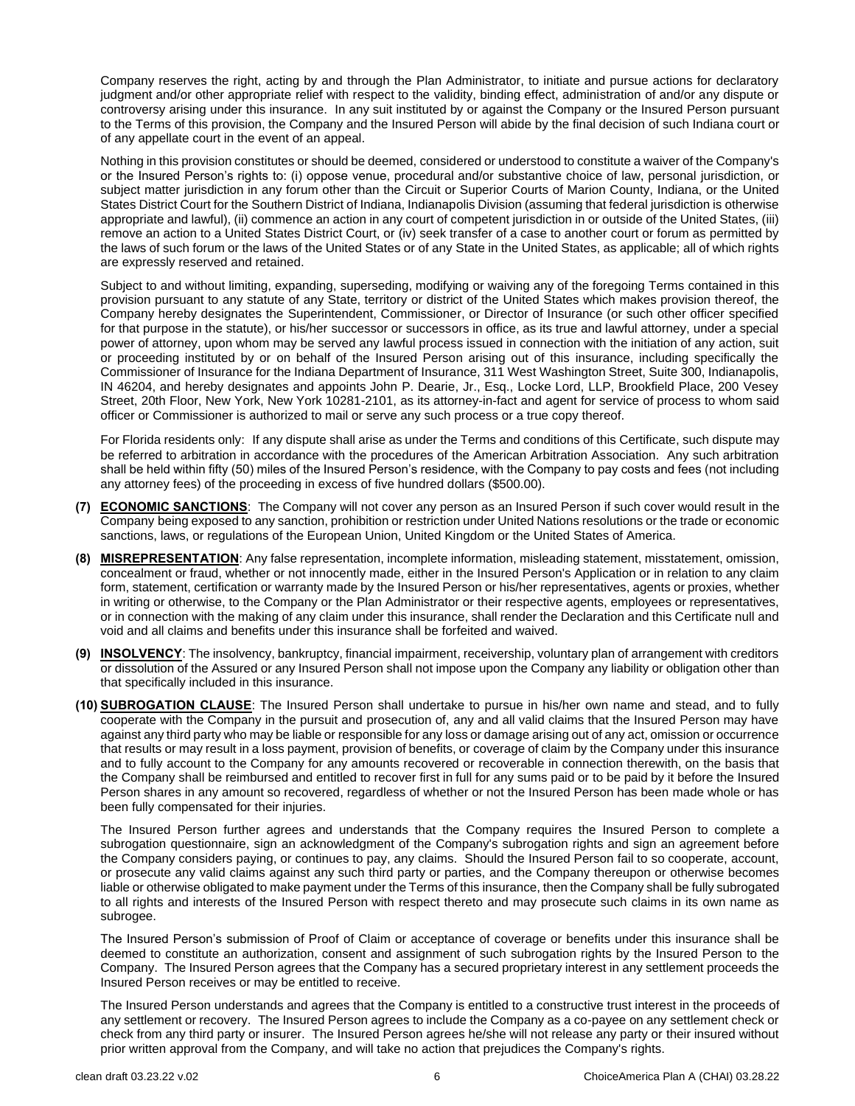Company reserves the right, acting by and through the Plan Administrator, to initiate and pursue actions for declaratory judgment and/or other appropriate relief with respect to the validity, binding effect, administration of and/or any dispute or controversy arising under this insurance. In any suit instituted by or against the Company or the Insured Person pursuant to the Terms of this provision, the Company and the Insured Person will abide by the final decision of such Indiana court or of any appellate court in the event of an appeal.

Nothing in this provision constitutes or should be deemed, considered or understood to constitute a waiver of the Company's or the Insured Person's rights to: (i) oppose venue, procedural and/or substantive choice of law, personal jurisdiction, or subject matter jurisdiction in any forum other than the Circuit or Superior Courts of Marion County, Indiana, or the United States District Court for the Southern District of Indiana, Indianapolis Division (assuming that federal jurisdiction is otherwise appropriate and lawful), (ii) commence an action in any court of competent jurisdiction in or outside of the United States, (iii) remove an action to a United States District Court, or (iv) seek transfer of a case to another court or forum as permitted by the laws of such forum or the laws of the United States or of any State in the United States, as applicable; all of which rights are expressly reserved and retained.

Subject to and without limiting, expanding, superseding, modifying or waiving any of the foregoing Terms contained in this provision pursuant to any statute of any State, territory or district of the United States which makes provision thereof, the Company hereby designates the Superintendent, Commissioner, or Director of Insurance (or such other officer specified for that purpose in the statute), or his/her successor or successors in office, as its true and lawful attorney, under a special power of attorney, upon whom may be served any lawful process issued in connection with the initiation of any action, suit or proceeding instituted by or on behalf of the Insured Person arising out of this insurance, including specifically the Commissioner of Insurance for the Indiana Department of Insurance, 311 West Washington Street, Suite 300, Indianapolis, IN 46204, and hereby designates and appoints John P. Dearie, Jr., Esq., Locke Lord, LLP, Brookfield Place, 200 Vesey Street, 20th Floor, New York, New York 10281-2101, as its attorney-in-fact and agent for service of process to whom said officer or Commissioner is authorized to mail or serve any such process or a true copy thereof.

For Florida residents only: If any dispute shall arise as under the Terms and conditions of this Certificate, such dispute may be referred to arbitration in accordance with the procedures of the American Arbitration Association. Any such arbitration shall be held within fifty (50) miles of the Insured Person's residence, with the Company to pay costs and fees (not including any attorney fees) of the proceeding in excess of five hundred dollars (\$500.00).

- **(7) ECONOMIC SANCTIONS**: The Company will not cover any person as an Insured Person if such cover would result in the Company being exposed to any sanction, prohibition or restriction under United Nations resolutions or the trade or economic sanctions, laws, or regulations of the European Union, United Kingdom or the United States of America.
- **(8) MISREPRESENTATION**: Any false representation, incomplete information, misleading statement, misstatement, omission, concealment or fraud, whether or not innocently made, either in the Insured Person's Application or in relation to any claim form, statement, certification or warranty made by the Insured Person or his/her representatives, agents or proxies, whether in writing or otherwise, to the Company or the Plan Administrator or their respective agents, employees or representatives, or in connection with the making of any claim under this insurance, shall render the Declaration and this Certificate null and void and all claims and benefits under this insurance shall be forfeited and waived.
- **(9) INSOLVENCY**: The insolvency, bankruptcy, financial impairment, receivership, voluntary plan of arrangement with creditors or dissolution of the Assured or any Insured Person shall not impose upon the Company any liability or obligation other than that specifically included in this insurance.
- **(10) SUBROGATION CLAUSE**: The Insured Person shall undertake to pursue in his/her own name and stead, and to fully cooperate with the Company in the pursuit and prosecution of, any and all valid claims that the Insured Person may have against any third party who may be liable or responsible for any loss or damage arising out of any act, omission or occurrence that results or may result in a loss payment, provision of benefits, or coverage of claim by the Company under this insurance and to fully account to the Company for any amounts recovered or recoverable in connection therewith, on the basis that the Company shall be reimbursed and entitled to recover first in full for any sums paid or to be paid by it before the Insured Person shares in any amount so recovered, regardless of whether or not the Insured Person has been made whole or has been fully compensated for their injuries.

The Insured Person further agrees and understands that the Company requires the Insured Person to complete a subrogation questionnaire, sign an acknowledgment of the Company's subrogation rights and sign an agreement before the Company considers paying, or continues to pay, any claims. Should the Insured Person fail to so cooperate, account, or prosecute any valid claims against any such third party or parties, and the Company thereupon or otherwise becomes liable or otherwise obligated to make payment under the Terms of this insurance, then the Company shall be fully subrogated to all rights and interests of the Insured Person with respect thereto and may prosecute such claims in its own name as subrogee.

The Insured Person's submission of Proof of Claim or acceptance of coverage or benefits under this insurance shall be deemed to constitute an authorization, consent and assignment of such subrogation rights by the Insured Person to the Company. The Insured Person agrees that the Company has a secured proprietary interest in any settlement proceeds the Insured Person receives or may be entitled to receive.

The Insured Person understands and agrees that the Company is entitled to a constructive trust interest in the proceeds of any settlement or recovery. The Insured Person agrees to include the Company as a co-payee on any settlement check or check from any third party or insurer. The Insured Person agrees he/she will not release any party or their insured without prior written approval from the Company, and will take no action that prejudices the Company's rights.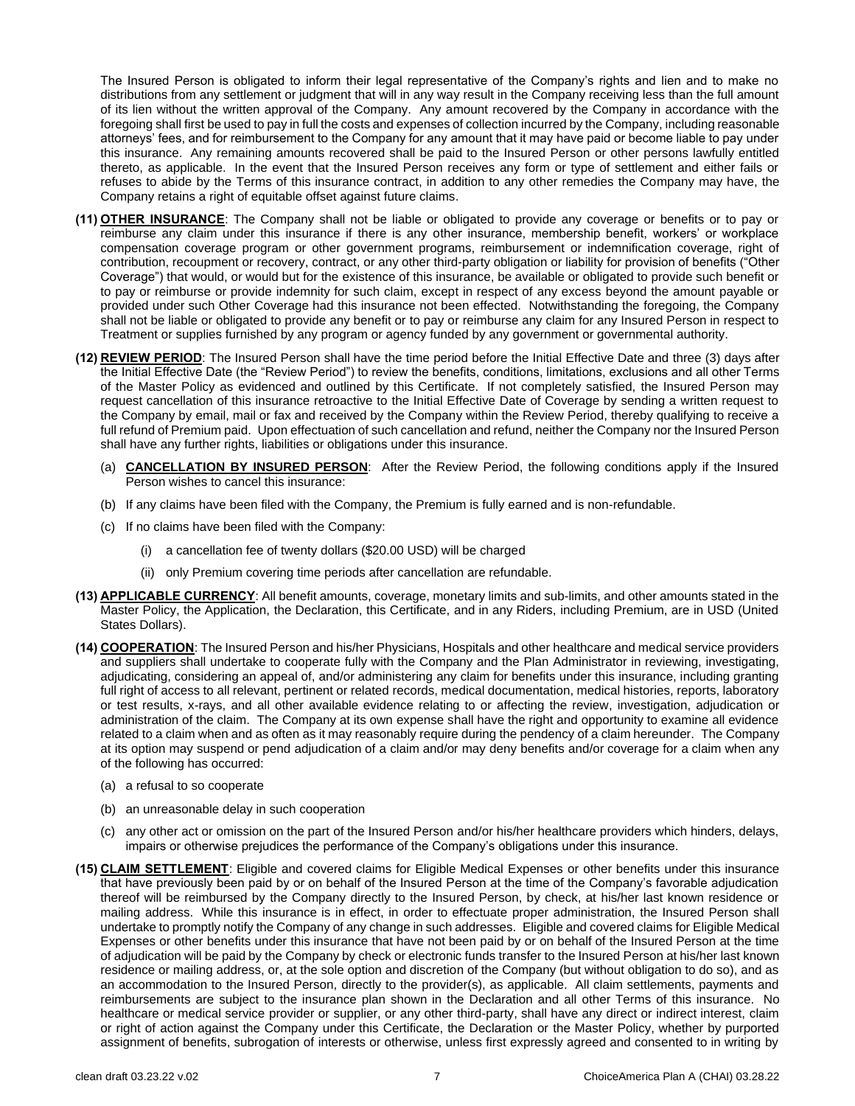The Insured Person is obligated to inform their legal representative of the Company's rights and lien and to make no distributions from any settlement or judgment that will in any way result in the Company receiving less than the full amount of its lien without the written approval of the Company. Any amount recovered by the Company in accordance with the foregoing shall first be used to pay in full the costs and expenses of collection incurred by the Company, including reasonable attorneys' fees, and for reimbursement to the Company for any amount that it may have paid or become liable to pay under this insurance. Any remaining amounts recovered shall be paid to the Insured Person or other persons lawfully entitled thereto, as applicable. In the event that the Insured Person receives any form or type of settlement and either fails or refuses to abide by the Terms of this insurance contract, in addition to any other remedies the Company may have, the Company retains a right of equitable offset against future claims.

- **(11) OTHER INSURANCE**: The Company shall not be liable or obligated to provide any coverage or benefits or to pay or reimburse any claim under this insurance if there is any other insurance, membership benefit, workers' or workplace compensation coverage program or other government programs, reimbursement or indemnification coverage, right of contribution, recoupment or recovery, contract, or any other third-party obligation or liability for provision of benefits ("Other Coverage") that would, or would but for the existence of this insurance, be available or obligated to provide such benefit or to pay or reimburse or provide indemnity for such claim, except in respect of any excess beyond the amount payable or provided under such Other Coverage had this insurance not been effected. Notwithstanding the foregoing, the Company shall not be liable or obligated to provide any benefit or to pay or reimburse any claim for any Insured Person in respect to Treatment or supplies furnished by any program or agency funded by any government or governmental authority.
- **(12) REVIEW PERIOD**: The Insured Person shall have the time period before the Initial Effective Date and three (3) days after the Initial Effective Date (the "Review Period") to review the benefits, conditions, limitations, exclusions and all other Terms of the Master Policy as evidenced and outlined by this Certificate. If not completely satisfied, the Insured Person may request cancellation of this insurance retroactive to the Initial Effective Date of Coverage by sending a written request to the Company by email, mail or fax and received by the Company within the Review Period, thereby qualifying to receive a full refund of Premium paid. Upon effectuation of such cancellation and refund, neither the Company nor the Insured Person shall have any further rights, liabilities or obligations under this insurance.
	- (a) **CANCELLATION BY INSURED PERSON**: After the Review Period, the following conditions apply if the Insured Person wishes to cancel this insurance:
	- (b) If any claims have been filed with the Company, the Premium is fully earned and is non-refundable.
	- (c) If no claims have been filed with the Company:
		- (i) a cancellation fee of twenty dollars (\$20.00 USD) will be charged
		- (ii) only Premium covering time periods after cancellation are refundable.
- **(13) APPLICABLE CURRENCY**: All benefit amounts, coverage, monetary limits and sub-limits, and other amounts stated in the Master Policy, the Application, the Declaration, this Certificate, and in any Riders, including Premium, are in USD (United States Dollars).
- **(14) COOPERATION**: The Insured Person and his/her Physicians, Hospitals and other healthcare and medical service providers and suppliers shall undertake to cooperate fully with the Company and the Plan Administrator in reviewing, investigating, adjudicating, considering an appeal of, and/or administering any claim for benefits under this insurance, including granting full right of access to all relevant, pertinent or related records, medical documentation, medical histories, reports, laboratory or test results, x-rays, and all other available evidence relating to or affecting the review, investigation, adjudication or administration of the claim. The Company at its own expense shall have the right and opportunity to examine all evidence related to a claim when and as often as it may reasonably require during the pendency of a claim hereunder. The Company at its option may suspend or pend adjudication of a claim and/or may deny benefits and/or coverage for a claim when any of the following has occurred:
	- (a) a refusal to so cooperate
	- (b) an unreasonable delay in such cooperation
	- (c) any other act or omission on the part of the Insured Person and/or his/her healthcare providers which hinders, delays, impairs or otherwise prejudices the performance of the Company's obligations under this insurance.
- **(15) CLAIM SETTLEMENT**: Eligible and covered claims for Eligible Medical Expenses or other benefits under this insurance that have previously been paid by or on behalf of the Insured Person at the time of the Company's favorable adjudication thereof will be reimbursed by the Company directly to the Insured Person, by check, at his/her last known residence or mailing address. While this insurance is in effect, in order to effectuate proper administration, the Insured Person shall undertake to promptly notify the Company of any change in such addresses. Eligible and covered claims for Eligible Medical Expenses or other benefits under this insurance that have not been paid by or on behalf of the Insured Person at the time of adjudication will be paid by the Company by check or electronic funds transfer to the Insured Person at his/her last known residence or mailing address, or, at the sole option and discretion of the Company (but without obligation to do so), and as an accommodation to the Insured Person, directly to the provider(s), as applicable. All claim settlements, payments and reimbursements are subject to the insurance plan shown in the Declaration and all other Terms of this insurance. No healthcare or medical service provider or supplier, or any other third-party, shall have any direct or indirect interest, claim or right of action against the Company under this Certificate, the Declaration or the Master Policy, whether by purported assignment of benefits, subrogation of interests or otherwise, unless first expressly agreed and consented to in writing by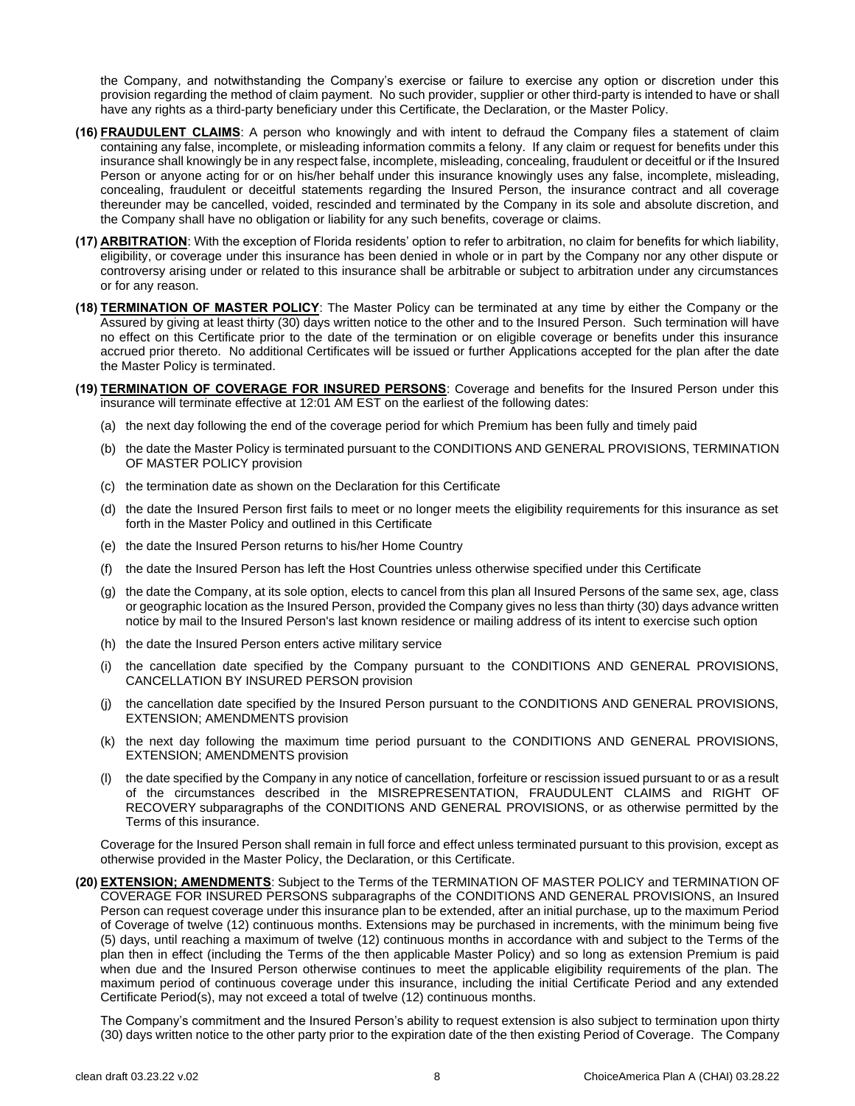the Company, and notwithstanding the Company's exercise or failure to exercise any option or discretion under this provision regarding the method of claim payment. No such provider, supplier or other third-party is intended to have or shall have any rights as a third-party beneficiary under this Certificate, the Declaration, or the Master Policy.

- **(16) FRAUDULENT CLAIMS**: A person who knowingly and with intent to defraud the Company files a statement of claim containing any false, incomplete, or misleading information commits a felony. If any claim or request for benefits under this insurance shall knowingly be in any respect false, incomplete, misleading, concealing, fraudulent or deceitful or if the Insured Person or anyone acting for or on his/her behalf under this insurance knowingly uses any false, incomplete, misleading, concealing, fraudulent or deceitful statements regarding the Insured Person, the insurance contract and all coverage thereunder may be cancelled, voided, rescinded and terminated by the Company in its sole and absolute discretion, and the Company shall have no obligation or liability for any such benefits, coverage or claims.
- **(17) ARBITRATION**: With the exception of Florida residents' option to refer to arbitration, no claim for benefits for which liability, eligibility, or coverage under this insurance has been denied in whole or in part by the Company nor any other dispute or controversy arising under or related to this insurance shall be arbitrable or subject to arbitration under any circumstances or for any reason.
- **(18) TERMINATION OF MASTER POLICY**: The Master Policy can be terminated at any time by either the Company or the Assured by giving at least thirty (30) days written notice to the other and to the Insured Person. Such termination will have no effect on this Certificate prior to the date of the termination or on eligible coverage or benefits under this insurance accrued prior thereto. No additional Certificates will be issued or further Applications accepted for the plan after the date the Master Policy is terminated.
- **(19) TERMINATION OF COVERAGE FOR INSURED PERSONS**: Coverage and benefits for the Insured Person under this insurance will terminate effective at 12:01 AM EST on the earliest of the following dates:
	- (a) the next day following the end of the coverage period for which Premium has been fully and timely paid
	- (b) the date the Master Policy is terminated pursuant to the CONDITIONS AND GENERAL PROVISIONS, TERMINATION OF MASTER POLICY provision
	- (c) the termination date as shown on the Declaration for this Certificate
	- (d) the date the Insured Person first fails to meet or no longer meets the eligibility requirements for this insurance as set forth in the Master Policy and outlined in this Certificate
	- (e) the date the Insured Person returns to his/her Home Country
	- (f) the date the Insured Person has left the Host Countries unless otherwise specified under this Certificate
	- (g) the date the Company, at its sole option, elects to cancel from this plan all Insured Persons of the same sex, age, class or geographic location as the Insured Person, provided the Company gives no less than thirty (30) days advance written notice by mail to the Insured Person's last known residence or mailing address of its intent to exercise such option
	- (h) the date the Insured Person enters active military service
	- (i) the cancellation date specified by the Company pursuant to the CONDITIONS AND GENERAL PROVISIONS, CANCELLATION BY INSURED PERSON provision
	- (j) the cancellation date specified by the Insured Person pursuant to the CONDITIONS AND GENERAL PROVISIONS, EXTENSION; AMENDMENTS provision
	- (k) the next day following the maximum time period pursuant to the CONDITIONS AND GENERAL PROVISIONS, EXTENSION; AMENDMENTS provision
	- (l) the date specified by the Company in any notice of cancellation, forfeiture or rescission issued pursuant to or as a result of the circumstances described in the MISREPRESENTATION, FRAUDULENT CLAIMS and RIGHT OF RECOVERY subparagraphs of the CONDITIONS AND GENERAL PROVISIONS, or as otherwise permitted by the Terms of this insurance.

Coverage for the Insured Person shall remain in full force and effect unless terminated pursuant to this provision, except as otherwise provided in the Master Policy, the Declaration, or this Certificate.

**(20) EXTENSION; AMENDMENTS**: Subject to the Terms of the TERMINATION OF MASTER POLICY and TERMINATION OF COVERAGE FOR INSURED PERSONS subparagraphs of the CONDITIONS AND GENERAL PROVISIONS, an Insured Person can request coverage under this insurance plan to be extended, after an initial purchase, up to the maximum Period of Coverage of twelve (12) continuous months. Extensions may be purchased in increments, with the minimum being five (5) days, until reaching a maximum of twelve (12) continuous months in accordance with and subject to the Terms of the plan then in effect (including the Terms of the then applicable Master Policy) and so long as extension Premium is paid when due and the Insured Person otherwise continues to meet the applicable eligibility requirements of the plan. The maximum period of continuous coverage under this insurance, including the initial Certificate Period and any extended Certificate Period(s), may not exceed a total of twelve (12) continuous months.

The Company's commitment and the Insured Person's ability to request extension is also subject to termination upon thirty (30) days written notice to the other party prior to the expiration date of the then existing Period of Coverage. The Company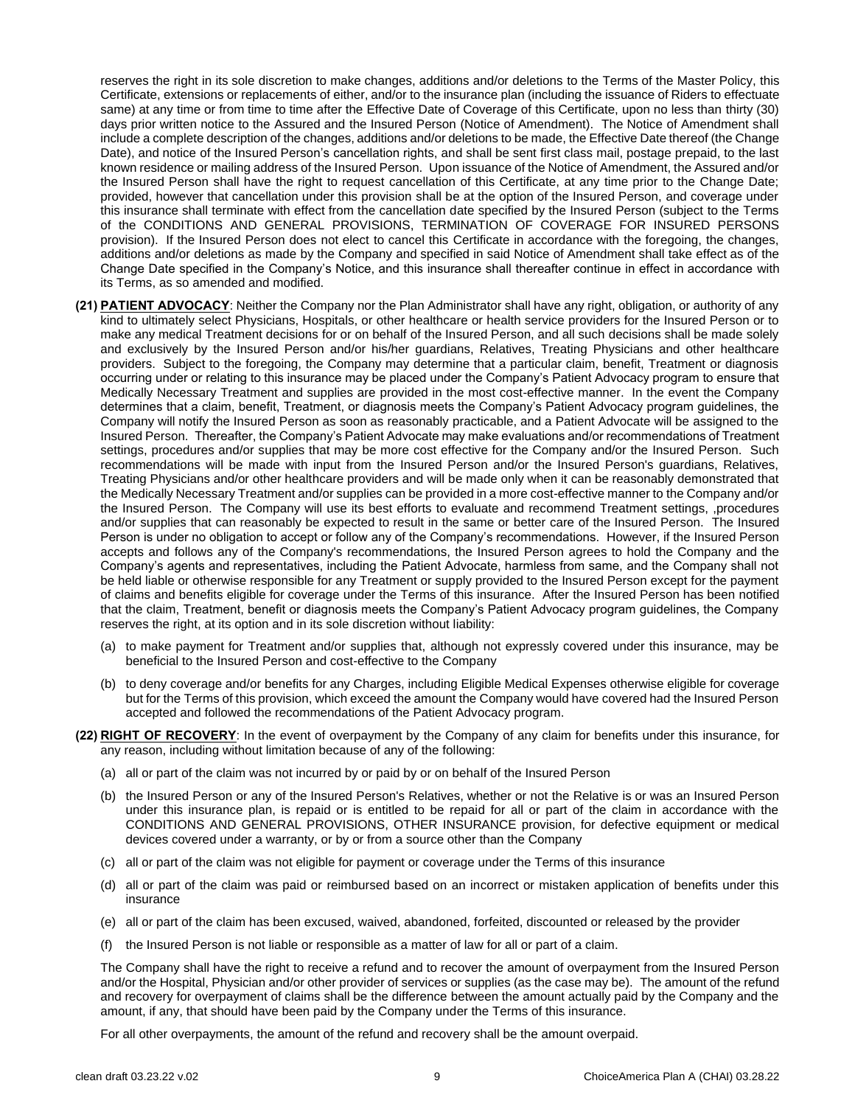reserves the right in its sole discretion to make changes, additions and/or deletions to the Terms of the Master Policy, this Certificate, extensions or replacements of either, and/or to the insurance plan (including the issuance of Riders to effectuate same) at any time or from time to time after the Effective Date of Coverage of this Certificate, upon no less than thirty (30) days prior written notice to the Assured and the Insured Person (Notice of Amendment). The Notice of Amendment shall include a complete description of the changes, additions and/or deletions to be made, the Effective Date thereof (the Change Date), and notice of the Insured Person's cancellation rights, and shall be sent first class mail, postage prepaid, to the last known residence or mailing address of the Insured Person. Upon issuance of the Notice of Amendment, the Assured and/or the Insured Person shall have the right to request cancellation of this Certificate, at any time prior to the Change Date; provided, however that cancellation under this provision shall be at the option of the Insured Person, and coverage under this insurance shall terminate with effect from the cancellation date specified by the Insured Person (subject to the Terms of the CONDITIONS AND GENERAL PROVISIONS, TERMINATION OF COVERAGE FOR INSURED PERSONS provision). If the Insured Person does not elect to cancel this Certificate in accordance with the foregoing, the changes, additions and/or deletions as made by the Company and specified in said Notice of Amendment shall take effect as of the Change Date specified in the Company's Notice, and this insurance shall thereafter continue in effect in accordance with its Terms, as so amended and modified.

- **(21) PATIENT ADVOCACY**: Neither the Company nor the Plan Administrator shall have any right, obligation, or authority of any kind to ultimately select Physicians, Hospitals, or other healthcare or health service providers for the Insured Person or to make any medical Treatment decisions for or on behalf of the Insured Person, and all such decisions shall be made solely and exclusively by the Insured Person and/or his/her guardians, Relatives, Treating Physicians and other healthcare providers. Subject to the foregoing, the Company may determine that a particular claim, benefit, Treatment or diagnosis occurring under or relating to this insurance may be placed under the Company's Patient Advocacy program to ensure that Medically Necessary Treatment and supplies are provided in the most cost-effective manner. In the event the Company determines that a claim, benefit, Treatment, or diagnosis meets the Company's Patient Advocacy program guidelines, the Company will notify the Insured Person as soon as reasonably practicable, and a Patient Advocate will be assigned to the Insured Person. Thereafter, the Company's Patient Advocate may make evaluations and/or recommendations of Treatment settings, procedures and/or supplies that may be more cost effective for the Company and/or the Insured Person. Such recommendations will be made with input from the Insured Person and/or the Insured Person's guardians, Relatives, Treating Physicians and/or other healthcare providers and will be made only when it can be reasonably demonstrated that the Medically Necessary Treatment and/or supplies can be provided in a more cost-effective manner to the Company and/or the Insured Person. The Company will use its best efforts to evaluate and recommend Treatment settings, ,procedures and/or supplies that can reasonably be expected to result in the same or better care of the Insured Person. The Insured Person is under no obligation to accept or follow any of the Company's recommendations. However, if the Insured Person accepts and follows any of the Company's recommendations, the Insured Person agrees to hold the Company and the Company's agents and representatives, including the Patient Advocate, harmless from same, and the Company shall not be held liable or otherwise responsible for any Treatment or supply provided to the Insured Person except for the payment of claims and benefits eligible for coverage under the Terms of this insurance. After the Insured Person has been notified that the claim, Treatment, benefit or diagnosis meets the Company's Patient Advocacy program guidelines, the Company reserves the right, at its option and in its sole discretion without liability:
	- (a) to make payment for Treatment and/or supplies that, although not expressly covered under this insurance, may be beneficial to the Insured Person and cost-effective to the Company
	- (b) to deny coverage and/or benefits for any Charges, including Eligible Medical Expenses otherwise eligible for coverage but for the Terms of this provision, which exceed the amount the Company would have covered had the Insured Person accepted and followed the recommendations of the Patient Advocacy program.
- **(22) RIGHT OF RECOVERY**: In the event of overpayment by the Company of any claim for benefits under this insurance, for any reason, including without limitation because of any of the following:
	- (a) all or part of the claim was not incurred by or paid by or on behalf of the Insured Person
	- (b) the Insured Person or any of the Insured Person's Relatives, whether or not the Relative is or was an Insured Person under this insurance plan, is repaid or is entitled to be repaid for all or part of the claim in accordance with the CONDITIONS AND GENERAL PROVISIONS, OTHER INSURANCE provision, for defective equipment or medical devices covered under a warranty, or by or from a source other than the Company
	- (c) all or part of the claim was not eligible for payment or coverage under the Terms of this insurance
	- (d) all or part of the claim was paid or reimbursed based on an incorrect or mistaken application of benefits under this insurance
	- (e) all or part of the claim has been excused, waived, abandoned, forfeited, discounted or released by the provider
	- (f) the Insured Person is not liable or responsible as a matter of law for all or part of a claim.

The Company shall have the right to receive a refund and to recover the amount of overpayment from the Insured Person and/or the Hospital, Physician and/or other provider of services or supplies (as the case may be). The amount of the refund and recovery for overpayment of claims shall be the difference between the amount actually paid by the Company and the amount, if any, that should have been paid by the Company under the Terms of this insurance.

For all other overpayments, the amount of the refund and recovery shall be the amount overpaid.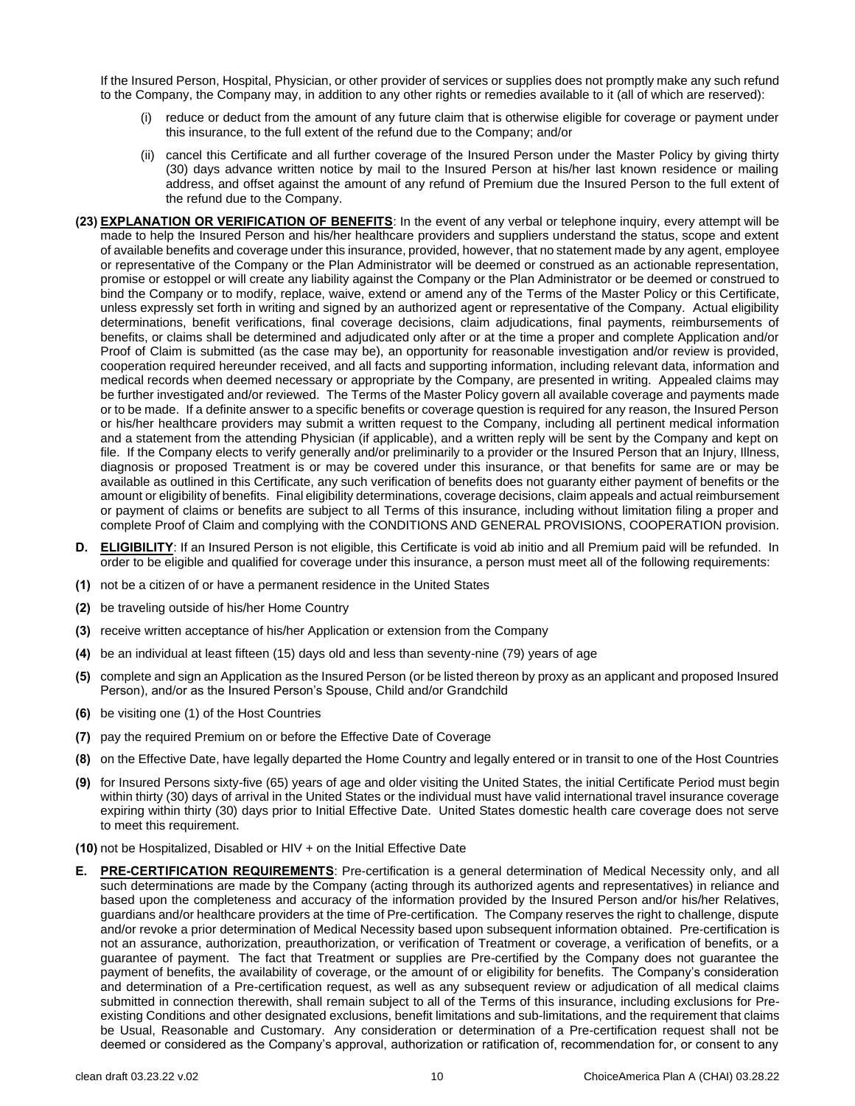If the Insured Person, Hospital, Physician, or other provider of services or supplies does not promptly make any such refund to the Company, the Company may, in addition to any other rights or remedies available to it (all of which are reserved):

- (i) reduce or deduct from the amount of any future claim that is otherwise eligible for coverage or payment under this insurance, to the full extent of the refund due to the Company; and/or
- (ii) cancel this Certificate and all further coverage of the Insured Person under the Master Policy by giving thirty (30) days advance written notice by mail to the Insured Person at his/her last known residence or mailing address, and offset against the amount of any refund of Premium due the Insured Person to the full extent of the refund due to the Company.
- **(23) EXPLANATION OR VERIFICATION OF BENEFITS**: In the event of any verbal or telephone inquiry, every attempt will be made to help the Insured Person and his/her healthcare providers and suppliers understand the status, scope and extent of available benefits and coverage under this insurance, provided, however, that no statement made by any agent, employee or representative of the Company or the Plan Administrator will be deemed or construed as an actionable representation, promise or estoppel or will create any liability against the Company or the Plan Administrator or be deemed or construed to bind the Company or to modify, replace, waive, extend or amend any of the Terms of the Master Policy or this Certificate, unless expressly set forth in writing and signed by an authorized agent or representative of the Company. Actual eligibility determinations, benefit verifications, final coverage decisions, claim adjudications, final payments, reimbursements of benefits, or claims shall be determined and adjudicated only after or at the time a proper and complete Application and/or Proof of Claim is submitted (as the case may be), an opportunity for reasonable investigation and/or review is provided, cooperation required hereunder received, and all facts and supporting information, including relevant data, information and medical records when deemed necessary or appropriate by the Company, are presented in writing. Appealed claims may be further investigated and/or reviewed. The Terms of the Master Policy govern all available coverage and payments made or to be made. If a definite answer to a specific benefits or coverage question is required for any reason, the Insured Person or his/her healthcare providers may submit a written request to the Company, including all pertinent medical information and a statement from the attending Physician (if applicable), and a written reply will be sent by the Company and kept on file. If the Company elects to verify generally and/or preliminarily to a provider or the Insured Person that an Injury, Illness, diagnosis or proposed Treatment is or may be covered under this insurance, or that benefits for same are or may be available as outlined in this Certificate, any such verification of benefits does not guaranty either payment of benefits or the amount or eligibility of benefits. Final eligibility determinations, coverage decisions, claim appeals and actual reimbursement or payment of claims or benefits are subject to all Terms of this insurance, including without limitation filing a proper and complete Proof of Claim and complying with the CONDITIONS AND GENERAL PROVISIONS, COOPERATION provision.
- <span id="page-11-0"></span>**D. ELIGIBILITY**: If an Insured Person is not eligible, this Certificate is void ab initio and all Premium paid will be refunded. In order to be eligible and qualified for coverage under this insurance, a person must meet all of the following requirements:
- **(1)** not be a citizen of or have a permanent residence in the United States
- **(2)** be traveling outside of his/her Home Country
- **(3)** receive written acceptance of his/her Application or extension from the Company
- **(4)** be an individual at least fifteen (15) days old and less than seventy-nine (79) years of age
- **(5)** complete and sign an Application as the Insured Person (or be listed thereon by proxy as an applicant and proposed Insured Person), and/or as the Insured Person's Spouse, Child and/or Grandchild
- **(6)** be visiting one (1) of the Host Countries
- **(7)** pay the required Premium on or before the Effective Date of Coverage
- **(8)** on the Effective Date, have legally departed the Home Country and legally entered or in transit to one of the Host Countries
- **(9)** for Insured Persons sixty-five (65) years of age and older visiting the United States, the initial Certificate Period must begin within thirty (30) days of arrival in the United States or the individual must have valid international travel insurance coverage expiring within thirty (30) days prior to Initial Effective Date. United States domestic health care coverage does not serve to meet this requirement.
- **(10)** not be Hospitalized, Disabled or HIV + on the Initial Effective Date
- <span id="page-11-1"></span>**E. PRE-CERTIFICATION REQUIREMENTS**: Pre-certification is a general determination of Medical Necessity only, and all such determinations are made by the Company (acting through its authorized agents and representatives) in reliance and based upon the completeness and accuracy of the information provided by the Insured Person and/or his/her Relatives, guardians and/or healthcare providers at the time of Pre-certification. The Company reserves the right to challenge, dispute and/or revoke a prior determination of Medical Necessity based upon subsequent information obtained. Pre-certification is not an assurance, authorization, preauthorization, or verification of Treatment or coverage, a verification of benefits, or a guarantee of payment. The fact that Treatment or supplies are Pre-certified by the Company does not guarantee the payment of benefits, the availability of coverage, or the amount of or eligibility for benefits. The Company's consideration and determination of a Pre-certification request, as well as any subsequent review or adjudication of all medical claims submitted in connection therewith, shall remain subject to all of the Terms of this insurance, including exclusions for Preexisting Conditions and other designated exclusions, benefit limitations and sub-limitations, and the requirement that claims be Usual, Reasonable and Customary. Any consideration or determination of a Pre-certification request shall not be deemed or considered as the Company's approval, authorization or ratification of, recommendation for, or consent to any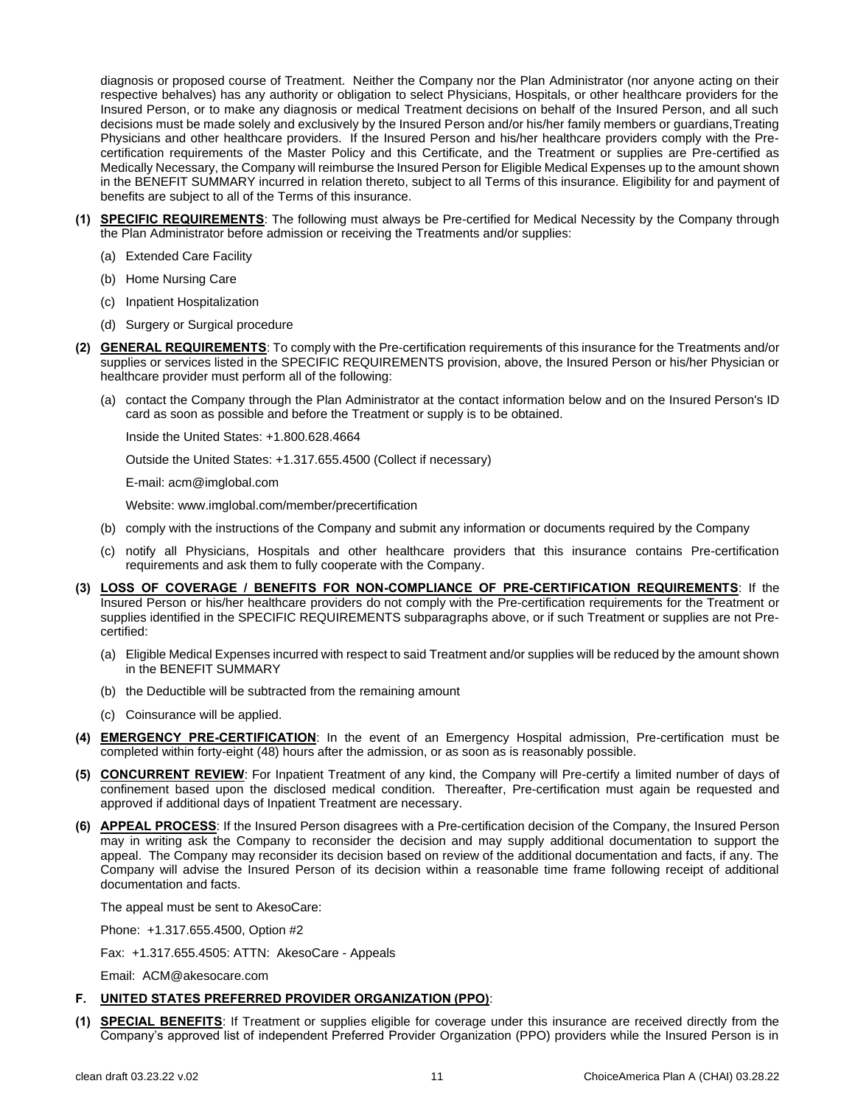diagnosis or proposed course of Treatment. Neither the Company nor the Plan Administrator (nor anyone acting on their respective behalves) has any authority or obligation to select Physicians, Hospitals, or other healthcare providers for the Insured Person, or to make any diagnosis or medical Treatment decisions on behalf of the Insured Person, and all such decisions must be made solely and exclusively by the Insured Person and/or his/her family members or guardians,Treating Physicians and other healthcare providers. If the Insured Person and his/her healthcare providers comply with the Precertification requirements of the Master Policy and this Certificate, and the Treatment or supplies are Pre-certified as Medically Necessary, the Company will reimburse the Insured Person for Eligible Medical Expenses up to the amount shown in the BENEFIT SUMMARY incurred in relation thereto, subject to all Terms of this insurance. Eligibility for and payment of benefits are subject to all of the Terms of this insurance.

- **(1) SPECIFIC REQUIREMENTS**: The following must always be Pre-certified for Medical Necessity by the Company through the Plan Administrator before admission or receiving the Treatments and/or supplies:
	- (a) Extended Care Facility
	- (b) Home Nursing Care
	- (c) Inpatient Hospitalization
	- (d) Surgery or Surgical procedure
- **(2) GENERAL REQUIREMENTS**: To comply with the Pre-certification requirements of this insurance for the Treatments and/or supplies or services listed in the SPECIFIC REQUIREMENTS provision, above, the Insured Person or his/her Physician or healthcare provider must perform all of the following:
	- (a) contact the Company through the Plan Administrator at the contact information below and on the Insured Person's ID card as soon as possible and before the Treatment or supply is to be obtained.

Inside the United States: +1.800.628.4664

Outside the United States: +1.317.655.4500 (Collect if necessary)

E-mail: acm@imglobal.com

Website: www.imglobal.com/member/precertification

- (b) comply with the instructions of the Company and submit any information or documents required by the Company
- (c) notify all Physicians, Hospitals and other healthcare providers that this insurance contains Pre-certification requirements and ask them to fully cooperate with the Company.
- **(3) LOSS OF COVERAGE / BENEFITS FOR NON-COMPLIANCE OF PRE-CERTIFICATION REQUIREMENTS**: If the Insured Person or his/her healthcare providers do not comply with the Pre-certification requirements for the Treatment or supplies identified in the SPECIFIC REQUIREMENTS subparagraphs above, or if such Treatment or supplies are not Precertified:
	- (a) Eligible Medical Expenses incurred with respect to said Treatment and/or supplies will be reduced by the amount shown in the BENEFIT SUMMARY
	- (b) the Deductible will be subtracted from the remaining amount
	- (c) Coinsurance will be applied.
- **(4) EMERGENCY PRE-CERTIFICATION**: In the event of an Emergency Hospital admission, Pre-certification must be completed within forty-eight (48) hours after the admission, or as soon as is reasonably possible.
- **(5) CONCURRENT REVIEW**: For Inpatient Treatment of any kind, the Company will Pre-certify a limited number of days of confinement based upon the disclosed medical condition. Thereafter, Pre-certification must again be requested and approved if additional days of Inpatient Treatment are necessary.
- **(6) APPEAL PROCESS**: If the Insured Person disagrees with a Pre-certification decision of the Company, the Insured Person may in writing ask the Company to reconsider the decision and may supply additional documentation to support the appeal. The Company may reconsider its decision based on review of the additional documentation and facts, if any. The Company will advise the Insured Person of its decision within a reasonable time frame following receipt of additional documentation and facts.

The appeal must be sent to AkesoCare:

Phone: +1.317.655.4500, Option #2

Fax: +1.317.655.4505: ATTN: AkesoCare - Appeals

Email: ACM@akesocare.com

#### <span id="page-12-0"></span>**F. UNITED STATES PREFERRED PROVIDER ORGANIZATION (PPO)**:

**(1) SPECIAL BENEFITS**: If Treatment or supplies eligible for coverage under this insurance are received directly from the Company's approved list of independent Preferred Provider Organization (PPO) providers while the Insured Person is in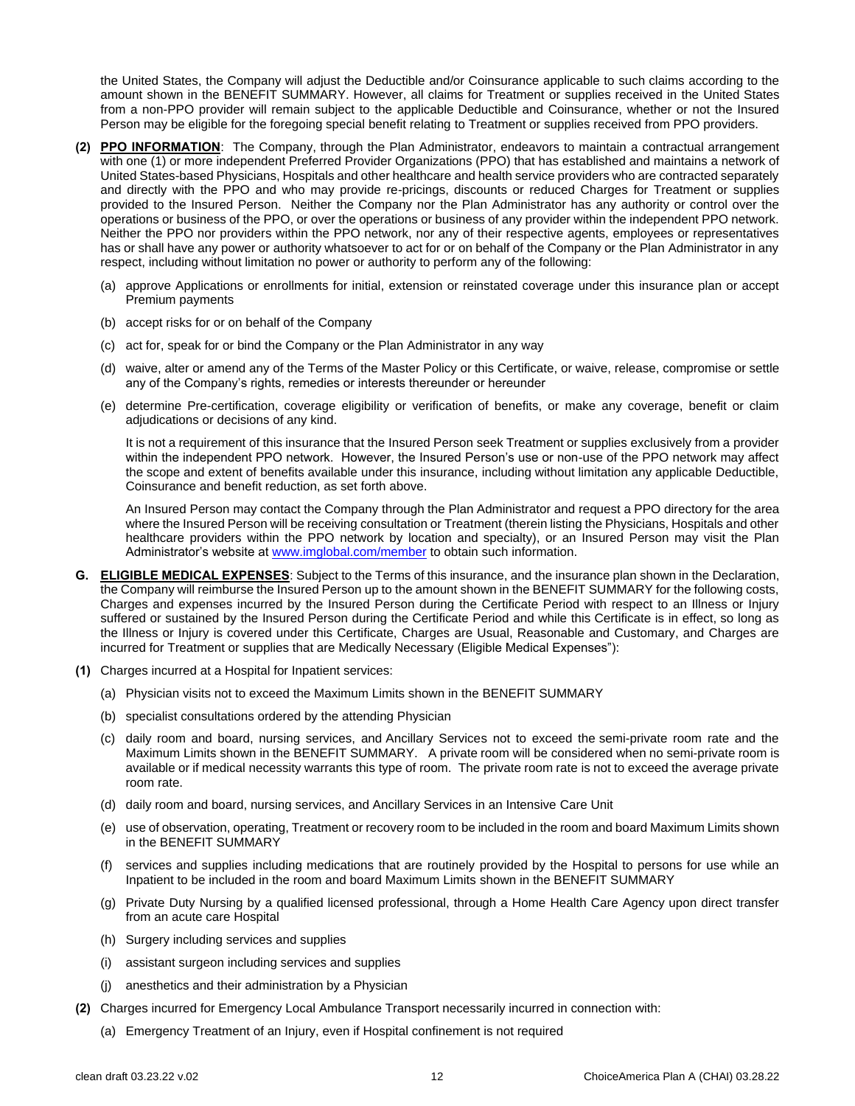the United States, the Company will adjust the Deductible and/or Coinsurance applicable to such claims according to the amount shown in the BENEFIT SUMMARY. However, all claims for Treatment or supplies received in the United States from a non-PPO provider will remain subject to the applicable Deductible and Coinsurance, whether or not the Insured Person may be eligible for the foregoing special benefit relating to Treatment or supplies received from PPO providers.

- **(2) PPO INFORMATION**: The Company, through the Plan Administrator, endeavors to maintain a contractual arrangement with one (1) or more independent Preferred Provider Organizations (PPO) that has established and maintains a network of United States-based Physicians, Hospitals and other healthcare and health service providers who are contracted separately and directly with the PPO and who may provide re-pricings, discounts or reduced Charges for Treatment or supplies provided to the Insured Person. Neither the Company nor the Plan Administrator has any authority or control over the operations or business of the PPO, or over the operations or business of any provider within the independent PPO network. Neither the PPO nor providers within the PPO network, nor any of their respective agents, employees or representatives has or shall have any power or authority whatsoever to act for or on behalf of the Company or the Plan Administrator in any respect, including without limitation no power or authority to perform any of the following:
	- (a) approve Applications or enrollments for initial, extension or reinstated coverage under this insurance plan or accept Premium payments
	- (b) accept risks for or on behalf of the Company
	- (c) act for, speak for or bind the Company or the Plan Administrator in any way
	- (d) waive, alter or amend any of the Terms of the Master Policy or this Certificate, or waive, release, compromise or settle any of the Company's rights, remedies or interests thereunder or hereunder
	- (e) determine Pre-certification, coverage eligibility or verification of benefits, or make any coverage, benefit or claim adjudications or decisions of any kind.

It is not a requirement of this insurance that the Insured Person seek Treatment or supplies exclusively from a provider within the independent PPO network. However, the Insured Person's use or non-use of the PPO network may affect the scope and extent of benefits available under this insurance, including without limitation any applicable Deductible, Coinsurance and benefit reduction, as set forth above.

An Insured Person may contact the Company through the Plan Administrator and request a PPO directory for the area where the Insured Person will be receiving consultation or Treatment (therein listing the Physicians, Hospitals and other healthcare providers within the PPO network by location and specialty), or an Insured Person may visit the Plan Administrator's website at [www.imglobal.com/member](http://www.imglobal.com/member) to obtain such information.

- <span id="page-13-0"></span>**G. ELIGIBLE MEDICAL EXPENSES**: Subject to the Terms of this insurance, and the insurance plan shown in the Declaration, the Company will reimburse the Insured Person up to the amount shown in the BENEFIT SUMMARY for the following costs, Charges and expenses incurred by the Insured Person during the Certificate Period with respect to an Illness or Injury suffered or sustained by the Insured Person during the Certificate Period and while this Certificate is in effect, so long as the Illness or Injury is covered under this Certificate, Charges are Usual, Reasonable and Customary, and Charges are incurred for Treatment or supplies that are Medically Necessary (Eligible Medical Expenses"):
- **(1)** Charges incurred at a Hospital for Inpatient services:
	- (a) Physician visits not to exceed the Maximum Limits shown in the BENEFIT SUMMARY
	- (b) specialist consultations ordered by the attending Physician
	- (c) daily room and board, nursing services, and Ancillary Services not to exceed the semi-private room rate and the Maximum Limits shown in the BENEFIT SUMMARY. A private room will be considered when no semi-private room is available or if medical necessity warrants this type of room. The private room rate is not to exceed the average private room rate.
	- (d) daily room and board, nursing services, and Ancillary Services in an Intensive Care Unit
	- (e) use of observation, operating, Treatment or recovery room to be included in the room and board Maximum Limits shown in the BENEFIT SUMMARY
	- (f) services and supplies including medications that are routinely provided by the Hospital to persons for use while an Inpatient to be included in the room and board Maximum Limits shown in the BENEFIT SUMMARY
	- (g) Private Duty Nursing by a qualified licensed professional, through a Home Health Care Agency upon direct transfer from an acute care Hospital
	- (h) Surgery including services and supplies
	- (i) assistant surgeon including services and supplies
	- (j) anesthetics and their administration by a Physician
- **(2)** Charges incurred for Emergency Local Ambulance Transport necessarily incurred in connection with:
	- (a) Emergency Treatment of an Injury, even if Hospital confinement is not required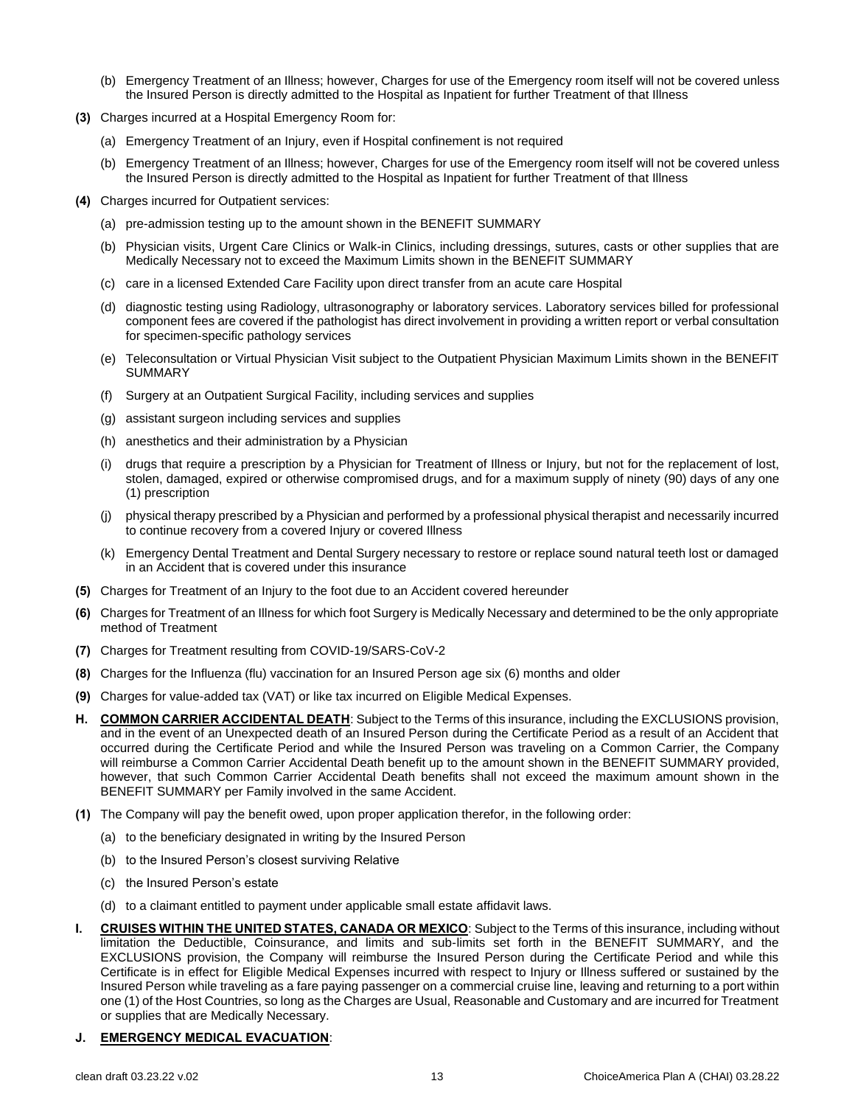- (b) Emergency Treatment of an Illness; however, Charges for use of the Emergency room itself will not be covered unless the Insured Person is directly admitted to the Hospital as Inpatient for further Treatment of that Illness
- **(3)** Charges incurred at a Hospital Emergency Room for:
	- (a) Emergency Treatment of an Injury, even if Hospital confinement is not required
	- (b) Emergency Treatment of an Illness; however, Charges for use of the Emergency room itself will not be covered unless the Insured Person is directly admitted to the Hospital as Inpatient for further Treatment of that Illness
- **(4)** Charges incurred for Outpatient services:
	- (a) pre-admission testing up to the amount shown in the BENEFIT SUMMARY
	- (b) Physician visits, Urgent Care Clinics or Walk-in Clinics, including dressings, sutures, casts or other supplies that are Medically Necessary not to exceed the Maximum Limits shown in the BENEFIT SUMMARY
	- (c) care in a licensed Extended Care Facility upon direct transfer from an acute care Hospital
	- (d) diagnostic testing using Radiology, ultrasonography or laboratory services. Laboratory services billed for professional component fees are covered if the pathologist has direct involvement in providing a written report or verbal consultation for specimen-specific pathology services
	- (e) Teleconsultation or Virtual Physician Visit subject to the Outpatient Physician Maximum Limits shown in the BENEFIT SUMMARY
	- (f) Surgery at an Outpatient Surgical Facility, including services and supplies
	- (g) assistant surgeon including services and supplies
	- (h) anesthetics and their administration by a Physician
	- (i) drugs that require a prescription by a Physician for Treatment of Illness or Injury, but not for the replacement of lost, stolen, damaged, expired or otherwise compromised drugs, and for a maximum supply of ninety (90) days of any one (1) prescription
	- (j) physical therapy prescribed by a Physician and performed by a professional physical therapist and necessarily incurred to continue recovery from a covered Injury or covered Illness
	- (k) Emergency Dental Treatment and Dental Surgery necessary to restore or replace sound natural teeth lost or damaged in an Accident that is covered under this insurance
- **(5)** Charges for Treatment of an Injury to the foot due to an Accident covered hereunder
- **(6)** Charges for Treatment of an Illness for which foot Surgery is Medically Necessary and determined to be the only appropriate method of Treatment
- **(7)** Charges for Treatment resulting from COVID-19/SARS-CoV-2
- **(8)** Charges for the Influenza (flu) vaccination for an Insured Person age six (6) months and older
- **(9)** Charges for value-added tax (VAT) or like tax incurred on Eligible Medical Expenses.
- <span id="page-14-0"></span>**H. COMMON CARRIER ACCIDENTAL DEATH**: Subject to the Terms of this insurance, including the EXCLUSIONS provision, and in the event of an Unexpected death of an Insured Person during the Certificate Period as a result of an Accident that occurred during the Certificate Period and while the Insured Person was traveling on a Common Carrier, the Company will reimburse a Common Carrier Accidental Death benefit up to the amount shown in the BENEFIT SUMMARY provided, however, that such Common Carrier Accidental Death benefits shall not exceed the maximum amount shown in the BENEFIT SUMMARY per Family involved in the same Accident.
- **(1)** The Company will pay the benefit owed, upon proper application therefor, in the following order:
	- (a) to the beneficiary designated in writing by the Insured Person
	- (b) to the Insured Person's closest surviving Relative
	- (c) the Insured Person's estate
	- (d) to a claimant entitled to payment under applicable small estate affidavit laws.
- <span id="page-14-1"></span>**I. CRUISES WITHIN THE UNITED STATES, CANADA OR MEXICO**: Subject to the Terms of this insurance, including without limitation the Deductible, Coinsurance, and limits and sub-limits set forth in the BENEFIT SUMMARY, and the EXCLUSIONS provision, the Company will reimburse the Insured Person during the Certificate Period and while this Certificate is in effect for Eligible Medical Expenses incurred with respect to Injury or Illness suffered or sustained by the Insured Person while traveling as a fare paying passenger on a commercial cruise line, leaving and returning to a port within one (1) of the Host Countries, so long as the Charges are Usual, Reasonable and Customary and are incurred for Treatment or supplies that are Medically Necessary.

#### <span id="page-14-2"></span>**J. EMERGENCY MEDICAL EVACUATION**: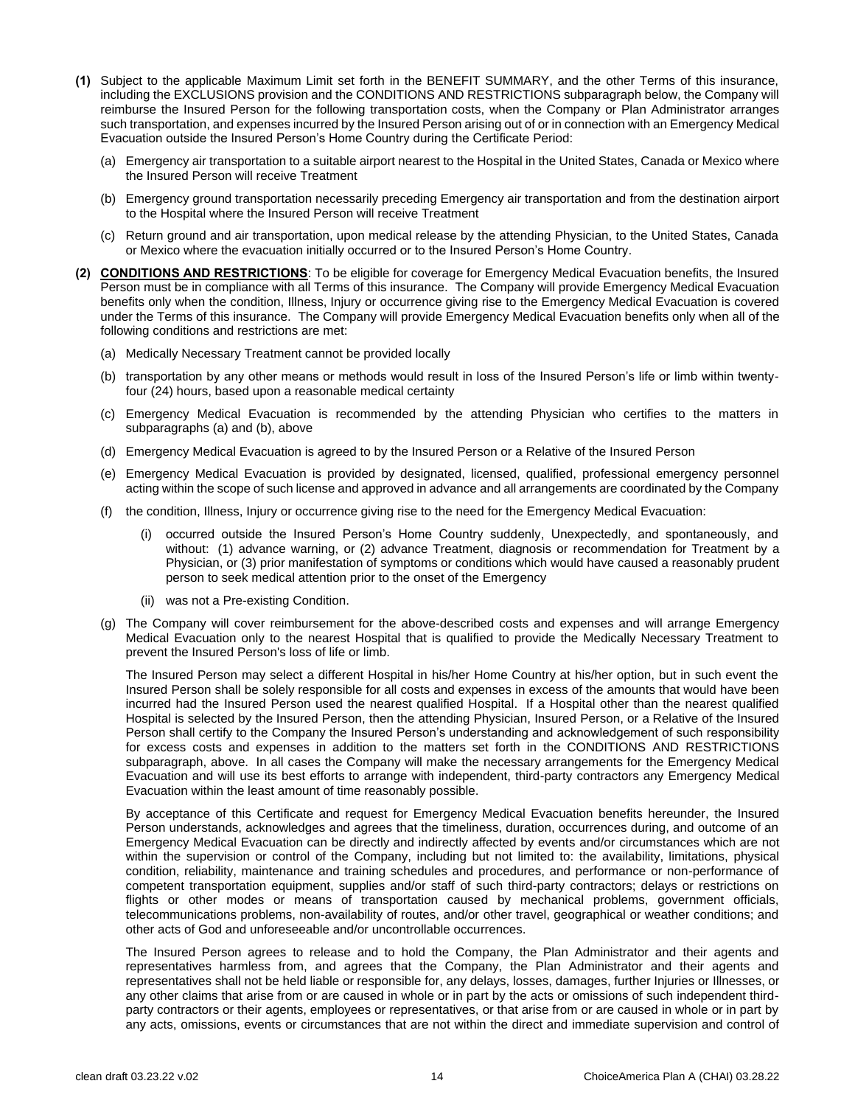- **(1)** Subject to the applicable Maximum Limit set forth in the BENEFIT SUMMARY, and the other Terms of this insurance, including the EXCLUSIONS provision and the CONDITIONS AND RESTRICTIONS subparagraph below, the Company will reimburse the Insured Person for the following transportation costs, when the Company or Plan Administrator arranges such transportation, and expenses incurred by the Insured Person arising out of or in connection with an Emergency Medical Evacuation outside the Insured Person's Home Country during the Certificate Period:
	- (a) Emergency air transportation to a suitable airport nearest to the Hospital in the United States, Canada or Mexico where the Insured Person will receive Treatment
	- (b) Emergency ground transportation necessarily preceding Emergency air transportation and from the destination airport to the Hospital where the Insured Person will receive Treatment
	- (c) Return ground and air transportation, upon medical release by the attending Physician, to the United States, Canada or Mexico where the evacuation initially occurred or to the Insured Person's Home Country.
- **(2) CONDITIONS AND RESTRICTIONS**: To be eligible for coverage for Emergency Medical Evacuation benefits, the Insured Person must be in compliance with all Terms of this insurance. The Company will provide Emergency Medical Evacuation benefits only when the condition, Illness, Injury or occurrence giving rise to the Emergency Medical Evacuation is covered under the Terms of this insurance. The Company will provide Emergency Medical Evacuation benefits only when all of the following conditions and restrictions are met:
	- (a) Medically Necessary Treatment cannot be provided locally
	- (b) transportation by any other means or methods would result in loss of the Insured Person's life or limb within twentyfour (24) hours, based upon a reasonable medical certainty
	- (c) Emergency Medical Evacuation is recommended by the attending Physician who certifies to the matters in subparagraphs (a) and (b), above
	- (d) Emergency Medical Evacuation is agreed to by the Insured Person or a Relative of the Insured Person
	- (e) Emergency Medical Evacuation is provided by designated, licensed, qualified, professional emergency personnel acting within the scope of such license and approved in advance and all arrangements are coordinated by the Company
	- (f) the condition, Illness, Injury or occurrence giving rise to the need for the Emergency Medical Evacuation:
		- (i) occurred outside the Insured Person's Home Country suddenly, Unexpectedly, and spontaneously, and without: (1) advance warning, or (2) advance Treatment, diagnosis or recommendation for Treatment by a Physician, or (3) prior manifestation of symptoms or conditions which would have caused a reasonably prudent person to seek medical attention prior to the onset of the Emergency
		- (ii) was not a Pre-existing Condition.
	- (g) The Company will cover reimbursement for the above-described costs and expenses and will arrange Emergency Medical Evacuation only to the nearest Hospital that is qualified to provide the Medically Necessary Treatment to prevent the Insured Person's loss of life or limb.

The Insured Person may select a different Hospital in his/her Home Country at his/her option, but in such event the Insured Person shall be solely responsible for all costs and expenses in excess of the amounts that would have been incurred had the Insured Person used the nearest qualified Hospital. If a Hospital other than the nearest qualified Hospital is selected by the Insured Person, then the attending Physician, Insured Person, or a Relative of the Insured Person shall certify to the Company the Insured Person's understanding and acknowledgement of such responsibility for excess costs and expenses in addition to the matters set forth in the CONDITIONS AND RESTRICTIONS subparagraph, above. In all cases the Company will make the necessary arrangements for the Emergency Medical Evacuation and will use its best efforts to arrange with independent, third-party contractors any Emergency Medical Evacuation within the least amount of time reasonably possible.

By acceptance of this Certificate and request for Emergency Medical Evacuation benefits hereunder, the Insured Person understands, acknowledges and agrees that the timeliness, duration, occurrences during, and outcome of an Emergency Medical Evacuation can be directly and indirectly affected by events and/or circumstances which are not within the supervision or control of the Company, including but not limited to: the availability, limitations, physical condition, reliability, maintenance and training schedules and procedures, and performance or non-performance of competent transportation equipment, supplies and/or staff of such third-party contractors; delays or restrictions on flights or other modes or means of transportation caused by mechanical problems, government officials, telecommunications problems, non-availability of routes, and/or other travel, geographical or weather conditions; and other acts of God and unforeseeable and/or uncontrollable occurrences.

The Insured Person agrees to release and to hold the Company, the Plan Administrator and their agents and representatives harmless from, and agrees that the Company, the Plan Administrator and their agents and representatives shall not be held liable or responsible for, any delays, losses, damages, further Injuries or Illnesses, or any other claims that arise from or are caused in whole or in part by the acts or omissions of such independent thirdparty contractors or their agents, employees or representatives, or that arise from or are caused in whole or in part by any acts, omissions, events or circumstances that are not within the direct and immediate supervision and control of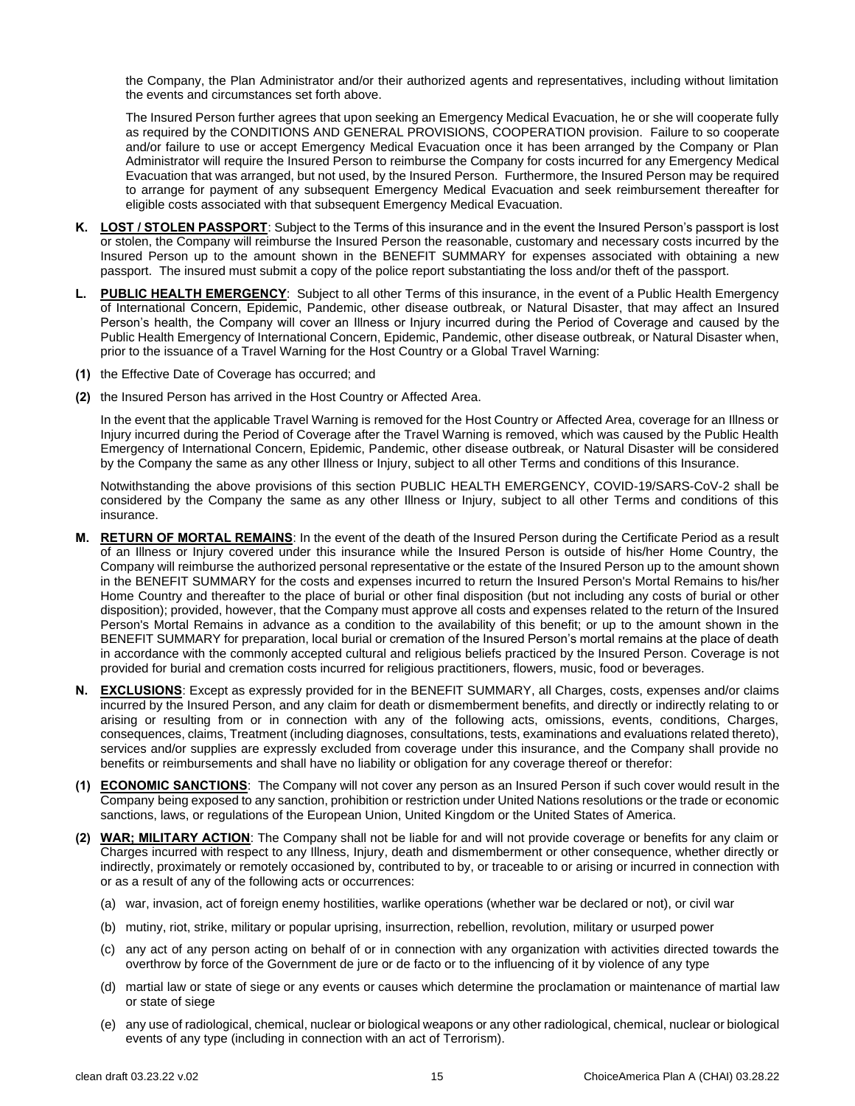the Company, the Plan Administrator and/or their authorized agents and representatives, including without limitation the events and circumstances set forth above.

The Insured Person further agrees that upon seeking an Emergency Medical Evacuation, he or she will cooperate fully as required by the CONDITIONS AND GENERAL PROVISIONS, COOPERATION provision. Failure to so cooperate and/or failure to use or accept Emergency Medical Evacuation once it has been arranged by the Company or Plan Administrator will require the Insured Person to reimburse the Company for costs incurred for any Emergency Medical Evacuation that was arranged, but not used, by the Insured Person. Furthermore, the Insured Person may be required to arrange for payment of any subsequent Emergency Medical Evacuation and seek reimbursement thereafter for eligible costs associated with that subsequent Emergency Medical Evacuation.

- <span id="page-16-0"></span>**K. LOST / STOLEN PASSPORT**: Subject to the Terms of this insurance and in the event the Insured Person's passport is lost or stolen, the Company will reimburse the Insured Person the reasonable, customary and necessary costs incurred by the Insured Person up to the amount shown in the BENEFIT SUMMARY for expenses associated with obtaining a new passport. The insured must submit a copy of the police report substantiating the loss and/or theft of the passport.
- <span id="page-16-1"></span>**L. PUBLIC HEALTH EMERGENCY**: Subject to all other Terms of this insurance, in the event of a Public Health Emergency of International Concern, Epidemic, Pandemic, other disease outbreak, or Natural Disaster, that may affect an Insured Person's health, the Company will cover an Illness or Injury incurred during the Period of Coverage and caused by the Public Health Emergency of International Concern, Epidemic, Pandemic, other disease outbreak, or Natural Disaster when, prior to the issuance of a Travel Warning for the Host Country or a Global Travel Warning:
- **(1)** the Effective Date of Coverage has occurred; and
- **(2)** the Insured Person has arrived in the Host Country or Affected Area.

In the event that the applicable Travel Warning is removed for the Host Country or Affected Area, coverage for an Illness or Injury incurred during the Period of Coverage after the Travel Warning is removed, which was caused by the Public Health Emergency of International Concern, Epidemic, Pandemic, other disease outbreak, or Natural Disaster will be considered by the Company the same as any other Illness or Injury, subject to all other Terms and conditions of this Insurance.

Notwithstanding the above provisions of this section PUBLIC HEALTH EMERGENCY, COVID-19/SARS-CoV-2 shall be considered by the Company the same as any other Illness or Injury, subject to all other Terms and conditions of this insurance.

- <span id="page-16-2"></span>**M. RETURN OF MORTAL REMAINS**: In the event of the death of the Insured Person during the Certificate Period as a result of an Illness or Injury covered under this insurance while the Insured Person is outside of his/her Home Country, the Company will reimburse the authorized personal representative or the estate of the Insured Person up to the amount shown in the BENEFIT SUMMARY for the costs and expenses incurred to return the Insured Person's Mortal Remains to his/her Home Country and thereafter to the place of burial or other final disposition (but not including any costs of burial or other disposition); provided, however, that the Company must approve all costs and expenses related to the return of the Insured Person's Mortal Remains in advance as a condition to the availability of this benefit; or up to the amount shown in the BENEFIT SUMMARY for preparation, local burial or cremation of the Insured Person's mortal remains at the place of death in accordance with the commonly accepted cultural and religious beliefs practiced by the Insured Person. Coverage is not provided for burial and cremation costs incurred for religious practitioners, flowers, music, food or beverages.
- <span id="page-16-3"></span>**N. EXCLUSIONS**: Except as expressly provided for in the BENEFIT SUMMARY, all Charges, costs, expenses and/or claims incurred by the Insured Person, and any claim for death or dismemberment benefits, and directly or indirectly relating to or arising or resulting from or in connection with any of the following acts, omissions, events, conditions, Charges, consequences, claims, Treatment (including diagnoses, consultations, tests, examinations and evaluations related thereto), services and/or supplies are expressly excluded from coverage under this insurance, and the Company shall provide no benefits or reimbursements and shall have no liability or obligation for any coverage thereof or therefor:
- **(1) ECONOMIC SANCTIONS**: The Company will not cover any person as an Insured Person if such cover would result in the Company being exposed to any sanction, prohibition or restriction under United Nations resolutions or the trade or economic sanctions, laws, or regulations of the European Union, United Kingdom or the United States of America.
- **(2) WAR; MILITARY ACTION**: The Company shall not be liable for and will not provide coverage or benefits for any claim or Charges incurred with respect to any Illness, Injury, death and dismemberment or other consequence, whether directly or indirectly, proximately or remotely occasioned by, contributed to by, or traceable to or arising or incurred in connection with or as a result of any of the following acts or occurrences:
	- (a) war, invasion, act of foreign enemy hostilities, warlike operations (whether war be declared or not), or civil war
	- (b) mutiny, riot, strike, military or popular uprising, insurrection, rebellion, revolution, military or usurped power
	- (c) any act of any person acting on behalf of or in connection with any organization with activities directed towards the overthrow by force of the Government de jure or de facto or to the influencing of it by violence of any type
	- (d) martial law or state of siege or any events or causes which determine the proclamation or maintenance of martial law or state of siege
	- (e) any use of radiological, chemical, nuclear or biological weapons or any other radiological, chemical, nuclear or biological events of any type (including in connection with an act of Terrorism).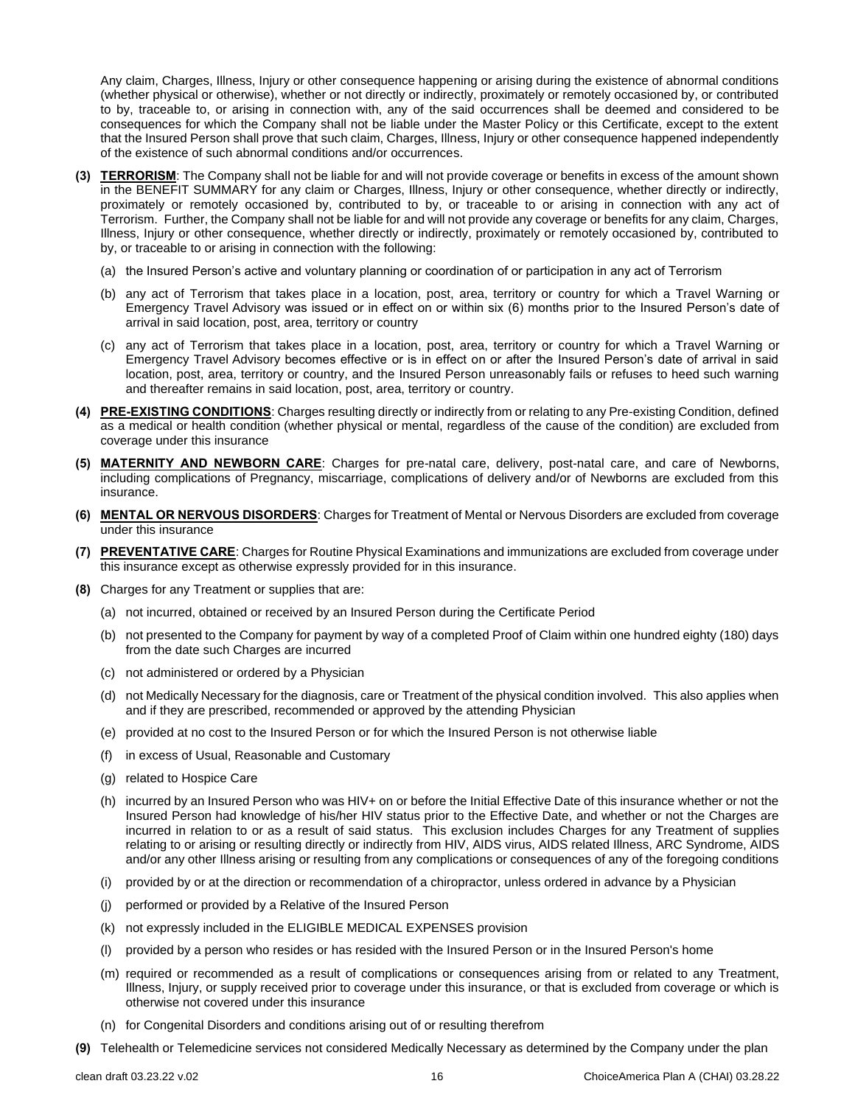Any claim, Charges, Illness, Injury or other consequence happening or arising during the existence of abnormal conditions (whether physical or otherwise), whether or not directly or indirectly, proximately or remotely occasioned by, or contributed to by, traceable to, or arising in connection with, any of the said occurrences shall be deemed and considered to be consequences for which the Company shall not be liable under the Master Policy or this Certificate, except to the extent that the Insured Person shall prove that such claim, Charges, Illness, Injury or other consequence happened independently of the existence of such abnormal conditions and/or occurrences.

- **(3) TERRORISM**: The Company shall not be liable for and will not provide coverage or benefits in excess of the amount shown in the BENEFIT SUMMARY for any claim or Charges, Illness, Injury or other consequence, whether directly or indirectly, proximately or remotely occasioned by, contributed to by, or traceable to or arising in connection with any act of Terrorism. Further, the Company shall not be liable for and will not provide any coverage or benefits for any claim, Charges, Illness, Injury or other consequence, whether directly or indirectly, proximately or remotely occasioned by, contributed to by, or traceable to or arising in connection with the following:
	- (a) the Insured Person's active and voluntary planning or coordination of or participation in any act of Terrorism
	- (b) any act of Terrorism that takes place in a location, post, area, territory or country for which a Travel Warning or Emergency Travel Advisory was issued or in effect on or within six (6) months prior to the Insured Person's date of arrival in said location, post, area, territory or country
	- (c) any act of Terrorism that takes place in a location, post, area, territory or country for which a Travel Warning or Emergency Travel Advisory becomes effective or is in effect on or after the Insured Person's date of arrival in said location, post, area, territory or country, and the Insured Person unreasonably fails or refuses to heed such warning and thereafter remains in said location, post, area, territory or country.
- **(4) PRE-EXISTING CONDITIONS**: Charges resulting directly or indirectly from or relating to any Pre-existing Condition, defined as a medical or health condition (whether physical or mental, regardless of the cause of the condition) are excluded from coverage under this insurance
- **(5) MATERNITY AND NEWBORN CARE**: Charges for pre-natal care, delivery, post-natal care, and care of Newborns, including complications of Pregnancy, miscarriage, complications of delivery and/or of Newborns are excluded from this insurance.
- **(6) MENTAL OR NERVOUS DISORDERS**: Charges for Treatment of Mental or Nervous Disorders are excluded from coverage under this insurance
- **(7) PREVENTATIVE CARE**: Charges for Routine Physical Examinations and immunizations are excluded from coverage under this insurance except as otherwise expressly provided for in this insurance.
- **(8)** Charges for any Treatment or supplies that are:
	- (a) not incurred, obtained or received by an Insured Person during the Certificate Period
	- (b) not presented to the Company for payment by way of a completed Proof of Claim within one hundred eighty (180) days from the date such Charges are incurred
	- (c) not administered or ordered by a Physician
	- (d) not Medically Necessary for the diagnosis, care or Treatment of the physical condition involved. This also applies when and if they are prescribed, recommended or approved by the attending Physician
	- (e) provided at no cost to the Insured Person or for which the Insured Person is not otherwise liable
	- (f) in excess of Usual, Reasonable and Customary
	- (g) related to Hospice Care
	- (h) incurred by an Insured Person who was HIV+ on or before the Initial Effective Date of this insurance whether or not the Insured Person had knowledge of his/her HIV status prior to the Effective Date, and whether or not the Charges are incurred in relation to or as a result of said status. This exclusion includes Charges for any Treatment of supplies relating to or arising or resulting directly or indirectly from HIV, AIDS virus, AIDS related Illness, ARC Syndrome, AIDS and/or any other Illness arising or resulting from any complications or consequences of any of the foregoing conditions
	- (i) provided by or at the direction or recommendation of a chiropractor, unless ordered in advance by a Physician
	- (j) performed or provided by a Relative of the Insured Person
	- (k) not expressly included in the ELIGIBLE MEDICAL EXPENSES provision
	- (l) provided by a person who resides or has resided with the Insured Person or in the Insured Person's home
	- (m) required or recommended as a result of complications or consequences arising from or related to any Treatment, Illness, Injury, or supply received prior to coverage under this insurance, or that is excluded from coverage or which is otherwise not covered under this insurance
	- (n) for Congenital Disorders and conditions arising out of or resulting therefrom
- **(9)** Telehealth or Telemedicine services not considered Medically Necessary as determined by the Company under the plan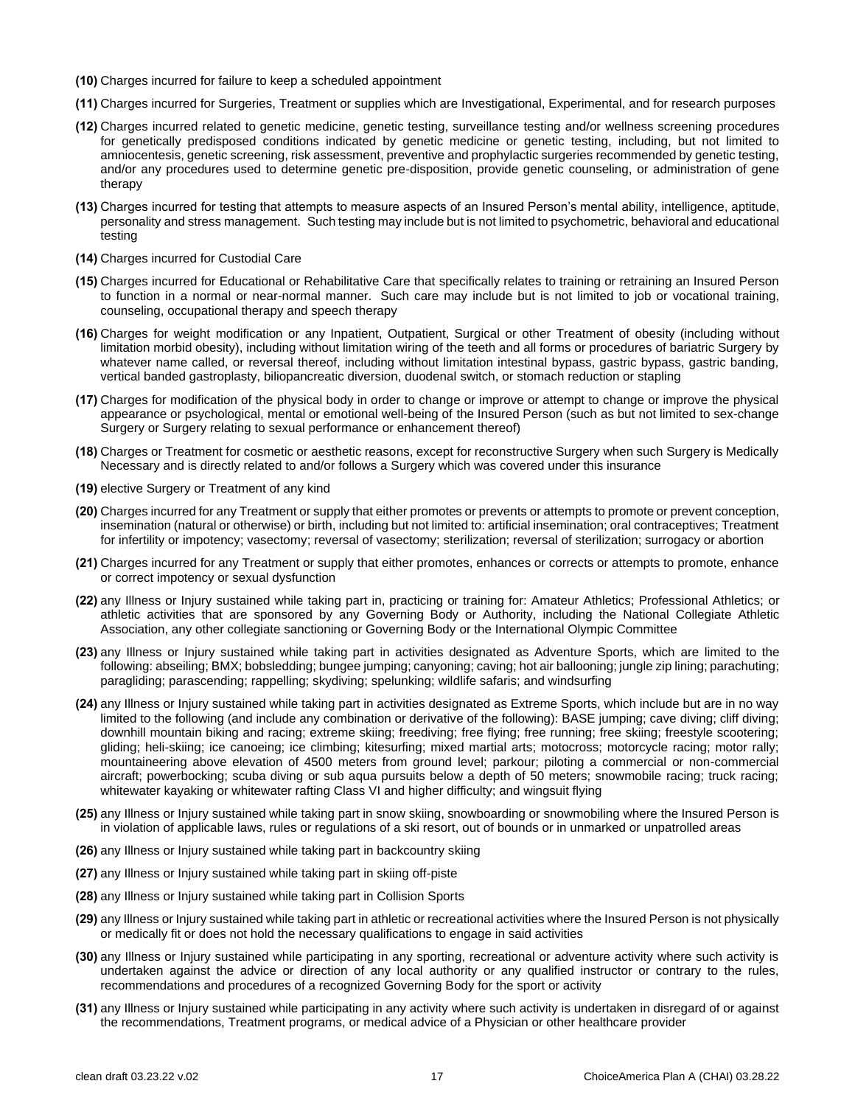- **(10)** Charges incurred for failure to keep a scheduled appointment
- **(11)** Charges incurred for Surgeries, Treatment or supplies which are Investigational, Experimental, and for research purposes
- **(12)** Charges incurred related to genetic medicine, genetic testing, surveillance testing and/or wellness screening procedures for genetically predisposed conditions indicated by genetic medicine or genetic testing, including, but not limited to amniocentesis, genetic screening, risk assessment, preventive and prophylactic surgeries recommended by genetic testing, and/or any procedures used to determine genetic pre-disposition, provide genetic counseling, or administration of gene therapy
- **(13)** Charges incurred for testing that attempts to measure aspects of an Insured Person's mental ability, intelligence, aptitude, personality and stress management. Such testing may include but is not limited to psychometric, behavioral and educational testing
- **(14)** Charges incurred for Custodial Care
- **(15)** Charges incurred for Educational or Rehabilitative Care that specifically relates to training or retraining an Insured Person to function in a normal or near-normal manner. Such care may include but is not limited to job or vocational training, counseling, occupational therapy and speech therapy
- **(16)** Charges for weight modification or any Inpatient, Outpatient, Surgical or other Treatment of obesity (including without limitation morbid obesity), including without limitation wiring of the teeth and all forms or procedures of bariatric Surgery by whatever name called, or reversal thereof, including without limitation intestinal bypass, gastric bypass, gastric banding, vertical banded gastroplasty, biliopancreatic diversion, duodenal switch, or stomach reduction or stapling
- **(17)** Charges for modification of the physical body in order to change or improve or attempt to change or improve the physical appearance or psychological, mental or emotional well-being of the Insured Person (such as but not limited to sex-change Surgery or Surgery relating to sexual performance or enhancement thereof)
- **(18)** Charges or Treatment for cosmetic or aesthetic reasons, except for reconstructive Surgery when such Surgery is Medically Necessary and is directly related to and/or follows a Surgery which was covered under this insurance
- **(19)** elective Surgery or Treatment of any kind
- **(20)** Charges incurred for any Treatment or supply that either promotes or prevents or attempts to promote or prevent conception, insemination (natural or otherwise) or birth, including but not limited to: artificial insemination; oral contraceptives; Treatment for infertility or impotency; vasectomy; reversal of vasectomy; sterilization; reversal of sterilization; surrogacy or abortion
- **(21)** Charges incurred for any Treatment or supply that either promotes, enhances or corrects or attempts to promote, enhance or correct impotency or sexual dysfunction
- **(22)** any Illness or Injury sustained while taking part in, practicing or training for: Amateur Athletics; Professional Athletics; or athletic activities that are sponsored by any Governing Body or Authority, including the National Collegiate Athletic Association, any other collegiate sanctioning or Governing Body or the International Olympic Committee
- **(23)** any Illness or Injury sustained while taking part in activities designated as Adventure Sports, which are limited to the following: abseiling; BMX; bobsledding; bungee jumping; canyoning; caving; hot air ballooning; jungle zip lining; parachuting; paragliding; parascending; rappelling; skydiving; spelunking; wildlife safaris; and windsurfing
- **(24)** any Illness or Injury sustained while taking part in activities designated as Extreme Sports, which include but are in no way limited to the following (and include any combination or derivative of the following): BASE jumping; cave diving; cliff diving; downhill mountain biking and racing; extreme skiing; freediving; free flying; free running; free skiing; freestyle scootering; gliding; heli-skiing; ice canoeing; ice climbing; kitesurfing; mixed martial arts; motocross; motorcycle racing; motor rally; mountaineering above elevation of 4500 meters from ground level; parkour; piloting a commercial or non-commercial aircraft; powerbocking; scuba diving or sub aqua pursuits below a depth of 50 meters; snowmobile racing; truck racing; whitewater kayaking or whitewater rafting Class VI and higher difficulty; and wingsuit flying
- **(25)** any Illness or Injury sustained while taking part in snow skiing, snowboarding or snowmobiling where the Insured Person is in violation of applicable laws, rules or regulations of a ski resort, out of bounds or in unmarked or unpatrolled areas
- **(26)** any Illness or Injury sustained while taking part in backcountry skiing
- **(27)** any Illness or Injury sustained while taking part in skiing off-piste
- **(28)** any Illness or Injury sustained while taking part in Collision Sports
- **(29)** any Illness or Injury sustained while taking part in athletic or recreational activities where the Insured Person is not physically or medically fit or does not hold the necessary qualifications to engage in said activities
- **(30)** any Illness or Injury sustained while participating in any sporting, recreational or adventure activity where such activity is undertaken against the advice or direction of any local authority or any qualified instructor or contrary to the rules, recommendations and procedures of a recognized Governing Body for the sport or activity
- **(31)** any Illness or Injury sustained while participating in any activity where such activity is undertaken in disregard of or against the recommendations, Treatment programs, or medical advice of a Physician or other healthcare provider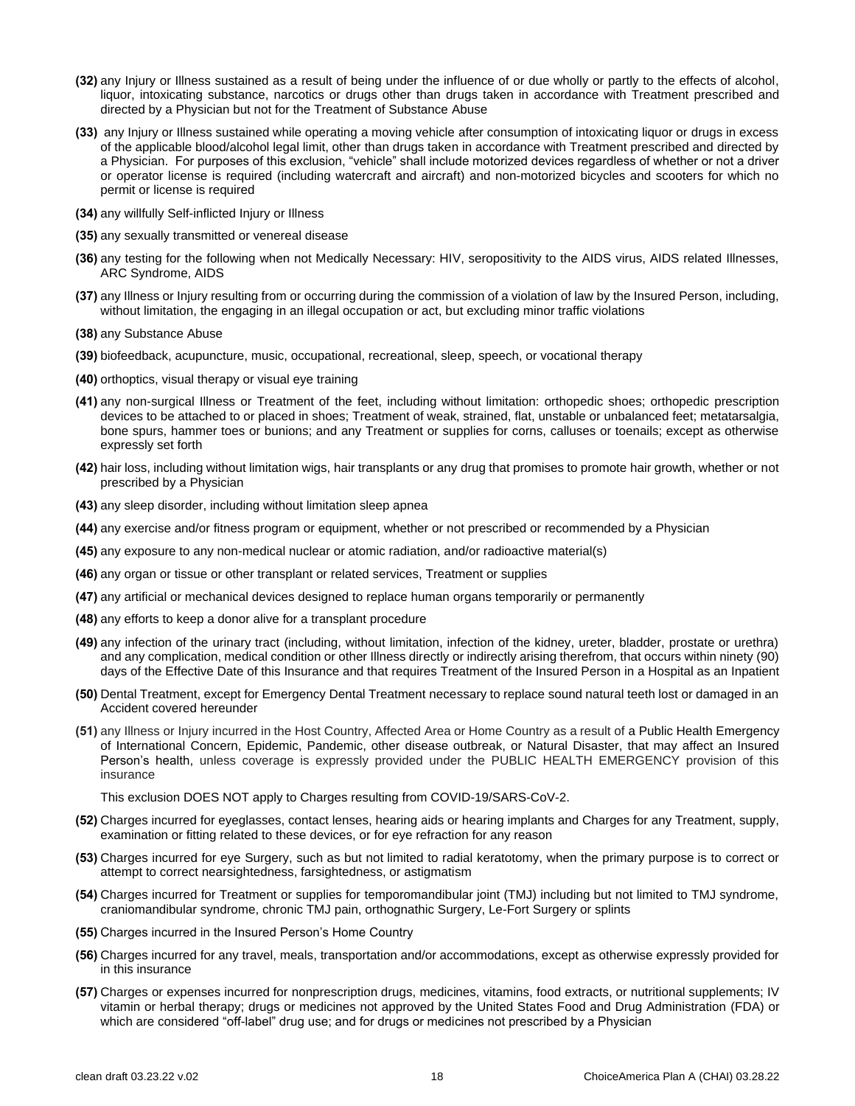- **(32)** any Injury or Illness sustained as a result of being under the influence of or due wholly or partly to the effects of alcohol, liquor, intoxicating substance, narcotics or drugs other than drugs taken in accordance with Treatment prescribed and directed by a Physician but not for the Treatment of Substance Abuse
- **(33)** any Injury or Illness sustained while operating a moving vehicle after consumption of intoxicating liquor or drugs in excess of the applicable blood/alcohol legal limit, other than drugs taken in accordance with Treatment prescribed and directed by a Physician. For purposes of this exclusion, "vehicle" shall include motorized devices regardless of whether or not a driver or operator license is required (including watercraft and aircraft) and non-motorized bicycles and scooters for which no permit or license is required
- **(34)** any willfully Self-inflicted Injury or Illness
- **(35)** any sexually transmitted or venereal disease
- **(36)** any testing for the following when not Medically Necessary: HIV, seropositivity to the AIDS virus, AIDS related Illnesses, ARC Syndrome, AIDS
- **(37)** any Illness or Injury resulting from or occurring during the commission of a violation of law by the Insured Person, including, without limitation, the engaging in an illegal occupation or act, but excluding minor traffic violations
- **(38)** any Substance Abuse
- **(39)** biofeedback, acupuncture, music, occupational, recreational, sleep, speech, or vocational therapy
- **(40)** orthoptics, visual therapy or visual eye training
- **(41)** any non-surgical Illness or Treatment of the feet, including without limitation: orthopedic shoes; orthopedic prescription devices to be attached to or placed in shoes; Treatment of weak, strained, flat, unstable or unbalanced feet; metatarsalgia, bone spurs, hammer toes or bunions; and any Treatment or supplies for corns, calluses or toenails; except as otherwise expressly set forth
- **(42)** hair loss, including without limitation wigs, hair transplants or any drug that promises to promote hair growth, whether or not prescribed by a Physician
- **(43)** any sleep disorder, including without limitation sleep apnea
- **(44)** any exercise and/or fitness program or equipment, whether or not prescribed or recommended by a Physician
- **(45)** any exposure to any non-medical nuclear or atomic radiation, and/or radioactive material(s)
- **(46)** any organ or tissue or other transplant or related services, Treatment or supplies
- **(47)** any artificial or mechanical devices designed to replace human organs temporarily or permanently
- **(48)** any efforts to keep a donor alive for a transplant procedure
- **(49)** any infection of the urinary tract (including, without limitation, infection of the kidney, ureter, bladder, prostate or urethra) and any complication, medical condition or other Illness directly or indirectly arising therefrom, that occurs within ninety (90) days of the Effective Date of this Insurance and that requires Treatment of the Insured Person in a Hospital as an Inpatient
- **(50)** Dental Treatment, except for Emergency Dental Treatment necessary to replace sound natural teeth lost or damaged in an Accident covered hereunder
- **(51)** any Illness or Injury incurred in the Host Country, Affected Area or Home Country as a result of a Public Health Emergency of International Concern, Epidemic, Pandemic, other disease outbreak, or Natural Disaster, that may affect an Insured Person's health, unless coverage is expressly provided under the PUBLIC HEALTH EMERGENCY provision of this insurance

This exclusion DOES NOT apply to Charges resulting from COVID-19/SARS-CoV-2.

- **(52)** Charges incurred for eyeglasses, contact lenses, hearing aids or hearing implants and Charges for any Treatment, supply, examination or fitting related to these devices, or for eye refraction for any reason
- **(53)** Charges incurred for eye Surgery, such as but not limited to radial keratotomy, when the primary purpose is to correct or attempt to correct nearsightedness, farsightedness, or astigmatism
- **(54)** Charges incurred for Treatment or supplies for temporomandibular joint (TMJ) including but not limited to TMJ syndrome, craniomandibular syndrome, chronic TMJ pain, orthognathic Surgery, Le-Fort Surgery or splints
- **(55)** Charges incurred in the Insured Person's Home Country
- **(56)** Charges incurred for any travel, meals, transportation and/or accommodations, except as otherwise expressly provided for in this insurance
- **(57)** Charges or expenses incurred for nonprescription drugs, medicines, vitamins, food extracts, or nutritional supplements; IV vitamin or herbal therapy; drugs or medicines not approved by the United States Food and Drug Administration (FDA) or which are considered "off-label" drug use; and for drugs or medicines not prescribed by a Physician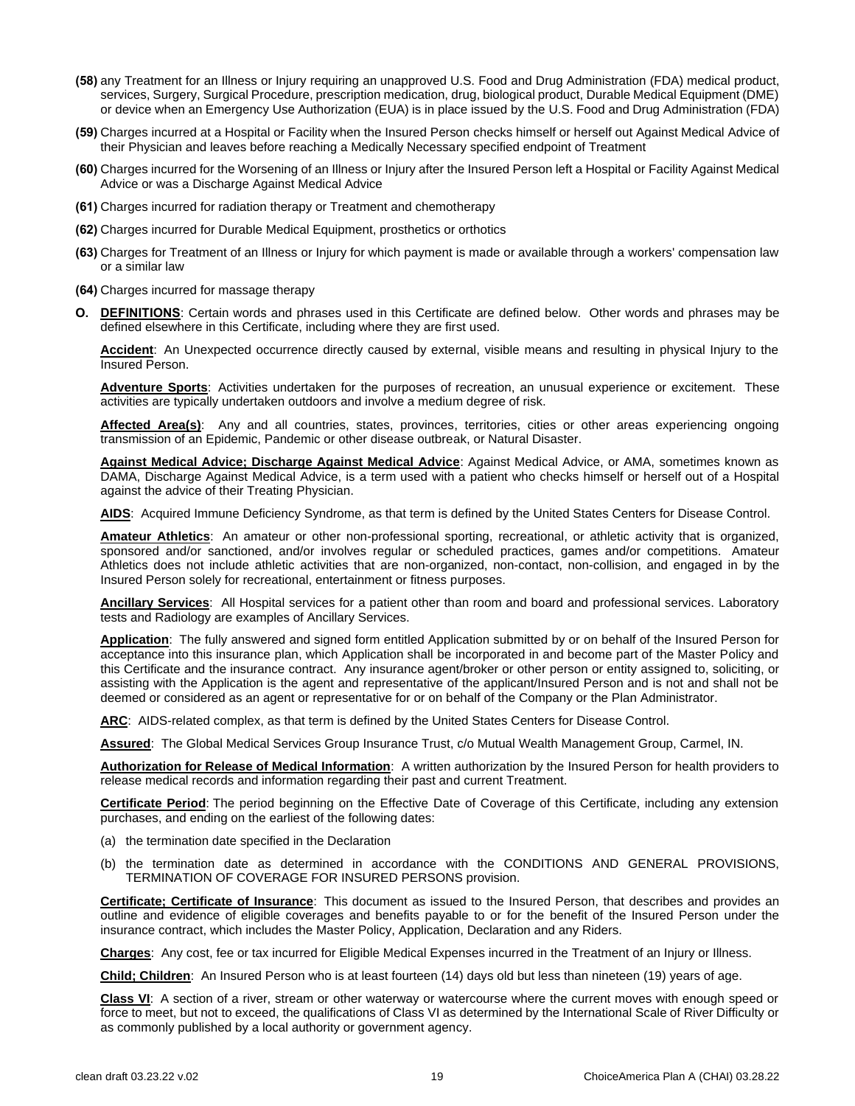- **(58)** any Treatment for an Illness or Injury requiring an unapproved U.S. Food and Drug Administration (FDA) medical product, services, Surgery, Surgical Procedure, prescription medication, drug, biological product, Durable Medical Equipment (DME) or device when an Emergency Use Authorization (EUA) is in place issued by the U.S. Food and Drug Administration (FDA)
- **(59)** Charges incurred at a Hospital or Facility when the Insured Person checks himself or herself out Against Medical Advice of their Physician and leaves before reaching a Medically Necessary specified endpoint of Treatment
- **(60)** Charges incurred for the Worsening of an Illness or Injury after the Insured Person left a Hospital or Facility Against Medical Advice or was a Discharge Against Medical Advice
- **(61)** Charges incurred for radiation therapy or Treatment and chemotherapy
- **(62)** Charges incurred for Durable Medical Equipment, prosthetics or orthotics
- **(63)** Charges for Treatment of an Illness or Injury for which payment is made or available through a workers' compensation law or a similar law
- **(64)** Charges incurred for massage therapy
- <span id="page-20-0"></span>**O. DEFINITIONS**: Certain words and phrases used in this Certificate are defined below. Other words and phrases may be defined elsewhere in this Certificate, including where they are first used.

**Accident**: An Unexpected occurrence directly caused by external, visible means and resulting in physical Injury to the Insured Person.

**Adventure Sports**: Activities undertaken for the purposes of recreation, an unusual experience or excitement. These activities are typically undertaken outdoors and involve a medium degree of risk.

**Affected Area(s)**: Any and all countries, states, provinces, territories, cities or other areas experiencing ongoing transmission of an Epidemic, Pandemic or other disease outbreak, or Natural Disaster.

**Against Medical Advice; Discharge Against Medical Advice**: Against Medical Advice, or AMA, sometimes known as DAMA, Discharge Against Medical Advice, is a term used with a patient who checks himself or herself out of a Hospital against the advice of their Treating Physician.

**AIDS**: Acquired Immune Deficiency Syndrome, as that term is defined by the United States Centers for Disease Control.

**Amateur Athletics**: An amateur or other non-professional sporting, recreational, or athletic activity that is organized, sponsored and/or sanctioned, and/or involves regular or scheduled practices, games and/or competitions. Amateur Athletics does not include athletic activities that are non-organized, non-contact, non-collision, and engaged in by the Insured Person solely for recreational, entertainment or fitness purposes.

**Ancillary Services**: All Hospital services for a patient other than room and board and professional services. Laboratory tests and Radiology are examples of Ancillary Services.

**Application**: The fully answered and signed form entitled Application submitted by or on behalf of the Insured Person for acceptance into this insurance plan, which Application shall be incorporated in and become part of the Master Policy and this Certificate and the insurance contract. Any insurance agent/broker or other person or entity assigned to, soliciting, or assisting with the Application is the agent and representative of the applicant/Insured Person and is not and shall not be deemed or considered as an agent or representative for or on behalf of the Company or the Plan Administrator.

**ARC**: AIDS-related complex, as that term is defined by the United States Centers for Disease Control.

**Assured**: The Global Medical Services Group Insurance Trust, c/o Mutual Wealth Management Group, Carmel, IN.

**Authorization for Release of Medical Information**: A written authorization by the Insured Person for health providers to release medical records and information regarding their past and current Treatment.

**Certificate Period**: The period beginning on the Effective Date of Coverage of this Certificate, including any extension purchases, and ending on the earliest of the following dates:

- (a) the termination date specified in the Declaration
- (b) the termination date as determined in accordance with the CONDITIONS AND GENERAL PROVISIONS, TERMINATION OF COVERAGE FOR INSURED PERSONS provision.

**Certificate; Certificate of Insurance**: This document as issued to the Insured Person, that describes and provides an outline and evidence of eligible coverages and benefits payable to or for the benefit of the Insured Person under the insurance contract, which includes the Master Policy, Application, Declaration and any Riders.

**Charges**: Any cost, fee or tax incurred for Eligible Medical Expenses incurred in the Treatment of an Injury or Illness.

**Child; Children**: An Insured Person who is at least fourteen (14) days old but less than nineteen (19) years of age.

**Class VI**: A section of a river, stream or other waterway or watercourse where the current moves with enough speed or force to meet, but not to exceed, the qualifications of Class VI as determined by the International Scale of River Difficulty or as commonly published by a local authority or government agency.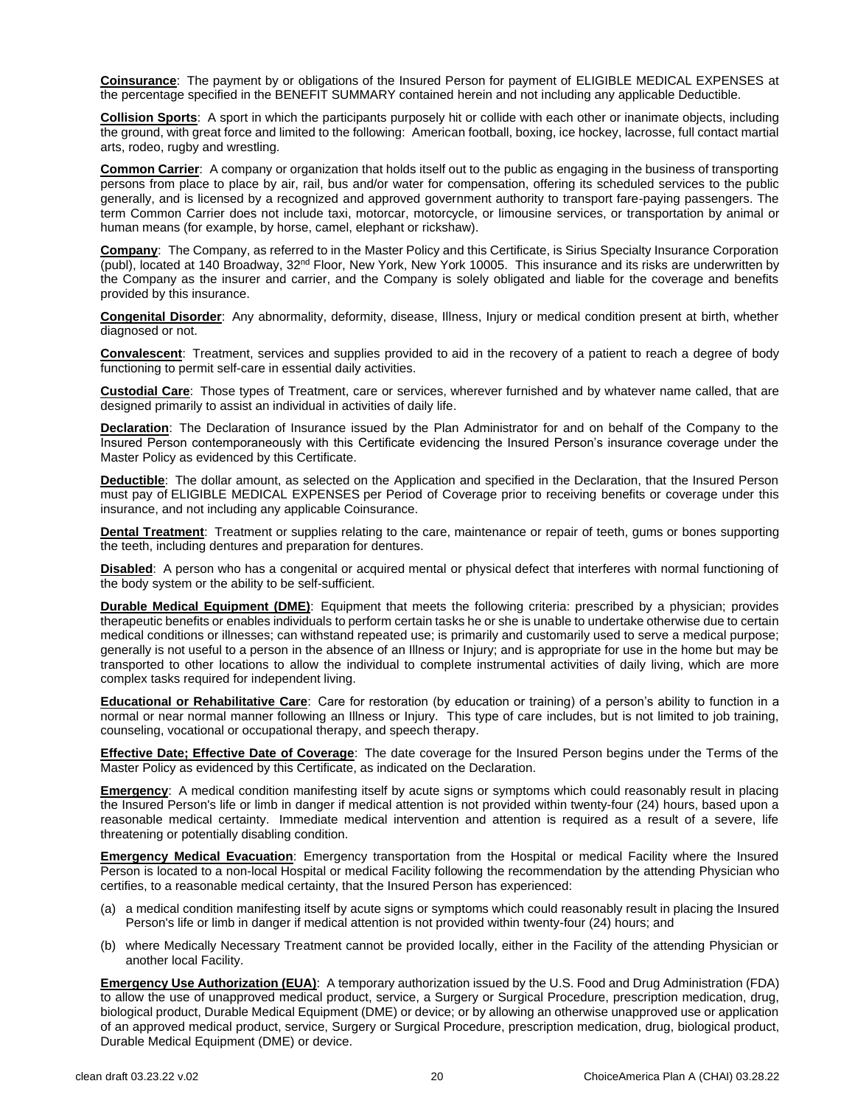**Coinsurance**: The payment by or obligations of the Insured Person for payment of ELIGIBLE MEDICAL EXPENSES at the percentage specified in the BENEFIT SUMMARY contained herein and not including any applicable Deductible.

**Collision Sports**: A sport in which the participants purposely hit or collide with each other or inanimate objects, including the ground, with great force and limited to the following: American football, boxing, ice hockey, lacrosse, full contact martial arts, rodeo, rugby and wrestling.

**Common Carrier**: A company or organization that holds itself out to the public as engaging in the business of transporting persons from place to place by air, rail, bus and/or water for compensation, offering its scheduled services to the public generally, and is licensed by a recognized and approved government authority to transport fare-paying passengers. The term Common Carrier does not include taxi, motorcar, motorcycle, or limousine services, or transportation by animal or human means (for example, by horse, camel, elephant or rickshaw).

**Company**: The Company, as referred to in the Master Policy and this Certificate, is Sirius Specialty Insurance Corporation (publ), located at 140 Broadway, 32<sup>nd</sup> Floor, New York, New York 10005. This insurance and its risks are underwritten by the Company as the insurer and carrier, and the Company is solely obligated and liable for the coverage and benefits provided by this insurance.

**Congenital Disorder**: Any abnormality, deformity, disease, Illness, Injury or medical condition present at birth, whether diagnosed or not.

**Convalescent**: Treatment, services and supplies provided to aid in the recovery of a patient to reach a degree of body functioning to permit self-care in essential daily activities.

**Custodial Care**: Those types of Treatment, care or services, wherever furnished and by whatever name called, that are designed primarily to assist an individual in activities of daily life.

**Declaration**: The Declaration of Insurance issued by the Plan Administrator for and on behalf of the Company to the Insured Person contemporaneously with this Certificate evidencing the Insured Person's insurance coverage under the Master Policy as evidenced by this Certificate.

**Deductible**: The dollar amount, as selected on the Application and specified in the Declaration, that the Insured Person must pay of ELIGIBLE MEDICAL EXPENSES per Period of Coverage prior to receiving benefits or coverage under this insurance, and not including any applicable Coinsurance.

**Dental Treatment**: Treatment or supplies relating to the care, maintenance or repair of teeth, gums or bones supporting the teeth, including dentures and preparation for dentures.

**Disabled**: A person who has a congenital or acquired mental or physical defect that interferes with normal functioning of the body system or the ability to be self-sufficient.

**Durable Medical Equipment (DME)**: Equipment that meets the following criteria: prescribed by a physician; provides therapeutic benefits or enables individuals to perform certain tasks he or she is unable to undertake otherwise due to certain medical conditions or illnesses; can withstand repeated use; is primarily and customarily used to serve a medical purpose; generally is not useful to a person in the absence of an Illness or Injury; and is appropriate for use in the home but may be transported to other locations to allow the individual to complete instrumental activities of daily living, which are more complex tasks required for independent living.

**Educational or Rehabilitative Care**: Care for restoration (by education or training) of a person's ability to function in a normal or near normal manner following an Illness or Injury. This type of care includes, but is not limited to job training, counseling, vocational or occupational therapy, and speech therapy.

**Effective Date; Effective Date of Coverage**: The date coverage for the Insured Person begins under the Terms of the Master Policy as evidenced by this Certificate, as indicated on the Declaration.

**Emergency**: A medical condition manifesting itself by acute signs or symptoms which could reasonably result in placing the Insured Person's life or limb in danger if medical attention is not provided within twenty-four (24) hours, based upon a reasonable medical certainty. Immediate medical intervention and attention is required as a result of a severe, life threatening or potentially disabling condition.

**Emergency Medical Evacuation**: Emergency transportation from the Hospital or medical Facility where the Insured Person is located to a non-local Hospital or medical Facility following the recommendation by the attending Physician who certifies, to a reasonable medical certainty, that the Insured Person has experienced:

- (a) a medical condition manifesting itself by acute signs or symptoms which could reasonably result in placing the Insured Person's life or limb in danger if medical attention is not provided within twenty-four (24) hours; and
- (b) where Medically Necessary Treatment cannot be provided locally, either in the Facility of the attending Physician or another local Facility.

**Emergency Use Authorization (EUA)**: A temporary authorization issued by the U.S. Food and Drug Administration (FDA) to allow the use of unapproved medical product, service, a Surgery or Surgical Procedure, prescription medication, drug, biological product, Durable Medical Equipment (DME) or device; or by allowing an otherwise unapproved use or application of an approved medical product, service, Surgery or Surgical Procedure, prescription medication, drug, biological product, Durable Medical Equipment (DME) or device.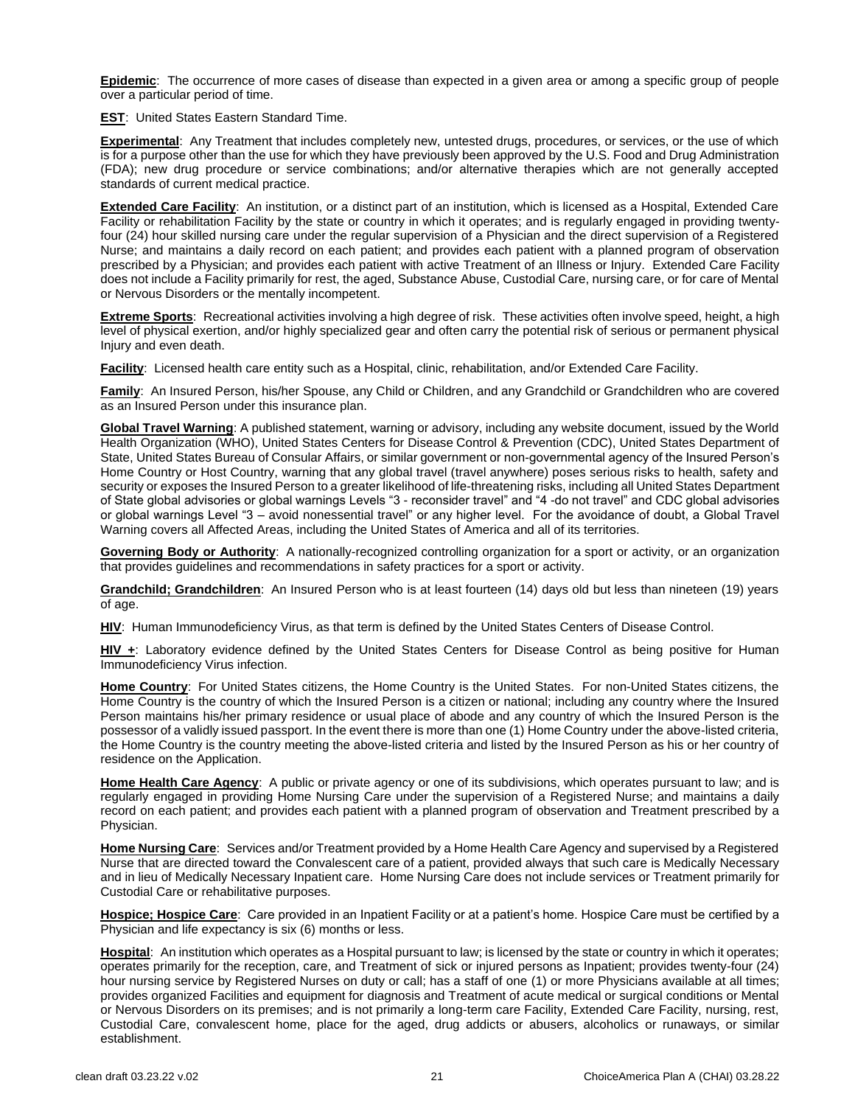**Epidemic**: The occurrence of more cases of disease than expected in a given area or among a specific group of people over a particular period of time.

**EST**: United States Eastern Standard Time.

**Experimental**: Any Treatment that includes completely new, untested drugs, procedures, or services, or the use of which is for a purpose other than the use for which they have previously been approved by the U.S. Food and Drug Administration (FDA); new drug procedure or service combinations; and/or alternative therapies which are not generally accepted standards of current medical practice.

**Extended Care Facility**: An institution, or a distinct part of an institution, which is licensed as a Hospital, Extended Care Facility or rehabilitation Facility by the state or country in which it operates; and is regularly engaged in providing twentyfour (24) hour skilled nursing care under the regular supervision of a Physician and the direct supervision of a Registered Nurse; and maintains a daily record on each patient; and provides each patient with a planned program of observation prescribed by a Physician; and provides each patient with active Treatment of an Illness or Injury. Extended Care Facility does not include a Facility primarily for rest, the aged, Substance Abuse, Custodial Care, nursing care, or for care of Mental or Nervous Disorders or the mentally incompetent.

**Extreme Sports**: Recreational activities involving a high degree of risk. These activities often involve speed, height, a high level of physical exertion, and/or highly specialized gear and often carry the potential risk of serious or permanent physical Injury and even death.

**Facility**: Licensed health care entity such as a Hospital, clinic, rehabilitation, and/or Extended Care Facility.

**Family**: An Insured Person, his/her Spouse, any Child or Children, and any Grandchild or Grandchildren who are covered as an Insured Person under this insurance plan.

**Global Travel Warning**: A published statement, warning or advisory, including any website document, issued by the World Health Organization (WHO), United States Centers for Disease Control & Prevention (CDC), United States Department of State, United States Bureau of Consular Affairs, or similar government or non-governmental agency of the Insured Person's Home Country or Host Country, warning that any global travel (travel anywhere) poses serious risks to health, safety and security or exposes the Insured Person to a greater likelihood of life-threatening risks, including all United States Department of State global advisories or global warnings Levels "3 - reconsider travel" and "4 -do not travel" and CDC global advisories or global warnings Level "3 – avoid nonessential travel" or any higher level. For the avoidance of doubt, a Global Travel Warning covers all Affected Areas, including the United States of America and all of its territories.

**Governing Body or Authority**: A nationally-recognized controlling organization for a sport or activity, or an organization that provides guidelines and recommendations in safety practices for a sport or activity.

**Grandchild; Grandchildren**: An Insured Person who is at least fourteen (14) days old but less than nineteen (19) years of age.

**HIV**: Human Immunodeficiency Virus, as that term is defined by the United States Centers of Disease Control.

**HIV +**: Laboratory evidence defined by the United States Centers for Disease Control as being positive for Human Immunodeficiency Virus infection.

**Home Country**: For United States citizens, the Home Country is the United States. For non-United States citizens, the Home Country is the country of which the Insured Person is a citizen or national; including any country where the Insured Person maintains his/her primary residence or usual place of abode and any country of which the Insured Person is the possessor of a validly issued passport. In the event there is more than one (1) Home Country under the above-listed criteria, the Home Country is the country meeting the above-listed criteria and listed by the Insured Person as his or her country of residence on the Application.

**Home Health Care Agency**: A public or private agency or one of its subdivisions, which operates pursuant to law; and is regularly engaged in providing Home Nursing Care under the supervision of a Registered Nurse; and maintains a daily record on each patient; and provides each patient with a planned program of observation and Treatment prescribed by a Physician.

**Home Nursing Care**: Services and/or Treatment provided by a Home Health Care Agency and supervised by a Registered Nurse that are directed toward the Convalescent care of a patient, provided always that such care is Medically Necessary and in lieu of Medically Necessary Inpatient care. Home Nursing Care does not include services or Treatment primarily for Custodial Care or rehabilitative purposes.

**Hospice; Hospice Care**: Care provided in an Inpatient Facility or at a patient's home. Hospice Care must be certified by a Physician and life expectancy is six (6) months or less.

**Hospital**: An institution which operates as a Hospital pursuant to law; is licensed by the state or country in which it operates; operates primarily for the reception, care, and Treatment of sick or injured persons as Inpatient; provides twenty-four (24) hour nursing service by Registered Nurses on duty or call; has a staff of one (1) or more Physicians available at all times; provides organized Facilities and equipment for diagnosis and Treatment of acute medical or surgical conditions or Mental or Nervous Disorders on its premises; and is not primarily a long-term care Facility, Extended Care Facility, nursing, rest, Custodial Care, convalescent home, place for the aged, drug addicts or abusers, alcoholics or runaways, or similar establishment.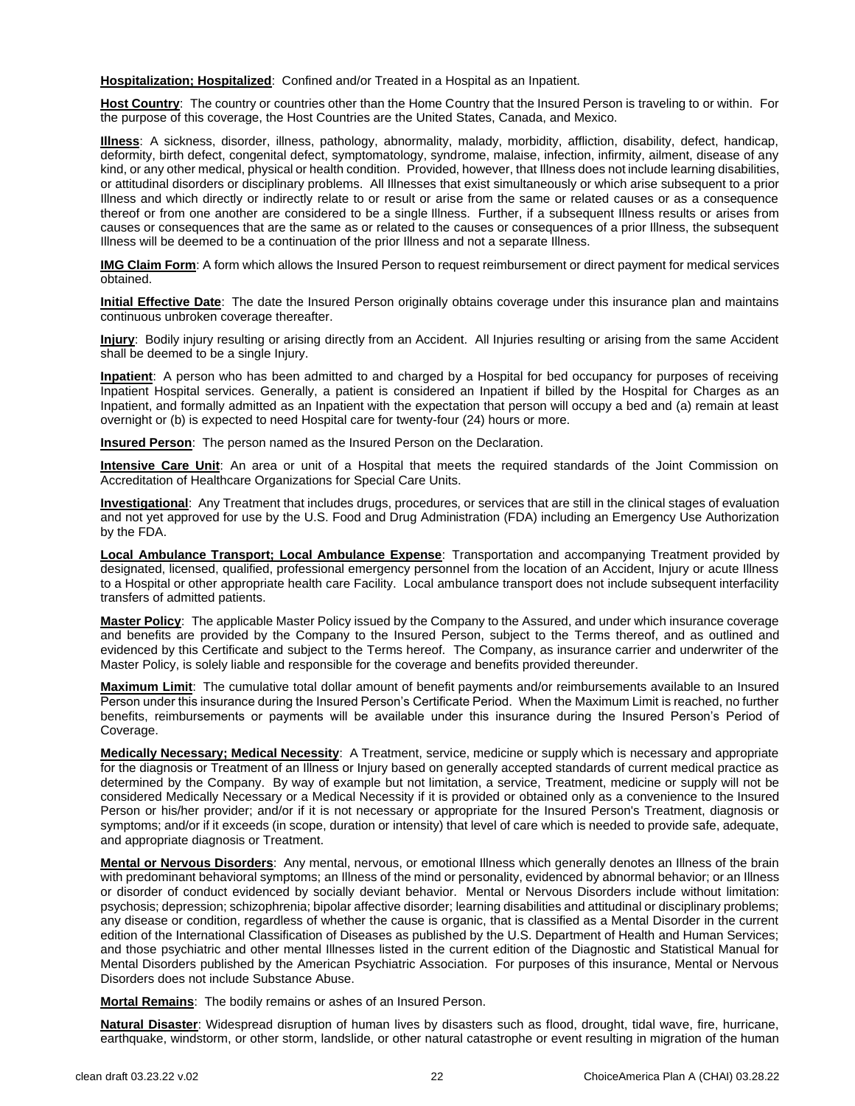**Hospitalization; Hospitalized**: Confined and/or Treated in a Hospital as an Inpatient.

**Host Country**: The country or countries other than the Home Country that the Insured Person is traveling to or within. For the purpose of this coverage, the Host Countries are the United States, Canada, and Mexico.

**Illness**: A sickness, disorder, illness, pathology, abnormality, malady, morbidity, affliction, disability, defect, handicap, deformity, birth defect, congenital defect, symptomatology, syndrome, malaise, infection, infirmity, ailment, disease of any kind, or any other medical, physical or health condition. Provided, however, that Illness does not include learning disabilities, or attitudinal disorders or disciplinary problems. All Illnesses that exist simultaneously or which arise subsequent to a prior Illness and which directly or indirectly relate to or result or arise from the same or related causes or as a consequence thereof or from one another are considered to be a single Illness. Further, if a subsequent Illness results or arises from causes or consequences that are the same as or related to the causes or consequences of a prior Illness, the subsequent Illness will be deemed to be a continuation of the prior Illness and not a separate Illness.

**IMG Claim Form**: A form which allows the Insured Person to request reimbursement or direct payment for medical services obtained.

**Initial Effective Date**: The date the Insured Person originally obtains coverage under this insurance plan and maintains continuous unbroken coverage thereafter.

**Injury**: Bodily injury resulting or arising directly from an Accident. All Injuries resulting or arising from the same Accident shall be deemed to be a single Injury.

**Inpatient**: A person who has been admitted to and charged by a Hospital for bed occupancy for purposes of receiving Inpatient Hospital services. Generally, a patient is considered an Inpatient if billed by the Hospital for Charges as an Inpatient, and formally admitted as an Inpatient with the expectation that person will occupy a bed and (a) remain at least overnight or (b) is expected to need Hospital care for twenty-four (24) hours or more.

**Insured Person**: The person named as the Insured Person on the Declaration.

**Intensive Care Unit**: An area or unit of a Hospital that meets the required standards of the Joint Commission on Accreditation of Healthcare Organizations for Special Care Units.

**Investigational**: Any Treatment that includes drugs, procedures, or services that are still in the clinical stages of evaluation and not yet approved for use by the U.S. Food and Drug Administration (FDA) including an Emergency Use Authorization by the FDA.

**Local Ambulance Transport; Local Ambulance Expense**: Transportation and accompanying Treatment provided by designated, licensed, qualified, professional emergency personnel from the location of an Accident, Injury or acute Illness to a Hospital or other appropriate health care Facility. Local ambulance transport does not include subsequent interfacility transfers of admitted patients.

**Master Policy**: The applicable Master Policy issued by the Company to the Assured, and under which insurance coverage and benefits are provided by the Company to the Insured Person, subject to the Terms thereof, and as outlined and evidenced by this Certificate and subject to the Terms hereof. The Company, as insurance carrier and underwriter of the Master Policy, is solely liable and responsible for the coverage and benefits provided thereunder.

**Maximum Limit**: The cumulative total dollar amount of benefit payments and/or reimbursements available to an Insured Person under this insurance during the Insured Person's Certificate Period. When the Maximum Limit is reached, no further benefits, reimbursements or payments will be available under this insurance during the Insured Person's Period of Coverage.

**Medically Necessary; Medical Necessity**: A Treatment, service, medicine or supply which is necessary and appropriate for the diagnosis or Treatment of an Illness or Injury based on generally accepted standards of current medical practice as determined by the Company. By way of example but not limitation, a service, Treatment, medicine or supply will not be considered Medically Necessary or a Medical Necessity if it is provided or obtained only as a convenience to the Insured Person or his/her provider; and/or if it is not necessary or appropriate for the Insured Person's Treatment, diagnosis or symptoms; and/or if it exceeds (in scope, duration or intensity) that level of care which is needed to provide safe, adequate, and appropriate diagnosis or Treatment.

**Mental or Nervous Disorders**: Any mental, nervous, or emotional Illness which generally denotes an Illness of the brain with predominant behavioral symptoms; an Illness of the mind or personality, evidenced by abnormal behavior; or an Illness or disorder of conduct evidenced by socially deviant behavior. Mental or Nervous Disorders include without limitation: psychosis; depression; schizophrenia; bipolar affective disorder; learning disabilities and attitudinal or disciplinary problems; any disease or condition, regardless of whether the cause is organic, that is classified as a Mental Disorder in the current edition of the International Classification of Diseases as published by the U.S. Department of Health and Human Services; and those psychiatric and other mental Illnesses listed in the current edition of the Diagnostic and Statistical Manual for Mental Disorders published by the American Psychiatric Association. For purposes of this insurance, Mental or Nervous Disorders does not include Substance Abuse.

**Mortal Remains**: The bodily remains or ashes of an Insured Person.

**Natural Disaster**: Widespread disruption of human lives by disasters such as flood, drought, tidal wave, fire, hurricane, earthquake, windstorm, or other storm, landslide, or other natural catastrophe or event resulting in migration of the human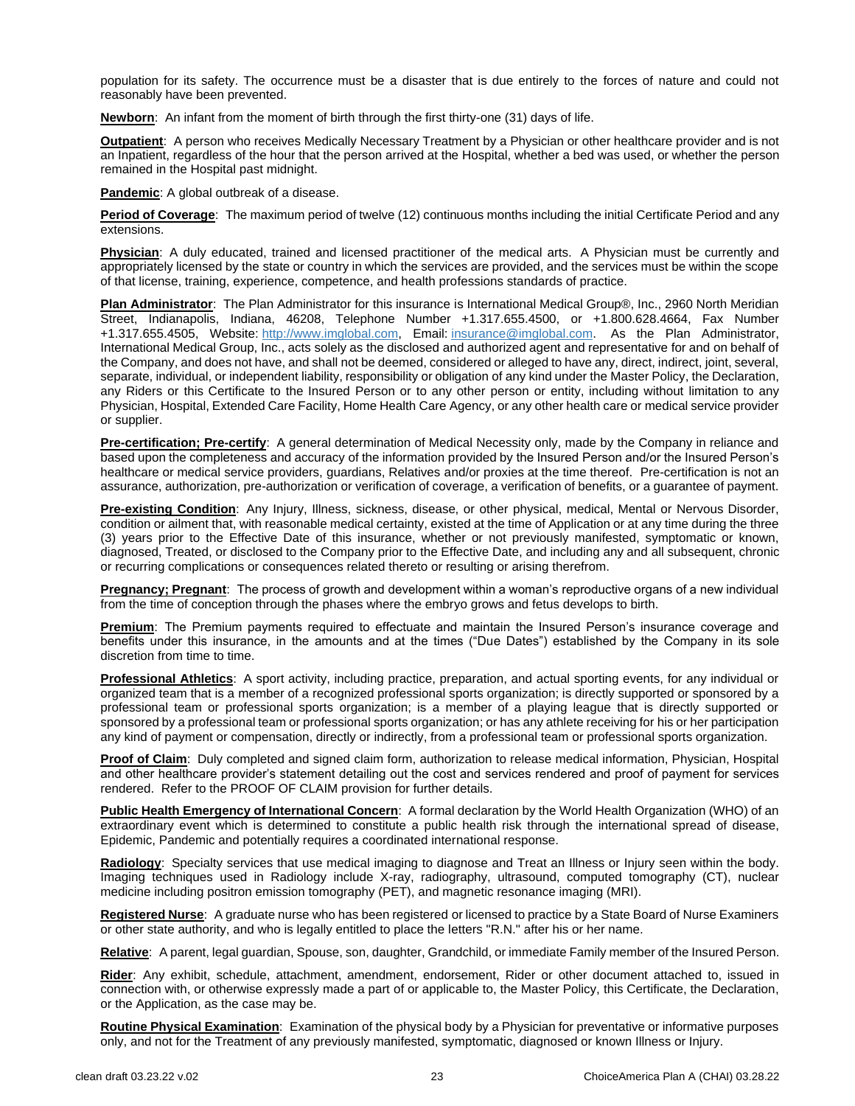population for its safety. The occurrence must be a disaster that is due entirely to the forces of nature and could not reasonably have been prevented.

**Newborn**: An infant from the moment of birth through the first thirty-one (31) days of life.

**Outpatient**: A person who receives Medically Necessary Treatment by a Physician or other healthcare provider and is not an Inpatient, regardless of the hour that the person arrived at the Hospital, whether a bed was used, or whether the person remained in the Hospital past midnight.

**Pandemic**: A global outbreak of a disease.

**Period of Coverage**: The maximum period of twelve (12) continuous months including the initial Certificate Period and any extensions.

**Physician**: A duly educated, trained and licensed practitioner of the medical arts. A Physician must be currently and appropriately licensed by the state or country in which the services are provided, and the services must be within the scope of that license, training, experience, competence, and health professions standards of practice.

**Plan Administrator**: The Plan Administrator for this insurance is International Medical Group®, Inc., 2960 North Meridian Street, Indianapolis, Indiana, 46208, Telephone Number +1.317.655.4500, or +1.800.628.4664, Fax Number +1.317.655.4505, Website: [http://www.imglobal.com,](http://www.imglobal.com/) Email: [insurance@imglobal.com.](mailto:insurance@imglobal.com) As the Plan Administrator, International Medical Group, Inc., acts solely as the disclosed and authorized agent and representative for and on behalf of the Company, and does not have, and shall not be deemed, considered or alleged to have any, direct, indirect, joint, several, separate, individual, or independent liability, responsibility or obligation of any kind under the Master Policy, the Declaration, any Riders or this Certificate to the Insured Person or to any other person or entity, including without limitation to any Physician, Hospital, Extended Care Facility, Home Health Care Agency, or any other health care or medical service provider or supplier.

**Pre-certification; Pre-certify**: A general determination of Medical Necessity only, made by the Company in reliance and based upon the completeness and accuracy of the information provided by the Insured Person and/or the Insured Person's healthcare or medical service providers, quardians, Relatives and/or proxies at the time thereof. Pre-certification is not an assurance, authorization, pre-authorization or verification of coverage, a verification of benefits, or a guarantee of payment.

**Pre-existing Condition**: Any Injury, Illness, sickness, disease, or other physical, medical, Mental or Nervous Disorder, condition or ailment that, with reasonable medical certainty, existed at the time of Application or at any time during the three (3) years prior to the Effective Date of this insurance, whether or not previously manifested, symptomatic or known, diagnosed, Treated, or disclosed to the Company prior to the Effective Date, and including any and all subsequent, chronic or recurring complications or consequences related thereto or resulting or arising therefrom.

**Pregnancy; Pregnant**: The process of growth and development within a woman's reproductive organs of a new individual from the time of conception through the phases where the embryo grows and fetus develops to birth.

**Premium**: The Premium payments required to effectuate and maintain the Insured Person's insurance coverage and benefits under this insurance, in the amounts and at the times ("Due Dates") established by the Company in its sole discretion from time to time.

**Professional Athletics**: A sport activity, including practice, preparation, and actual sporting events, for any individual or organized team that is a member of a recognized professional sports organization; is directly supported or sponsored by a professional team or professional sports organization; is a member of a playing league that is directly supported or sponsored by a professional team or professional sports organization; or has any athlete receiving for his or her participation any kind of payment or compensation, directly or indirectly, from a professional team or professional sports organization.

**Proof of Claim**: Duly completed and signed claim form, authorization to release medical information, Physician, Hospital and other healthcare provider's statement detailing out the cost and services rendered and proof of payment for services rendered. Refer to the PROOF OF CLAIM provision for further details.

**Public Health Emergency of International Concern**: A formal declaration by the World Health Organization (WHO) of an extraordinary event which is determined to constitute a public health risk through the international spread of disease, Epidemic, Pandemic and potentially requires a coordinated international response.

**Radiology**: Specialty services that use medical imaging to diagnose and Treat an Illness or Injury seen within the body. Imaging techniques used in Radiology include X-ray, radiography, ultrasound, computed tomography (CT), nuclear medicine including positron emission tomography (PET), and magnetic resonance imaging (MRI).

**Registered Nurse**: A graduate nurse who has been registered or licensed to practice by a State Board of Nurse Examiners or other state authority, and who is legally entitled to place the letters "R.N." after his or her name.

**Relative**: A parent, legal guardian, Spouse, son, daughter, Grandchild, or immediate Family member of the Insured Person.

**Rider**: Any exhibit, schedule, attachment, amendment, endorsement, Rider or other document attached to, issued in connection with, or otherwise expressly made a part of or applicable to, the Master Policy, this Certificate, the Declaration, or the Application, as the case may be.

**Routine Physical Examination**: Examination of the physical body by a Physician for preventative or informative purposes only, and not for the Treatment of any previously manifested, symptomatic, diagnosed or known Illness or Injury.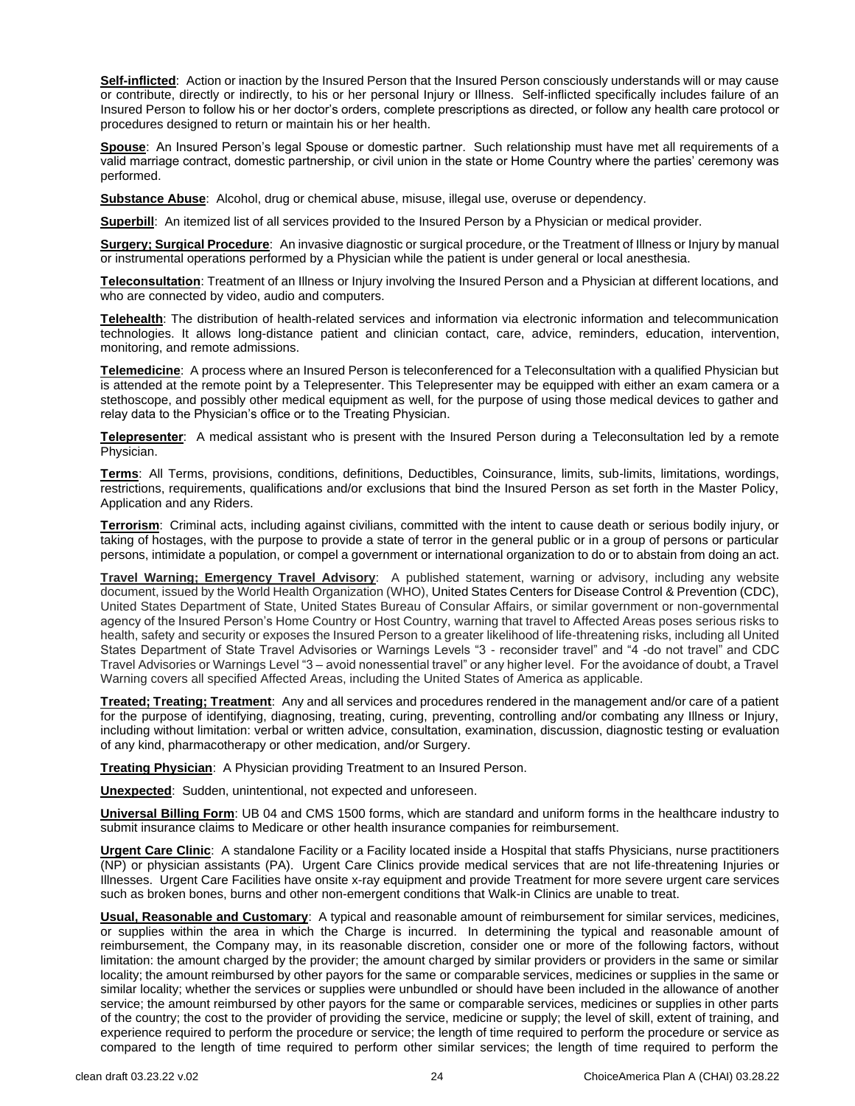**Self-inflicted**: Action or inaction by the Insured Person that the Insured Person consciously understands will or may cause or contribute, directly or indirectly, to his or her personal Injury or Illness. Self-inflicted specifically includes failure of an Insured Person to follow his or her doctor's orders, complete prescriptions as directed, or follow any health care protocol or procedures designed to return or maintain his or her health.

**Spouse**: An Insured Person's legal Spouse or domestic partner. Such relationship must have met all requirements of a valid marriage contract, domestic partnership, or civil union in the state or Home Country where the parties' ceremony was performed.

**Substance Abuse**: Alcohol, drug or chemical abuse, misuse, illegal use, overuse or dependency.

**Superbill**: An itemized list of all services provided to the Insured Person by a Physician or medical provider.

**Surgery; Surgical Procedure**: An invasive diagnostic or surgical procedure, or the Treatment of Illness or Injury by manual or instrumental operations performed by a Physician while the patient is under general or local anesthesia.

**Teleconsultation**: Treatment of an Illness or Injury involving the Insured Person and a Physician at different locations, and who are connected by video, audio and computers.

**Telehealth**: The distribution of health-related services and information via electronic information and telecommunication technologies. It allows long-distance patient and clinician contact, care, advice, reminders, education, intervention, monitoring, and remote admissions.

**Telemedicine**: A process where an Insured Person is teleconferenced for a Teleconsultation with a qualified Physician but is attended at the remote point by a Telepresenter. This Telepresenter may be equipped with either an exam camera or a stethoscope, and possibly other medical equipment as well, for the purpose of using those medical devices to gather and relay data to the Physician's office or to the Treating Physician.

**Telepresenter**: A medical assistant who is present with the Insured Person during a Teleconsultation led by a remote Physician.

**Terms**: All Terms, provisions, conditions, definitions, Deductibles, Coinsurance, limits, sub-limits, limitations, wordings, restrictions, requirements, qualifications and/or exclusions that bind the Insured Person as set forth in the Master Policy, Application and any Riders.

**Terrorism**: Criminal acts, including against civilians, committed with the intent to cause death or serious bodily injury, or taking of hostages, with the purpose to provide a state of terror in the general public or in a group of persons or particular persons, intimidate a population, or compel a government or international organization to do or to abstain from doing an act.

**Travel Warning; Emergency Travel Advisory**: A published statement, warning or advisory, including any website document, issued by the World Health Organization (WHO), United States Centers for Disease Control & Prevention (CDC), United States Department of State, United States Bureau of Consular Affairs, or similar government or non-governmental agency of the Insured Person's Home Country or Host Country, warning that travel to Affected Areas poses serious risks to health, safety and security or exposes the Insured Person to a greater likelihood of life-threatening risks, including all United States Department of State Travel Advisories or Warnings Levels "3 - reconsider travel" and "4 -do not travel" and CDC Travel Advisories or Warnings Level "3 – avoid nonessential travel" or any higher level. For the avoidance of doubt, a Travel Warning covers all specified Affected Areas, including the United States of America as applicable.

**Treated; Treating; Treatment**: Any and all services and procedures rendered in the management and/or care of a patient for the purpose of identifying, diagnosing, treating, curing, preventing, controlling and/or combating any Illness or Injury, including without limitation: verbal or written advice, consultation, examination, discussion, diagnostic testing or evaluation of any kind, pharmacotherapy or other medication, and/or Surgery.

**Treating Physician**: A Physician providing Treatment to an Insured Person.

**Unexpected**: Sudden, unintentional, not expected and unforeseen.

**Universal Billing Form**: UB 04 and CMS 1500 forms, which are standard and uniform forms in the healthcare industry to submit insurance claims to Medicare or other health insurance companies for reimbursement.

**Urgent Care Clinic**: A standalone Facility or a Facility located inside a Hospital that staffs Physicians, nurse practitioners (NP) or physician assistants (PA). Urgent Care Clinics provide medical services that are not life-threatening Injuries or Illnesses. Urgent Care Facilities have onsite x-ray equipment and provide Treatment for more severe urgent care services such as broken bones, burns and other non-emergent conditions that Walk-in Clinics are unable to treat.

**Usual, Reasonable and Customary**: A typical and reasonable amount of reimbursement for similar services, medicines, or supplies within the area in which the Charge is incurred. In determining the typical and reasonable amount of reimbursement, the Company may, in its reasonable discretion, consider one or more of the following factors, without limitation: the amount charged by the provider; the amount charged by similar providers or providers in the same or similar locality; the amount reimbursed by other payors for the same or comparable services, medicines or supplies in the same or similar locality; whether the services or supplies were unbundled or should have been included in the allowance of another service; the amount reimbursed by other payors for the same or comparable services, medicines or supplies in other parts of the country; the cost to the provider of providing the service, medicine or supply; the level of skill, extent of training, and experience required to perform the procedure or service; the length of time required to perform the procedure or service as compared to the length of time required to perform other similar services; the length of time required to perform the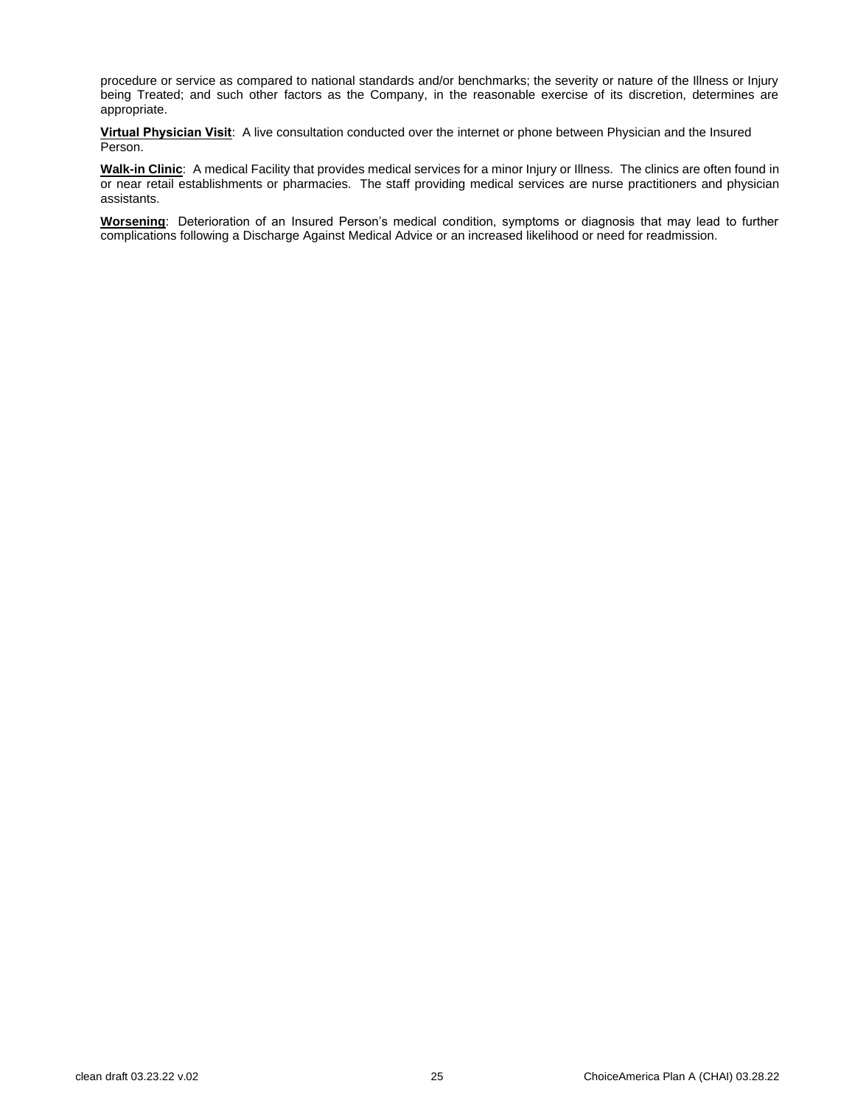procedure or service as compared to national standards and/or benchmarks; the severity or nature of the Illness or Injury being Treated; and such other factors as the Company, in the reasonable exercise of its discretion, determines are appropriate.

**Virtual Physician Visit**: A live consultation conducted over the internet or phone between Physician and the Insured Person.

**Walk-in Clinic**: A medical Facility that provides medical services for a minor Injury or Illness. The clinics are often found in or near retail establishments or pharmacies. The staff providing medical services are nurse practitioners and physician assistants.

**Worsening**: Deterioration of an Insured Person's medical condition, symptoms or diagnosis that may lead to further complications following a Discharge Against Medical Advice or an increased likelihood or need for readmission.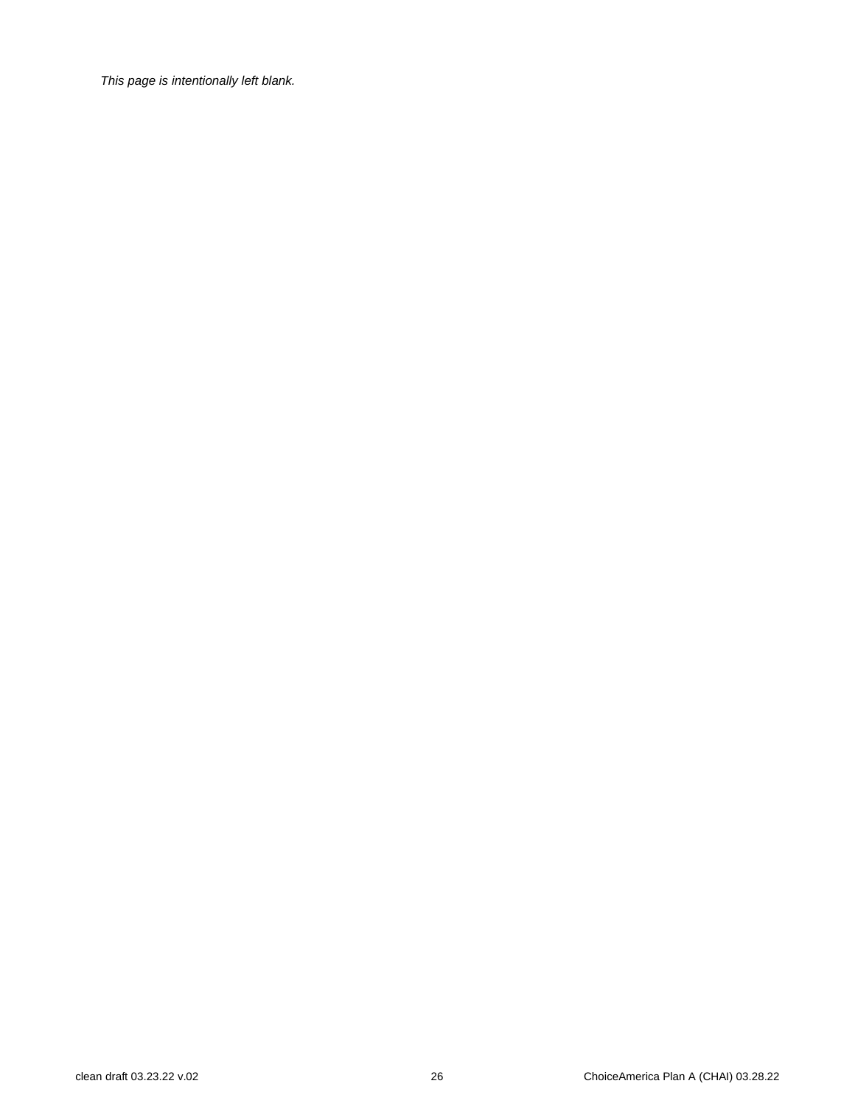*This page is intentionally left blank.*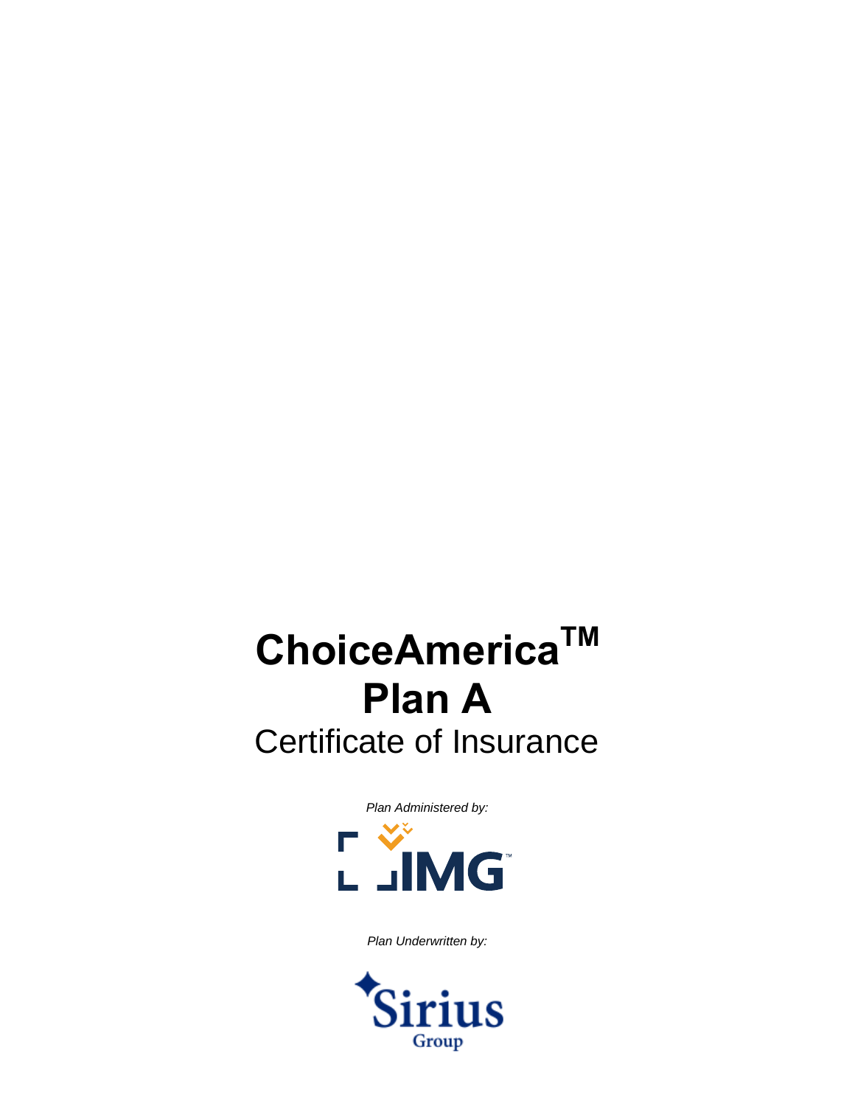# **ChoiceAmericaTM Plan A** Certificate of Insurance



*Plan Underwritten by:*

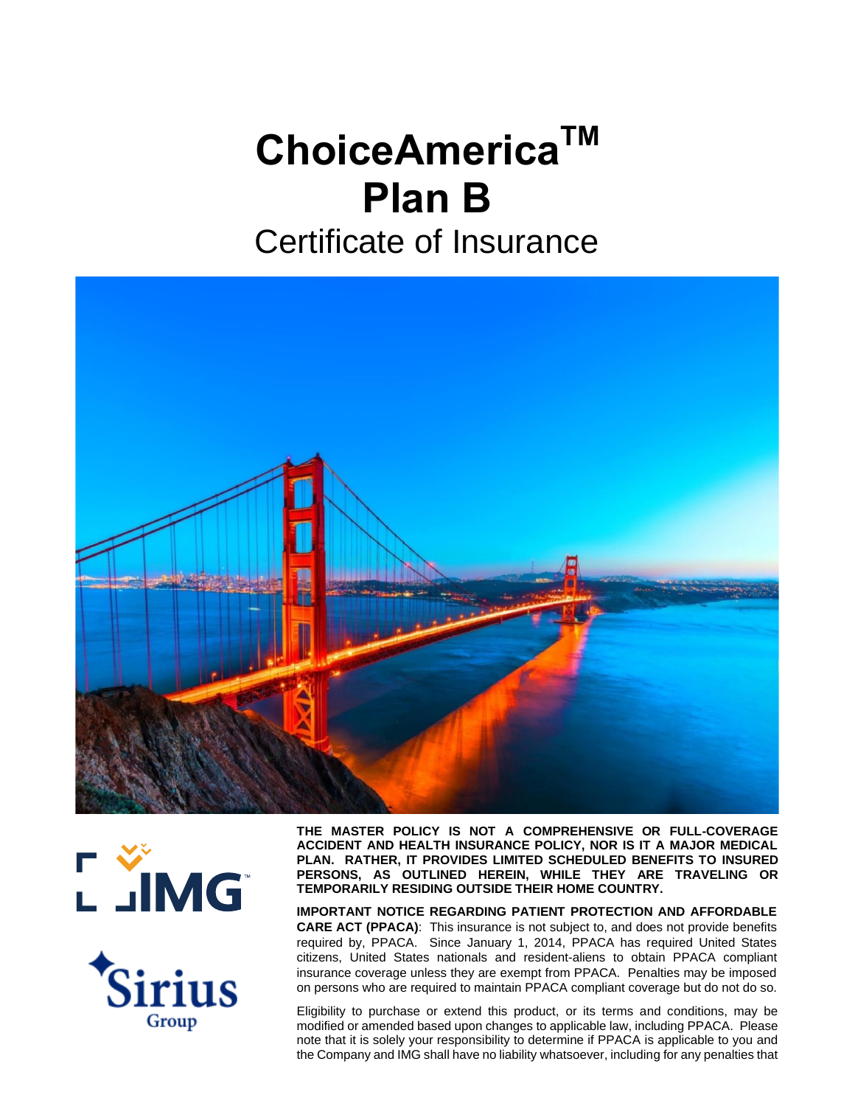# **ChoiceAmericaTM Plan B** Certificate of Insurance







**THE MASTER POLICY IS NOT A COMPREHENSIVE OR FULL-COVERAGE ACCIDENT AND HEALTH INSURANCE POLICY, NOR IS IT A MAJOR MEDICAL PLAN. RATHER, IT PROVIDES LIMITED SCHEDULED BENEFITS TO INSURED PERSONS, AS OUTLINED HEREIN, WHILE THEY ARE TRAVELING OR TEMPORARILY RESIDING OUTSIDE THEIR HOME COUNTRY.**

**IMPORTANT NOTICE REGARDING PATIENT PROTECTION AND AFFORDABLE CARE ACT (PPACA)**: This insurance is not subject to, and does not provide benefits required by, PPACA. Since January 1, 2014, PPACA has required United States citizens, United States nationals and resident-aliens to obtain PPACA compliant insurance coverage unless they are exempt from PPACA. Penalties may be imposed on persons who are required to maintain PPACA compliant coverage but do not do so.

Eligibility to purchase or extend this product, or its terms and conditions, may be modified or amended based upon changes to applicable law, including PPACA. Please note that it is solely your responsibility to determine if PPACA is applicable to you and the Company and IMG shall have no liability whatsoever, including for any penalties that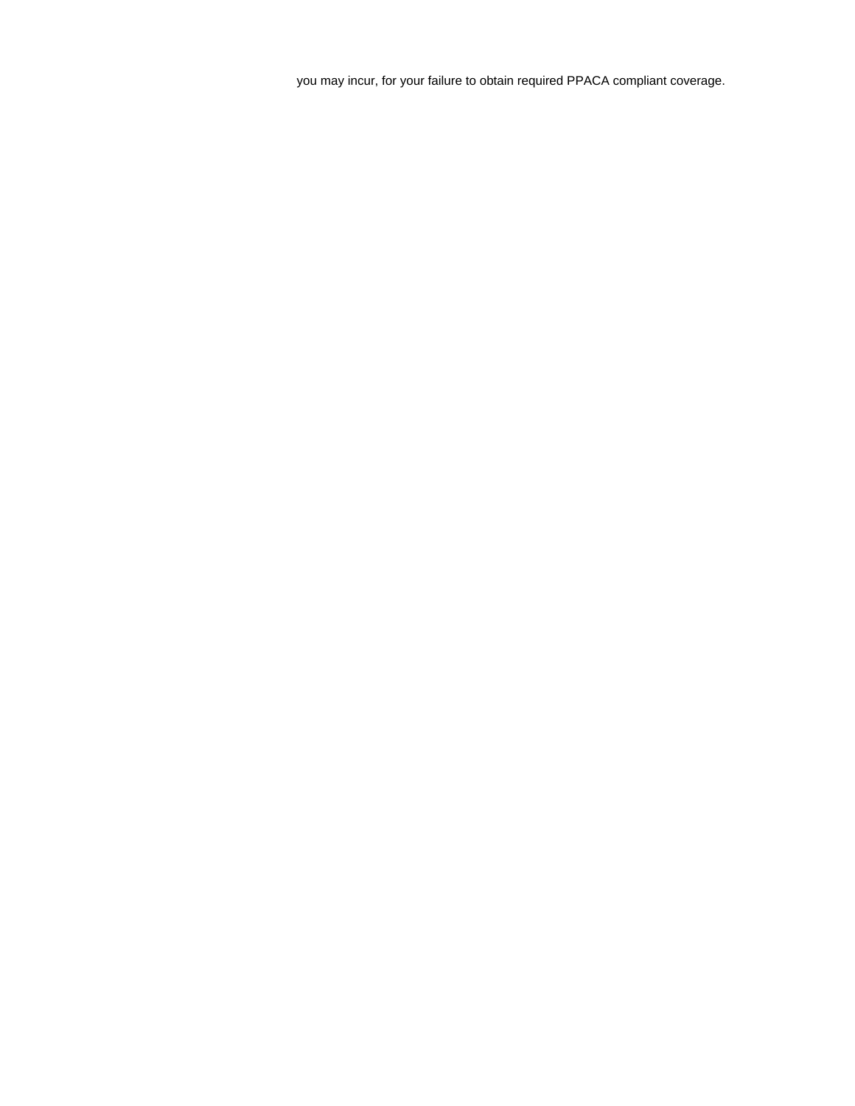you may incur, for your failure to obtain required PPACA compliant coverage.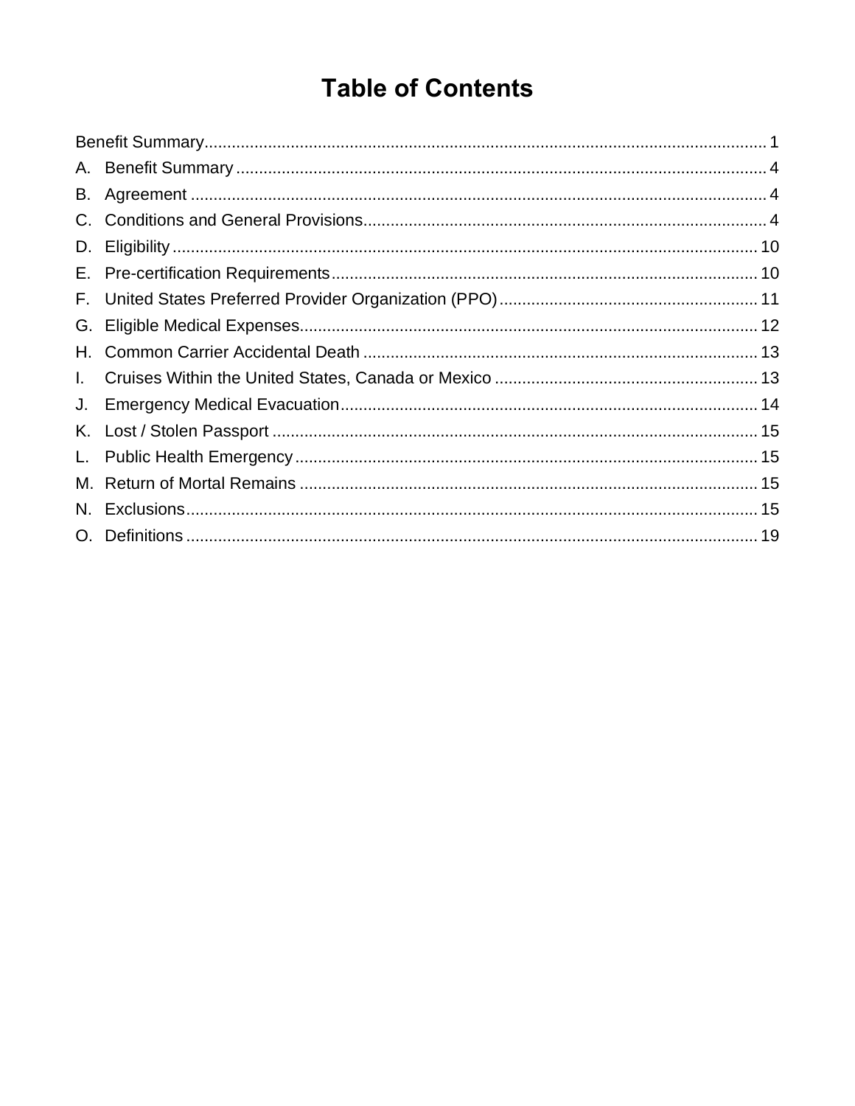### **Table of Contents**

| В.   |  |
|------|--|
| C.   |  |
| D.   |  |
|      |  |
|      |  |
| G.   |  |
| H. . |  |
| L.   |  |
|      |  |
|      |  |
|      |  |
| M.   |  |
| N.   |  |
|      |  |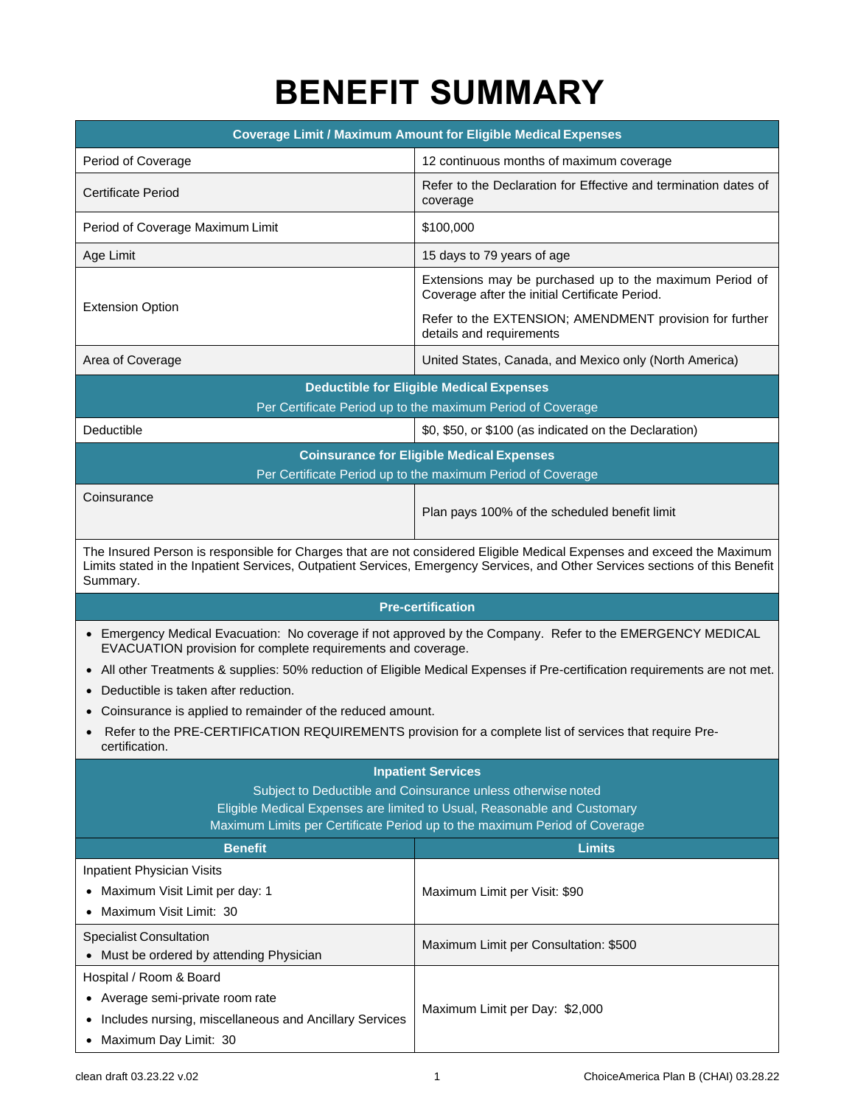## **BENEFIT SUMMARY**

<span id="page-32-0"></span>

| <b>Coverage Limit / Maximum Amount for Eligible Medical Expenses</b>                                                                                                                                                                                                |                                                                                                                                                        |  |
|---------------------------------------------------------------------------------------------------------------------------------------------------------------------------------------------------------------------------------------------------------------------|--------------------------------------------------------------------------------------------------------------------------------------------------------|--|
| Period of Coverage                                                                                                                                                                                                                                                  | 12 continuous months of maximum coverage                                                                                                               |  |
| Certificate Period                                                                                                                                                                                                                                                  | Refer to the Declaration for Effective and termination dates of<br>coverage                                                                            |  |
| Period of Coverage Maximum Limit                                                                                                                                                                                                                                    | \$100,000                                                                                                                                              |  |
| Age Limit                                                                                                                                                                                                                                                           | 15 days to 79 years of age                                                                                                                             |  |
| <b>Extension Option</b>                                                                                                                                                                                                                                             | Extensions may be purchased up to the maximum Period of<br>Coverage after the initial Certificate Period.                                              |  |
|                                                                                                                                                                                                                                                                     | Refer to the EXTENSION; AMENDMENT provision for further<br>details and requirements                                                                    |  |
| Area of Coverage                                                                                                                                                                                                                                                    | United States, Canada, and Mexico only (North America)                                                                                                 |  |
|                                                                                                                                                                                                                                                                     | <b>Deductible for Eligible Medical Expenses</b>                                                                                                        |  |
|                                                                                                                                                                                                                                                                     | Per Certificate Period up to the maximum Period of Coverage                                                                                            |  |
| Deductible                                                                                                                                                                                                                                                          | \$0, \$50, or \$100 (as indicated on the Declaration)                                                                                                  |  |
|                                                                                                                                                                                                                                                                     | <b>Coinsurance for Eligible Medical Expenses</b>                                                                                                       |  |
|                                                                                                                                                                                                                                                                     | Per Certificate Period up to the maximum Period of Coverage                                                                                            |  |
| Coinsurance                                                                                                                                                                                                                                                         | Plan pays 100% of the scheduled benefit limit                                                                                                          |  |
| The Insured Person is responsible for Charges that are not considered Eligible Medical Expenses and exceed the Maximum<br>Limits stated in the Inpatient Services, Outpatient Services, Emergency Services, and Other Services sections of this Benefit<br>Summary. |                                                                                                                                                        |  |
|                                                                                                                                                                                                                                                                     | <b>Pre-certification</b>                                                                                                                               |  |
| EVACUATION provision for complete requirements and coverage.                                                                                                                                                                                                        | • Emergency Medical Evacuation: No coverage if not approved by the Company. Refer to the EMERGENCY MEDICAL                                             |  |
|                                                                                                                                                                                                                                                                     | • All other Treatments & supplies: 50% reduction of Eligible Medical Expenses if Pre-certification requirements are not met.                           |  |
| Deductible is taken after reduction.<br>$\bullet$                                                                                                                                                                                                                   |                                                                                                                                                        |  |
| Coinsurance is applied to remainder of the reduced amount.                                                                                                                                                                                                          |                                                                                                                                                        |  |
| Refer to the PRE-CERTIFICATION REQUIREMENTS provision for a complete list of services that require Pre-<br>certification.                                                                                                                                           |                                                                                                                                                        |  |
|                                                                                                                                                                                                                                                                     | <b>Inpatient Services</b>                                                                                                                              |  |
|                                                                                                                                                                                                                                                                     | Subject to Deductible and Coinsurance unless otherwise noted                                                                                           |  |
|                                                                                                                                                                                                                                                                     | Eligible Medical Expenses are limited to Usual, Reasonable and Customary<br>Maximum Limits per Certificate Period up to the maximum Period of Coverage |  |
| <b>Benefit</b>                                                                                                                                                                                                                                                      | <b>Limits</b>                                                                                                                                          |  |
| Inpatient Physician Visits                                                                                                                                                                                                                                          |                                                                                                                                                        |  |
| • Maximum Visit Limit per day: 1                                                                                                                                                                                                                                    | Maximum Limit per Visit: \$90                                                                                                                          |  |
| Maximum Visit Limit: 30                                                                                                                                                                                                                                             |                                                                                                                                                        |  |
| <b>Specialist Consultation</b>                                                                                                                                                                                                                                      |                                                                                                                                                        |  |
|                                                                                                                                                                                                                                                                     | Maximum Limit per Consultation: \$500                                                                                                                  |  |
| • Must be ordered by attending Physician                                                                                                                                                                                                                            |                                                                                                                                                        |  |
| Hospital / Room & Board<br>• Average semi-private room rate                                                                                                                                                                                                         |                                                                                                                                                        |  |
| Includes nursing, miscellaneous and Ancillary Services<br>٠                                                                                                                                                                                                         | Maximum Limit per Day: \$2,000                                                                                                                         |  |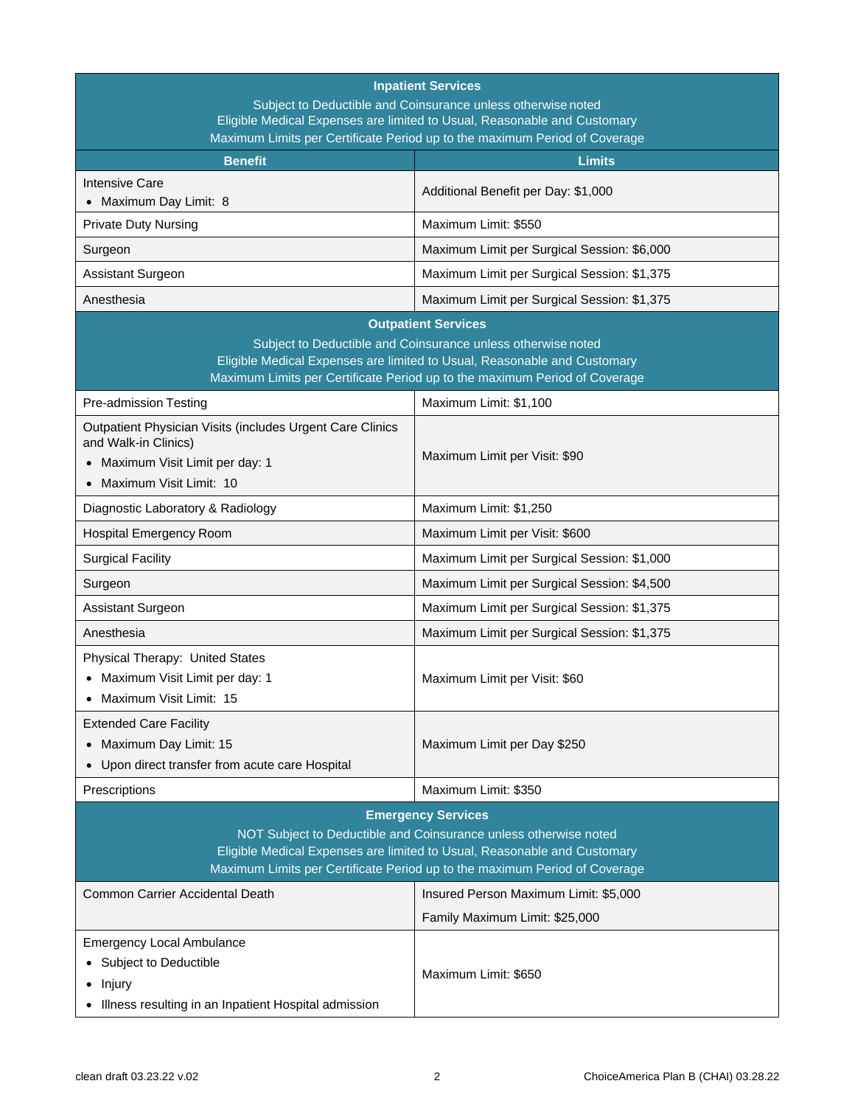| <b>Inpatient Services</b>                                                                                                                    |                                                                                                                                                        |  |
|----------------------------------------------------------------------------------------------------------------------------------------------|--------------------------------------------------------------------------------------------------------------------------------------------------------|--|
| Subject to Deductible and Coinsurance unless otherwise noted                                                                                 |                                                                                                                                                        |  |
|                                                                                                                                              | Eligible Medical Expenses are limited to Usual, Reasonable and Customary<br>Maximum Limits per Certificate Period up to the maximum Period of Coverage |  |
| <b>Benefit</b>                                                                                                                               | <b>Limits</b>                                                                                                                                          |  |
| <b>Intensive Care</b>                                                                                                                        |                                                                                                                                                        |  |
| • Maximum Day Limit: 8                                                                                                                       | Additional Benefit per Day: \$1,000                                                                                                                    |  |
| <b>Private Duty Nursing</b>                                                                                                                  | Maximum Limit: \$550                                                                                                                                   |  |
| Surgeon                                                                                                                                      | Maximum Limit per Surgical Session: \$6,000                                                                                                            |  |
| Assistant Surgeon                                                                                                                            | Maximum Limit per Surgical Session: \$1,375                                                                                                            |  |
| Anesthesia                                                                                                                                   | Maximum Limit per Surgical Session: \$1,375                                                                                                            |  |
|                                                                                                                                              | <b>Outpatient Services</b>                                                                                                                             |  |
|                                                                                                                                              | Subject to Deductible and Coinsurance unless otherwise noted                                                                                           |  |
|                                                                                                                                              | Eligible Medical Expenses are limited to Usual, Reasonable and Customary<br>Maximum Limits per Certificate Period up to the maximum Period of Coverage |  |
| Pre-admission Testing                                                                                                                        | Maximum Limit: \$1,100                                                                                                                                 |  |
| Outpatient Physician Visits (includes Urgent Care Clinics                                                                                    |                                                                                                                                                        |  |
| and Walk-in Clinics)                                                                                                                         |                                                                                                                                                        |  |
| • Maximum Visit Limit per day: 1                                                                                                             | Maximum Limit per Visit: \$90                                                                                                                          |  |
| • Maximum Visit Limit: 10                                                                                                                    |                                                                                                                                                        |  |
| Diagnostic Laboratory & Radiology                                                                                                            | Maximum Limit: \$1,250                                                                                                                                 |  |
| <b>Hospital Emergency Room</b>                                                                                                               | Maximum Limit per Visit: \$600                                                                                                                         |  |
| <b>Surgical Facility</b>                                                                                                                     | Maximum Limit per Surgical Session: \$1,000                                                                                                            |  |
| Surgeon                                                                                                                                      | Maximum Limit per Surgical Session: \$4,500                                                                                                            |  |
| Assistant Surgeon                                                                                                                            | Maximum Limit per Surgical Session: \$1,375                                                                                                            |  |
| Anesthesia                                                                                                                                   | Maximum Limit per Surgical Session: \$1,375                                                                                                            |  |
| Physical Therapy: United States                                                                                                              |                                                                                                                                                        |  |
| • Maximum Visit Limit per day: 1                                                                                                             | Maximum Limit per Visit: \$60                                                                                                                          |  |
| Maximum Visit Limit: 15                                                                                                                      |                                                                                                                                                        |  |
| <b>Extended Care Facility</b>                                                                                                                |                                                                                                                                                        |  |
| • Maximum Day Limit: 15                                                                                                                      | Maximum Limit per Day \$250                                                                                                                            |  |
| Upon direct transfer from acute care Hospital                                                                                                |                                                                                                                                                        |  |
| Prescriptions                                                                                                                                | Maximum Limit: \$350                                                                                                                                   |  |
|                                                                                                                                              | <b>Emergency Services</b>                                                                                                                              |  |
| NOT Subject to Deductible and Coinsurance unless otherwise noted<br>Eligible Medical Expenses are limited to Usual, Reasonable and Customary |                                                                                                                                                        |  |
|                                                                                                                                              | Maximum Limits per Certificate Period up to the maximum Period of Coverage                                                                             |  |
| Common Carrier Accidental Death                                                                                                              | Insured Person Maximum Limit: \$5,000                                                                                                                  |  |
|                                                                                                                                              | Family Maximum Limit: \$25,000                                                                                                                         |  |
| <b>Emergency Local Ambulance</b>                                                                                                             |                                                                                                                                                        |  |
| • Subject to Deductible                                                                                                                      |                                                                                                                                                        |  |
| • Injury                                                                                                                                     | Maximum Limit: \$650                                                                                                                                   |  |
| Illness resulting in an Inpatient Hospital admission                                                                                         |                                                                                                                                                        |  |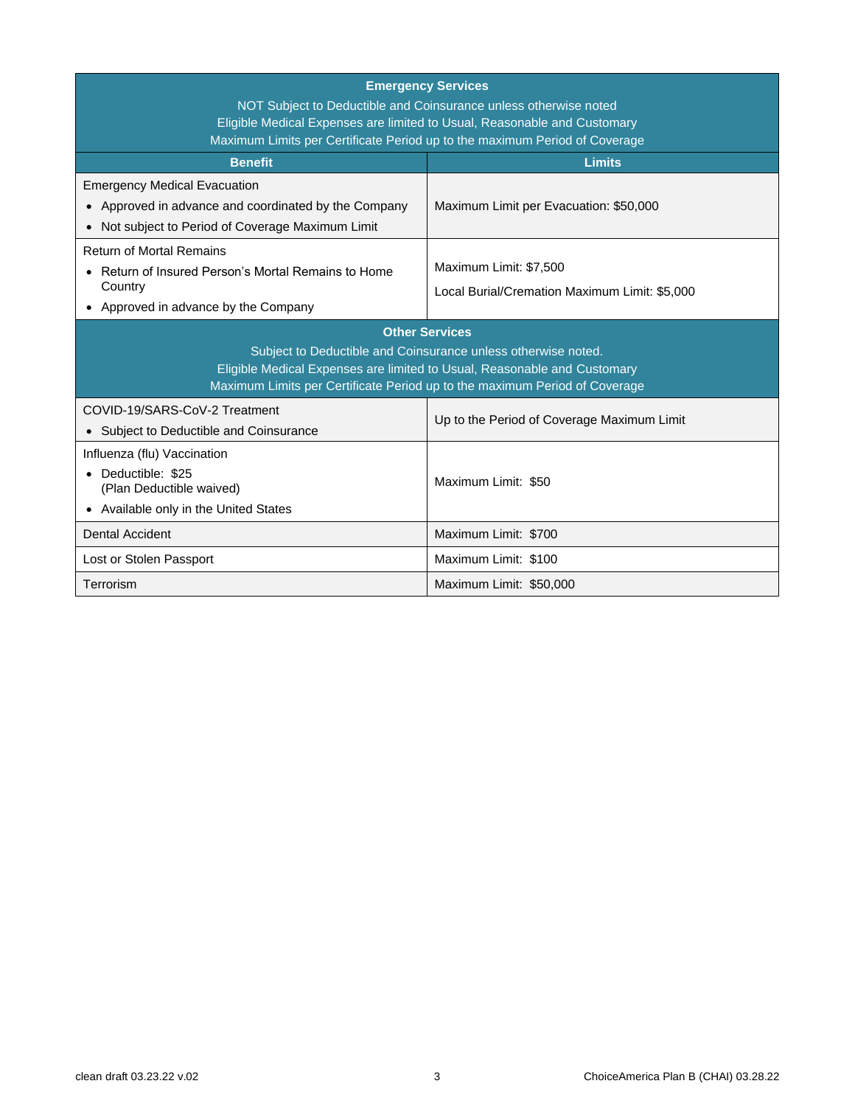| <b>Emergency Services</b><br>NOT Subject to Deductible and Coinsurance unless otherwise noted<br>Eligible Medical Expenses are limited to Usual, Reasonable and Customary<br>Maximum Limits per Certificate Period up to the maximum Period of Coverage |                                               |  |
|---------------------------------------------------------------------------------------------------------------------------------------------------------------------------------------------------------------------------------------------------------|-----------------------------------------------|--|
| <b>Benefit</b>                                                                                                                                                                                                                                          | <b>Limits</b>                                 |  |
| <b>Emergency Medical Evacuation</b>                                                                                                                                                                                                                     |                                               |  |
| • Approved in advance and coordinated by the Company                                                                                                                                                                                                    | Maximum Limit per Evacuation: \$50,000        |  |
| Not subject to Period of Coverage Maximum Limit<br>$\bullet$                                                                                                                                                                                            |                                               |  |
| <b>Return of Mortal Remains</b>                                                                                                                                                                                                                         |                                               |  |
| Return of Insured Person's Mortal Remains to Home                                                                                                                                                                                                       | Maximum Limit: \$7,500                        |  |
| Country                                                                                                                                                                                                                                                 | Local Burial/Cremation Maximum Limit: \$5,000 |  |
| • Approved in advance by the Company                                                                                                                                                                                                                    |                                               |  |
| <b>Other Services</b><br>Subject to Deductible and Coinsurance unless otherwise noted.<br>Eligible Medical Expenses are limited to Usual, Reasonable and Customary<br>Maximum Limits per Certificate Period up to the maximum Period of Coverage        |                                               |  |
| COVID-19/SARS-CoV-2 Treatment<br>• Subject to Deductible and Coinsurance                                                                                                                                                                                | Up to the Period of Coverage Maximum Limit    |  |
| Influenza (flu) Vaccination<br>• Deductible: \$25<br>(Plan Deductible waived)<br>• Available only in the United States                                                                                                                                  | Maximum Limit: \$50                           |  |
| Dental Accident                                                                                                                                                                                                                                         | Maximum Limit: \$700                          |  |
| Lost or Stolen Passport                                                                                                                                                                                                                                 | Maximum Limit: \$100                          |  |
| Terrorism                                                                                                                                                                                                                                               | Maximum Limit: \$50,000                       |  |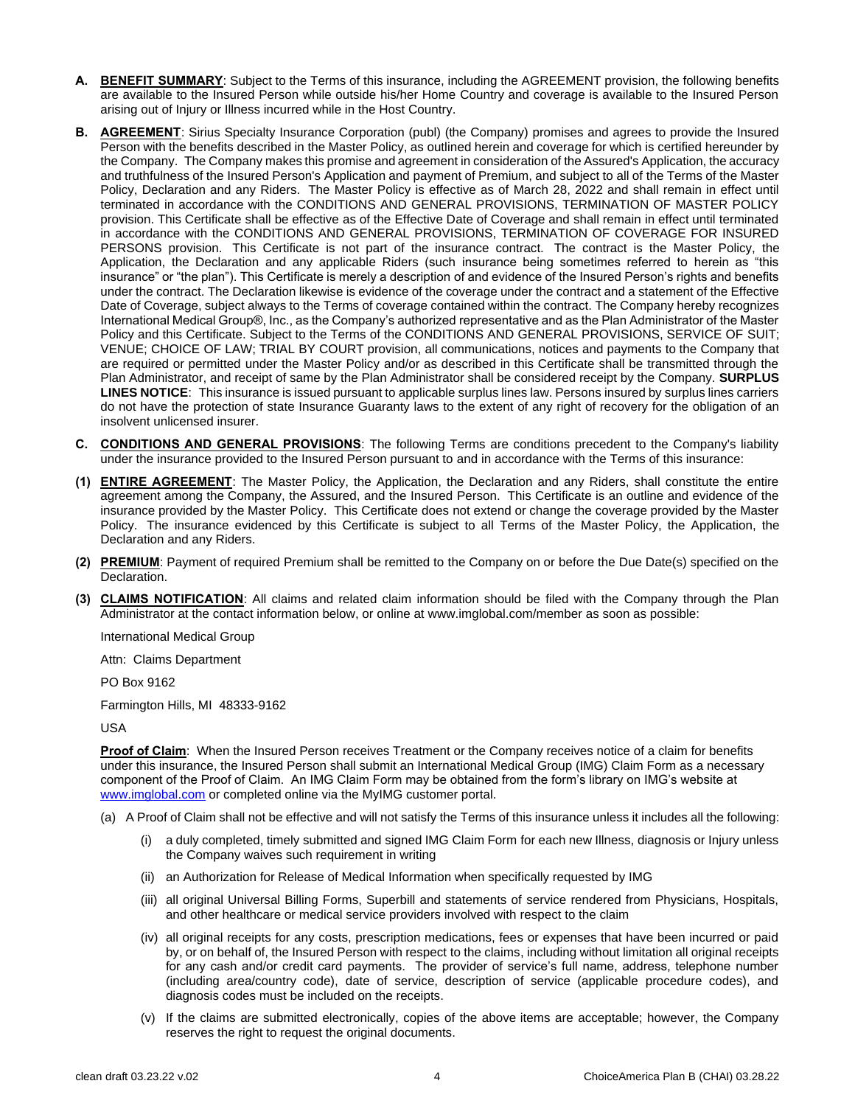- <span id="page-35-0"></span>**A. BENEFIT SUMMARY**: Subject to the Terms of this insurance, including the AGREEMENT provision, the following benefits are available to the Insured Person while outside his/her Home Country and coverage is available to the Insured Person arising out of Injury or Illness incurred while in the Host Country.
- <span id="page-35-1"></span>**B. AGREEMENT**: Sirius Specialty Insurance Corporation (publ) (the Company) promises and agrees to provide the Insured Person with the benefits described in the Master Policy, as outlined herein and coverage for which is certified hereunder by the Company. The Company makes this promise and agreement in consideration of the Assured's Application, the accuracy and truthfulness of the Insured Person's Application and payment of Premium, and subject to all of the Terms of the Master Policy, Declaration and any Riders. The Master Policy is effective as of March 28, 2022 and shall remain in effect until terminated in accordance with the CONDITIONS AND GENERAL PROVISIONS, TERMINATION OF MASTER POLICY provision. This Certificate shall be effective as of the Effective Date of Coverage and shall remain in effect until terminated in accordance with the CONDITIONS AND GENERAL PROVISIONS, TERMINATION OF COVERAGE FOR INSURED PERSONS provision. This Certificate is not part of the insurance contract. The contract is the Master Policy, the Application, the Declaration and any applicable Riders (such insurance being sometimes referred to herein as "this insurance" or "the plan"). This Certificate is merely a description of and evidence of the Insured Person's rights and benefits under the contract. The Declaration likewise is evidence of the coverage under the contract and a statement of the Effective Date of Coverage, subject always to the Terms of coverage contained within the contract. The Company hereby recognizes International Medical Group®, Inc., as the Company's authorized representative and as the Plan Administrator of the Master Policy and this Certificate. Subject to the Terms of the CONDITIONS AND GENERAL PROVISIONS, SERVICE OF SUIT; VENUE; CHOICE OF LAW; TRIAL BY COURT provision, all communications, notices and payments to the Company that are required or permitted under the Master Policy and/or as described in this Certificate shall be transmitted through the Plan Administrator, and receipt of same by the Plan Administrator shall be considered receipt by the Company. **SURPLUS LINES NOTICE**: This insurance is issued pursuant to applicable surplus lines law. Persons insured by surplus lines carriers do not have the protection of state Insurance Guaranty laws to the extent of any right of recovery for the obligation of an insolvent unlicensed insurer.
- <span id="page-35-2"></span>**C. CONDITIONS AND GENERAL PROVISIONS**: The following Terms are conditions precedent to the Company's liability under the insurance provided to the Insured Person pursuant to and in accordance with the Terms of this insurance:
- **(1) ENTIRE AGREEMENT**: The Master Policy, the Application, the Declaration and any Riders, shall constitute the entire agreement among the Company, the Assured, and the Insured Person. This Certificate is an outline and evidence of the insurance provided by the Master Policy. This Certificate does not extend or change the coverage provided by the Master Policy. The insurance evidenced by this Certificate is subject to all Terms of the Master Policy, the Application, the Declaration and any Riders.
- **(2) PREMIUM**: Payment of required Premium shall be remitted to the Company on or before the Due Date(s) specified on the Declaration.
- **(3) CLAIMS NOTIFICATION**: All claims and related claim information should be filed with the Company through the Plan Administrator at the contact information below, or online at [www.imglobal.com/member](http://www.imglobal.com/member) as soon as possible:

International Medical Group

Attn: Claims Department

PO Box 9162

Farmington Hills, MI 48333-9162

USA

**Proof of Claim**: When the Insured Person receives Treatment or the Company receives notice of a claim for benefits under this insurance, the Insured Person shall submit an International Medical Group (IMG) Claim Form as a necessary component of the Proof of Claim. An IMG Claim Form may be obtained from the form's library on IMG's website at [www.imglobal.com](http://www.imglobal.com/) or completed online via the MyIMG customer portal.

- (a) A Proof of Claim shall not be effective and will not satisfy the Terms of this insurance unless it includes all the following:
	- (i) a duly completed, timely submitted and signed IMG Claim Form for each new Illness, diagnosis or Injury unless the Company waives such requirement in writing
	- (ii) an Authorization for Release of Medical Information when specifically requested by IMG
	- (iii) all original Universal Billing Forms, Superbill and statements of service rendered from Physicians, Hospitals, and other healthcare or medical service providers involved with respect to the claim
	- (iv) all original receipts for any costs, prescription medications, fees or expenses that have been incurred or paid by, or on behalf of, the Insured Person with respect to the claims, including without limitation all original receipts for any cash and/or credit card payments. The provider of service's full name, address, telephone number (including area/country code), date of service, description of service (applicable procedure codes), and diagnosis codes must be included on the receipts.
	- (v) If the claims are submitted electronically, copies of the above items are acceptable; however, the Company reserves the right to request the original documents.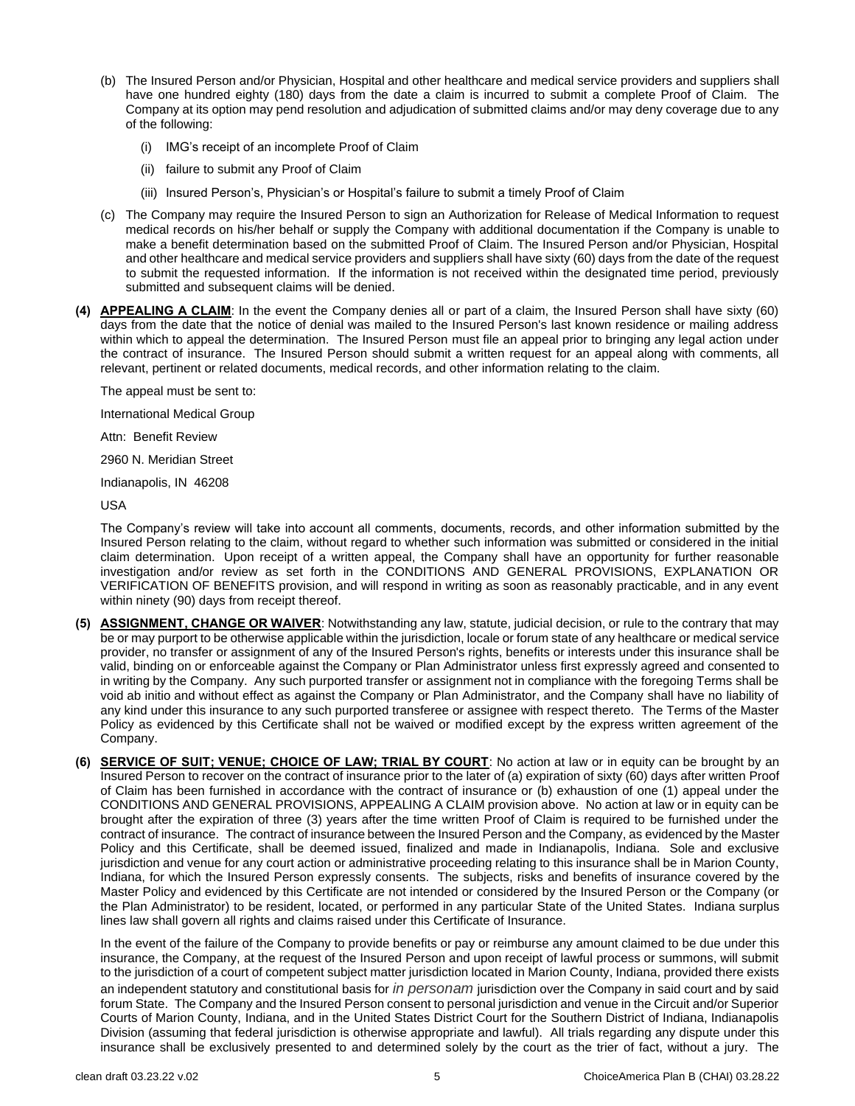- (b) The Insured Person and/or Physician, Hospital and other healthcare and medical service providers and suppliers shall have one hundred eighty (180) days from the date a claim is incurred to submit a complete Proof of Claim. The Company at its option may pend resolution and adjudication of submitted claims and/or may deny coverage due to any of the following:
	- (i) IMG's receipt of an incomplete Proof of Claim
	- (ii) failure to submit any Proof of Claim
	- (iii) Insured Person's, Physician's or Hospital's failure to submit a timely Proof of Claim
- (c) The Company may require the Insured Person to sign an Authorization for Release of Medical Information to request medical records on his/her behalf or supply the Company with additional documentation if the Company is unable to make a benefit determination based on the submitted Proof of Claim. The Insured Person and/or Physician, Hospital and other healthcare and medical service providers and suppliers shall have sixty (60) days from the date of the request to submit the requested information. If the information is not received within the designated time period, previously submitted and subsequent claims will be denied.
- **(4) APPEALING A CLAIM**: In the event the Company denies all or part of a claim, the Insured Person shall have sixty (60) days from the date that the notice of denial was mailed to the Insured Person's last known residence or mailing address within which to appeal the determination. The Insured Person must file an appeal prior to bringing any legal action under the contract of insurance. The Insured Person should submit a written request for an appeal along with comments, all relevant, pertinent or related documents, medical records, and other information relating to the claim.

The appeal must be sent to:

International Medical Group

Attn: Benefit Review

2960 N. Meridian Street

Indianapolis, IN 46208

USA

The Company's review will take into account all comments, documents, records, and other information submitted by the Insured Person relating to the claim, without regard to whether such information was submitted or considered in the initial claim determination. Upon receipt of a written appeal, the Company shall have an opportunity for further reasonable investigation and/or review as set forth in the CONDITIONS AND GENERAL PROVISIONS, EXPLANATION OR VERIFICATION OF BENEFITS provision, and will respond in writing as soon as reasonably practicable, and in any event within ninety (90) days from receipt thereof.

- **(5) ASSIGNMENT, CHANGE OR WAIVER**: Notwithstanding any law, statute, judicial decision, or rule to the contrary that may be or may purport to be otherwise applicable within the jurisdiction, locale or forum state of any healthcare or medical service provider, no transfer or assignment of any of the Insured Person's rights, benefits or interests under this insurance shall be valid, binding on or enforceable against the Company or Plan Administrator unless first expressly agreed and consented to in writing by the Company. Any such purported transfer or assignment not in compliance with the foregoing Terms shall be void ab initio and without effect as against the Company or Plan Administrator, and the Company shall have no liability of any kind under this insurance to any such purported transferee or assignee with respect thereto. The Terms of the Master Policy as evidenced by this Certificate shall not be waived or modified except by the express written agreement of the Company.
- **(6) SERVICE OF SUIT; VENUE; CHOICE OF LAW; TRIAL BY COURT**: No action at law or in equity can be brought by an Insured Person to recover on the contract of insurance prior to the later of (a) expiration of sixty (60) days after written Proof of Claim has been furnished in accordance with the contract of insurance or (b) exhaustion of one (1) appeal under the CONDITIONS AND GENERAL PROVISIONS, APPEALING A CLAIM provision above. No action at law or in equity can be brought after the expiration of three (3) years after the time written Proof of Claim is required to be furnished under the contract of insurance. The contract of insurance between the Insured Person and the Company, as evidenced by the Master Policy and this Certificate, shall be deemed issued, finalized and made in Indianapolis, Indiana. Sole and exclusive jurisdiction and venue for any court action or administrative proceeding relating to this insurance shall be in Marion County, Indiana, for which the Insured Person expressly consents. The subjects, risks and benefits of insurance covered by the Master Policy and evidenced by this Certificate are not intended or considered by the Insured Person or the Company (or the Plan Administrator) to be resident, located, or performed in any particular State of the United States. Indiana surplus lines law shall govern all rights and claims raised under this Certificate of Insurance.

In the event of the failure of the Company to provide benefits or pay or reimburse any amount claimed to be due under this insurance, the Company, at the request of the Insured Person and upon receipt of lawful process or summons, will submit to the jurisdiction of a court of competent subject matter jurisdiction located in Marion County, Indiana, provided there exists an independent statutory and constitutional basis for *in personam* jurisdiction over the Company in said court and by said forum State. The Company and the Insured Person consent to personal jurisdiction and venue in the Circuit and/or Superior Courts of Marion County, Indiana, and in the United States District Court for the Southern District of Indiana, Indianapolis Division (assuming that federal jurisdiction is otherwise appropriate and lawful). All trials regarding any dispute under this insurance shall be exclusively presented to and determined solely by the court as the trier of fact, without a jury. The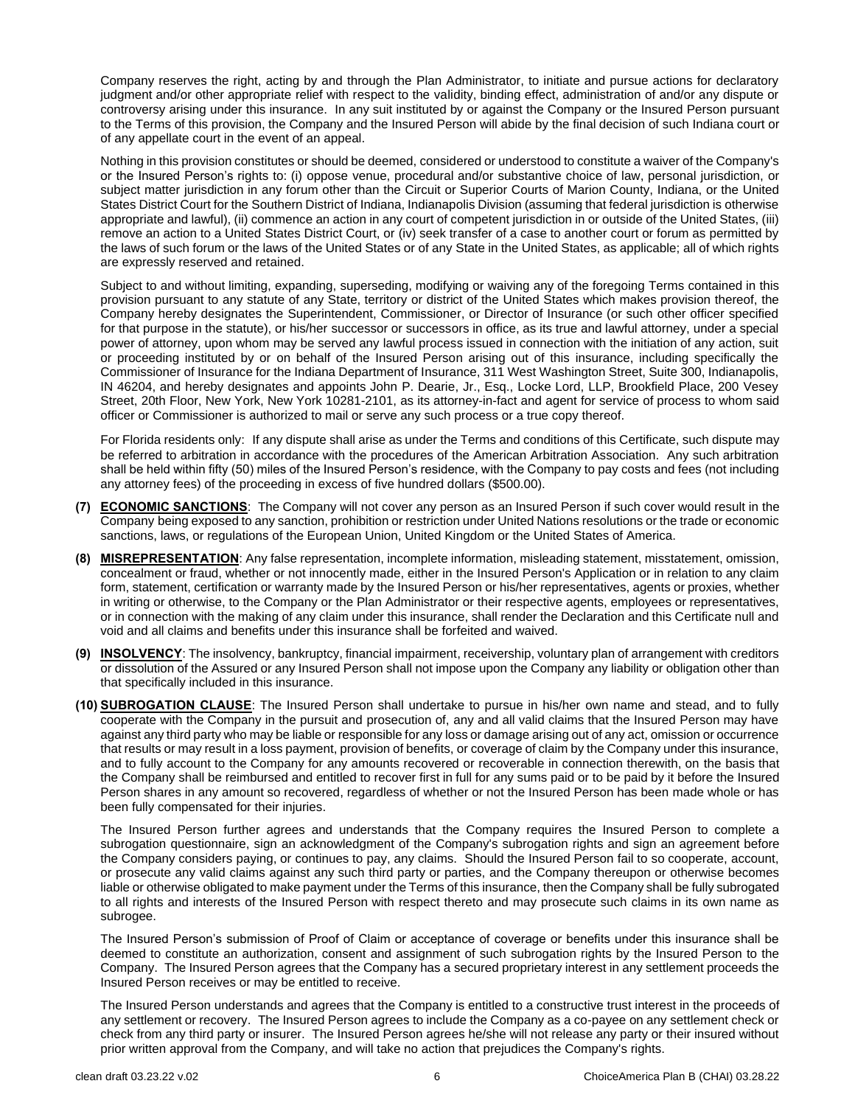Company reserves the right, acting by and through the Plan Administrator, to initiate and pursue actions for declaratory judgment and/or other appropriate relief with respect to the validity, binding effect, administration of and/or any dispute or controversy arising under this insurance. In any suit instituted by or against the Company or the Insured Person pursuant to the Terms of this provision, the Company and the Insured Person will abide by the final decision of such Indiana court or of any appellate court in the event of an appeal.

Nothing in this provision constitutes or should be deemed, considered or understood to constitute a waiver of the Company's or the Insured Person's rights to: (i) oppose venue, procedural and/or substantive choice of law, personal jurisdiction, or subject matter jurisdiction in any forum other than the Circuit or Superior Courts of Marion County, Indiana, or the United States District Court for the Southern District of Indiana, Indianapolis Division (assuming that federal jurisdiction is otherwise appropriate and lawful), (ii) commence an action in any court of competent jurisdiction in or outside of the United States, (iii) remove an action to a United States District Court, or (iv) seek transfer of a case to another court or forum as permitted by the laws of such forum or the laws of the United States or of any State in the United States, as applicable; all of which rights are expressly reserved and retained.

Subject to and without limiting, expanding, superseding, modifying or waiving any of the foregoing Terms contained in this provision pursuant to any statute of any State, territory or district of the United States which makes provision thereof, the Company hereby designates the Superintendent, Commissioner, or Director of Insurance (or such other officer specified for that purpose in the statute), or his/her successor or successors in office, as its true and lawful attorney, under a special power of attorney, upon whom may be served any lawful process issued in connection with the initiation of any action, suit or proceeding instituted by or on behalf of the Insured Person arising out of this insurance, including specifically the Commissioner of Insurance for the Indiana Department of Insurance, 311 West Washington Street, Suite 300, Indianapolis, IN 46204, and hereby designates and appoints John P. Dearie, Jr., Esq., Locke Lord, LLP, Brookfield Place, 200 Vesey Street, 20th Floor, New York, New York 10281-2101, as its attorney-in-fact and agent for service of process to whom said officer or Commissioner is authorized to mail or serve any such process or a true copy thereof.

For Florida residents only: If any dispute shall arise as under the Terms and conditions of this Certificate, such dispute may be referred to arbitration in accordance with the procedures of the American Arbitration Association. Any such arbitration shall be held within fifty (50) miles of the Insured Person's residence, with the Company to pay costs and fees (not including any attorney fees) of the proceeding in excess of five hundred dollars (\$500.00).

- **(7) ECONOMIC SANCTIONS**: The Company will not cover any person as an Insured Person if such cover would result in the Company being exposed to any sanction, prohibition or restriction under United Nations resolutions or the trade or economic sanctions, laws, or regulations of the European Union, United Kingdom or the United States of America.
- **(8) MISREPRESENTATION**: Any false representation, incomplete information, misleading statement, misstatement, omission, concealment or fraud, whether or not innocently made, either in the Insured Person's Application or in relation to any claim form, statement, certification or warranty made by the Insured Person or his/her representatives, agents or proxies, whether in writing or otherwise, to the Company or the Plan Administrator or their respective agents, employees or representatives, or in connection with the making of any claim under this insurance, shall render the Declaration and this Certificate null and void and all claims and benefits under this insurance shall be forfeited and waived.
- **(9) INSOLVENCY**: The insolvency, bankruptcy, financial impairment, receivership, voluntary plan of arrangement with creditors or dissolution of the Assured or any Insured Person shall not impose upon the Company any liability or obligation other than that specifically included in this insurance.
- **(10) SUBROGATION CLAUSE**: The Insured Person shall undertake to pursue in his/her own name and stead, and to fully cooperate with the Company in the pursuit and prosecution of, any and all valid claims that the Insured Person may have against any third party who may be liable or responsible for any loss or damage arising out of any act, omission or occurrence that results or may result in a loss payment, provision of benefits, or coverage of claim by the Company under this insurance, and to fully account to the Company for any amounts recovered or recoverable in connection therewith, on the basis that the Company shall be reimbursed and entitled to recover first in full for any sums paid or to be paid by it before the Insured Person shares in any amount so recovered, regardless of whether or not the Insured Person has been made whole or has been fully compensated for their injuries.

The Insured Person further agrees and understands that the Company requires the Insured Person to complete a subrogation questionnaire, sign an acknowledgment of the Company's subrogation rights and sign an agreement before the Company considers paying, or continues to pay, any claims. Should the Insured Person fail to so cooperate, account, or prosecute any valid claims against any such third party or parties, and the Company thereupon or otherwise becomes liable or otherwise obligated to make payment under the Terms of this insurance, then the Company shall be fully subrogated to all rights and interests of the Insured Person with respect thereto and may prosecute such claims in its own name as subrogee.

The Insured Person's submission of Proof of Claim or acceptance of coverage or benefits under this insurance shall be deemed to constitute an authorization, consent and assignment of such subrogation rights by the Insured Person to the Company. The Insured Person agrees that the Company has a secured proprietary interest in any settlement proceeds the Insured Person receives or may be entitled to receive.

The Insured Person understands and agrees that the Company is entitled to a constructive trust interest in the proceeds of any settlement or recovery. The Insured Person agrees to include the Company as a co-payee on any settlement check or check from any third party or insurer. The Insured Person agrees he/she will not release any party or their insured without prior written approval from the Company, and will take no action that prejudices the Company's rights.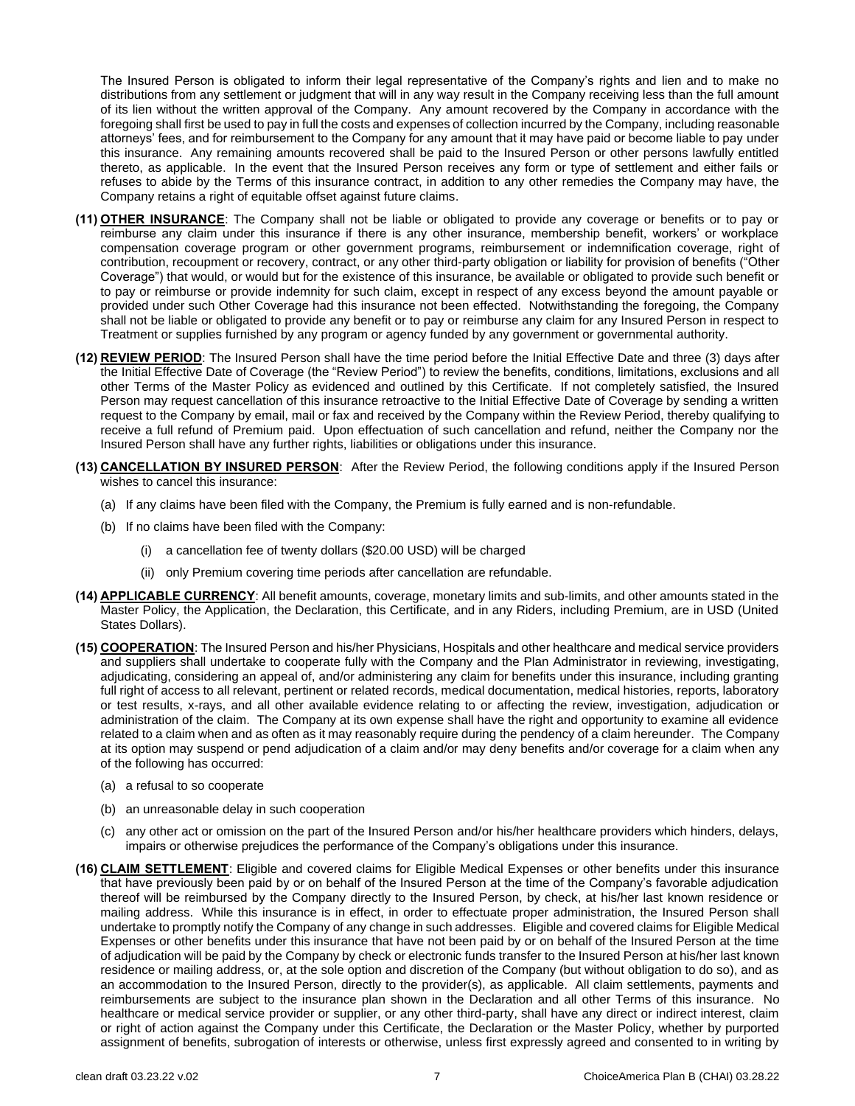The Insured Person is obligated to inform their legal representative of the Company's rights and lien and to make no distributions from any settlement or judgment that will in any way result in the Company receiving less than the full amount of its lien without the written approval of the Company. Any amount recovered by the Company in accordance with the foregoing shall first be used to pay in full the costs and expenses of collection incurred by the Company, including reasonable attorneys' fees, and for reimbursement to the Company for any amount that it may have paid or become liable to pay under this insurance. Any remaining amounts recovered shall be paid to the Insured Person or other persons lawfully entitled thereto, as applicable. In the event that the Insured Person receives any form or type of settlement and either fails or refuses to abide by the Terms of this insurance contract, in addition to any other remedies the Company may have, the Company retains a right of equitable offset against future claims.

- **(11) OTHER INSURANCE**: The Company shall not be liable or obligated to provide any coverage or benefits or to pay or reimburse any claim under this insurance if there is any other insurance, membership benefit, workers' or workplace compensation coverage program or other government programs, reimbursement or indemnification coverage, right of contribution, recoupment or recovery, contract, or any other third-party obligation or liability for provision of benefits ("Other Coverage") that would, or would but for the existence of this insurance, be available or obligated to provide such benefit or to pay or reimburse or provide indemnity for such claim, except in respect of any excess beyond the amount payable or provided under such Other Coverage had this insurance not been effected. Notwithstanding the foregoing, the Company shall not be liable or obligated to provide any benefit or to pay or reimburse any claim for any Insured Person in respect to Treatment or supplies furnished by any program or agency funded by any government or governmental authority.
- **(12) REVIEW PERIOD**: The Insured Person shall have the time period before the Initial Effective Date and three (3) days after the Initial Effective Date of Coverage (the "Review Period") to review the benefits, conditions, limitations, exclusions and all other Terms of the Master Policy as evidenced and outlined by this Certificate. If not completely satisfied, the Insured Person may request cancellation of this insurance retroactive to the Initial Effective Date of Coverage by sending a written request to the Company by email, mail or fax and received by the Company within the Review Period, thereby qualifying to receive a full refund of Premium paid. Upon effectuation of such cancellation and refund, neither the Company nor the Insured Person shall have any further rights, liabilities or obligations under this insurance.
- **(13) CANCELLATION BY INSURED PERSON**: After the Review Period, the following conditions apply if the Insured Person wishes to cancel this insurance:
	- (a) If any claims have been filed with the Company, the Premium is fully earned and is non-refundable.
	- (b) If no claims have been filed with the Company:
		- (i) a cancellation fee of twenty dollars (\$20.00 USD) will be charged
		- (ii) only Premium covering time periods after cancellation are refundable.
- **(14) APPLICABLE CURRENCY**: All benefit amounts, coverage, monetary limits and sub-limits, and other amounts stated in the Master Policy, the Application, the Declaration, this Certificate, and in any Riders, including Premium, are in USD (United States Dollars).
- **(15) COOPERATION**: The Insured Person and his/her Physicians, Hospitals and other healthcare and medical service providers and suppliers shall undertake to cooperate fully with the Company and the Plan Administrator in reviewing, investigating, adjudicating, considering an appeal of, and/or administering any claim for benefits under this insurance, including granting full right of access to all relevant, pertinent or related records, medical documentation, medical histories, reports, laboratory or test results, x-rays, and all other available evidence relating to or affecting the review, investigation, adjudication or administration of the claim. The Company at its own expense shall have the right and opportunity to examine all evidence related to a claim when and as often as it may reasonably require during the pendency of a claim hereunder. The Company at its option may suspend or pend adjudication of a claim and/or may deny benefits and/or coverage for a claim when any of the following has occurred:
	- (a) a refusal to so cooperate
	- (b) an unreasonable delay in such cooperation
	- (c) any other act or omission on the part of the Insured Person and/or his/her healthcare providers which hinders, delays, impairs or otherwise prejudices the performance of the Company's obligations under this insurance.
- **(16) CLAIM SETTLEMENT**: Eligible and covered claims for Eligible Medical Expenses or other benefits under this insurance that have previously been paid by or on behalf of the Insured Person at the time of the Company's favorable adjudication thereof will be reimbursed by the Company directly to the Insured Person, by check, at his/her last known residence or mailing address. While this insurance is in effect, in order to effectuate proper administration, the Insured Person shall undertake to promptly notify the Company of any change in such addresses. Eligible and covered claims for Eligible Medical Expenses or other benefits under this insurance that have not been paid by or on behalf of the Insured Person at the time of adjudication will be paid by the Company by check or electronic funds transfer to the Insured Person at his/her last known residence or mailing address, or, at the sole option and discretion of the Company (but without obligation to do so), and as an accommodation to the Insured Person, directly to the provider(s), as applicable. All claim settlements, payments and reimbursements are subject to the insurance plan shown in the Declaration and all other Terms of this insurance. No healthcare or medical service provider or supplier, or any other third-party, shall have any direct or indirect interest, claim or right of action against the Company under this Certificate, the Declaration or the Master Policy, whether by purported assignment of benefits, subrogation of interests or otherwise, unless first expressly agreed and consented to in writing by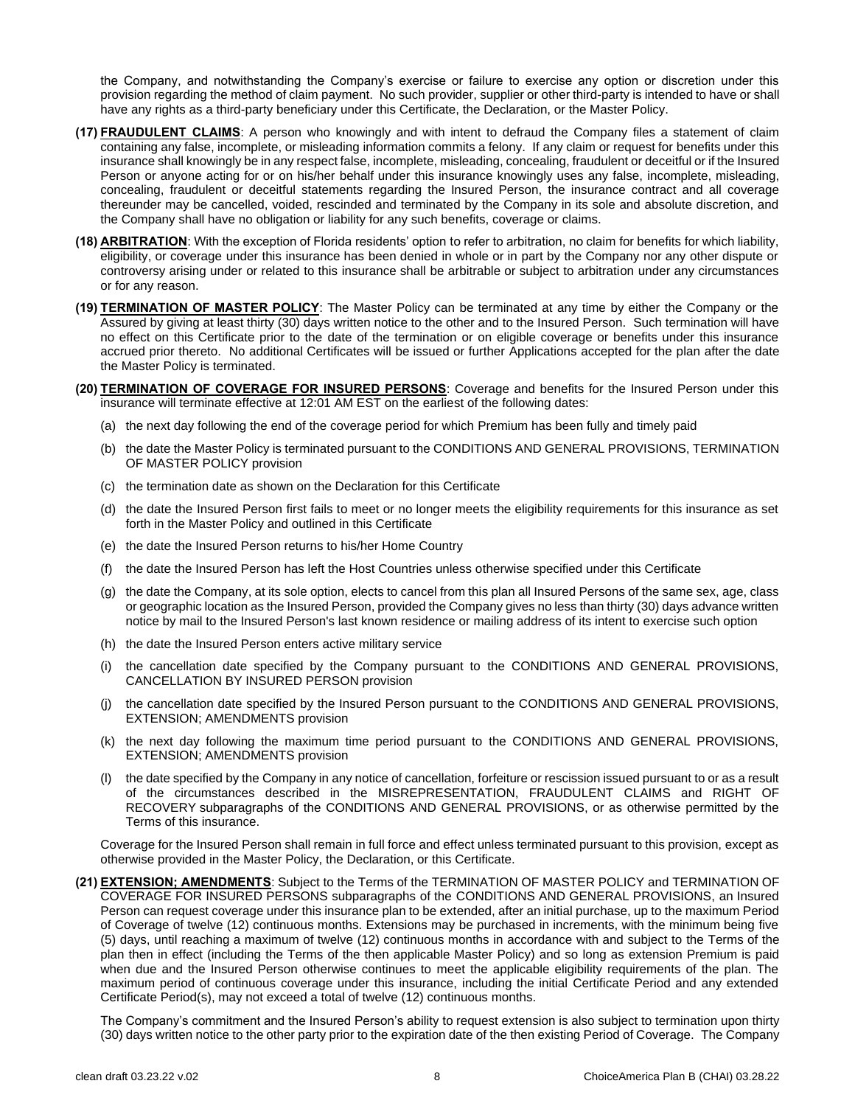the Company, and notwithstanding the Company's exercise or failure to exercise any option or discretion under this provision regarding the method of claim payment. No such provider, supplier or other third-party is intended to have or shall have any rights as a third-party beneficiary under this Certificate, the Declaration, or the Master Policy.

- **(17) FRAUDULENT CLAIMS**: A person who knowingly and with intent to defraud the Company files a statement of claim containing any false, incomplete, or misleading information commits a felony. If any claim or request for benefits under this insurance shall knowingly be in any respect false, incomplete, misleading, concealing, fraudulent or deceitful or if the Insured Person or anyone acting for or on his/her behalf under this insurance knowingly uses any false, incomplete, misleading, concealing, fraudulent or deceitful statements regarding the Insured Person, the insurance contract and all coverage thereunder may be cancelled, voided, rescinded and terminated by the Company in its sole and absolute discretion, and the Company shall have no obligation or liability for any such benefits, coverage or claims.
- **(18) ARBITRATION**: With the exception of Florida residents' option to refer to arbitration, no claim for benefits for which liability, eligibility, or coverage under this insurance has been denied in whole or in part by the Company nor any other dispute or controversy arising under or related to this insurance shall be arbitrable or subject to arbitration under any circumstances or for any reason.
- **(19) TERMINATION OF MASTER POLICY**: The Master Policy can be terminated at any time by either the Company or the Assured by giving at least thirty (30) days written notice to the other and to the Insured Person. Such termination will have no effect on this Certificate prior to the date of the termination or on eligible coverage or benefits under this insurance accrued prior thereto. No additional Certificates will be issued or further Applications accepted for the plan after the date the Master Policy is terminated.
- **(20) TERMINATION OF COVERAGE FOR INSURED PERSONS**: Coverage and benefits for the Insured Person under this insurance will terminate effective at 12:01 AM EST on the earliest of the following dates:
	- (a) the next day following the end of the coverage period for which Premium has been fully and timely paid
	- (b) the date the Master Policy is terminated pursuant to the CONDITIONS AND GENERAL PROVISIONS, TERMINATION OF MASTER POLICY provision
	- (c) the termination date as shown on the Declaration for this Certificate
	- (d) the date the Insured Person first fails to meet or no longer meets the eligibility requirements for this insurance as set forth in the Master Policy and outlined in this Certificate
	- (e) the date the Insured Person returns to his/her Home Country
	- (f) the date the Insured Person has left the Host Countries unless otherwise specified under this Certificate
	- (g) the date the Company, at its sole option, elects to cancel from this plan all Insured Persons of the same sex, age, class or geographic location as the Insured Person, provided the Company gives no less than thirty (30) days advance written notice by mail to the Insured Person's last known residence or mailing address of its intent to exercise such option
	- (h) the date the Insured Person enters active military service
	- (i) the cancellation date specified by the Company pursuant to the CONDITIONS AND GENERAL PROVISIONS, CANCELLATION BY INSURED PERSON provision
	- (j) the cancellation date specified by the Insured Person pursuant to the CONDITIONS AND GENERAL PROVISIONS, EXTENSION; AMENDMENTS provision
	- (k) the next day following the maximum time period pursuant to the CONDITIONS AND GENERAL PROVISIONS, EXTENSION; AMENDMENTS provision
	- (l) the date specified by the Company in any notice of cancellation, forfeiture or rescission issued pursuant to or as a result of the circumstances described in the MISREPRESENTATION, FRAUDULENT CLAIMS and RIGHT OF RECOVERY subparagraphs of the CONDITIONS AND GENERAL PROVISIONS, or as otherwise permitted by the Terms of this insurance.

Coverage for the Insured Person shall remain in full force and effect unless terminated pursuant to this provision, except as otherwise provided in the Master Policy, the Declaration, or this Certificate.

**(21) EXTENSION; AMENDMENTS**: Subject to the Terms of the TERMINATION OF MASTER POLICY and TERMINATION OF COVERAGE FOR INSURED PERSONS subparagraphs of the CONDITIONS AND GENERAL PROVISIONS, an Insured Person can request coverage under this insurance plan to be extended, after an initial purchase, up to the maximum Period of Coverage of twelve (12) continuous months. Extensions may be purchased in increments, with the minimum being five (5) days, until reaching a maximum of twelve (12) continuous months in accordance with and subject to the Terms of the plan then in effect (including the Terms of the then applicable Master Policy) and so long as extension Premium is paid when due and the Insured Person otherwise continues to meet the applicable eligibility requirements of the plan. The maximum period of continuous coverage under this insurance, including the initial Certificate Period and any extended Certificate Period(s), may not exceed a total of twelve (12) continuous months.

The Company's commitment and the Insured Person's ability to request extension is also subject to termination upon thirty (30) days written notice to the other party prior to the expiration date of the then existing Period of Coverage. The Company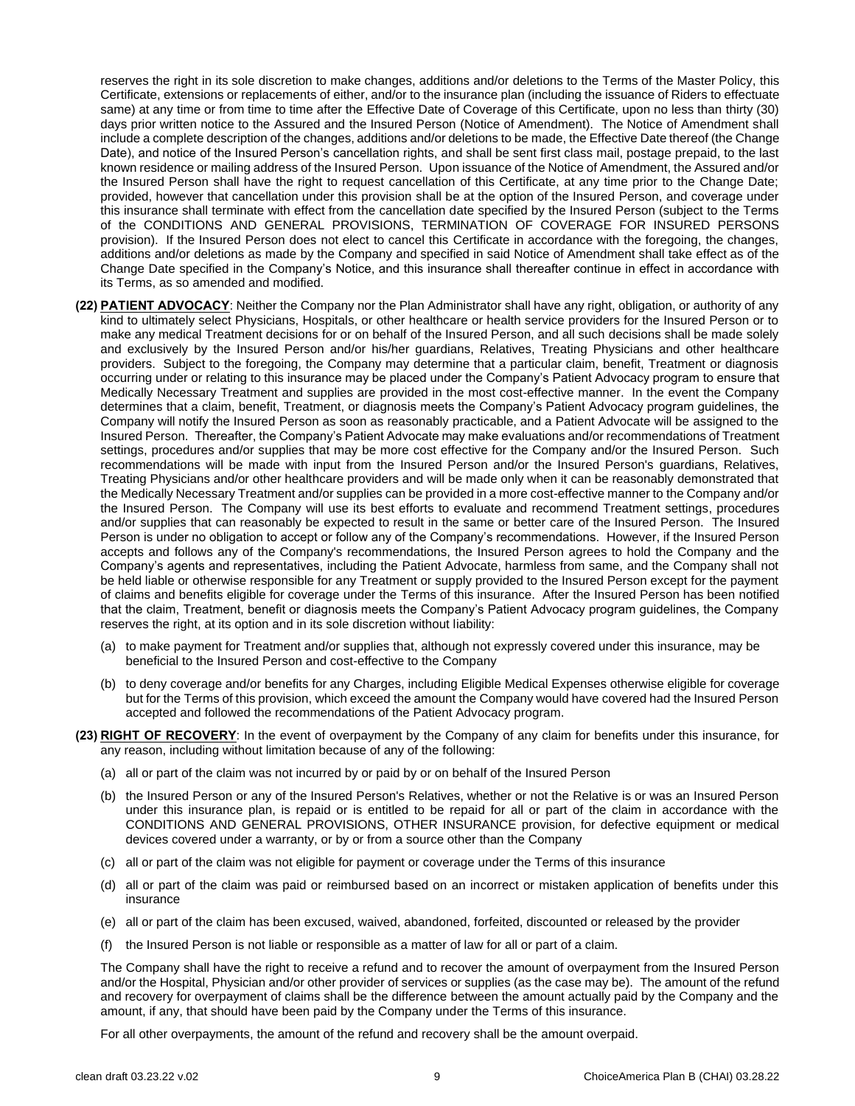reserves the right in its sole discretion to make changes, additions and/or deletions to the Terms of the Master Policy, this Certificate, extensions or replacements of either, and/or to the insurance plan (including the issuance of Riders to effectuate same) at any time or from time to time after the Effective Date of Coverage of this Certificate, upon no less than thirty (30) days prior written notice to the Assured and the Insured Person (Notice of Amendment). The Notice of Amendment shall include a complete description of the changes, additions and/or deletions to be made, the Effective Date thereof (the Change Date), and notice of the Insured Person's cancellation rights, and shall be sent first class mail, postage prepaid, to the last known residence or mailing address of the Insured Person. Upon issuance of the Notice of Amendment, the Assured and/or the Insured Person shall have the right to request cancellation of this Certificate, at any time prior to the Change Date; provided, however that cancellation under this provision shall be at the option of the Insured Person, and coverage under this insurance shall terminate with effect from the cancellation date specified by the Insured Person (subject to the Terms of the CONDITIONS AND GENERAL PROVISIONS, TERMINATION OF COVERAGE FOR INSURED PERSONS provision). If the Insured Person does not elect to cancel this Certificate in accordance with the foregoing, the changes, additions and/or deletions as made by the Company and specified in said Notice of Amendment shall take effect as of the Change Date specified in the Company's Notice, and this insurance shall thereafter continue in effect in accordance with its Terms, as so amended and modified.

- **(22) PATIENT ADVOCACY**: Neither the Company nor the Plan Administrator shall have any right, obligation, or authority of any kind to ultimately select Physicians, Hospitals, or other healthcare or health service providers for the Insured Person or to make any medical Treatment decisions for or on behalf of the Insured Person, and all such decisions shall be made solely and exclusively by the Insured Person and/or his/her guardians, Relatives, Treating Physicians and other healthcare providers. Subject to the foregoing, the Company may determine that a particular claim, benefit, Treatment or diagnosis occurring under or relating to this insurance may be placed under the Company's Patient Advocacy program to ensure that Medically Necessary Treatment and supplies are provided in the most cost-effective manner. In the event the Company determines that a claim, benefit, Treatment, or diagnosis meets the Company's Patient Advocacy program guidelines, the Company will notify the Insured Person as soon as reasonably practicable, and a Patient Advocate will be assigned to the Insured Person. Thereafter, the Company's Patient Advocate may make evaluations and/or recommendations of Treatment settings, procedures and/or supplies that may be more cost effective for the Company and/or the Insured Person. Such recommendations will be made with input from the Insured Person and/or the Insured Person's guardians, Relatives, Treating Physicians and/or other healthcare providers and will be made only when it can be reasonably demonstrated that the Medically Necessary Treatment and/or supplies can be provided in a more cost-effective manner to the Company and/or the Insured Person. The Company will use its best efforts to evaluate and recommend Treatment settings, procedures and/or supplies that can reasonably be expected to result in the same or better care of the Insured Person. The Insured Person is under no obligation to accept or follow any of the Company's recommendations. However, if the Insured Person accepts and follows any of the Company's recommendations, the Insured Person agrees to hold the Company and the Company's agents and representatives, including the Patient Advocate, harmless from same, and the Company shall not be held liable or otherwise responsible for any Treatment or supply provided to the Insured Person except for the payment of claims and benefits eligible for coverage under the Terms of this insurance. After the Insured Person has been notified that the claim, Treatment, benefit or diagnosis meets the Company's Patient Advocacy program guidelines, the Company reserves the right, at its option and in its sole discretion without liability:
	- (a) to make payment for Treatment and/or supplies that, although not expressly covered under this insurance, may be beneficial to the Insured Person and cost-effective to the Company
	- (b) to deny coverage and/or benefits for any Charges, including Eligible Medical Expenses otherwise eligible for coverage but for the Terms of this provision, which exceed the amount the Company would have covered had the Insured Person accepted and followed the recommendations of the Patient Advocacy program.
- **(23) RIGHT OF RECOVERY**: In the event of overpayment by the Company of any claim for benefits under this insurance, for any reason, including without limitation because of any of the following:
	- (a) all or part of the claim was not incurred by or paid by or on behalf of the Insured Person
	- (b) the Insured Person or any of the Insured Person's Relatives, whether or not the Relative is or was an Insured Person under this insurance plan, is repaid or is entitled to be repaid for all or part of the claim in accordance with the CONDITIONS AND GENERAL PROVISIONS, OTHER INSURANCE provision, for defective equipment or medical devices covered under a warranty, or by or from a source other than the Company
	- (c) all or part of the claim was not eligible for payment or coverage under the Terms of this insurance
	- (d) all or part of the claim was paid or reimbursed based on an incorrect or mistaken application of benefits under this insurance
	- (e) all or part of the claim has been excused, waived, abandoned, forfeited, discounted or released by the provider
	- (f) the Insured Person is not liable or responsible as a matter of law for all or part of a claim.

The Company shall have the right to receive a refund and to recover the amount of overpayment from the Insured Person and/or the Hospital, Physician and/or other provider of services or supplies (as the case may be). The amount of the refund and recovery for overpayment of claims shall be the difference between the amount actually paid by the Company and the amount, if any, that should have been paid by the Company under the Terms of this insurance.

For all other overpayments, the amount of the refund and recovery shall be the amount overpaid.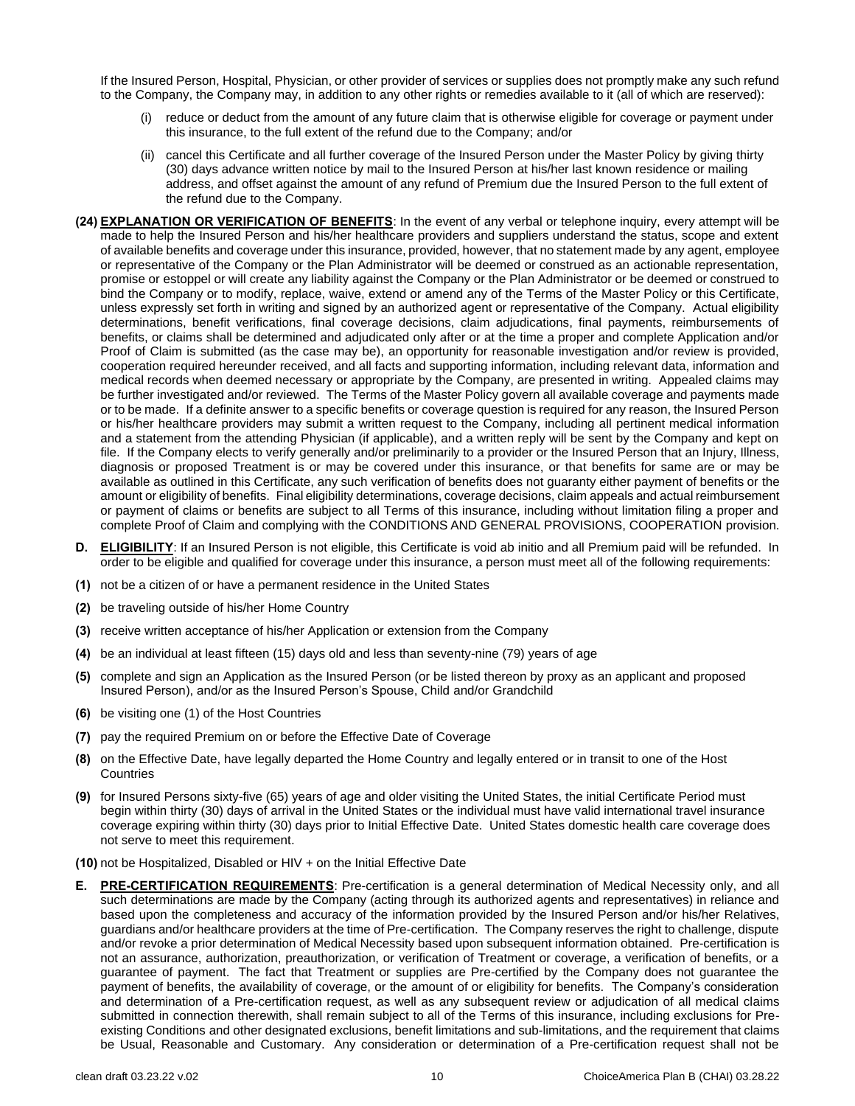If the Insured Person, Hospital, Physician, or other provider of services or supplies does not promptly make any such refund to the Company, the Company may, in addition to any other rights or remedies available to it (all of which are reserved):

- (i) reduce or deduct from the amount of any future claim that is otherwise eligible for coverage or payment under this insurance, to the full extent of the refund due to the Company; and/or
- (ii) cancel this Certificate and all further coverage of the Insured Person under the Master Policy by giving thirty (30) days advance written notice by mail to the Insured Person at his/her last known residence or mailing address, and offset against the amount of any refund of Premium due the Insured Person to the full extent of the refund due to the Company.
- **(24) EXPLANATION OR VERIFICATION OF BENEFITS**: In the event of any verbal or telephone inquiry, every attempt will be made to help the Insured Person and his/her healthcare providers and suppliers understand the status, scope and extent of available benefits and coverage under this insurance, provided, however, that no statement made by any agent, employee or representative of the Company or the Plan Administrator will be deemed or construed as an actionable representation, promise or estoppel or will create any liability against the Company or the Plan Administrator or be deemed or construed to bind the Company or to modify, replace, waive, extend or amend any of the Terms of the Master Policy or this Certificate, unless expressly set forth in writing and signed by an authorized agent or representative of the Company. Actual eligibility determinations, benefit verifications, final coverage decisions, claim adjudications, final payments, reimbursements of benefits, or claims shall be determined and adjudicated only after or at the time a proper and complete Application and/or Proof of Claim is submitted (as the case may be), an opportunity for reasonable investigation and/or review is provided, cooperation required hereunder received, and all facts and supporting information, including relevant data, information and medical records when deemed necessary or appropriate by the Company, are presented in writing. Appealed claims may be further investigated and/or reviewed. The Terms of the Master Policy govern all available coverage and payments made or to be made. If a definite answer to a specific benefits or coverage question is required for any reason, the Insured Person or his/her healthcare providers may submit a written request to the Company, including all pertinent medical information and a statement from the attending Physician (if applicable), and a written reply will be sent by the Company and kept on file. If the Company elects to verify generally and/or preliminarily to a provider or the Insured Person that an Injury, Illness, diagnosis or proposed Treatment is or may be covered under this insurance, or that benefits for same are or may be available as outlined in this Certificate, any such verification of benefits does not guaranty either payment of benefits or the amount or eligibility of benefits. Final eligibility determinations, coverage decisions, claim appeals and actual reimbursement or payment of claims or benefits are subject to all Terms of this insurance, including without limitation filing a proper and complete Proof of Claim and complying with the CONDITIONS AND GENERAL PROVISIONS, COOPERATION provision.
- **D. ELIGIBILITY**: If an Insured Person is not eligible, this Certificate is void ab initio and all Premium paid will be refunded. In order to be eligible and qualified for coverage under this insurance, a person must meet all of the following requirements:
- **(1)** not be a citizen of or have a permanent residence in the United States
- **(2)** be traveling outside of his/her Home Country
- **(3)** receive written acceptance of his/her Application or extension from the Company
- **(4)** be an individual at least fifteen (15) days old and less than seventy-nine (79) years of age
- **(5)** complete and sign an Application as the Insured Person (or be listed thereon by proxy as an applicant and proposed Insured Person), and/or as the Insured Person's Spouse, Child and/or Grandchild
- **(6)** be visiting one (1) of the Host Countries
- **(7)** pay the required Premium on or before the Effective Date of Coverage
- **(8)** on the Effective Date, have legally departed the Home Country and legally entered or in transit to one of the Host **Countries**
- **(9)** for Insured Persons sixty-five (65) years of age and older visiting the United States, the initial Certificate Period must begin within thirty (30) days of arrival in the United States or the individual must have valid international travel insurance coverage expiring within thirty (30) days prior to Initial Effective Date. United States domestic health care coverage does not serve to meet this requirement.
- **(10)** not be Hospitalized, Disabled or HIV + on the Initial Effective Date
- **E. PRE-CERTIFICATION REQUIREMENTS**: Pre-certification is a general determination of Medical Necessity only, and all such determinations are made by the Company (acting through its authorized agents and representatives) in reliance and based upon the completeness and accuracy of the information provided by the Insured Person and/or his/her Relatives, guardians and/or healthcare providers at the time of Pre-certification. The Company reserves the right to challenge, dispute and/or revoke a prior determination of Medical Necessity based upon subsequent information obtained. Pre-certification is not an assurance, authorization, preauthorization, or verification of Treatment or coverage, a verification of benefits, or a guarantee of payment. The fact that Treatment or supplies are Pre-certified by the Company does not guarantee the payment of benefits, the availability of coverage, or the amount of or eligibility for benefits. The Company's consideration and determination of a Pre-certification request, as well as any subsequent review or adjudication of all medical claims submitted in connection therewith, shall remain subject to all of the Terms of this insurance, including exclusions for Preexisting Conditions and other designated exclusions, benefit limitations and sub-limitations, and the requirement that claims be Usual, Reasonable and Customary. Any consideration or determination of a Pre-certification request shall not be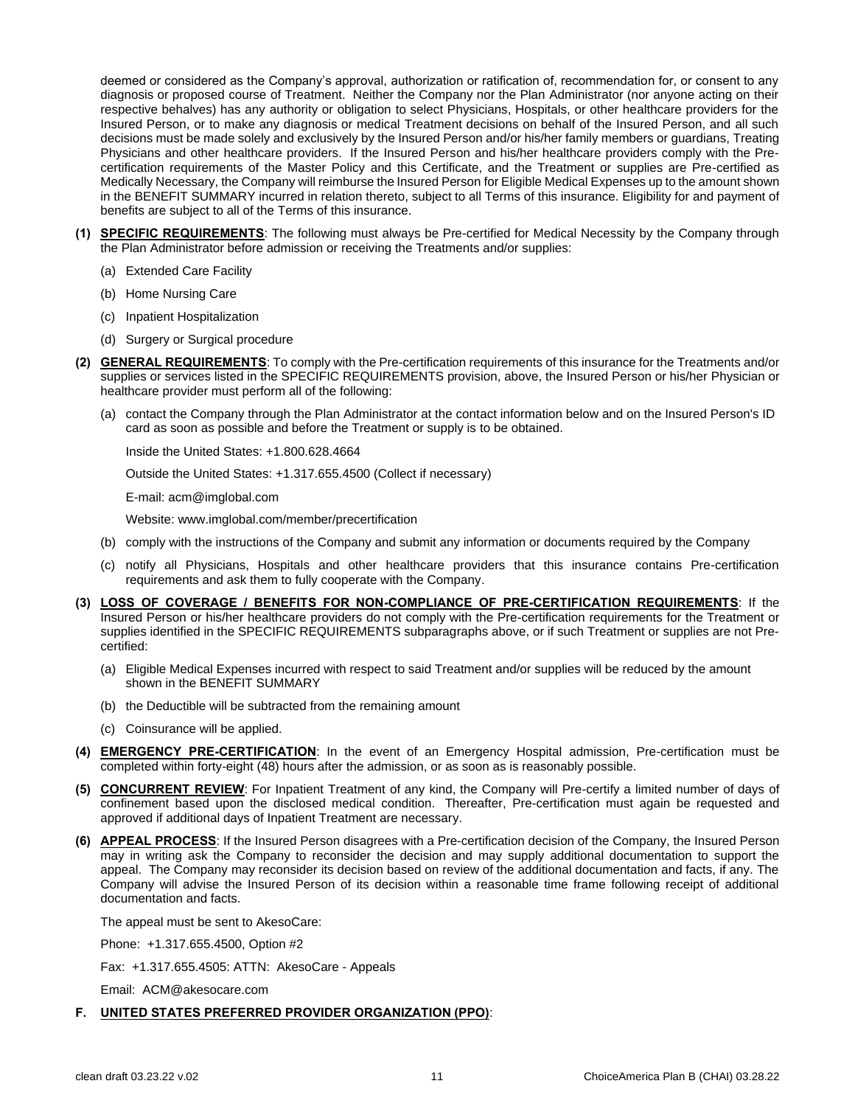deemed or considered as the Company's approval, authorization or ratification of, recommendation for, or consent to any diagnosis or proposed course of Treatment. Neither the Company nor the Plan Administrator (nor anyone acting on their respective behalves) has any authority or obligation to select Physicians, Hospitals, or other healthcare providers for the Insured Person, or to make any diagnosis or medical Treatment decisions on behalf of the Insured Person, and all such decisions must be made solely and exclusively by the Insured Person and/or his/her family members or guardians, Treating Physicians and other healthcare providers. If the Insured Person and his/her healthcare providers comply with the Precertification requirements of the Master Policy and this Certificate, and the Treatment or supplies are Pre-certified as Medically Necessary, the Company will reimburse the Insured Person for Eligible Medical Expenses up to the amount shown in the BENEFIT SUMMARY incurred in relation thereto, subject to all Terms of this insurance. Eligibility for and payment of benefits are subject to all of the Terms of this insurance.

- **(1) SPECIFIC REQUIREMENTS**: The following must always be Pre-certified for Medical Necessity by the Company through the Plan Administrator before admission or receiving the Treatments and/or supplies:
	- (a) Extended Care Facility
	- (b) Home Nursing Care
	- (c) Inpatient Hospitalization
	- (d) Surgery or Surgical procedure
- **(2) GENERAL REQUIREMENTS**: To comply with the Pre-certification requirements of this insurance for the Treatments and/or supplies or services listed in the SPECIFIC REQUIREMENTS provision, above, the Insured Person or his/her Physician or healthcare provider must perform all of the following:
	- (a) contact the Company through the Plan Administrator at the contact information below and on the Insured Person's ID card as soon as possible and before the Treatment or supply is to be obtained.

Inside the United States: +1.800.628.4664

Outside the United States: +1.317.655.4500 (Collect if necessary)

E-mail: acm@imglobal.com

Website: www.imglobal.com/member/precertification

- (b) comply with the instructions of the Company and submit any information or documents required by the Company
- (c) notify all Physicians, Hospitals and other healthcare providers that this insurance contains Pre-certification requirements and ask them to fully cooperate with the Company.
- **(3) LOSS OF COVERAGE / BENEFITS FOR NON-COMPLIANCE OF PRE-CERTIFICATION REQUIREMENTS**: If the Insured Person or his/her healthcare providers do not comply with the Pre-certification requirements for the Treatment or supplies identified in the SPECIFIC REQUIREMENTS subparagraphs above, or if such Treatment or supplies are not Precertified:
	- (a) Eligible Medical Expenses incurred with respect to said Treatment and/or supplies will be reduced by the amount shown in the BENEFIT SUMMARY
	- (b) the Deductible will be subtracted from the remaining amount
	- (c) Coinsurance will be applied.
- **(4) EMERGENCY PRE-CERTIFICATION**: In the event of an Emergency Hospital admission, Pre-certification must be completed within forty-eight (48) hours after the admission, or as soon as is reasonably possible.
- **(5) CONCURRENT REVIEW**: For Inpatient Treatment of any kind, the Company will Pre-certify a limited number of days of confinement based upon the disclosed medical condition. Thereafter, Pre-certification must again be requested and approved if additional days of Inpatient Treatment are necessary.
- **(6) APPEAL PROCESS**: If the Insured Person disagrees with a Pre-certification decision of the Company, the Insured Person may in writing ask the Company to reconsider the decision and may supply additional documentation to support the appeal. The Company may reconsider its decision based on review of the additional documentation and facts, if any. The Company will advise the Insured Person of its decision within a reasonable time frame following receipt of additional documentation and facts.

The appeal must be sent to AkesoCare:

Phone: +1.317.655.4500, Option #2

Fax: +1.317.655.4505: ATTN: AkesoCare - Appeals

Email: ACM@akesocare.com

#### **F. UNITED STATES PREFERRED PROVIDER ORGANIZATION (PPO)**: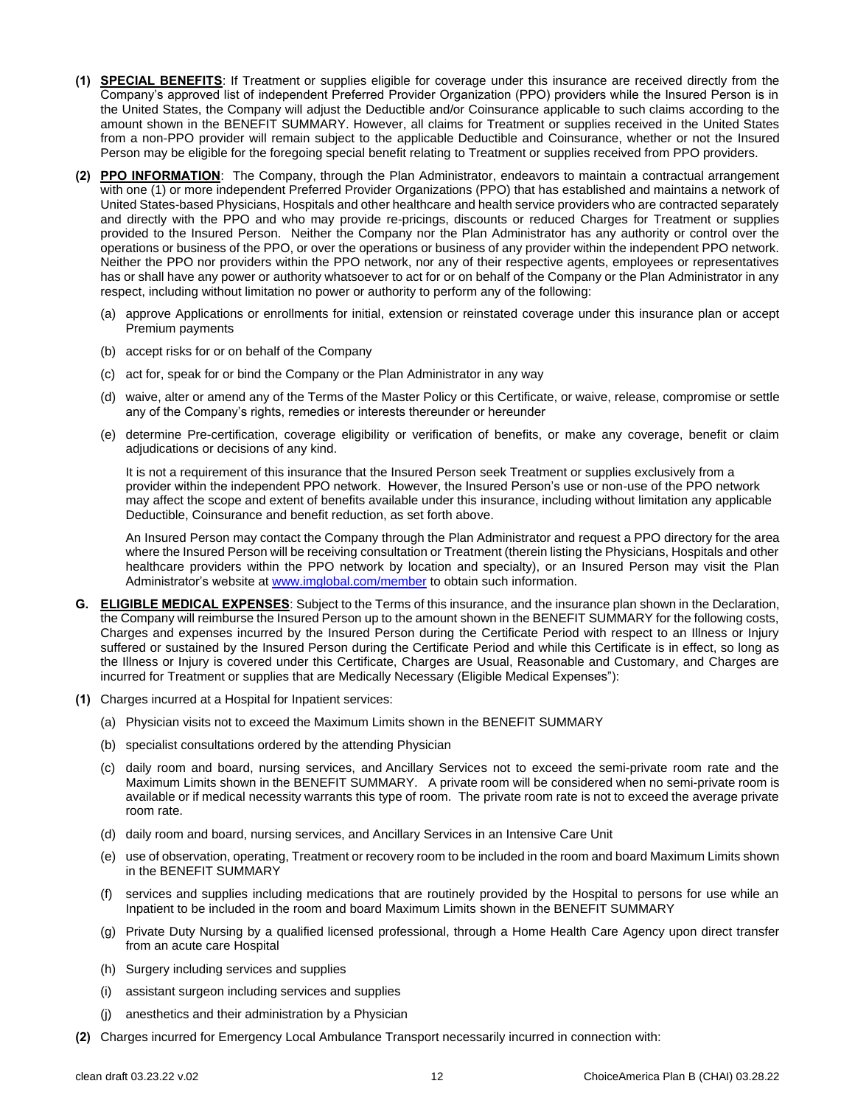- **(1) SPECIAL BENEFITS**: If Treatment or supplies eligible for coverage under this insurance are received directly from the Company's approved list of independent Preferred Provider Organization (PPO) providers while the Insured Person is in the United States, the Company will adjust the Deductible and/or Coinsurance applicable to such claims according to the amount shown in the BENEFIT SUMMARY. However, all claims for Treatment or supplies received in the United States from a non-PPO provider will remain subject to the applicable Deductible and Coinsurance, whether or not the Insured Person may be eligible for the foregoing special benefit relating to Treatment or supplies received from PPO providers.
- **(2) PPO INFORMATION**: The Company, through the Plan Administrator, endeavors to maintain a contractual arrangement with one (1) or more independent Preferred Provider Organizations (PPO) that has established and maintains a network of United States-based Physicians, Hospitals and other healthcare and health service providers who are contracted separately and directly with the PPO and who may provide re-pricings, discounts or reduced Charges for Treatment or supplies provided to the Insured Person. Neither the Company nor the Plan Administrator has any authority or control over the operations or business of the PPO, or over the operations or business of any provider within the independent PPO network. Neither the PPO nor providers within the PPO network, nor any of their respective agents, employees or representatives has or shall have any power or authority whatsoever to act for or on behalf of the Company or the Plan Administrator in any respect, including without limitation no power or authority to perform any of the following:
	- (a) approve Applications or enrollments for initial, extension or reinstated coverage under this insurance plan or accept Premium payments
	- (b) accept risks for or on behalf of the Company
	- (c) act for, speak for or bind the Company or the Plan Administrator in any way
	- (d) waive, alter or amend any of the Terms of the Master Policy or this Certificate, or waive, release, compromise or settle any of the Company's rights, remedies or interests thereunder or hereunder
	- (e) determine Pre-certification, coverage eligibility or verification of benefits, or make any coverage, benefit or claim adjudications or decisions of any kind.

It is not a requirement of this insurance that the Insured Person seek Treatment or supplies exclusively from a provider within the independent PPO network. However, the Insured Person's use or non-use of the PPO network may affect the scope and extent of benefits available under this insurance, including without limitation any applicable Deductible, Coinsurance and benefit reduction, as set forth above.

An Insured Person may contact the Company through the Plan Administrator and request a PPO directory for the area where the Insured Person will be receiving consultation or Treatment (therein listing the Physicians, Hospitals and other healthcare providers within the PPO network by location and specialty), or an Insured Person may visit the Plan Administrator's website at [www.imglobal.com/member](http://www.imglobal.com/member) to obtain such information.

- **G. ELIGIBLE MEDICAL EXPENSES**: Subject to the Terms of this insurance, and the insurance plan shown in the Declaration, the Company will reimburse the Insured Person up to the amount shown in the BENEFIT SUMMARY for the following costs, Charges and expenses incurred by the Insured Person during the Certificate Period with respect to an Illness or Injury suffered or sustained by the Insured Person during the Certificate Period and while this Certificate is in effect, so long as the Illness or Injury is covered under this Certificate, Charges are Usual, Reasonable and Customary, and Charges are incurred for Treatment or supplies that are Medically Necessary (Eligible Medical Expenses"):
- **(1)** Charges incurred at a Hospital for Inpatient services:
	- (a) Physician visits not to exceed the Maximum Limits shown in the BENEFIT SUMMARY
	- (b) specialist consultations ordered by the attending Physician
	- (c) daily room and board, nursing services, and Ancillary Services not to exceed the semi-private room rate and the Maximum Limits shown in the BENEFIT SUMMARY. A private room will be considered when no semi-private room is available or if medical necessity warrants this type of room. The private room rate is not to exceed the average private room rate.
	- (d) daily room and board, nursing services, and Ancillary Services in an Intensive Care Unit
	- (e) use of observation, operating, Treatment or recovery room to be included in the room and board Maximum Limits shown in the BENEFIT SUMMARY
	- (f) services and supplies including medications that are routinely provided by the Hospital to persons for use while an Inpatient to be included in the room and board Maximum Limits shown in the BENEFIT SUMMARY
	- (g) Private Duty Nursing by a qualified licensed professional, through a Home Health Care Agency upon direct transfer from an acute care Hospital
	- (h) Surgery including services and supplies
	- (i) assistant surgeon including services and supplies
	- (j) anesthetics and their administration by a Physician
- **(2)** Charges incurred for Emergency Local Ambulance Transport necessarily incurred in connection with: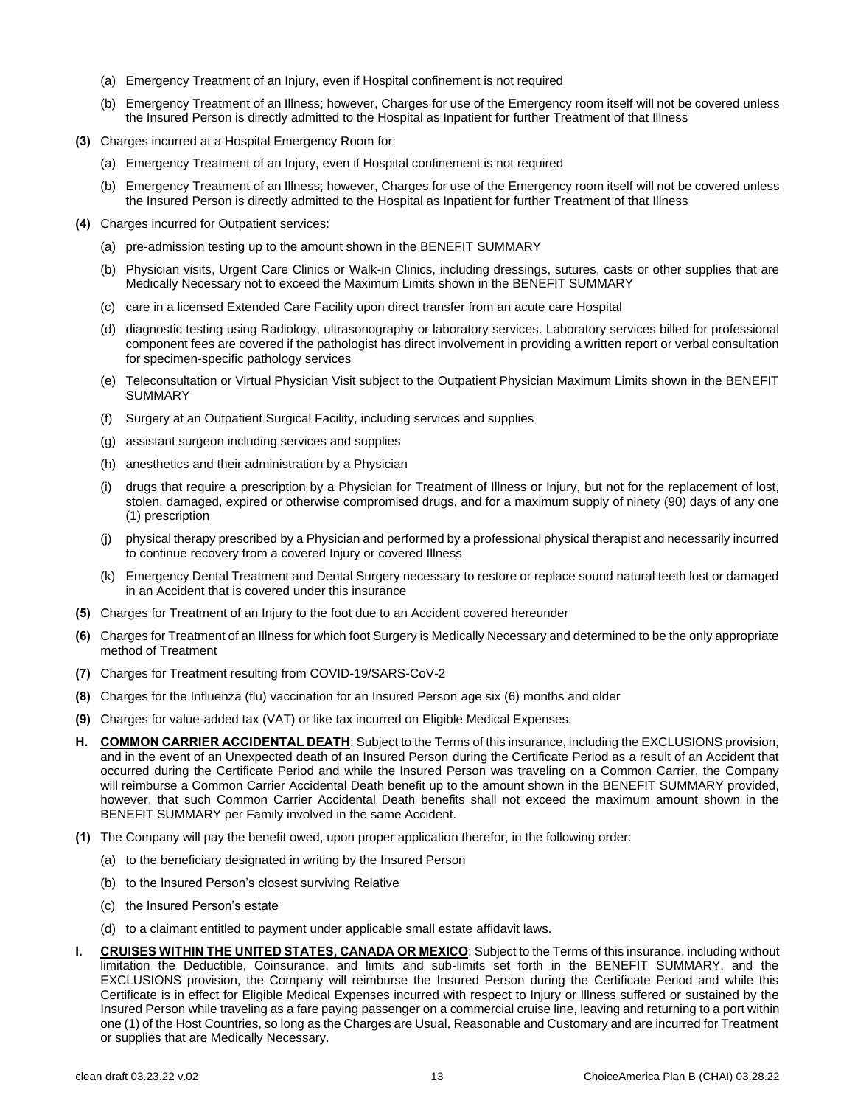- (a) Emergency Treatment of an Injury, even if Hospital confinement is not required
- (b) Emergency Treatment of an Illness; however, Charges for use of the Emergency room itself will not be covered unless the Insured Person is directly admitted to the Hospital as Inpatient for further Treatment of that Illness
- **(3)** Charges incurred at a Hospital Emergency Room for:
	- (a) Emergency Treatment of an Injury, even if Hospital confinement is not required
	- (b) Emergency Treatment of an Illness; however, Charges for use of the Emergency room itself will not be covered unless the Insured Person is directly admitted to the Hospital as Inpatient for further Treatment of that Illness
- **(4)** Charges incurred for Outpatient services:
	- (a) pre-admission testing up to the amount shown in the BENEFIT SUMMARY
	- (b) Physician visits, Urgent Care Clinics or Walk-in Clinics, including dressings, sutures, casts or other supplies that are Medically Necessary not to exceed the Maximum Limits shown in the BENEFIT SUMMARY
	- (c) care in a licensed Extended Care Facility upon direct transfer from an acute care Hospital
	- (d) diagnostic testing using Radiology, ultrasonography or laboratory services. Laboratory services billed for professional component fees are covered if the pathologist has direct involvement in providing a written report or verbal consultation for specimen-specific pathology services
	- (e) Teleconsultation or Virtual Physician Visit subject to the Outpatient Physician Maximum Limits shown in the BENEFIT **SUMMARY**
	- (f) Surgery at an Outpatient Surgical Facility, including services and supplies
	- (g) assistant surgeon including services and supplies
	- (h) anesthetics and their administration by a Physician
	- (i) drugs that require a prescription by a Physician for Treatment of Illness or Injury, but not for the replacement of lost, stolen, damaged, expired or otherwise compromised drugs, and for a maximum supply of ninety (90) days of any one (1) prescription
	- (j) physical therapy prescribed by a Physician and performed by a professional physical therapist and necessarily incurred to continue recovery from a covered Injury or covered Illness
	- (k) Emergency Dental Treatment and Dental Surgery necessary to restore or replace sound natural teeth lost or damaged in an Accident that is covered under this insurance
- **(5)** Charges for Treatment of an Injury to the foot due to an Accident covered hereunder
- **(6)** Charges for Treatment of an Illness for which foot Surgery is Medically Necessary and determined to be the only appropriate method of Treatment
- **(7)** Charges for Treatment resulting from COVID-19/SARS-CoV-2
- **(8)** Charges for the Influenza (flu) vaccination for an Insured Person age six (6) months and older
- **(9)** Charges for value-added tax (VAT) or like tax incurred on Eligible Medical Expenses.
- **H. COMMON CARRIER ACCIDENTAL DEATH**: Subject to the Terms of this insurance, including the EXCLUSIONS provision, and in the event of an Unexpected death of an Insured Person during the Certificate Period as a result of an Accident that occurred during the Certificate Period and while the Insured Person was traveling on a Common Carrier, the Company will reimburse a Common Carrier Accidental Death benefit up to the amount shown in the BENEFIT SUMMARY provided, however, that such Common Carrier Accidental Death benefits shall not exceed the maximum amount shown in the BENEFIT SUMMARY per Family involved in the same Accident.
- **(1)** The Company will pay the benefit owed, upon proper application therefor, in the following order:
	- (a) to the beneficiary designated in writing by the Insured Person
	- (b) to the Insured Person's closest surviving Relative
	- (c) the Insured Person's estate
	- (d) to a claimant entitled to payment under applicable small estate affidavit laws.
- **I. CRUISES WITHIN THE UNITED STATES, CANADA OR MEXICO**: Subject to the Terms of this insurance, including without limitation the Deductible, Coinsurance, and limits and sub-limits set forth in the BENEFIT SUMMARY, and the EXCLUSIONS provision, the Company will reimburse the Insured Person during the Certificate Period and while this Certificate is in effect for Eligible Medical Expenses incurred with respect to Injury or Illness suffered or sustained by the Insured Person while traveling as a fare paying passenger on a commercial cruise line, leaving and returning to a port within one (1) of the Host Countries, so long as the Charges are Usual, Reasonable and Customary and are incurred for Treatment or supplies that are Medically Necessary.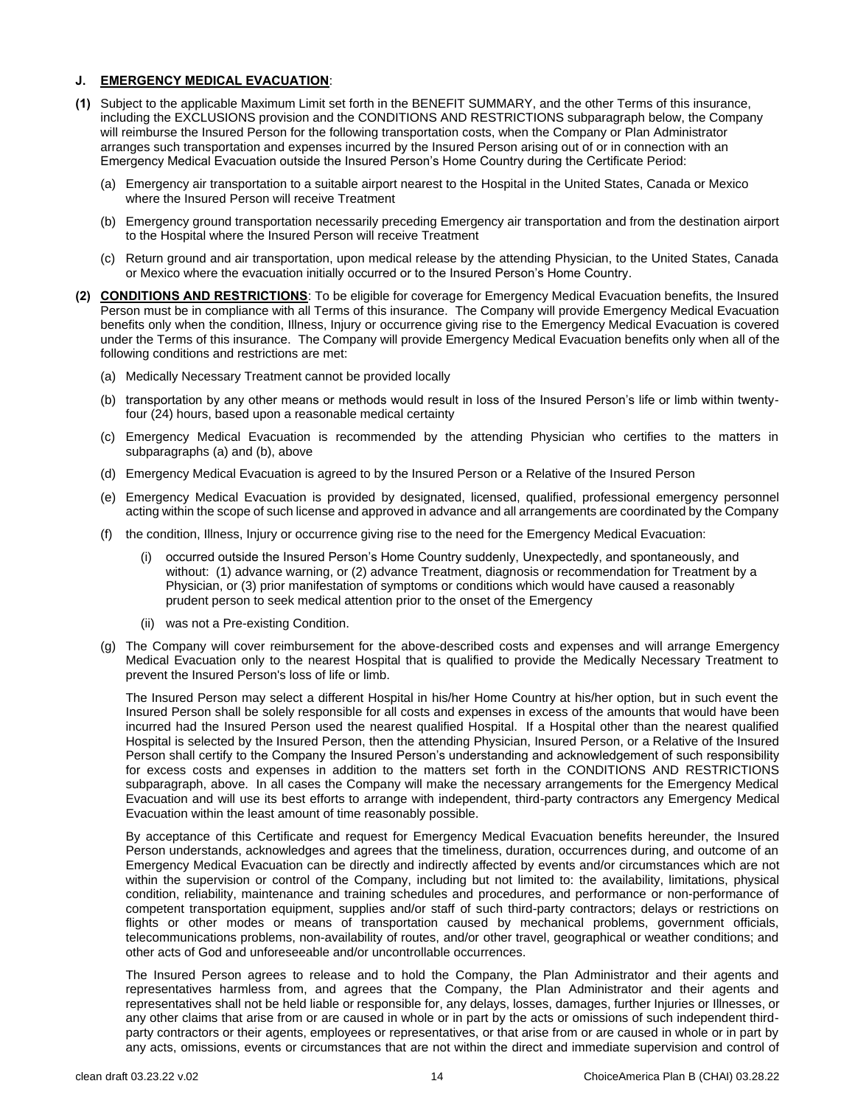### **J. EMERGENCY MEDICAL EVACUATION**:

- **(1)** Subject to the applicable Maximum Limit set forth in the BENEFIT SUMMARY, and the other Terms of this insurance, including the EXCLUSIONS provision and the CONDITIONS AND RESTRICTIONS subparagraph below, the Company will reimburse the Insured Person for the following transportation costs, when the Company or Plan Administrator arranges such transportation and expenses incurred by the Insured Person arising out of or in connection with an Emergency Medical Evacuation outside the Insured Person's Home Country during the Certificate Period:
	- (a) Emergency air transportation to a suitable airport nearest to the Hospital in the United States, Canada or Mexico where the Insured Person will receive Treatment
	- (b) Emergency ground transportation necessarily preceding Emergency air transportation and from the destination airport to the Hospital where the Insured Person will receive Treatment
	- (c) Return ground and air transportation, upon medical release by the attending Physician, to the United States, Canada or Mexico where the evacuation initially occurred or to the Insured Person's Home Country.
- **(2) CONDITIONS AND RESTRICTIONS**: To be eligible for coverage for Emergency Medical Evacuation benefits, the Insured Person must be in compliance with all Terms of this insurance. The Company will provide Emergency Medical Evacuation benefits only when the condition, Illness, Injury or occurrence giving rise to the Emergency Medical Evacuation is covered under the Terms of this insurance. The Company will provide Emergency Medical Evacuation benefits only when all of the following conditions and restrictions are met:
	- (a) Medically Necessary Treatment cannot be provided locally
	- (b) transportation by any other means or methods would result in loss of the Insured Person's life or limb within twentyfour (24) hours, based upon a reasonable medical certainty
	- (c) Emergency Medical Evacuation is recommended by the attending Physician who certifies to the matters in subparagraphs (a) and (b), above
	- (d) Emergency Medical Evacuation is agreed to by the Insured Person or a Relative of the Insured Person
	- (e) Emergency Medical Evacuation is provided by designated, licensed, qualified, professional emergency personnel acting within the scope of such license and approved in advance and all arrangements are coordinated by the Company
	- (f) the condition, Illness, Injury or occurrence giving rise to the need for the Emergency Medical Evacuation:
		- (i) occurred outside the Insured Person's Home Country suddenly, Unexpectedly, and spontaneously, and without: (1) advance warning, or (2) advance Treatment, diagnosis or recommendation for Treatment by a Physician, or (3) prior manifestation of symptoms or conditions which would have caused a reasonably prudent person to seek medical attention prior to the onset of the Emergency
		- (ii) was not a Pre-existing Condition.
	- (g) The Company will cover reimbursement for the above-described costs and expenses and will arrange Emergency Medical Evacuation only to the nearest Hospital that is qualified to provide the Medically Necessary Treatment to prevent the Insured Person's loss of life or limb.

The Insured Person may select a different Hospital in his/her Home Country at his/her option, but in such event the Insured Person shall be solely responsible for all costs and expenses in excess of the amounts that would have been incurred had the Insured Person used the nearest qualified Hospital. If a Hospital other than the nearest qualified Hospital is selected by the Insured Person, then the attending Physician, Insured Person, or a Relative of the Insured Person shall certify to the Company the Insured Person's understanding and acknowledgement of such responsibility for excess costs and expenses in addition to the matters set forth in the CONDITIONS AND RESTRICTIONS subparagraph, above. In all cases the Company will make the necessary arrangements for the Emergency Medical Evacuation and will use its best efforts to arrange with independent, third-party contractors any Emergency Medical Evacuation within the least amount of time reasonably possible.

By acceptance of this Certificate and request for Emergency Medical Evacuation benefits hereunder, the Insured Person understands, acknowledges and agrees that the timeliness, duration, occurrences during, and outcome of an Emergency Medical Evacuation can be directly and indirectly affected by events and/or circumstances which are not within the supervision or control of the Company, including but not limited to: the availability, limitations, physical condition, reliability, maintenance and training schedules and procedures, and performance or non-performance of competent transportation equipment, supplies and/or staff of such third-party contractors; delays or restrictions on flights or other modes or means of transportation caused by mechanical problems, government officials, telecommunications problems, non-availability of routes, and/or other travel, geographical or weather conditions; and other acts of God and unforeseeable and/or uncontrollable occurrences.

The Insured Person agrees to release and to hold the Company, the Plan Administrator and their agents and representatives harmless from, and agrees that the Company, the Plan Administrator and their agents and representatives shall not be held liable or responsible for, any delays, losses, damages, further Injuries or Illnesses, or any other claims that arise from or are caused in whole or in part by the acts or omissions of such independent thirdparty contractors or their agents, employees or representatives, or that arise from or are caused in whole or in part by any acts, omissions, events or circumstances that are not within the direct and immediate supervision and control of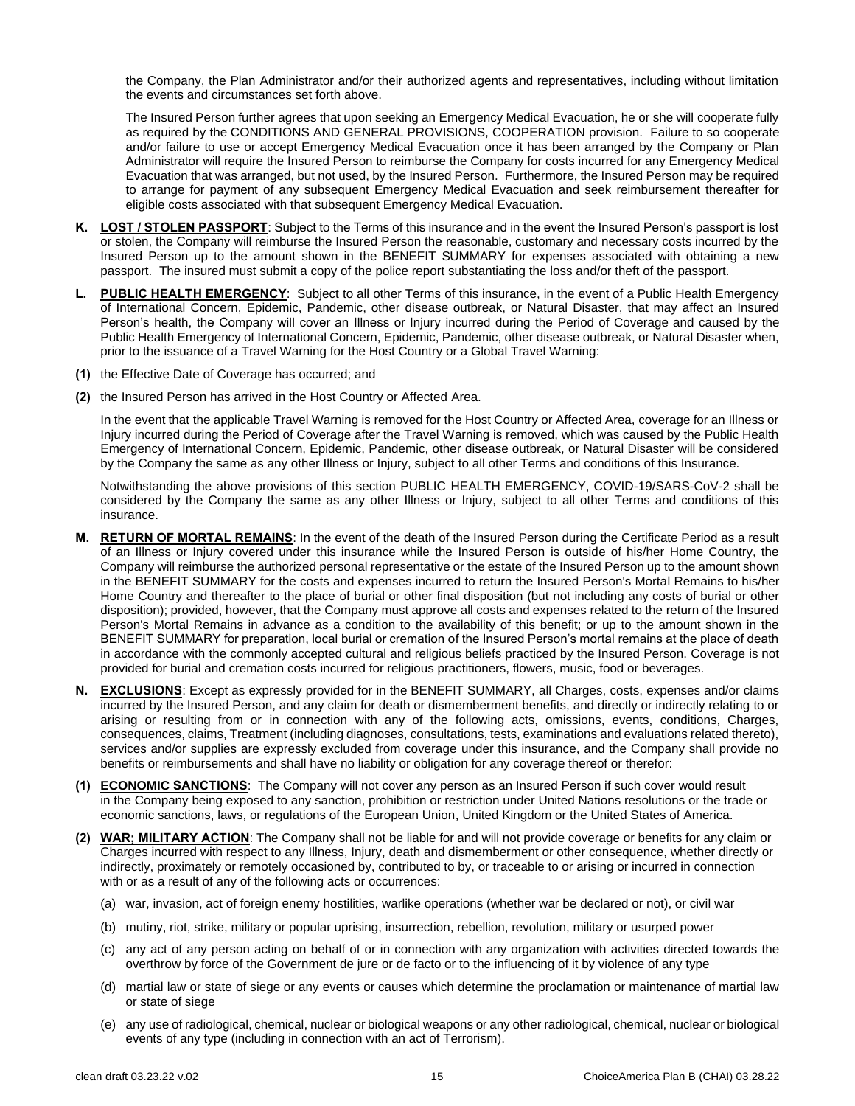the Company, the Plan Administrator and/or their authorized agents and representatives, including without limitation the events and circumstances set forth above.

The Insured Person further agrees that upon seeking an Emergency Medical Evacuation, he or she will cooperate fully as required by the CONDITIONS AND GENERAL PROVISIONS, COOPERATION provision. Failure to so cooperate and/or failure to use or accept Emergency Medical Evacuation once it has been arranged by the Company or Plan Administrator will require the Insured Person to reimburse the Company for costs incurred for any Emergency Medical Evacuation that was arranged, but not used, by the Insured Person. Furthermore, the Insured Person may be required to arrange for payment of any subsequent Emergency Medical Evacuation and seek reimbursement thereafter for eligible costs associated with that subsequent Emergency Medical Evacuation.

- **K. LOST / STOLEN PASSPORT**: Subject to the Terms of this insurance and in the event the Insured Person's passport is lost or stolen, the Company will reimburse the Insured Person the reasonable, customary and necessary costs incurred by the Insured Person up to the amount shown in the BENEFIT SUMMARY for expenses associated with obtaining a new passport. The insured must submit a copy of the police report substantiating the loss and/or theft of the passport.
- **L. PUBLIC HEALTH EMERGENCY**: Subject to all other Terms of this insurance, in the event of a Public Health Emergency of International Concern, Epidemic, Pandemic, other disease outbreak, or Natural Disaster, that may affect an Insured Person's health, the Company will cover an Illness or Injury incurred during the Period of Coverage and caused by the Public Health Emergency of International Concern, Epidemic, Pandemic, other disease outbreak, or Natural Disaster when, prior to the issuance of a Travel Warning for the Host Country or a Global Travel Warning:
- **(1)** the Effective Date of Coverage has occurred; and
- **(2)** the Insured Person has arrived in the Host Country or Affected Area.

In the event that the applicable Travel Warning is removed for the Host Country or Affected Area, coverage for an Illness or Injury incurred during the Period of Coverage after the Travel Warning is removed, which was caused by the Public Health Emergency of International Concern, Epidemic, Pandemic, other disease outbreak, or Natural Disaster will be considered by the Company the same as any other Illness or Injury, subject to all other Terms and conditions of this Insurance.

Notwithstanding the above provisions of this section PUBLIC HEALTH EMERGENCY, COVID-19/SARS-CoV-2 shall be considered by the Company the same as any other Illness or Injury, subject to all other Terms and conditions of this insurance.

- **M. RETURN OF MORTAL REMAINS**: In the event of the death of the Insured Person during the Certificate Period as a result of an Illness or Injury covered under this insurance while the Insured Person is outside of his/her Home Country, the Company will reimburse the authorized personal representative or the estate of the Insured Person up to the amount shown in the BENEFIT SUMMARY for the costs and expenses incurred to return the Insured Person's Mortal Remains to his/her Home Country and thereafter to the place of burial or other final disposition (but not including any costs of burial or other disposition); provided, however, that the Company must approve all costs and expenses related to the return of the Insured Person's Mortal Remains in advance as a condition to the availability of this benefit; or up to the amount shown in the BENEFIT SUMMARY for preparation, local burial or cremation of the Insured Person's mortal remains at the place of death in accordance with the commonly accepted cultural and religious beliefs practiced by the Insured Person. Coverage is not provided for burial and cremation costs incurred for religious practitioners, flowers, music, food or beverages.
- **N. EXCLUSIONS**: Except as expressly provided for in the BENEFIT SUMMARY, all Charges, costs, expenses and/or claims incurred by the Insured Person, and any claim for death or dismemberment benefits, and directly or indirectly relating to or arising or resulting from or in connection with any of the following acts, omissions, events, conditions, Charges, consequences, claims, Treatment (including diagnoses, consultations, tests, examinations and evaluations related thereto), services and/or supplies are expressly excluded from coverage under this insurance, and the Company shall provide no benefits or reimbursements and shall have no liability or obligation for any coverage thereof or therefor:
- **(1) ECONOMIC SANCTIONS**: The Company will not cover any person as an Insured Person if such cover would result in the Company being exposed to any sanction, prohibition or restriction under United Nations resolutions or the trade or economic sanctions, laws, or regulations of the European Union, United Kingdom or the United States of America.
- **(2) WAR; MILITARY ACTION**: The Company shall not be liable for and will not provide coverage or benefits for any claim or Charges incurred with respect to any Illness, Injury, death and dismemberment or other consequence, whether directly or indirectly, proximately or remotely occasioned by, contributed to by, or traceable to or arising or incurred in connection with or as a result of any of the following acts or occurrences:
	- (a) war, invasion, act of foreign enemy hostilities, warlike operations (whether war be declared or not), or civil war
	- (b) mutiny, riot, strike, military or popular uprising, insurrection, rebellion, revolution, military or usurped power
	- (c) any act of any person acting on behalf of or in connection with any organization with activities directed towards the overthrow by force of the Government de jure or de facto or to the influencing of it by violence of any type
	- (d) martial law or state of siege or any events or causes which determine the proclamation or maintenance of martial law or state of siege
	- (e) any use of radiological, chemical, nuclear or biological weapons or any other radiological, chemical, nuclear or biological events of any type (including in connection with an act of Terrorism).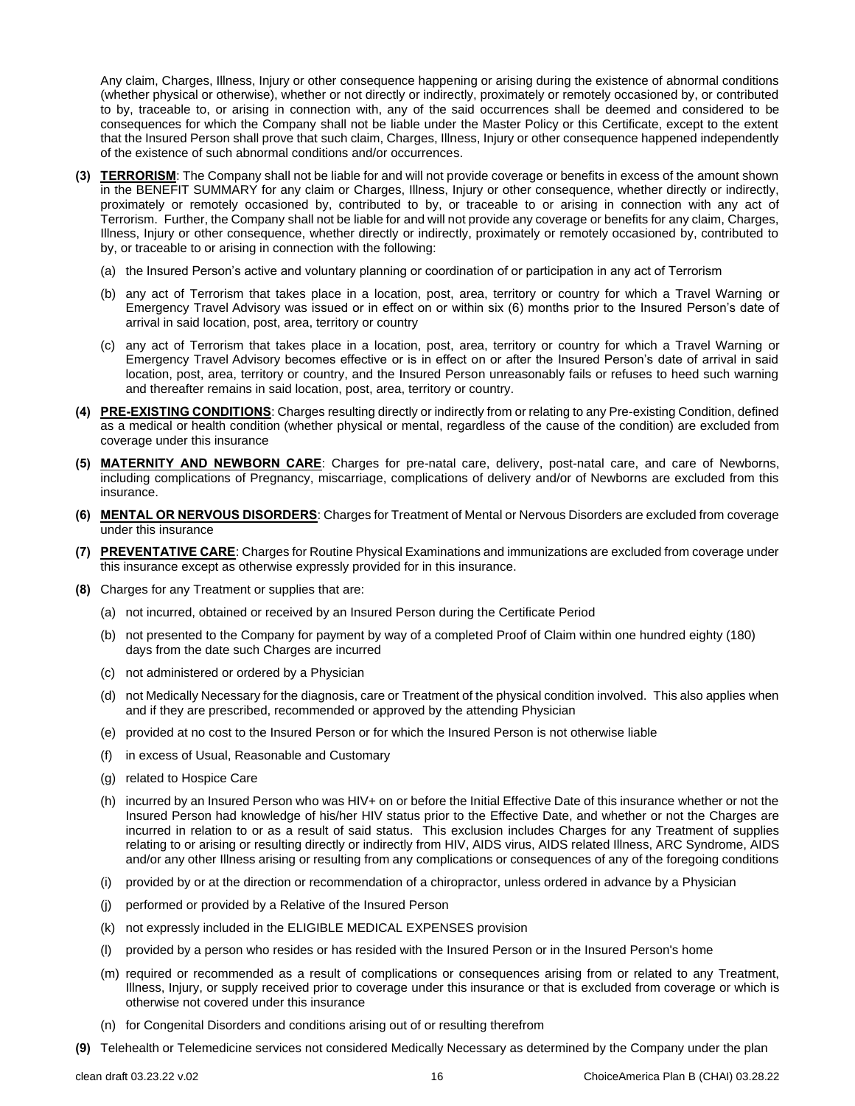Any claim, Charges, Illness, Injury or other consequence happening or arising during the existence of abnormal conditions (whether physical or otherwise), whether or not directly or indirectly, proximately or remotely occasioned by, or contributed to by, traceable to, or arising in connection with, any of the said occurrences shall be deemed and considered to be consequences for which the Company shall not be liable under the Master Policy or this Certificate, except to the extent that the Insured Person shall prove that such claim, Charges, Illness, Injury or other consequence happened independently of the existence of such abnormal conditions and/or occurrences.

- **(3) TERRORISM**: The Company shall not be liable for and will not provide coverage or benefits in excess of the amount shown in the BENEFIT SUMMARY for any claim or Charges, Illness, Injury or other consequence, whether directly or indirectly, proximately or remotely occasioned by, contributed to by, or traceable to or arising in connection with any act of Terrorism. Further, the Company shall not be liable for and will not provide any coverage or benefits for any claim, Charges, Illness, Injury or other consequence, whether directly or indirectly, proximately or remotely occasioned by, contributed to by, or traceable to or arising in connection with the following:
	- (a) the Insured Person's active and voluntary planning or coordination of or participation in any act of Terrorism
	- (b) any act of Terrorism that takes place in a location, post, area, territory or country for which a Travel Warning or Emergency Travel Advisory was issued or in effect on or within six (6) months prior to the Insured Person's date of arrival in said location, post, area, territory or country
	- (c) any act of Terrorism that takes place in a location, post, area, territory or country for which a Travel Warning or Emergency Travel Advisory becomes effective or is in effect on or after the Insured Person's date of arrival in said location, post, area, territory or country, and the Insured Person unreasonably fails or refuses to heed such warning and thereafter remains in said location, post, area, territory or country.
- **(4) PRE-EXISTING CONDITIONS**: Charges resulting directly or indirectly from or relating to any Pre-existing Condition, defined as a medical or health condition (whether physical or mental, regardless of the cause of the condition) are excluded from coverage under this insurance
- **(5) MATERNITY AND NEWBORN CARE**: Charges for pre-natal care, delivery, post-natal care, and care of Newborns, including complications of Pregnancy, miscarriage, complications of delivery and/or of Newborns are excluded from this insurance.
- **(6) MENTAL OR NERVOUS DISORDERS**: Charges for Treatment of Mental or Nervous Disorders are excluded from coverage under this insurance
- **(7) PREVENTATIVE CARE**: Charges for Routine Physical Examinations and immunizations are excluded from coverage under this insurance except as otherwise expressly provided for in this insurance.
- **(8)** Charges for any Treatment or supplies that are:
	- (a) not incurred, obtained or received by an Insured Person during the Certificate Period
	- (b) not presented to the Company for payment by way of a completed Proof of Claim within one hundred eighty (180) days from the date such Charges are incurred
	- (c) not administered or ordered by a Physician
	- (d) not Medically Necessary for the diagnosis, care or Treatment of the physical condition involved. This also applies when and if they are prescribed, recommended or approved by the attending Physician
	- (e) provided at no cost to the Insured Person or for which the Insured Person is not otherwise liable
	- (f) in excess of Usual, Reasonable and Customary
	- (g) related to Hospice Care
	- (h) incurred by an Insured Person who was HIV+ on or before the Initial Effective Date of this insurance whether or not the Insured Person had knowledge of his/her HIV status prior to the Effective Date, and whether or not the Charges are incurred in relation to or as a result of said status. This exclusion includes Charges for any Treatment of supplies relating to or arising or resulting directly or indirectly from HIV, AIDS virus, AIDS related Illness, ARC Syndrome, AIDS and/or any other Illness arising or resulting from any complications or consequences of any of the foregoing conditions
	- (i) provided by or at the direction or recommendation of a chiropractor, unless ordered in advance by a Physician
	- (j) performed or provided by a Relative of the Insured Person
	- (k) not expressly included in the ELIGIBLE MEDICAL EXPENSES provision
	- (l) provided by a person who resides or has resided with the Insured Person or in the Insured Person's home
	- (m) required or recommended as a result of complications or consequences arising from or related to any Treatment, Illness, Injury, or supply received prior to coverage under this insurance or that is excluded from coverage or which is otherwise not covered under this insurance
	- (n) for Congenital Disorders and conditions arising out of or resulting therefrom
- **(9)** Telehealth or Telemedicine services not considered Medically Necessary as determined by the Company under the plan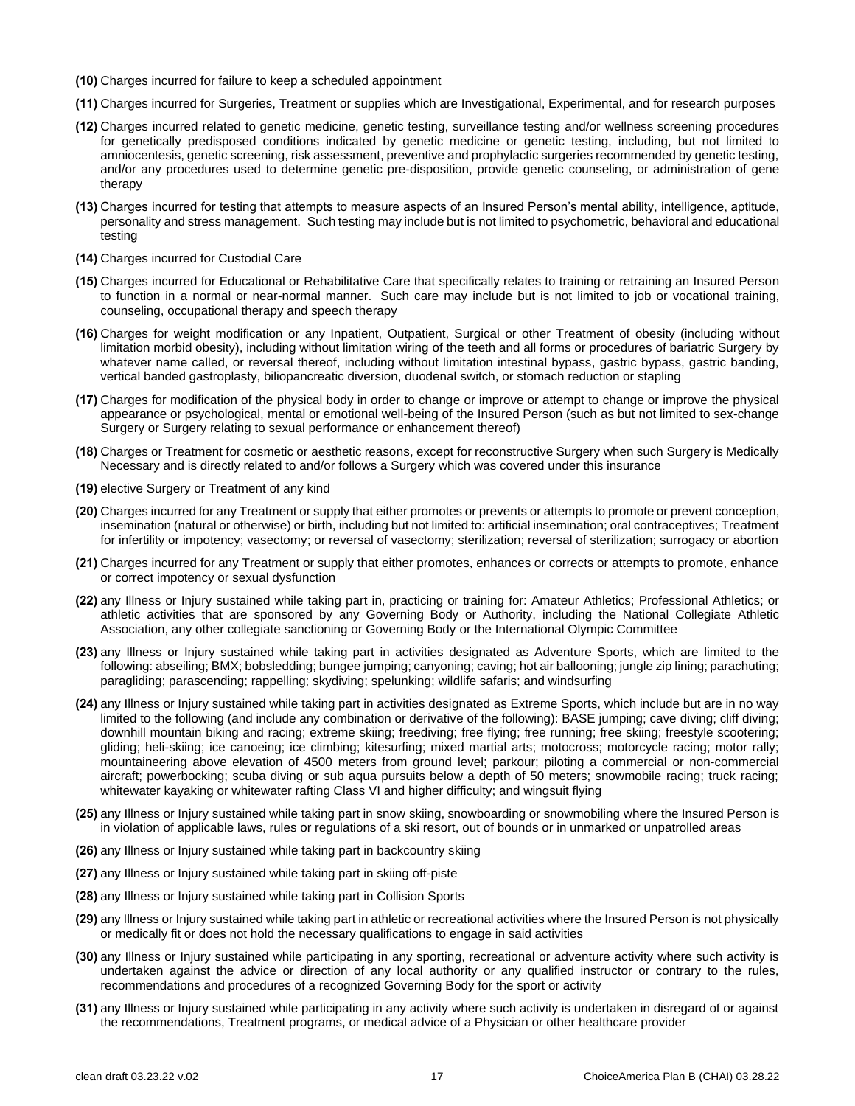- **(10)** Charges incurred for failure to keep a scheduled appointment
- **(11)** Charges incurred for Surgeries, Treatment or supplies which are Investigational, Experimental, and for research purposes
- **(12)** Charges incurred related to genetic medicine, genetic testing, surveillance testing and/or wellness screening procedures for genetically predisposed conditions indicated by genetic medicine or genetic testing, including, but not limited to amniocentesis, genetic screening, risk assessment, preventive and prophylactic surgeries recommended by genetic testing, and/or any procedures used to determine genetic pre-disposition, provide genetic counseling, or administration of gene therapy
- **(13)** Charges incurred for testing that attempts to measure aspects of an Insured Person's mental ability, intelligence, aptitude, personality and stress management. Such testing may include but is not limited to psychometric, behavioral and educational testing
- **(14)** Charges incurred for Custodial Care
- **(15)** Charges incurred for Educational or Rehabilitative Care that specifically relates to training or retraining an Insured Person to function in a normal or near-normal manner. Such care may include but is not limited to job or vocational training, counseling, occupational therapy and speech therapy
- **(16)** Charges for weight modification or any Inpatient, Outpatient, Surgical or other Treatment of obesity (including without limitation morbid obesity), including without limitation wiring of the teeth and all forms or procedures of bariatric Surgery by whatever name called, or reversal thereof, including without limitation intestinal bypass, gastric bypass, gastric banding, vertical banded gastroplasty, biliopancreatic diversion, duodenal switch, or stomach reduction or stapling
- **(17)** Charges for modification of the physical body in order to change or improve or attempt to change or improve the physical appearance or psychological, mental or emotional well-being of the Insured Person (such as but not limited to sex-change Surgery or Surgery relating to sexual performance or enhancement thereof)
- **(18)** Charges or Treatment for cosmetic or aesthetic reasons, except for reconstructive Surgery when such Surgery is Medically Necessary and is directly related to and/or follows a Surgery which was covered under this insurance
- **(19)** elective Surgery or Treatment of any kind
- **(20)** Charges incurred for any Treatment or supply that either promotes or prevents or attempts to promote or prevent conception, insemination (natural or otherwise) or birth, including but not limited to: artificial insemination; oral contraceptives; Treatment for infertility or impotency; vasectomy; or reversal of vasectomy; sterilization; reversal of sterilization; surrogacy or abortion
- **(21)** Charges incurred for any Treatment or supply that either promotes, enhances or corrects or attempts to promote, enhance or correct impotency or sexual dysfunction
- **(22)** any Illness or Injury sustained while taking part in, practicing or training for: Amateur Athletics; Professional Athletics; or athletic activities that are sponsored by any Governing Body or Authority, including the National Collegiate Athletic Association, any other collegiate sanctioning or Governing Body or the International Olympic Committee
- **(23)** any Illness or Injury sustained while taking part in activities designated as Adventure Sports, which are limited to the following: abseiling; BMX; bobsledding; bungee jumping; canyoning; caving; hot air ballooning; jungle zip lining; parachuting; paragliding; parascending; rappelling; skydiving; spelunking; wildlife safaris; and windsurfing
- **(24)** any Illness or Injury sustained while taking part in activities designated as Extreme Sports, which include but are in no way limited to the following (and include any combination or derivative of the following): BASE jumping; cave diving; cliff diving; downhill mountain biking and racing; extreme skiing; freediving; free flying; free running; free skiing; freestyle scootering; gliding; heli-skiing; ice canoeing; ice climbing; kitesurfing; mixed martial arts; motocross; motorcycle racing; motor rally; mountaineering above elevation of 4500 meters from ground level; parkour; piloting a commercial or non-commercial aircraft; powerbocking; scuba diving or sub aqua pursuits below a depth of 50 meters; snowmobile racing; truck racing; whitewater kayaking or whitewater rafting Class VI and higher difficulty; and wingsuit flying
- **(25)** any Illness or Injury sustained while taking part in snow skiing, snowboarding or snowmobiling where the Insured Person is in violation of applicable laws, rules or regulations of a ski resort, out of bounds or in unmarked or unpatrolled areas
- **(26)** any Illness or Injury sustained while taking part in backcountry skiing
- **(27)** any Illness or Injury sustained while taking part in skiing off-piste
- **(28)** any Illness or Injury sustained while taking part in Collision Sports
- **(29)** any Illness or Injury sustained while taking part in athletic or recreational activities where the Insured Person is not physically or medically fit or does not hold the necessary qualifications to engage in said activities
- **(30)** any Illness or Injury sustained while participating in any sporting, recreational or adventure activity where such activity is undertaken against the advice or direction of any local authority or any qualified instructor or contrary to the rules, recommendations and procedures of a recognized Governing Body for the sport or activity
- **(31)** any Illness or Injury sustained while participating in any activity where such activity is undertaken in disregard of or against the recommendations, Treatment programs, or medical advice of a Physician or other healthcare provider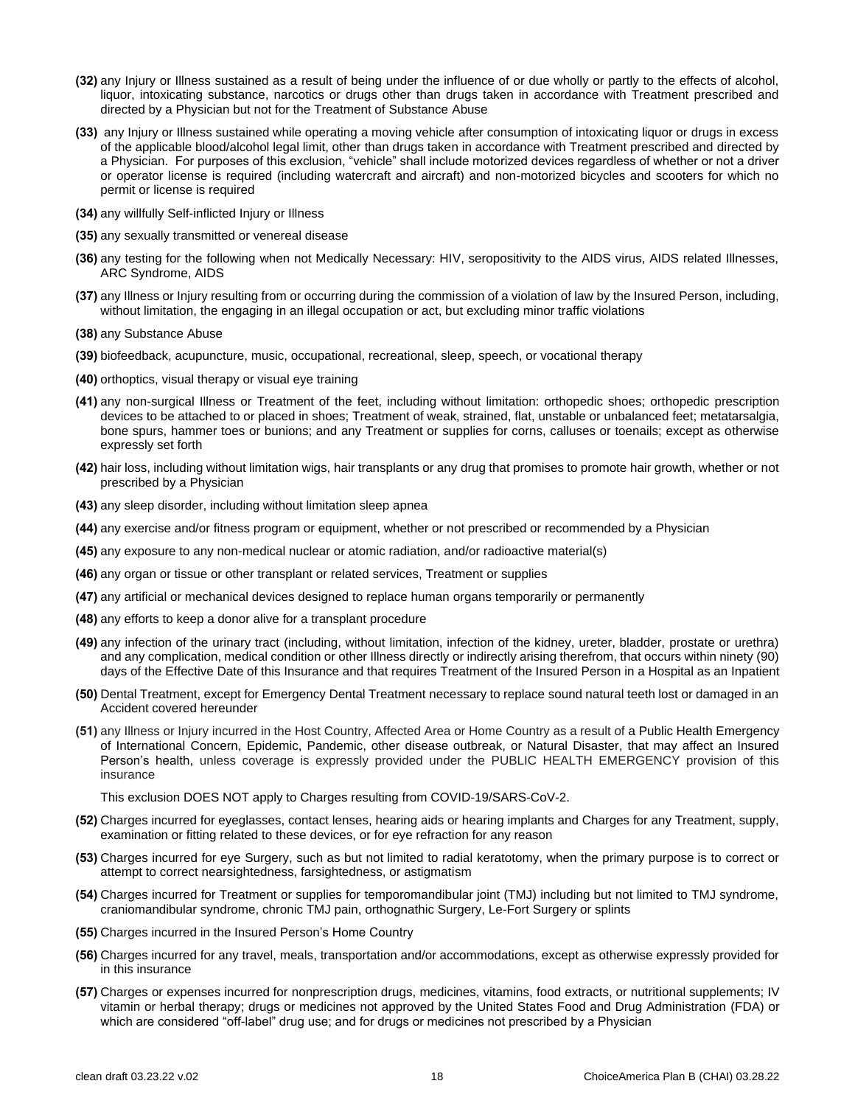- **(32)** any Injury or Illness sustained as a result of being under the influence of or due wholly or partly to the effects of alcohol, liquor, intoxicating substance, narcotics or drugs other than drugs taken in accordance with Treatment prescribed and directed by a Physician but not for the Treatment of Substance Abuse
- **(33)** any Injury or Illness sustained while operating a moving vehicle after consumption of intoxicating liquor or drugs in excess of the applicable blood/alcohol legal limit, other than drugs taken in accordance with Treatment prescribed and directed by a Physician. For purposes of this exclusion, "vehicle" shall include motorized devices regardless of whether or not a driver or operator license is required (including watercraft and aircraft) and non-motorized bicycles and scooters for which no permit or license is required
- **(34)** any willfully Self-inflicted Injury or Illness
- **(35)** any sexually transmitted or venereal disease
- **(36)** any testing for the following when not Medically Necessary: HIV, seropositivity to the AIDS virus, AIDS related Illnesses, ARC Syndrome, AIDS
- **(37)** any Illness or Injury resulting from or occurring during the commission of a violation of law by the Insured Person, including, without limitation, the engaging in an illegal occupation or act, but excluding minor traffic violations
- **(38)** any Substance Abuse
- **(39)** biofeedback, acupuncture, music, occupational, recreational, sleep, speech, or vocational therapy
- **(40)** orthoptics, visual therapy or visual eye training
- **(41)** any non-surgical Illness or Treatment of the feet, including without limitation: orthopedic shoes; orthopedic prescription devices to be attached to or placed in shoes; Treatment of weak, strained, flat, unstable or unbalanced feet; metatarsalgia, bone spurs, hammer toes or bunions; and any Treatment or supplies for corns, calluses or toenails; except as otherwise expressly set forth
- **(42)** hair loss, including without limitation wigs, hair transplants or any drug that promises to promote hair growth, whether or not prescribed by a Physician
- **(43)** any sleep disorder, including without limitation sleep apnea
- **(44)** any exercise and/or fitness program or equipment, whether or not prescribed or recommended by a Physician
- **(45)** any exposure to any non-medical nuclear or atomic radiation, and/or radioactive material(s)
- **(46)** any organ or tissue or other transplant or related services, Treatment or supplies
- **(47)** any artificial or mechanical devices designed to replace human organs temporarily or permanently
- **(48)** any efforts to keep a donor alive for a transplant procedure
- **(49)** any infection of the urinary tract (including, without limitation, infection of the kidney, ureter, bladder, prostate or urethra) and any complication, medical condition or other Illness directly or indirectly arising therefrom, that occurs within ninety (90) days of the Effective Date of this Insurance and that requires Treatment of the Insured Person in a Hospital as an Inpatient
- **(50)** Dental Treatment, except for Emergency Dental Treatment necessary to replace sound natural teeth lost or damaged in an Accident covered hereunder
- **(51)** any Illness or Injury incurred in the Host Country, Affected Area or Home Country as a result of a Public Health Emergency of International Concern, Epidemic, Pandemic, other disease outbreak, or Natural Disaster, that may affect an Insured Person's health, unless coverage is expressly provided under the PUBLIC HEALTH EMERGENCY provision of this insurance

This exclusion DOES NOT apply to Charges resulting from COVID-19/SARS-CoV-2.

- **(52)** Charges incurred for eyeglasses, contact lenses, hearing aids or hearing implants and Charges for any Treatment, supply, examination or fitting related to these devices, or for eye refraction for any reason
- **(53)** Charges incurred for eye Surgery, such as but not limited to radial keratotomy, when the primary purpose is to correct or attempt to correct nearsightedness, farsightedness, or astigmatism
- **(54)** Charges incurred for Treatment or supplies for temporomandibular joint (TMJ) including but not limited to TMJ syndrome, craniomandibular syndrome, chronic TMJ pain, orthognathic Surgery, Le-Fort Surgery or splints
- **(55)** Charges incurred in the Insured Person's Home Country
- **(56)** Charges incurred for any travel, meals, transportation and/or accommodations, except as otherwise expressly provided for in this insurance
- **(57)** Charges or expenses incurred for nonprescription drugs, medicines, vitamins, food extracts, or nutritional supplements; IV vitamin or herbal therapy; drugs or medicines not approved by the United States Food and Drug Administration (FDA) or which are considered "off-label" drug use; and for drugs or medicines not prescribed by a Physician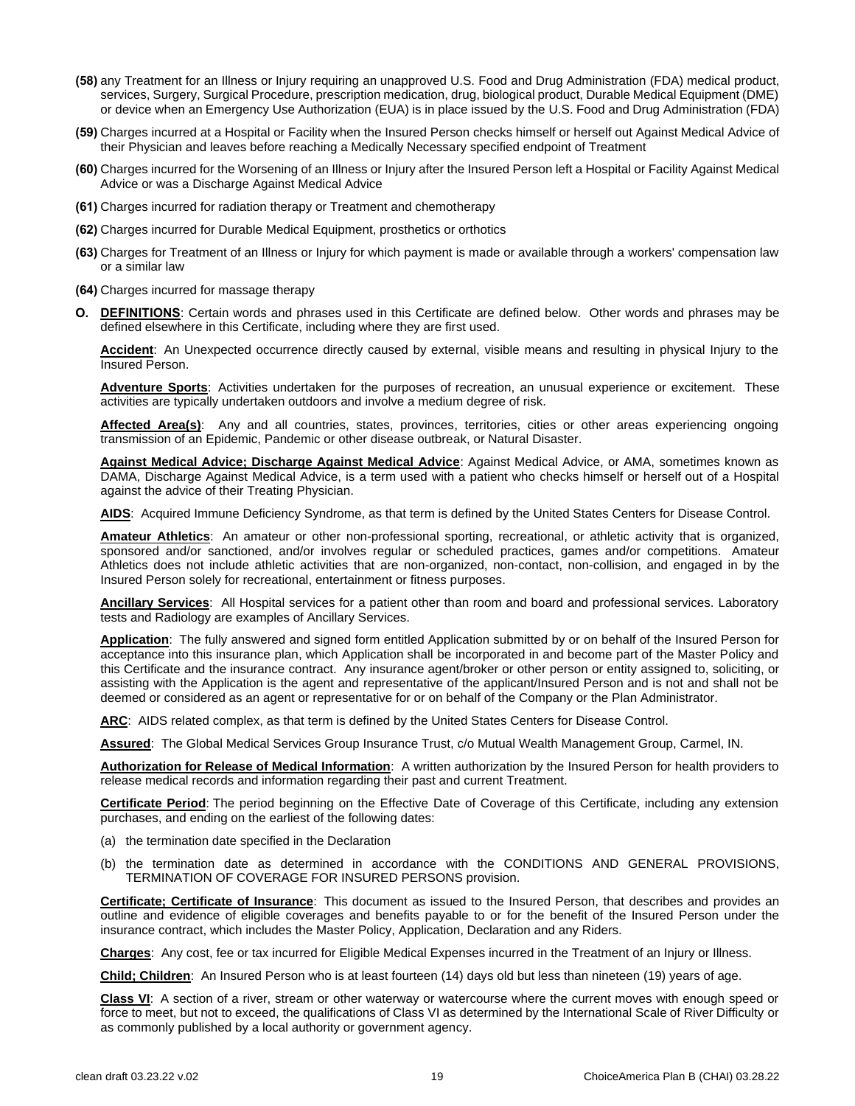- **(58)** any Treatment for an Illness or Injury requiring an unapproved U.S. Food and Drug Administration (FDA) medical product, services, Surgery, Surgical Procedure, prescription medication, drug, biological product, Durable Medical Equipment (DME) or device when an Emergency Use Authorization (EUA) is in place issued by the U.S. Food and Drug Administration (FDA)
- **(59)** Charges incurred at a Hospital or Facility when the Insured Person checks himself or herself out Against Medical Advice of their Physician and leaves before reaching a Medically Necessary specified endpoint of Treatment
- **(60)** Charges incurred for the Worsening of an Illness or Injury after the Insured Person left a Hospital or Facility Against Medical Advice or was a Discharge Against Medical Advice
- **(61)** Charges incurred for radiation therapy or Treatment and chemotherapy
- **(62)** Charges incurred for Durable Medical Equipment, prosthetics or orthotics
- **(63)** Charges for Treatment of an Illness or Injury for which payment is made or available through a workers' compensation law or a similar law
- **(64)** Charges incurred for massage therapy
- **O. DEFINITIONS**: Certain words and phrases used in this Certificate are defined below. Other words and phrases may be defined elsewhere in this Certificate, including where they are first used.

**Accident**: An Unexpected occurrence directly caused by external, visible means and resulting in physical Injury to the Insured Person.

**Adventure Sports**: Activities undertaken for the purposes of recreation, an unusual experience or excitement. These activities are typically undertaken outdoors and involve a medium degree of risk.

**Affected Area(s)**: Any and all countries, states, provinces, territories, cities or other areas experiencing ongoing transmission of an Epidemic, Pandemic or other disease outbreak, or Natural Disaster.

**Against Medical Advice; Discharge Against Medical Advice**: Against Medical Advice, or AMA, sometimes known as DAMA, Discharge Against Medical Advice, is a term used with a patient who checks himself or herself out of a Hospital against the advice of their Treating Physician.

**AIDS**: Acquired Immune Deficiency Syndrome, as that term is defined by the United States Centers for Disease Control.

**Amateur Athletics**: An amateur or other non-professional sporting, recreational, or athletic activity that is organized, sponsored and/or sanctioned, and/or involves regular or scheduled practices, games and/or competitions. Amateur Athletics does not include athletic activities that are non-organized, non-contact, non-collision, and engaged in by the Insured Person solely for recreational, entertainment or fitness purposes.

**Ancillary Services**: All Hospital services for a patient other than room and board and professional services. Laboratory tests and Radiology are examples of Ancillary Services.

**Application**: The fully answered and signed form entitled Application submitted by or on behalf of the Insured Person for acceptance into this insurance plan, which Application shall be incorporated in and become part of the Master Policy and this Certificate and the insurance contract. Any insurance agent/broker or other person or entity assigned to, soliciting, or assisting with the Application is the agent and representative of the applicant/Insured Person and is not and shall not be deemed or considered as an agent or representative for or on behalf of the Company or the Plan Administrator.

**ARC**: AIDS related complex, as that term is defined by the United States Centers for Disease Control.

**Assured**: The Global Medical Services Group Insurance Trust, c/o Mutual Wealth Management Group, Carmel, IN.

**Authorization for Release of Medical Information**: A written authorization by the Insured Person for health providers to release medical records and information regarding their past and current Treatment.

**Certificate Period**: The period beginning on the Effective Date of Coverage of this Certificate, including any extension purchases, and ending on the earliest of the following dates:

- (a) the termination date specified in the Declaration
- (b) the termination date as determined in accordance with the CONDITIONS AND GENERAL PROVISIONS, TERMINATION OF COVERAGE FOR INSURED PERSONS provision.

**Certificate; Certificate of Insurance**: This document as issued to the Insured Person, that describes and provides an outline and evidence of eligible coverages and benefits payable to or for the benefit of the Insured Person under the insurance contract, which includes the Master Policy, Application, Declaration and any Riders.

**Charges**: Any cost, fee or tax incurred for Eligible Medical Expenses incurred in the Treatment of an Injury or Illness.

**Child; Children**: An Insured Person who is at least fourteen (14) days old but less than nineteen (19) years of age.

**Class VI**: A section of a river, stream or other waterway or watercourse where the current moves with enough speed or force to meet, but not to exceed, the qualifications of Class VI as determined by the International Scale of River Difficulty or as commonly published by a local authority or government agency.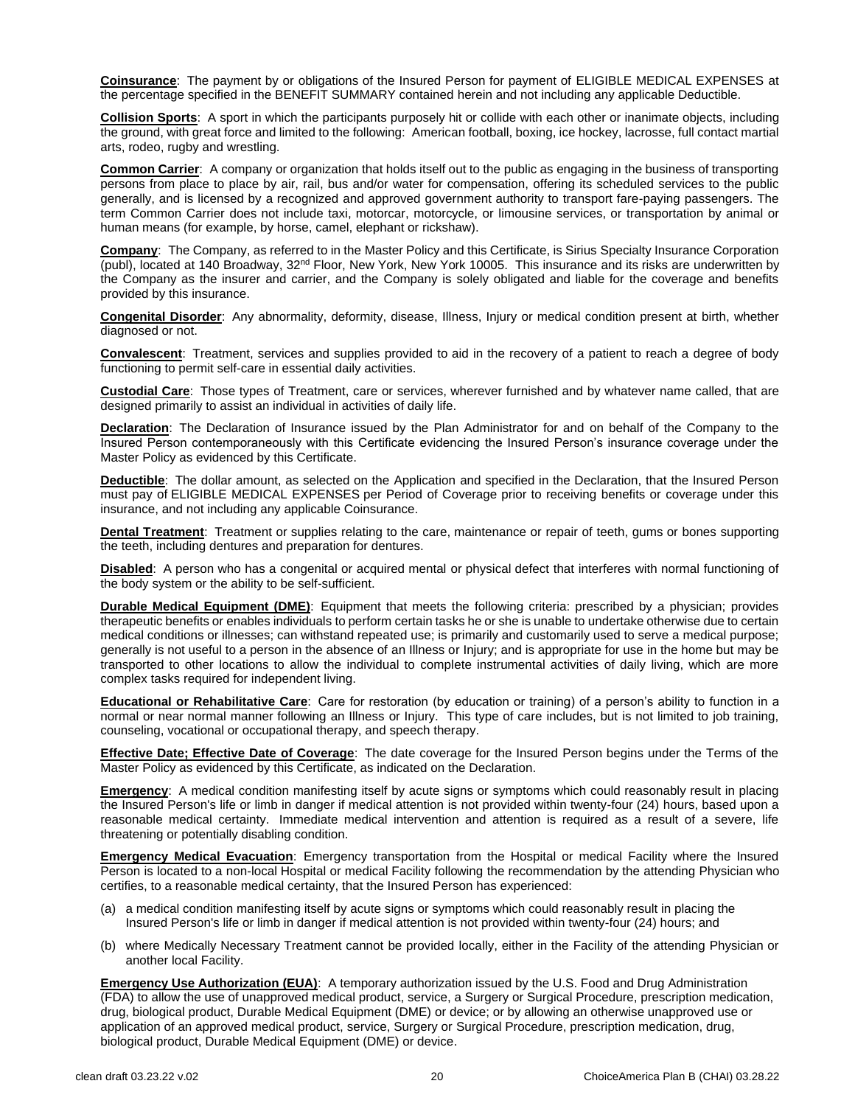**Coinsurance**: The payment by or obligations of the Insured Person for payment of ELIGIBLE MEDICAL EXPENSES at the percentage specified in the BENEFIT SUMMARY contained herein and not including any applicable Deductible.

**Collision Sports**: A sport in which the participants purposely hit or collide with each other or inanimate objects, including the ground, with great force and limited to the following: American football, boxing, ice hockey, lacrosse, full contact martial arts, rodeo, rugby and wrestling.

**Common Carrier**: A company or organization that holds itself out to the public as engaging in the business of transporting persons from place to place by air, rail, bus and/or water for compensation, offering its scheduled services to the public generally, and is licensed by a recognized and approved government authority to transport fare-paying passengers. The term Common Carrier does not include taxi, motorcar, motorcycle, or limousine services, or transportation by animal or human means (for example, by horse, camel, elephant or rickshaw).

**Company**: The Company, as referred to in the Master Policy and this Certificate, is Sirius Specialty Insurance Corporation (publ), located at 140 Broadway, 32<sup>nd</sup> Floor, New York, New York 10005. This insurance and its risks are underwritten by the Company as the insurer and carrier, and the Company is solely obligated and liable for the coverage and benefits provided by this insurance.

**Congenital Disorder**: Any abnormality, deformity, disease, Illness, Injury or medical condition present at birth, whether diagnosed or not.

**Convalescent**: Treatment, services and supplies provided to aid in the recovery of a patient to reach a degree of body functioning to permit self-care in essential daily activities.

**Custodial Care**: Those types of Treatment, care or services, wherever furnished and by whatever name called, that are designed primarily to assist an individual in activities of daily life.

**Declaration**: The Declaration of Insurance issued by the Plan Administrator for and on behalf of the Company to the Insured Person contemporaneously with this Certificate evidencing the Insured Person's insurance coverage under the Master Policy as evidenced by this Certificate.

**Deductible**: The dollar amount, as selected on the Application and specified in the Declaration, that the Insured Person must pay of ELIGIBLE MEDICAL EXPENSES per Period of Coverage prior to receiving benefits or coverage under this insurance, and not including any applicable Coinsurance.

**Dental Treatment**: Treatment or supplies relating to the care, maintenance or repair of teeth, gums or bones supporting the teeth, including dentures and preparation for dentures.

**Disabled**: A person who has a congenital or acquired mental or physical defect that interferes with normal functioning of the body system or the ability to be self-sufficient.

**Durable Medical Equipment (DME)**: Equipment that meets the following criteria: prescribed by a physician; provides therapeutic benefits or enables individuals to perform certain tasks he or she is unable to undertake otherwise due to certain medical conditions or illnesses; can withstand repeated use; is primarily and customarily used to serve a medical purpose; generally is not useful to a person in the absence of an Illness or Injury; and is appropriate for use in the home but may be transported to other locations to allow the individual to complete instrumental activities of daily living, which are more complex tasks required for independent living.

**Educational or Rehabilitative Care**: Care for restoration (by education or training) of a person's ability to function in a normal or near normal manner following an Illness or Injury. This type of care includes, but is not limited to job training, counseling, vocational or occupational therapy, and speech therapy.

**Effective Date; Effective Date of Coverage**: The date coverage for the Insured Person begins under the Terms of the Master Policy as evidenced by this Certificate, as indicated on the Declaration.

**Emergency**: A medical condition manifesting itself by acute signs or symptoms which could reasonably result in placing the Insured Person's life or limb in danger if medical attention is not provided within twenty-four (24) hours, based upon a reasonable medical certainty. Immediate medical intervention and attention is required as a result of a severe, life threatening or potentially disabling condition.

**Emergency Medical Evacuation**: Emergency transportation from the Hospital or medical Facility where the Insured Person is located to a non-local Hospital or medical Facility following the recommendation by the attending Physician who certifies, to a reasonable medical certainty, that the Insured Person has experienced:

- (a) a medical condition manifesting itself by acute signs or symptoms which could reasonably result in placing the Insured Person's life or limb in danger if medical attention is not provided within twenty-four (24) hours; and
- (b) where Medically Necessary Treatment cannot be provided locally, either in the Facility of the attending Physician or another local Facility.

**Emergency Use Authorization (EUA)**: A temporary authorization issued by the U.S. Food and Drug Administration (FDA) to allow the use of unapproved medical product, service, a Surgery or Surgical Procedure, prescription medication, drug, biological product, Durable Medical Equipment (DME) or device; or by allowing an otherwise unapproved use or application of an approved medical product, service, Surgery or Surgical Procedure, prescription medication, drug, biological product, Durable Medical Equipment (DME) or device.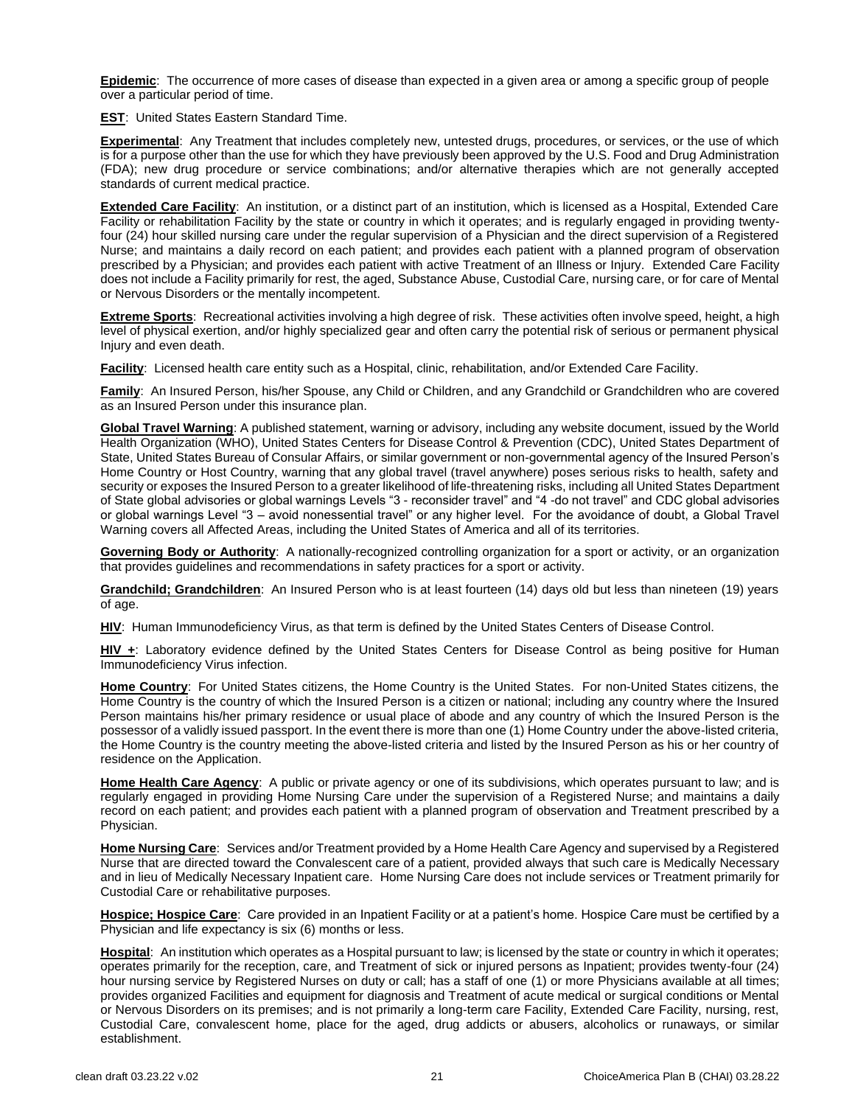**Epidemic**: The occurrence of more cases of disease than expected in a given area or among a specific group of people over a particular period of time.

**EST**: United States Eastern Standard Time.

**Experimental**: Any Treatment that includes completely new, untested drugs, procedures, or services, or the use of which is for a purpose other than the use for which they have previously been approved by the U.S. Food and Drug Administration (FDA); new drug procedure or service combinations; and/or alternative therapies which are not generally accepted standards of current medical practice.

**Extended Care Facility**: An institution, or a distinct part of an institution, which is licensed as a Hospital, Extended Care Facility or rehabilitation Facility by the state or country in which it operates; and is regularly engaged in providing twentyfour (24) hour skilled nursing care under the regular supervision of a Physician and the direct supervision of a Registered Nurse; and maintains a daily record on each patient; and provides each patient with a planned program of observation prescribed by a Physician; and provides each patient with active Treatment of an Illness or Injury. Extended Care Facility does not include a Facility primarily for rest, the aged, Substance Abuse, Custodial Care, nursing care, or for care of Mental or Nervous Disorders or the mentally incompetent.

**Extreme Sports**: Recreational activities involving a high degree of risk. These activities often involve speed, height, a high level of physical exertion, and/or highly specialized gear and often carry the potential risk of serious or permanent physical Injury and even death.

**Facility**: Licensed health care entity such as a Hospital, clinic, rehabilitation, and/or Extended Care Facility.

**Family**: An Insured Person, his/her Spouse, any Child or Children, and any Grandchild or Grandchildren who are covered as an Insured Person under this insurance plan.

**Global Travel Warning**: A published statement, warning or advisory, including any website document, issued by the World Health Organization (WHO), United States Centers for Disease Control & Prevention (CDC), United States Department of State, United States Bureau of Consular Affairs, or similar government or non-governmental agency of the Insured Person's Home Country or Host Country, warning that any global travel (travel anywhere) poses serious risks to health, safety and security or exposes the Insured Person to a greater likelihood of life-threatening risks, including all United States Department of State global advisories or global warnings Levels "3 - reconsider travel" and "4 -do not travel" and CDC global advisories or global warnings Level "3 – avoid nonessential travel" or any higher level. For the avoidance of doubt, a Global Travel Warning covers all Affected Areas, including the United States of America and all of its territories.

**Governing Body or Authority**: A nationally-recognized controlling organization for a sport or activity, or an organization that provides guidelines and recommendations in safety practices for a sport or activity.

**Grandchild; Grandchildren**: An Insured Person who is at least fourteen (14) days old but less than nineteen (19) years of age.

**HIV**: Human Immunodeficiency Virus, as that term is defined by the United States Centers of Disease Control.

**HIV +**: Laboratory evidence defined by the United States Centers for Disease Control as being positive for Human Immunodeficiency Virus infection.

**Home Country**: For United States citizens, the Home Country is the United States. For non-United States citizens, the Home Country is the country of which the Insured Person is a citizen or national; including any country where the Insured Person maintains his/her primary residence or usual place of abode and any country of which the Insured Person is the possessor of a validly issued passport. In the event there is more than one (1) Home Country under the above-listed criteria, the Home Country is the country meeting the above-listed criteria and listed by the Insured Person as his or her country of residence on the Application.

**Home Health Care Agency**: A public or private agency or one of its subdivisions, which operates pursuant to law; and is regularly engaged in providing Home Nursing Care under the supervision of a Registered Nurse; and maintains a daily record on each patient; and provides each patient with a planned program of observation and Treatment prescribed by a Physician.

**Home Nursing Care**: Services and/or Treatment provided by a Home Health Care Agency and supervised by a Registered Nurse that are directed toward the Convalescent care of a patient, provided always that such care is Medically Necessary and in lieu of Medically Necessary Inpatient care. Home Nursing Care does not include services or Treatment primarily for Custodial Care or rehabilitative purposes.

**Hospice; Hospice Care**: Care provided in an Inpatient Facility or at a patient's home. Hospice Care must be certified by a Physician and life expectancy is six (6) months or less.

**Hospital**: An institution which operates as a Hospital pursuant to law; is licensed by the state or country in which it operates; operates primarily for the reception, care, and Treatment of sick or injured persons as Inpatient; provides twenty-four (24) hour nursing service by Registered Nurses on duty or call; has a staff of one (1) or more Physicians available at all times; provides organized Facilities and equipment for diagnosis and Treatment of acute medical or surgical conditions or Mental or Nervous Disorders on its premises; and is not primarily a long-term care Facility, Extended Care Facility, nursing, rest, Custodial Care, convalescent home, place for the aged, drug addicts or abusers, alcoholics or runaways, or similar establishment.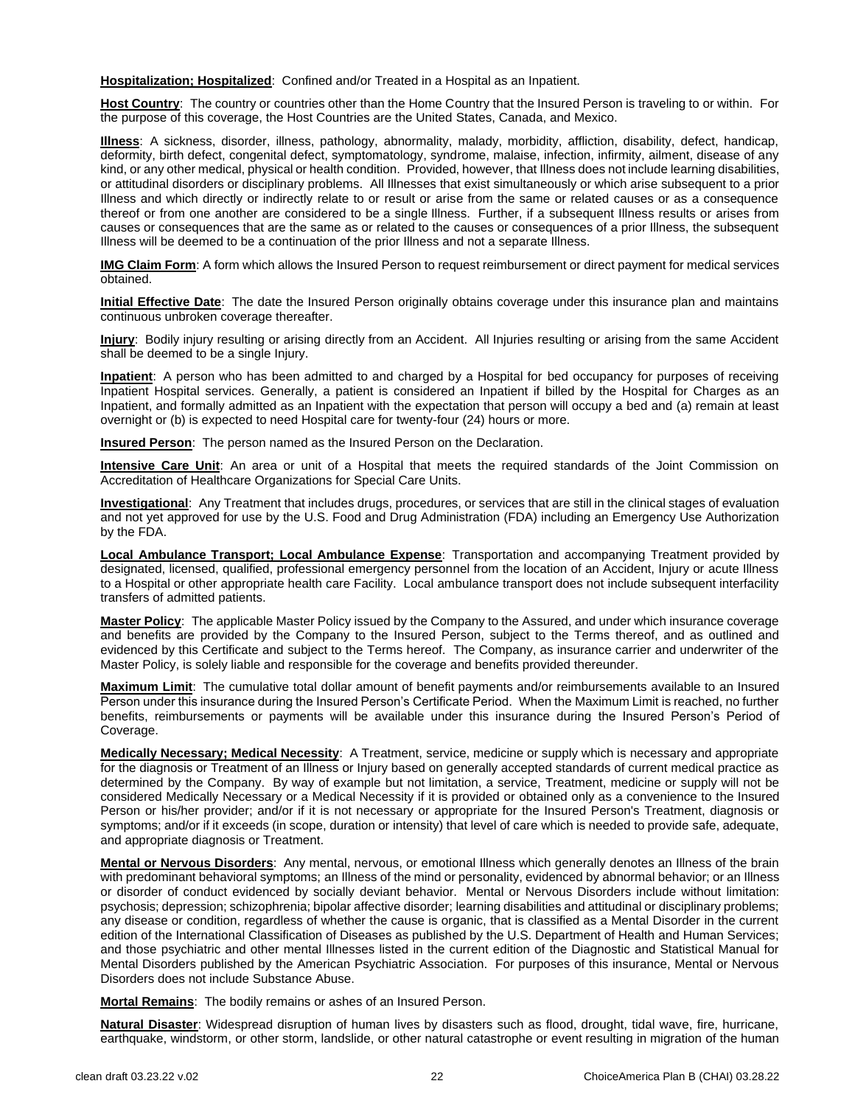**Hospitalization; Hospitalized**: Confined and/or Treated in a Hospital as an Inpatient.

**Host Country**: The country or countries other than the Home Country that the Insured Person is traveling to or within. For the purpose of this coverage, the Host Countries are the United States, Canada, and Mexico.

**Illness**: A sickness, disorder, illness, pathology, abnormality, malady, morbidity, affliction, disability, defect, handicap, deformity, birth defect, congenital defect, symptomatology, syndrome, malaise, infection, infirmity, ailment, disease of any kind, or any other medical, physical or health condition. Provided, however, that Illness does not include learning disabilities, or attitudinal disorders or disciplinary problems. All Illnesses that exist simultaneously or which arise subsequent to a prior Illness and which directly or indirectly relate to or result or arise from the same or related causes or as a consequence thereof or from one another are considered to be a single Illness. Further, if a subsequent Illness results or arises from causes or consequences that are the same as or related to the causes or consequences of a prior Illness, the subsequent Illness will be deemed to be a continuation of the prior Illness and not a separate Illness.

**IMG Claim Form**: A form which allows the Insured Person to request reimbursement or direct payment for medical services obtained.

**Initial Effective Date**: The date the Insured Person originally obtains coverage under this insurance plan and maintains continuous unbroken coverage thereafter.

**Injury**: Bodily injury resulting or arising directly from an Accident. All Injuries resulting or arising from the same Accident shall be deemed to be a single Injury.

**Inpatient**: A person who has been admitted to and charged by a Hospital for bed occupancy for purposes of receiving Inpatient Hospital services. Generally, a patient is considered an Inpatient if billed by the Hospital for Charges as an Inpatient, and formally admitted as an Inpatient with the expectation that person will occupy a bed and (a) remain at least overnight or (b) is expected to need Hospital care for twenty-four (24) hours or more.

**Insured Person**: The person named as the Insured Person on the Declaration.

**Intensive Care Unit**: An area or unit of a Hospital that meets the required standards of the Joint Commission on Accreditation of Healthcare Organizations for Special Care Units.

**Investigational**: Any Treatment that includes drugs, procedures, or services that are still in the clinical stages of evaluation and not yet approved for use by the U.S. Food and Drug Administration (FDA) including an Emergency Use Authorization by the FDA.

**Local Ambulance Transport; Local Ambulance Expense**: Transportation and accompanying Treatment provided by designated, licensed, qualified, professional emergency personnel from the location of an Accident, Injury or acute Illness to a Hospital or other appropriate health care Facility. Local ambulance transport does not include subsequent interfacility transfers of admitted patients.

**Master Policy**: The applicable Master Policy issued by the Company to the Assured, and under which insurance coverage and benefits are provided by the Company to the Insured Person, subject to the Terms thereof, and as outlined and evidenced by this Certificate and subject to the Terms hereof. The Company, as insurance carrier and underwriter of the Master Policy, is solely liable and responsible for the coverage and benefits provided thereunder.

**Maximum Limit**: The cumulative total dollar amount of benefit payments and/or reimbursements available to an Insured Person under this insurance during the Insured Person's Certificate Period. When the Maximum Limit is reached, no further benefits, reimbursements or payments will be available under this insurance during the Insured Person's Period of Coverage.

**Medically Necessary; Medical Necessity**: A Treatment, service, medicine or supply which is necessary and appropriate for the diagnosis or Treatment of an Illness or Injury based on generally accepted standards of current medical practice as determined by the Company. By way of example but not limitation, a service, Treatment, medicine or supply will not be considered Medically Necessary or a Medical Necessity if it is provided or obtained only as a convenience to the Insured Person or his/her provider; and/or if it is not necessary or appropriate for the Insured Person's Treatment, diagnosis or symptoms; and/or if it exceeds (in scope, duration or intensity) that level of care which is needed to provide safe, adequate, and appropriate diagnosis or Treatment.

**Mental or Nervous Disorders**: Any mental, nervous, or emotional Illness which generally denotes an Illness of the brain with predominant behavioral symptoms; an Illness of the mind or personality, evidenced by abnormal behavior; or an Illness or disorder of conduct evidenced by socially deviant behavior. Mental or Nervous Disorders include without limitation: psychosis; depression; schizophrenia; bipolar affective disorder; learning disabilities and attitudinal or disciplinary problems; any disease or condition, regardless of whether the cause is organic, that is classified as a Mental Disorder in the current edition of the International Classification of Diseases as published by the U.S. Department of Health and Human Services; and those psychiatric and other mental Illnesses listed in the current edition of the Diagnostic and Statistical Manual for Mental Disorders published by the American Psychiatric Association. For purposes of this insurance, Mental or Nervous Disorders does not include Substance Abuse.

**Mortal Remains**: The bodily remains or ashes of an Insured Person.

**Natural Disaster**: Widespread disruption of human lives by disasters such as flood, drought, tidal wave, fire, hurricane, earthquake, windstorm, or other storm, landslide, or other natural catastrophe or event resulting in migration of the human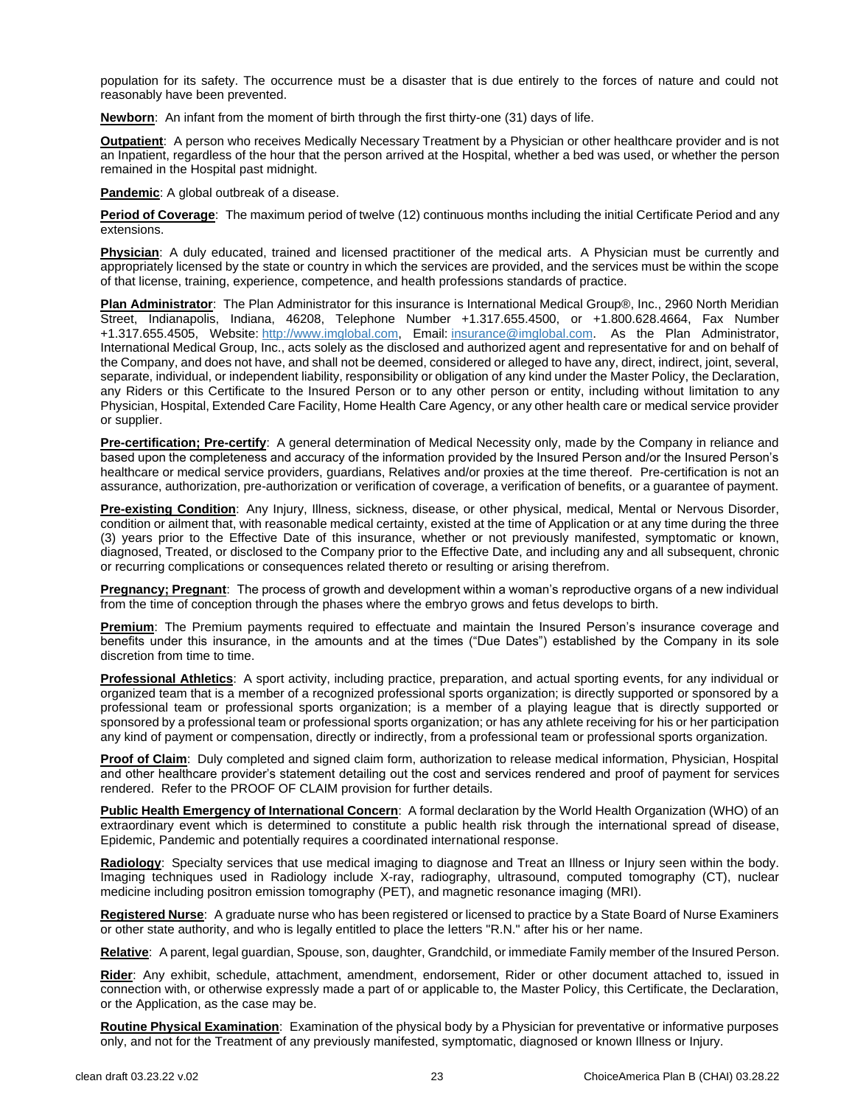population for its safety. The occurrence must be a disaster that is due entirely to the forces of nature and could not reasonably have been prevented.

**Newborn**: An infant from the moment of birth through the first thirty-one (31) days of life.

**Outpatient**: A person who receives Medically Necessary Treatment by a Physician or other healthcare provider and is not an Inpatient, regardless of the hour that the person arrived at the Hospital, whether a bed was used, or whether the person remained in the Hospital past midnight.

**Pandemic**: A global outbreak of a disease.

**Period of Coverage**: The maximum period of twelve (12) continuous months including the initial Certificate Period and any extensions.

**Physician**: A duly educated, trained and licensed practitioner of the medical arts. A Physician must be currently and appropriately licensed by the state or country in which the services are provided, and the services must be within the scope of that license, training, experience, competence, and health professions standards of practice.

**Plan Administrator**: The Plan Administrator for this insurance is International Medical Group®, Inc., 2960 North Meridian Street, Indianapolis, Indiana, 46208, Telephone Number +1.317.655.4500, or +1.800.628.4664, Fax Number +1.317.655.4505, Website: [http://www.imglobal.com,](http://www.imglobal.com/) Email: [insurance@imglobal.com.](mailto:insurance@imglobal.com) As the Plan Administrator, International Medical Group, Inc., acts solely as the disclosed and authorized agent and representative for and on behalf of the Company, and does not have, and shall not be deemed, considered or alleged to have any, direct, indirect, joint, several, separate, individual, or independent liability, responsibility or obligation of any kind under the Master Policy, the Declaration, any Riders or this Certificate to the Insured Person or to any other person or entity, including without limitation to any Physician, Hospital, Extended Care Facility, Home Health Care Agency, or any other health care or medical service provider or supplier.

**Pre-certification; Pre-certify**: A general determination of Medical Necessity only, made by the Company in reliance and based upon the completeness and accuracy of the information provided by the Insured Person and/or the Insured Person's healthcare or medical service providers, quardians, Relatives and/or proxies at the time thereof. Pre-certification is not an assurance, authorization, pre-authorization or verification of coverage, a verification of benefits, or a guarantee of payment.

**Pre-existing Condition**: Any Injury, Illness, sickness, disease, or other physical, medical, Mental or Nervous Disorder, condition or ailment that, with reasonable medical certainty, existed at the time of Application or at any time during the three (3) years prior to the Effective Date of this insurance, whether or not previously manifested, symptomatic or known, diagnosed, Treated, or disclosed to the Company prior to the Effective Date, and including any and all subsequent, chronic or recurring complications or consequences related thereto or resulting or arising therefrom.

**Pregnancy; Pregnant**: The process of growth and development within a woman's reproductive organs of a new individual from the time of conception through the phases where the embryo grows and fetus develops to birth.

**Premium**: The Premium payments required to effectuate and maintain the Insured Person's insurance coverage and benefits under this insurance, in the amounts and at the times ("Due Dates") established by the Company in its sole discretion from time to time.

**Professional Athletics**: A sport activity, including practice, preparation, and actual sporting events, for any individual or organized team that is a member of a recognized professional sports organization; is directly supported or sponsored by a professional team or professional sports organization; is a member of a playing league that is directly supported or sponsored by a professional team or professional sports organization; or has any athlete receiving for his or her participation any kind of payment or compensation, directly or indirectly, from a professional team or professional sports organization.

**Proof of Claim**: Duly completed and signed claim form, authorization to release medical information, Physician, Hospital and other healthcare provider's statement detailing out the cost and services rendered and proof of payment for services rendered. Refer to the PROOF OF CLAIM provision for further details.

**Public Health Emergency of International Concern**: A formal declaration by the World Health Organization (WHO) of an extraordinary event which is determined to constitute a public health risk through the international spread of disease, Epidemic, Pandemic and potentially requires a coordinated international response.

**Radiology**: Specialty services that use medical imaging to diagnose and Treat an Illness or Injury seen within the body. Imaging techniques used in Radiology include X-ray, radiography, ultrasound, computed tomography (CT), nuclear medicine including positron emission tomography (PET), and magnetic resonance imaging (MRI).

**Registered Nurse**: A graduate nurse who has been registered or licensed to practice by a State Board of Nurse Examiners or other state authority, and who is legally entitled to place the letters "R.N." after his or her name.

**Relative**: A parent, legal guardian, Spouse, son, daughter, Grandchild, or immediate Family member of the Insured Person.

**Rider**: Any exhibit, schedule, attachment, amendment, endorsement, Rider or other document attached to, issued in connection with, or otherwise expressly made a part of or applicable to, the Master Policy, this Certificate, the Declaration, or the Application, as the case may be.

**Routine Physical Examination**: Examination of the physical body by a Physician for preventative or informative purposes only, and not for the Treatment of any previously manifested, symptomatic, diagnosed or known Illness or Injury.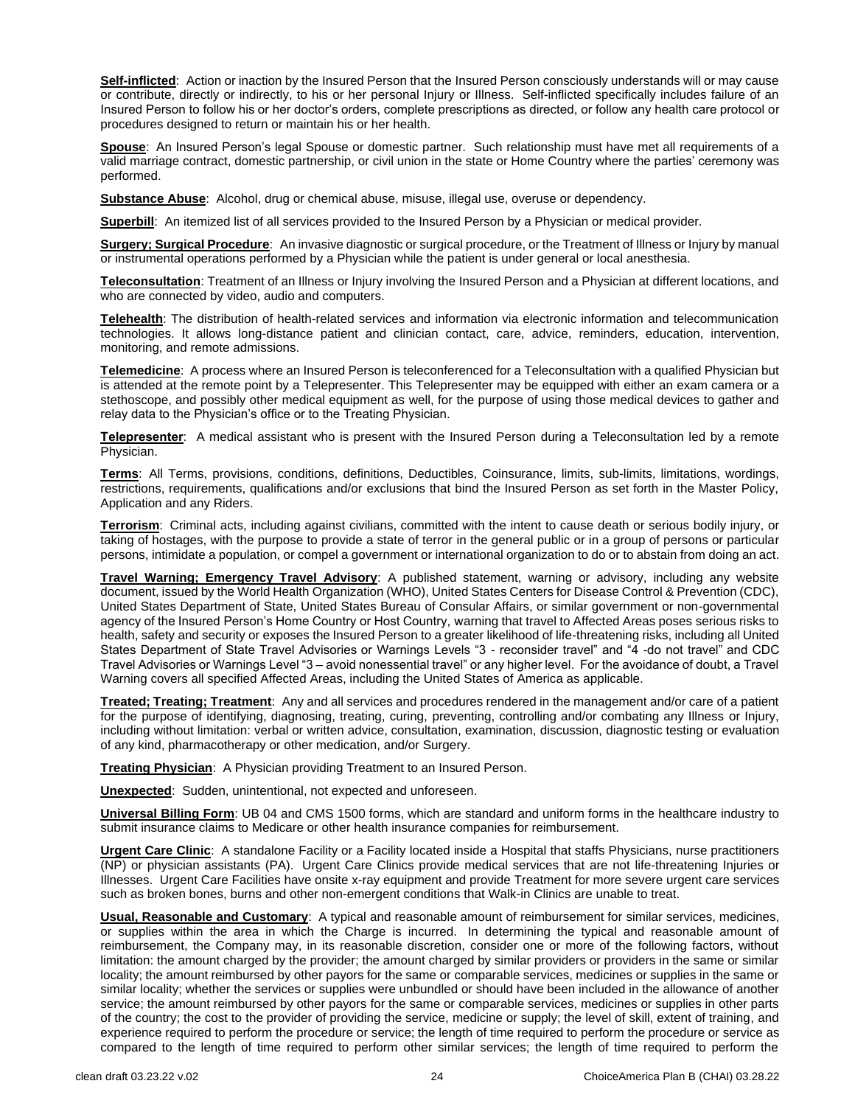**Self-inflicted**: Action or inaction by the Insured Person that the Insured Person consciously understands will or may cause or contribute, directly or indirectly, to his or her personal Injury or Illness. Self-inflicted specifically includes failure of an Insured Person to follow his or her doctor's orders, complete prescriptions as directed, or follow any health care protocol or procedures designed to return or maintain his or her health.

**Spouse**: An Insured Person's legal Spouse or domestic partner. Such relationship must have met all requirements of a valid marriage contract, domestic partnership, or civil union in the state or Home Country where the parties' ceremony was performed.

**Substance Abuse**: Alcohol, drug or chemical abuse, misuse, illegal use, overuse or dependency.

**Superbill**: An itemized list of all services provided to the Insured Person by a Physician or medical provider.

**Surgery; Surgical Procedure**: An invasive diagnostic or surgical procedure, or the Treatment of Illness or Injury by manual or instrumental operations performed by a Physician while the patient is under general or local anesthesia.

**Teleconsultation**: Treatment of an Illness or Injury involving the Insured Person and a Physician at different locations, and who are connected by video, audio and computers.

**Telehealth**: The distribution of health-related services and information via electronic information and telecommunication technologies. It allows long-distance patient and clinician contact, care, advice, reminders, education, intervention, monitoring, and remote admissions.

**Telemedicine**: A process where an Insured Person is teleconferenced for a Teleconsultation with a qualified Physician but is attended at the remote point by a Telepresenter. This Telepresenter may be equipped with either an exam camera or a stethoscope, and possibly other medical equipment as well, for the purpose of using those medical devices to gather and relay data to the Physician's office or to the Treating Physician.

**Telepresenter**: A medical assistant who is present with the Insured Person during a Teleconsultation led by a remote Physician.

**Terms**: All Terms, provisions, conditions, definitions, Deductibles, Coinsurance, limits, sub-limits, limitations, wordings, restrictions, requirements, qualifications and/or exclusions that bind the Insured Person as set forth in the Master Policy, Application and any Riders.

**Terrorism**: Criminal acts, including against civilians, committed with the intent to cause death or serious bodily injury, or taking of hostages, with the purpose to provide a state of terror in the general public or in a group of persons or particular persons, intimidate a population, or compel a government or international organization to do or to abstain from doing an act.

**Travel Warning; Emergency Travel Advisory**: A published statement, warning or advisory, including any website document, issued by the World Health Organization (WHO), United States Centers for Disease Control & Prevention (CDC), United States Department of State, United States Bureau of Consular Affairs, or similar government or non-governmental agency of the Insured Person's Home Country or Host Country, warning that travel to Affected Areas poses serious risks to health, safety and security or exposes the Insured Person to a greater likelihood of life-threatening risks, including all United States Department of State Travel Advisories or Warnings Levels "3 - reconsider travel" and "4 -do not travel" and CDC Travel Advisories or Warnings Level "3 – avoid nonessential travel" or any higher level. For the avoidance of doubt, a Travel Warning covers all specified Affected Areas, including the United States of America as applicable.

**Treated; Treating; Treatment**: Any and all services and procedures rendered in the management and/or care of a patient for the purpose of identifying, diagnosing, treating, curing, preventing, controlling and/or combating any Illness or Injury, including without limitation: verbal or written advice, consultation, examination, discussion, diagnostic testing or evaluation of any kind, pharmacotherapy or other medication, and/or Surgery.

**Treating Physician**: A Physician providing Treatment to an Insured Person.

**Unexpected**: Sudden, unintentional, not expected and unforeseen.

**Universal Billing Form**: UB 04 and CMS 1500 forms, which are standard and uniform forms in the healthcare industry to submit insurance claims to Medicare or other health insurance companies for reimbursement.

**Urgent Care Clinic**: A standalone Facility or a Facility located inside a Hospital that staffs Physicians, nurse practitioners (NP) or physician assistants (PA). Urgent Care Clinics provide medical services that are not life-threatening Injuries or Illnesses. Urgent Care Facilities have onsite x-ray equipment and provide Treatment for more severe urgent care services such as broken bones, burns and other non-emergent conditions that Walk-in Clinics are unable to treat.

**Usual, Reasonable and Customary**: A typical and reasonable amount of reimbursement for similar services, medicines, or supplies within the area in which the Charge is incurred. In determining the typical and reasonable amount of reimbursement, the Company may, in its reasonable discretion, consider one or more of the following factors, without limitation: the amount charged by the provider; the amount charged by similar providers or providers in the same or similar locality; the amount reimbursed by other payors for the same or comparable services, medicines or supplies in the same or similar locality; whether the services or supplies were unbundled or should have been included in the allowance of another service; the amount reimbursed by other payors for the same or comparable services, medicines or supplies in other parts of the country; the cost to the provider of providing the service, medicine or supply; the level of skill, extent of training, and experience required to perform the procedure or service; the length of time required to perform the procedure or service as compared to the length of time required to perform other similar services; the length of time required to perform the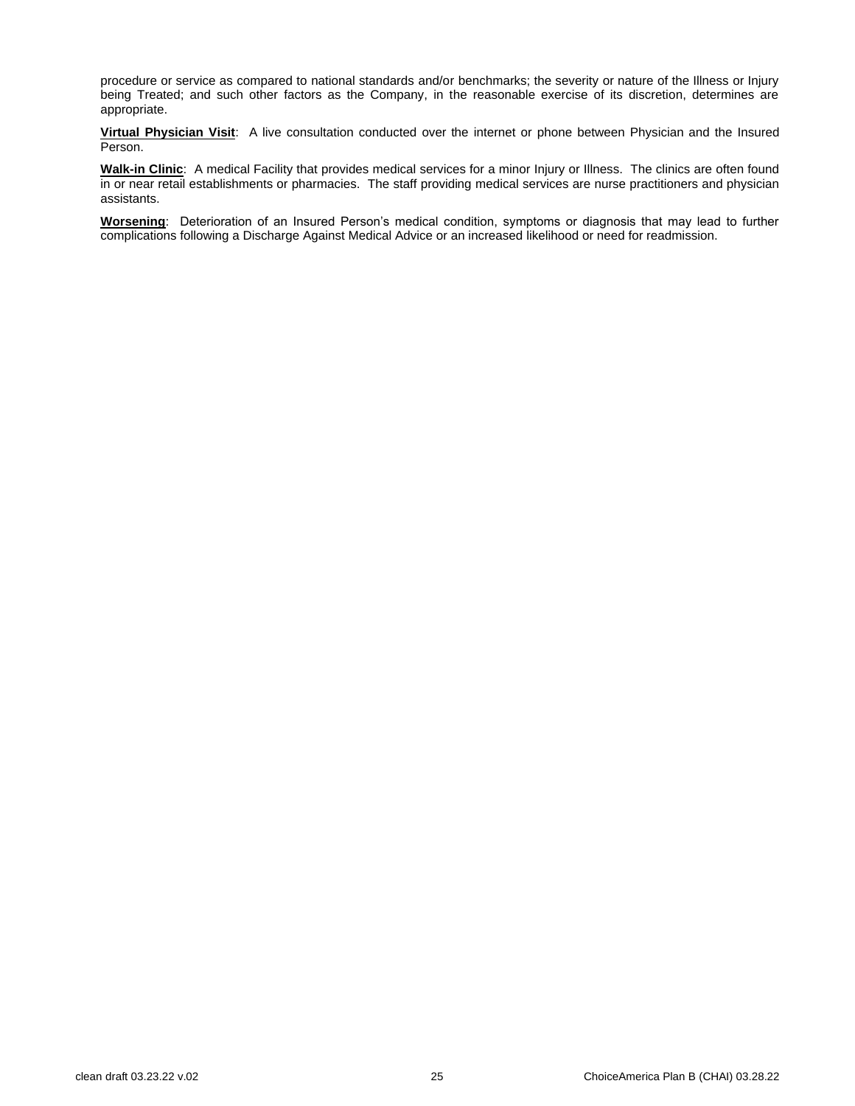procedure or service as compared to national standards and/or benchmarks; the severity or nature of the Illness or Injury being Treated; and such other factors as the Company, in the reasonable exercise of its discretion, determines are appropriate.

**Virtual Physician Visit**: A live consultation conducted over the internet or phone between Physician and the Insured Person.

**Walk-in Clinic**: A medical Facility that provides medical services for a minor Injury or Illness. The clinics are often found in or near retail establishments or pharmacies. The staff providing medical services are nurse practitioners and physician assistants.

**Worsening**: Deterioration of an Insured Person's medical condition, symptoms or diagnosis that may lead to further complications following a Discharge Against Medical Advice or an increased likelihood or need for readmission.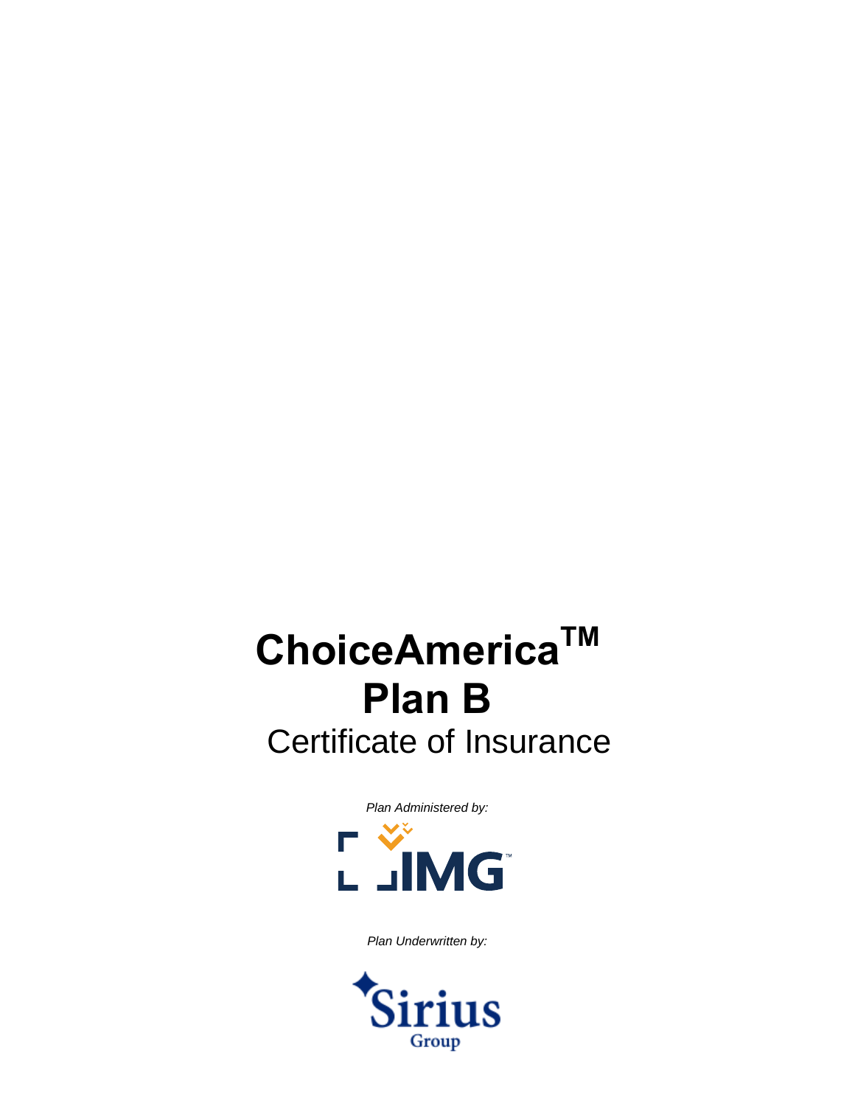# **ChoiceAmericaTM Plan B** Certificate of Insurance



*Plan Underwritten by:*

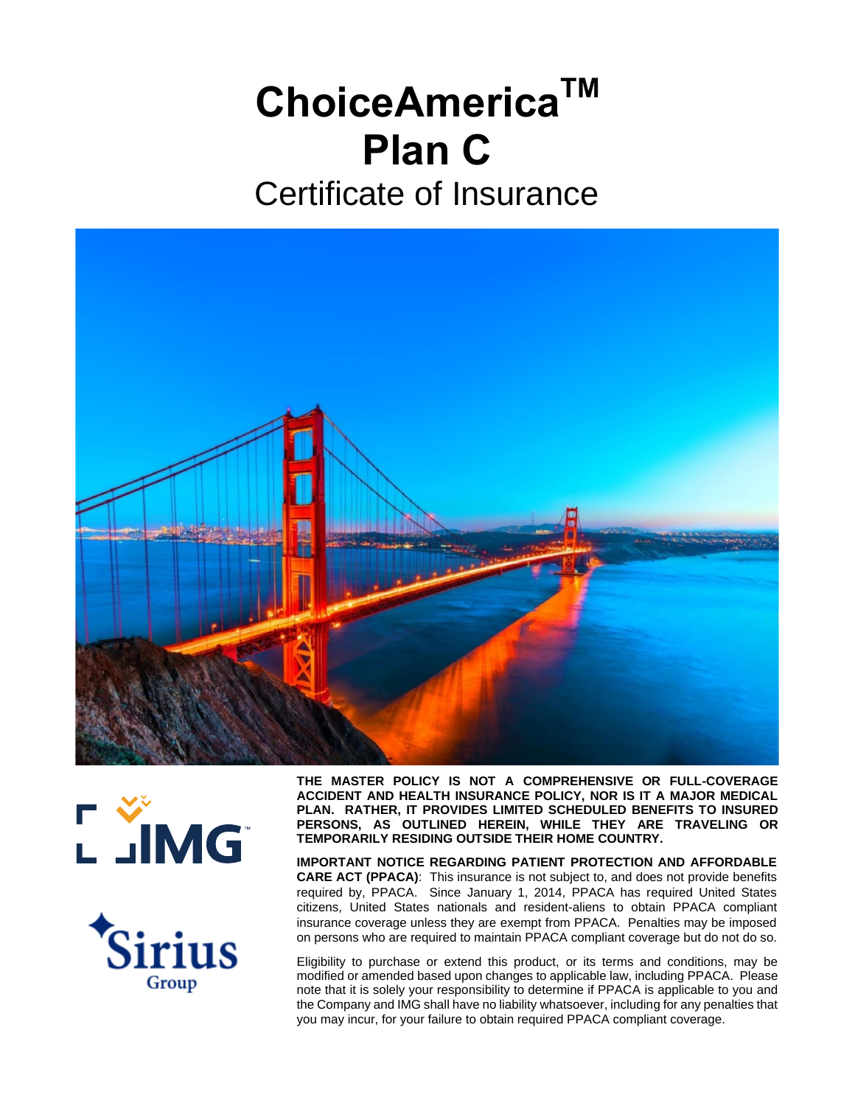# **ChoiceAmericaTM Plan C** Certificate of Insurance







**THE MASTER POLICY IS NOT A COMPREHENSIVE OR FULL-COVERAGE ACCIDENT AND HEALTH INSURANCE POLICY, NOR IS IT A MAJOR MEDICAL PLAN. RATHER, IT PROVIDES LIMITED SCHEDULED BENEFITS TO INSURED PERSONS, AS OUTLINED HEREIN, WHILE THEY ARE TRAVELING OR TEMPORARILY RESIDING OUTSIDE THEIR HOME COUNTRY.**

**IMPORTANT NOTICE REGARDING PATIENT PROTECTION AND AFFORDABLE CARE ACT (PPACA)**: This insurance is not subject to, and does not provide benefits required by, PPACA. Since January 1, 2014, PPACA has required United States citizens, United States nationals and resident-aliens to obtain PPACA compliant insurance coverage unless they are exempt from PPACA. Penalties may be imposed on persons who are required to maintain PPACA compliant coverage but do not do so.

Eligibility to purchase or extend this product, or its terms and conditions, may be modified or amended based upon changes to applicable law, including PPACA. Please note that it is solely your responsibility to determine if PPACA is applicable to you and the Company and IMG shall have no liability whatsoever, including for any penalties that you may incur, for your failure to obtain required PPACA compliant coverage.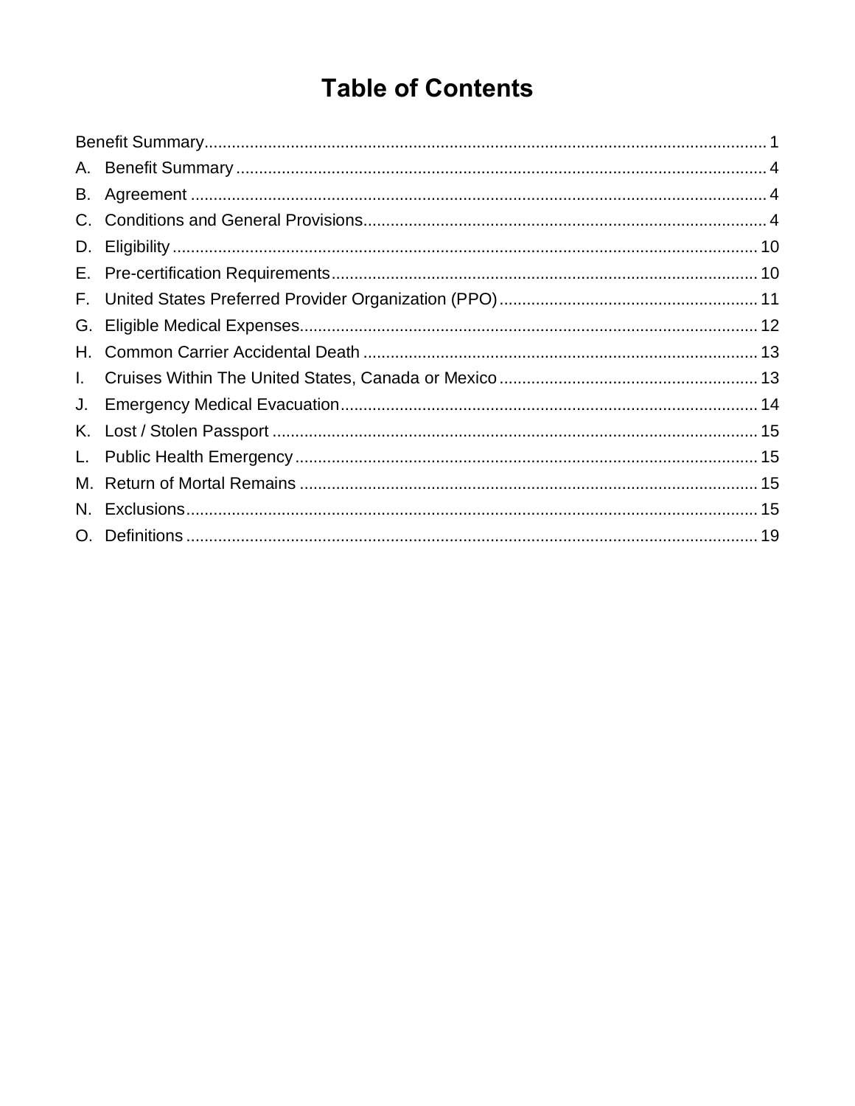### **Table of Contents**

| В. |  |  |  |
|----|--|--|--|
| C. |  |  |  |
| D. |  |  |  |
|    |  |  |  |
|    |  |  |  |
|    |  |  |  |
|    |  |  |  |
|    |  |  |  |
|    |  |  |  |
|    |  |  |  |
|    |  |  |  |
|    |  |  |  |
|    |  |  |  |
|    |  |  |  |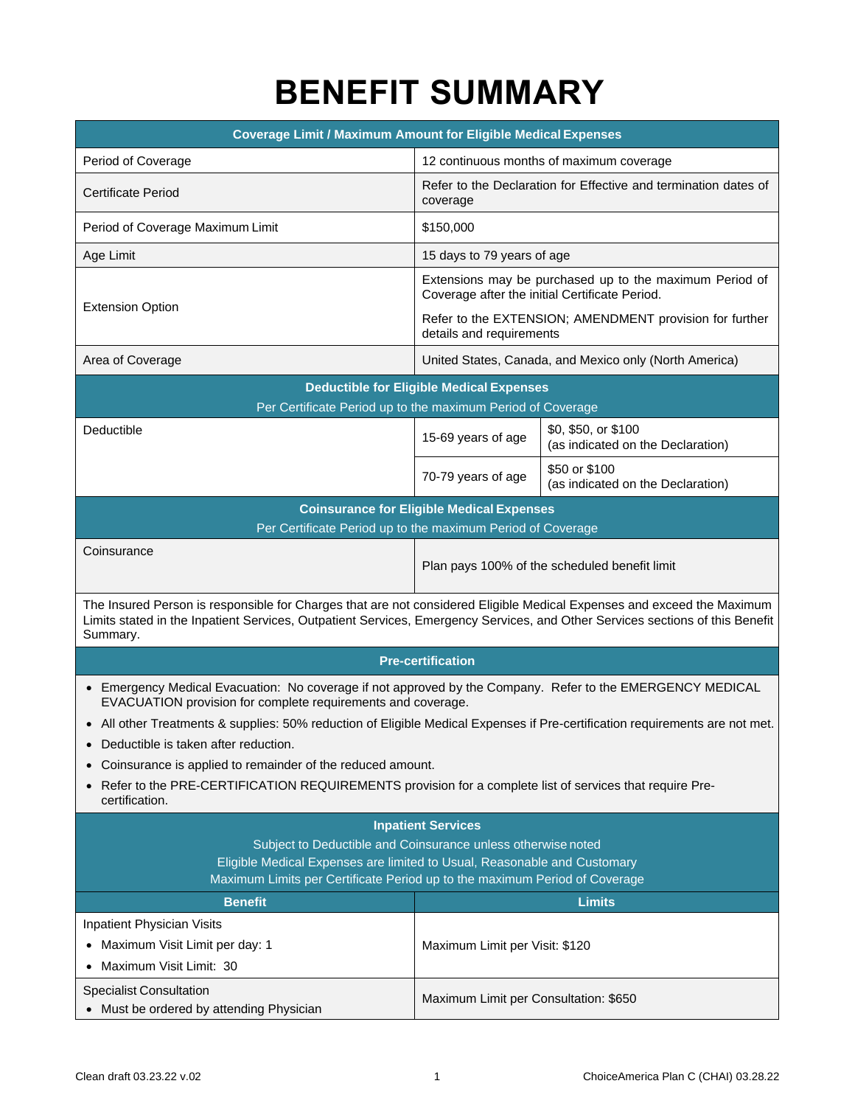### **BENEFIT SUMMARY**

<span id="page-60-0"></span>

| <b>Coverage Limit / Maximum Amount for Eligible Medical Expenses</b>                                                                                                                                                                                                |                                                                                                                              |                                                                                                                                                                      |  |  |  |
|---------------------------------------------------------------------------------------------------------------------------------------------------------------------------------------------------------------------------------------------------------------------|------------------------------------------------------------------------------------------------------------------------------|----------------------------------------------------------------------------------------------------------------------------------------------------------------------|--|--|--|
| Period of Coverage                                                                                                                                                                                                                                                  | 12 continuous months of maximum coverage                                                                                     |                                                                                                                                                                      |  |  |  |
| <b>Certificate Period</b>                                                                                                                                                                                                                                           | Refer to the Declaration for Effective and termination dates of<br>coverage                                                  |                                                                                                                                                                      |  |  |  |
| Period of Coverage Maximum Limit                                                                                                                                                                                                                                    | \$150,000                                                                                                                    |                                                                                                                                                                      |  |  |  |
| Age Limit                                                                                                                                                                                                                                                           | 15 days to 79 years of age                                                                                                   |                                                                                                                                                                      |  |  |  |
| <b>Extension Option</b>                                                                                                                                                                                                                                             | details and requirements                                                                                                     | Extensions may be purchased up to the maximum Period of<br>Coverage after the initial Certificate Period.<br>Refer to the EXTENSION; AMENDMENT provision for further |  |  |  |
| Area of Coverage                                                                                                                                                                                                                                                    |                                                                                                                              | United States, Canada, and Mexico only (North America)                                                                                                               |  |  |  |
| <b>Deductible for Eligible Medical Expenses</b>                                                                                                                                                                                                                     |                                                                                                                              |                                                                                                                                                                      |  |  |  |
| Per Certificate Period up to the maximum Period of Coverage                                                                                                                                                                                                         |                                                                                                                              |                                                                                                                                                                      |  |  |  |
| Deductible                                                                                                                                                                                                                                                          | 15-69 years of age                                                                                                           | \$0, \$50, or \$100<br>(as indicated on the Declaration)                                                                                                             |  |  |  |
|                                                                                                                                                                                                                                                                     | 70-79 years of age                                                                                                           | \$50 or \$100<br>(as indicated on the Declaration)                                                                                                                   |  |  |  |
|                                                                                                                                                                                                                                                                     | <b>Coinsurance for Eligible Medical Expenses</b>                                                                             |                                                                                                                                                                      |  |  |  |
| Per Certificate Period up to the maximum Period of Coverage                                                                                                                                                                                                         |                                                                                                                              |                                                                                                                                                                      |  |  |  |
| Coinsurance                                                                                                                                                                                                                                                         | Plan pays 100% of the scheduled benefit limit                                                                                |                                                                                                                                                                      |  |  |  |
| The Insured Person is responsible for Charges that are not considered Eligible Medical Expenses and exceed the Maximum<br>Limits stated in the Inpatient Services, Outpatient Services, Emergency Services, and Other Services sections of this Benefit<br>Summary. |                                                                                                                              |                                                                                                                                                                      |  |  |  |
|                                                                                                                                                                                                                                                                     | <b>Pre-certification</b>                                                                                                     |                                                                                                                                                                      |  |  |  |
| • Emergency Medical Evacuation: No coverage if not approved by the Company. Refer to the EMERGENCY MEDICAL<br>EVACUATION provision for complete requirements and coverage.                                                                                          |                                                                                                                              |                                                                                                                                                                      |  |  |  |
|                                                                                                                                                                                                                                                                     | • All other Treatments & supplies: 50% reduction of Eligible Medical Expenses if Pre-certification requirements are not met. |                                                                                                                                                                      |  |  |  |
| Deductible is taken after reduction.                                                                                                                                                                                                                                |                                                                                                                              |                                                                                                                                                                      |  |  |  |
| • Coinsurance is applied to remainder of the reduced amount.                                                                                                                                                                                                        |                                                                                                                              |                                                                                                                                                                      |  |  |  |
| Refer to the PRE-CERTIFICATION REQUIREMENTS provision for a complete list of services that require Pre-<br>certification.                                                                                                                                           |                                                                                                                              |                                                                                                                                                                      |  |  |  |
| <b>Inpatient Services</b>                                                                                                                                                                                                                                           |                                                                                                                              |                                                                                                                                                                      |  |  |  |
| Subject to Deductible and Coinsurance unless otherwise noted                                                                                                                                                                                                        |                                                                                                                              |                                                                                                                                                                      |  |  |  |
| Eligible Medical Expenses are limited to Usual, Reasonable and Customary<br>Maximum Limits per Certificate Period up to the maximum Period of Coverage                                                                                                              |                                                                                                                              |                                                                                                                                                                      |  |  |  |
| <b>Benefit</b>                                                                                                                                                                                                                                                      |                                                                                                                              | <b>Limits</b>                                                                                                                                                        |  |  |  |
| <b>Inpatient Physician Visits</b>                                                                                                                                                                                                                                   |                                                                                                                              |                                                                                                                                                                      |  |  |  |
| Maximum Visit Limit per day: 1                                                                                                                                                                                                                                      | Maximum Limit per Visit: \$120                                                                                               |                                                                                                                                                                      |  |  |  |
| Maximum Visit Limit: 30<br>٠                                                                                                                                                                                                                                        |                                                                                                                              |                                                                                                                                                                      |  |  |  |
| <b>Specialist Consultation</b><br>• Must be ordered by attending Physician                                                                                                                                                                                          | Maximum Limit per Consultation: \$650                                                                                        |                                                                                                                                                                      |  |  |  |
|                                                                                                                                                                                                                                                                     |                                                                                                                              |                                                                                                                                                                      |  |  |  |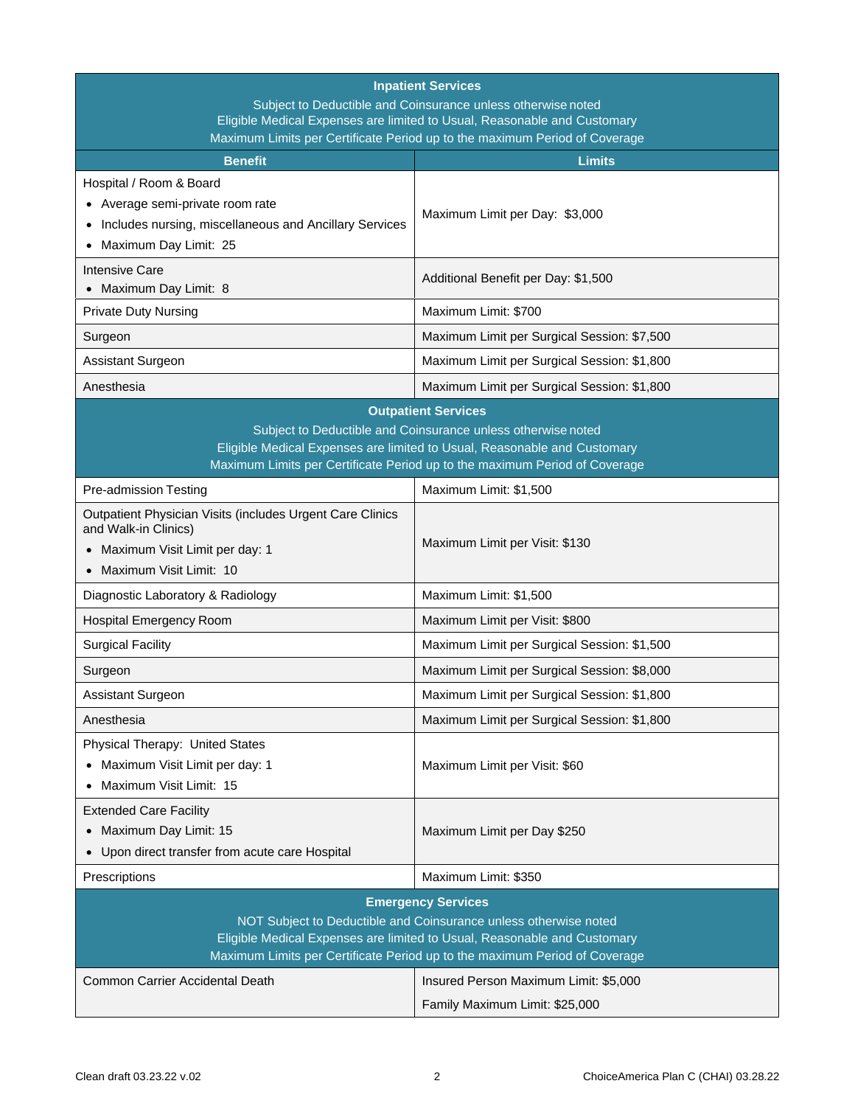| <b>Inpatient Services</b>                                                                                                                              |                                             |  |  |  |  |
|--------------------------------------------------------------------------------------------------------------------------------------------------------|---------------------------------------------|--|--|--|--|
| Subject to Deductible and Coinsurance unless otherwise noted                                                                                           |                                             |  |  |  |  |
| Eligible Medical Expenses are limited to Usual, Reasonable and Customary<br>Maximum Limits per Certificate Period up to the maximum Period of Coverage |                                             |  |  |  |  |
| <b>Benefit</b>                                                                                                                                         | Limits                                      |  |  |  |  |
| Hospital / Room & Board                                                                                                                                |                                             |  |  |  |  |
| • Average semi-private room rate                                                                                                                       |                                             |  |  |  |  |
| Includes nursing, miscellaneous and Ancillary Services                                                                                                 | Maximum Limit per Day: \$3,000              |  |  |  |  |
| Maximum Day Limit: 25                                                                                                                                  |                                             |  |  |  |  |
| <b>Intensive Care</b>                                                                                                                                  | Additional Benefit per Day: \$1,500         |  |  |  |  |
| • Maximum Day Limit: 8                                                                                                                                 |                                             |  |  |  |  |
| <b>Private Duty Nursing</b>                                                                                                                            | Maximum Limit: \$700                        |  |  |  |  |
| Surgeon                                                                                                                                                | Maximum Limit per Surgical Session: \$7,500 |  |  |  |  |
| Assistant Surgeon                                                                                                                                      | Maximum Limit per Surgical Session: \$1,800 |  |  |  |  |
| Anesthesia                                                                                                                                             | Maximum Limit per Surgical Session: \$1,800 |  |  |  |  |
|                                                                                                                                                        | <b>Outpatient Services</b>                  |  |  |  |  |
| Subject to Deductible and Coinsurance unless otherwise noted                                                                                           |                                             |  |  |  |  |
| Eligible Medical Expenses are limited to Usual, Reasonable and Customary<br>Maximum Limits per Certificate Period up to the maximum Period of Coverage |                                             |  |  |  |  |
| Pre-admission Testing                                                                                                                                  | Maximum Limit: \$1,500                      |  |  |  |  |
| Outpatient Physician Visits (includes Urgent Care Clinics                                                                                              |                                             |  |  |  |  |
| and Walk-in Clinics)                                                                                                                                   |                                             |  |  |  |  |
| • Maximum Visit Limit per day: 1                                                                                                                       | Maximum Limit per Visit: \$130              |  |  |  |  |
| • Maximum Visit Limit: 10                                                                                                                              |                                             |  |  |  |  |
| Diagnostic Laboratory & Radiology                                                                                                                      | Maximum Limit: \$1,500                      |  |  |  |  |
| <b>Hospital Emergency Room</b>                                                                                                                         | Maximum Limit per Visit: \$800              |  |  |  |  |
| <b>Surgical Facility</b>                                                                                                                               | Maximum Limit per Surgical Session: \$1,500 |  |  |  |  |
| Surgeon                                                                                                                                                | Maximum Limit per Surgical Session: \$8,000 |  |  |  |  |
| Assistant Surgeon                                                                                                                                      | Maximum Limit per Surgical Session: \$1,800 |  |  |  |  |
| Anesthesia                                                                                                                                             | Maximum Limit per Surgical Session: \$1,800 |  |  |  |  |
| Physical Therapy: United States                                                                                                                        |                                             |  |  |  |  |
| • Maximum Visit Limit per day: 1                                                                                                                       | Maximum Limit per Visit: \$60               |  |  |  |  |
| Maximum Visit Limit: 15                                                                                                                                |                                             |  |  |  |  |
| <b>Extended Care Facility</b>                                                                                                                          |                                             |  |  |  |  |
| Maximum Day Limit: 15                                                                                                                                  | Maximum Limit per Day \$250                 |  |  |  |  |
| Upon direct transfer from acute care Hospital                                                                                                          |                                             |  |  |  |  |
| Maximum Limit: \$350<br>Prescriptions                                                                                                                  |                                             |  |  |  |  |
| <b>Emergency Services</b>                                                                                                                              |                                             |  |  |  |  |
| NOT Subject to Deductible and Coinsurance unless otherwise noted<br>Eligible Medical Expenses are limited to Usual, Reasonable and Customary           |                                             |  |  |  |  |
| Maximum Limits per Certificate Period up to the maximum Period of Coverage                                                                             |                                             |  |  |  |  |
| Common Carrier Accidental Death                                                                                                                        | Insured Person Maximum Limit: \$5,000       |  |  |  |  |
|                                                                                                                                                        | Family Maximum Limit: \$25,000              |  |  |  |  |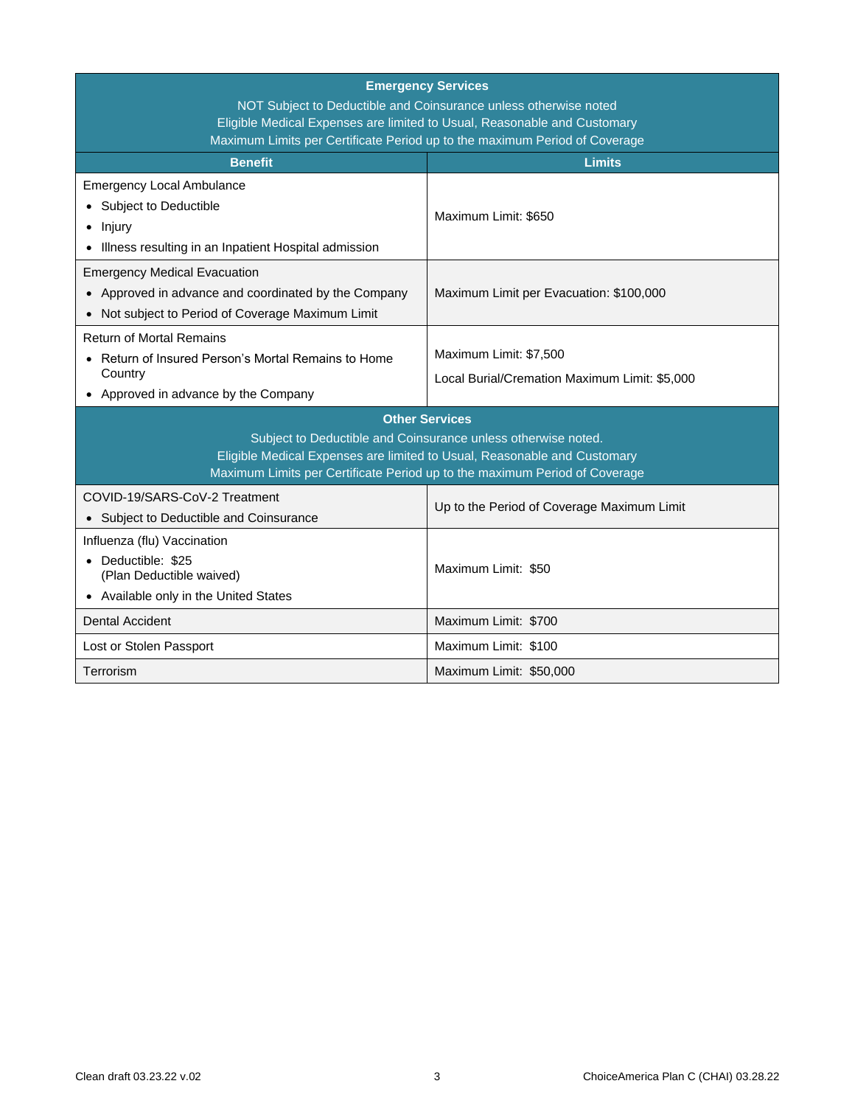| <b>Emergency Services</b><br>NOT Subject to Deductible and Coinsurance unless otherwise noted<br>Eligible Medical Expenses are limited to Usual, Reasonable and Customary<br>Maximum Limits per Certificate Period up to the maximum Period of Coverage |                                                                         |  |  |  |
|---------------------------------------------------------------------------------------------------------------------------------------------------------------------------------------------------------------------------------------------------------|-------------------------------------------------------------------------|--|--|--|
| <b>Benefit</b>                                                                                                                                                                                                                                          | <b>Limits</b>                                                           |  |  |  |
| <b>Emergency Local Ambulance</b><br>Subject to Deductible<br>Injury<br>Illness resulting in an Inpatient Hospital admission                                                                                                                             | Maximum Limit: \$650                                                    |  |  |  |
| <b>Emergency Medical Evacuation</b><br>• Approved in advance and coordinated by the Company<br>Not subject to Period of Coverage Maximum Limit                                                                                                          | Maximum Limit per Evacuation: \$100,000                                 |  |  |  |
| <b>Return of Mortal Remains</b><br>• Return of Insured Person's Mortal Remains to Home<br>Country<br>• Approved in advance by the Company                                                                                                               | Maximum Limit: \$7,500<br>Local Burial/Cremation Maximum Limit: \$5,000 |  |  |  |
| <b>Other Services</b><br>Subject to Deductible and Coinsurance unless otherwise noted.<br>Eligible Medical Expenses are limited to Usual, Reasonable and Customary<br>Maximum Limits per Certificate Period up to the maximum Period of Coverage        |                                                                         |  |  |  |
| COVID-19/SARS-CoV-2 Treatment<br>• Subject to Deductible and Coinsurance                                                                                                                                                                                | Up to the Period of Coverage Maximum Limit                              |  |  |  |
| Influenza (flu) Vaccination<br>Deductible: \$25<br>(Plan Deductible waived)<br>• Available only in the United States                                                                                                                                    | Maximum Limit: \$50                                                     |  |  |  |
| <b>Dental Accident</b>                                                                                                                                                                                                                                  | Maximum Limit: \$700                                                    |  |  |  |
| Lost or Stolen Passport                                                                                                                                                                                                                                 | Maximum Limit: \$100                                                    |  |  |  |
| Terrorism                                                                                                                                                                                                                                               | Maximum Limit: \$50,000                                                 |  |  |  |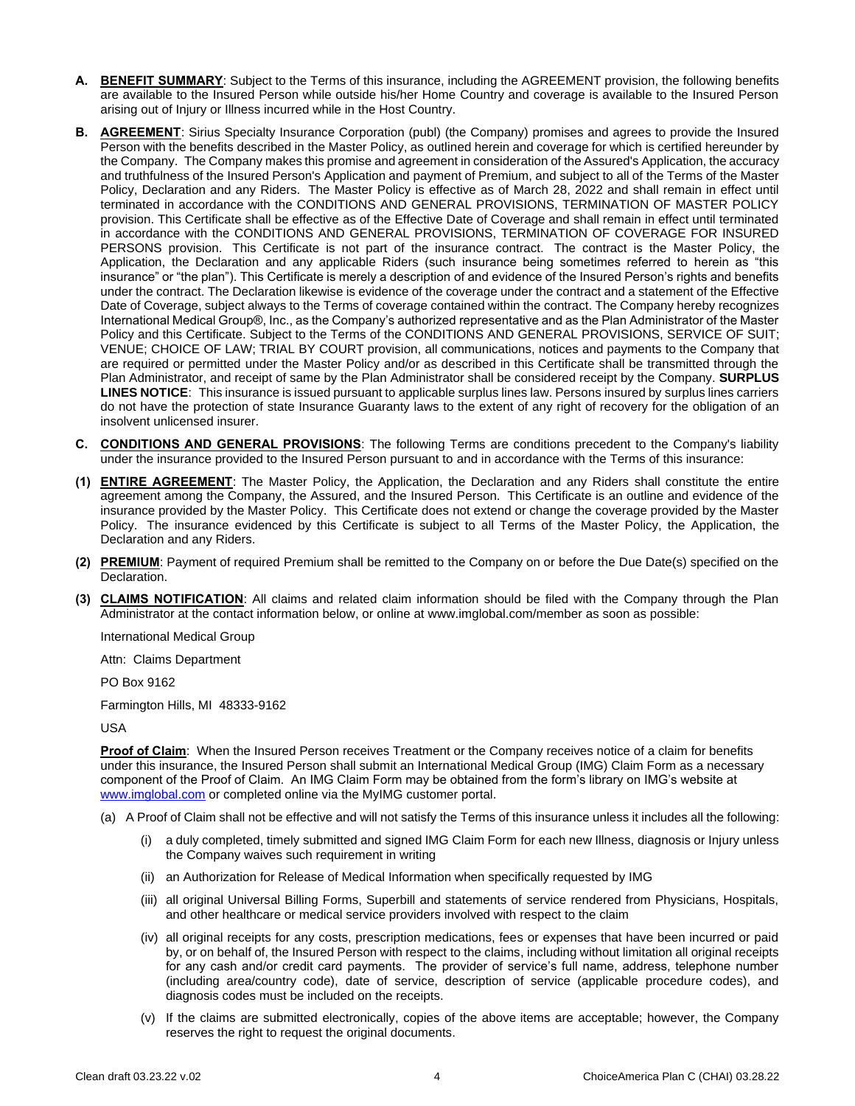- <span id="page-63-0"></span>**A. BENEFIT SUMMARY**: Subject to the Terms of this insurance, including the AGREEMENT provision, the following benefits are available to the Insured Person while outside his/her Home Country and coverage is available to the Insured Person arising out of Injury or Illness incurred while in the Host Country.
- <span id="page-63-1"></span>**B. AGREEMENT**: Sirius Specialty Insurance Corporation (publ) (the Company) promises and agrees to provide the Insured Person with the benefits described in the Master Policy, as outlined herein and coverage for which is certified hereunder by the Company. The Company makes this promise and agreement in consideration of the Assured's Application, the accuracy and truthfulness of the Insured Person's Application and payment of Premium, and subject to all of the Terms of the Master Policy, Declaration and any Riders. The Master Policy is effective as of March 28, 2022 and shall remain in effect until terminated in accordance with the CONDITIONS AND GENERAL PROVISIONS, TERMINATION OF MASTER POLICY provision. This Certificate shall be effective as of the Effective Date of Coverage and shall remain in effect until terminated in accordance with the CONDITIONS AND GENERAL PROVISIONS, TERMINATION OF COVERAGE FOR INSURED PERSONS provision. This Certificate is not part of the insurance contract. The contract is the Master Policy, the Application, the Declaration and any applicable Riders (such insurance being sometimes referred to herein as "this insurance" or "the plan"). This Certificate is merely a description of and evidence of the Insured Person's rights and benefits under the contract. The Declaration likewise is evidence of the coverage under the contract and a statement of the Effective Date of Coverage, subject always to the Terms of coverage contained within the contract. The Company hereby recognizes International Medical Group®, Inc., as the Company's authorized representative and as the Plan Administrator of the Master Policy and this Certificate. Subject to the Terms of the CONDITIONS AND GENERAL PROVISIONS, SERVICE OF SUIT; VENUE; CHOICE OF LAW; TRIAL BY COURT provision, all communications, notices and payments to the Company that are required or permitted under the Master Policy and/or as described in this Certificate shall be transmitted through the Plan Administrator, and receipt of same by the Plan Administrator shall be considered receipt by the Company. **SURPLUS LINES NOTICE**: This insurance is issued pursuant to applicable surplus lines law. Persons insured by surplus lines carriers do not have the protection of state Insurance Guaranty laws to the extent of any right of recovery for the obligation of an insolvent unlicensed insurer.
- <span id="page-63-2"></span>**C. CONDITIONS AND GENERAL PROVISIONS**: The following Terms are conditions precedent to the Company's liability under the insurance provided to the Insured Person pursuant to and in accordance with the Terms of this insurance:
- **(1) ENTIRE AGREEMENT**: The Master Policy, the Application, the Declaration and any Riders shall constitute the entire agreement among the Company, the Assured, and the Insured Person. This Certificate is an outline and evidence of the insurance provided by the Master Policy. This Certificate does not extend or change the coverage provided by the Master Policy. The insurance evidenced by this Certificate is subject to all Terms of the Master Policy, the Application, the Declaration and any Riders.
- **(2) PREMIUM**: Payment of required Premium shall be remitted to the Company on or before the Due Date(s) specified on the Declaration.
- **(3) CLAIMS NOTIFICATION**: All claims and related claim information should be filed with the Company through the Plan Administrator at the contact information below, or online at [www.imglobal.com/member](http://www.imglobal.com/member) as soon as possible:

International Medical Group

Attn: Claims Department

PO Box 9162

Farmington Hills, MI 48333-9162

USA

**Proof of Claim**: When the Insured Person receives Treatment or the Company receives notice of a claim for benefits under this insurance, the Insured Person shall submit an International Medical Group (IMG) Claim Form as a necessary component of the Proof of Claim. An IMG Claim Form may be obtained from the form's library on IMG's website at [www.imglobal.com](http://www.imglobal.com/) or completed online via the MyIMG customer portal.

- (a) A Proof of Claim shall not be effective and will not satisfy the Terms of this insurance unless it includes all the following:
	- (i) a duly completed, timely submitted and signed IMG Claim Form for each new Illness, diagnosis or Injury unless the Company waives such requirement in writing
	- (ii) an Authorization for Release of Medical Information when specifically requested by IMG
	- (iii) all original Universal Billing Forms, Superbill and statements of service rendered from Physicians, Hospitals, and other healthcare or medical service providers involved with respect to the claim
	- (iv) all original receipts for any costs, prescription medications, fees or expenses that have been incurred or paid by, or on behalf of, the Insured Person with respect to the claims, including without limitation all original receipts for any cash and/or credit card payments. The provider of service's full name, address, telephone number (including area/country code), date of service, description of service (applicable procedure codes), and diagnosis codes must be included on the receipts.
	- (v) If the claims are submitted electronically, copies of the above items are acceptable; however, the Company reserves the right to request the original documents.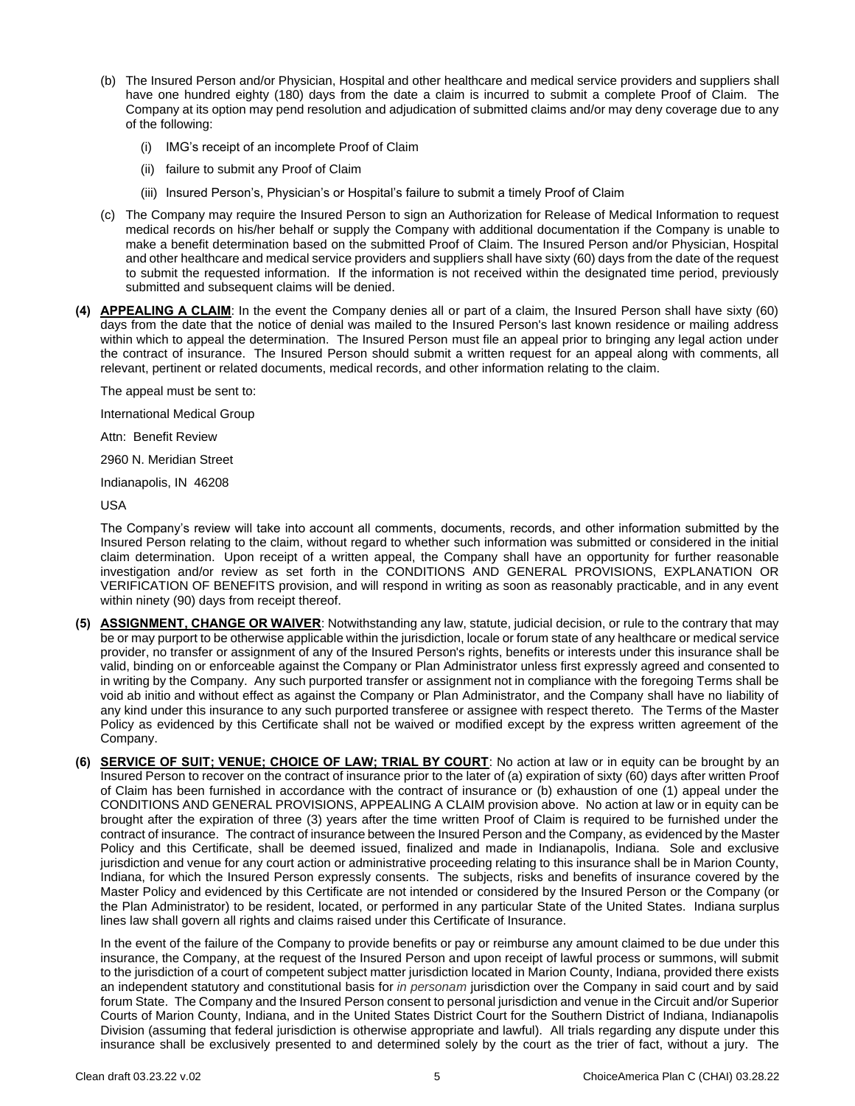- (b) The Insured Person and/or Physician, Hospital and other healthcare and medical service providers and suppliers shall have one hundred eighty (180) days from the date a claim is incurred to submit a complete Proof of Claim. The Company at its option may pend resolution and adjudication of submitted claims and/or may deny coverage due to any of the following:
	- (i) IMG's receipt of an incomplete Proof of Claim
	- (ii) failure to submit any Proof of Claim
	- (iii) Insured Person's, Physician's or Hospital's failure to submit a timely Proof of Claim
- (c) The Company may require the Insured Person to sign an Authorization for Release of Medical Information to request medical records on his/her behalf or supply the Company with additional documentation if the Company is unable to make a benefit determination based on the submitted Proof of Claim. The Insured Person and/or Physician, Hospital and other healthcare and medical service providers and suppliers shall have sixty (60) days from the date of the request to submit the requested information. If the information is not received within the designated time period, previously submitted and subsequent claims will be denied.
- **(4) APPEALING A CLAIM**: In the event the Company denies all or part of a claim, the Insured Person shall have sixty (60) days from the date that the notice of denial was mailed to the Insured Person's last known residence or mailing address within which to appeal the determination. The Insured Person must file an appeal prior to bringing any legal action under the contract of insurance. The Insured Person should submit a written request for an appeal along with comments, all relevant, pertinent or related documents, medical records, and other information relating to the claim.

The appeal must be sent to:

International Medical Group

Attn: Benefit Review

2960 N. Meridian Street

Indianapolis, IN 46208

USA

The Company's review will take into account all comments, documents, records, and other information submitted by the Insured Person relating to the claim, without regard to whether such information was submitted or considered in the initial claim determination. Upon receipt of a written appeal, the Company shall have an opportunity for further reasonable investigation and/or review as set forth in the CONDITIONS AND GENERAL PROVISIONS, EXPLANATION OR VERIFICATION OF BENEFITS provision, and will respond in writing as soon as reasonably practicable, and in any event within ninety (90) days from receipt thereof.

- **(5) ASSIGNMENT, CHANGE OR WAIVER**: Notwithstanding any law, statute, judicial decision, or rule to the contrary that may be or may purport to be otherwise applicable within the jurisdiction, locale or forum state of any healthcare or medical service provider, no transfer or assignment of any of the Insured Person's rights, benefits or interests under this insurance shall be valid, binding on or enforceable against the Company or Plan Administrator unless first expressly agreed and consented to in writing by the Company. Any such purported transfer or assignment not in compliance with the foregoing Terms shall be void ab initio and without effect as against the Company or Plan Administrator, and the Company shall have no liability of any kind under this insurance to any such purported transferee or assignee with respect thereto. The Terms of the Master Policy as evidenced by this Certificate shall not be waived or modified except by the express written agreement of the Company.
- **(6) SERVICE OF SUIT; VENUE; CHOICE OF LAW; TRIAL BY COURT**: No action at law or in equity can be brought by an Insured Person to recover on the contract of insurance prior to the later of (a) expiration of sixty (60) days after written Proof of Claim has been furnished in accordance with the contract of insurance or (b) exhaustion of one (1) appeal under the CONDITIONS AND GENERAL PROVISIONS, APPEALING A CLAIM provision above. No action at law or in equity can be brought after the expiration of three (3) years after the time written Proof of Claim is required to be furnished under the contract of insurance. The contract of insurance between the Insured Person and the Company, as evidenced by the Master Policy and this Certificate, shall be deemed issued, finalized and made in Indianapolis, Indiana. Sole and exclusive jurisdiction and venue for any court action or administrative proceeding relating to this insurance shall be in Marion County, Indiana, for which the Insured Person expressly consents. The subjects, risks and benefits of insurance covered by the Master Policy and evidenced by this Certificate are not intended or considered by the Insured Person or the Company (or the Plan Administrator) to be resident, located, or performed in any particular State of the United States. Indiana surplus lines law shall govern all rights and claims raised under this Certificate of Insurance.

In the event of the failure of the Company to provide benefits or pay or reimburse any amount claimed to be due under this insurance, the Company, at the request of the Insured Person and upon receipt of lawful process or summons, will submit to the jurisdiction of a court of competent subject matter jurisdiction located in Marion County, Indiana, provided there exists an independent statutory and constitutional basis for *in personam* jurisdiction over the Company in said court and by said forum State. The Company and the Insured Person consent to personal jurisdiction and venue in the Circuit and/or Superior Courts of Marion County, Indiana, and in the United States District Court for the Southern District of Indiana, Indianapolis Division (assuming that federal jurisdiction is otherwise appropriate and lawful). All trials regarding any dispute under this insurance shall be exclusively presented to and determined solely by the court as the trier of fact, without a jury. The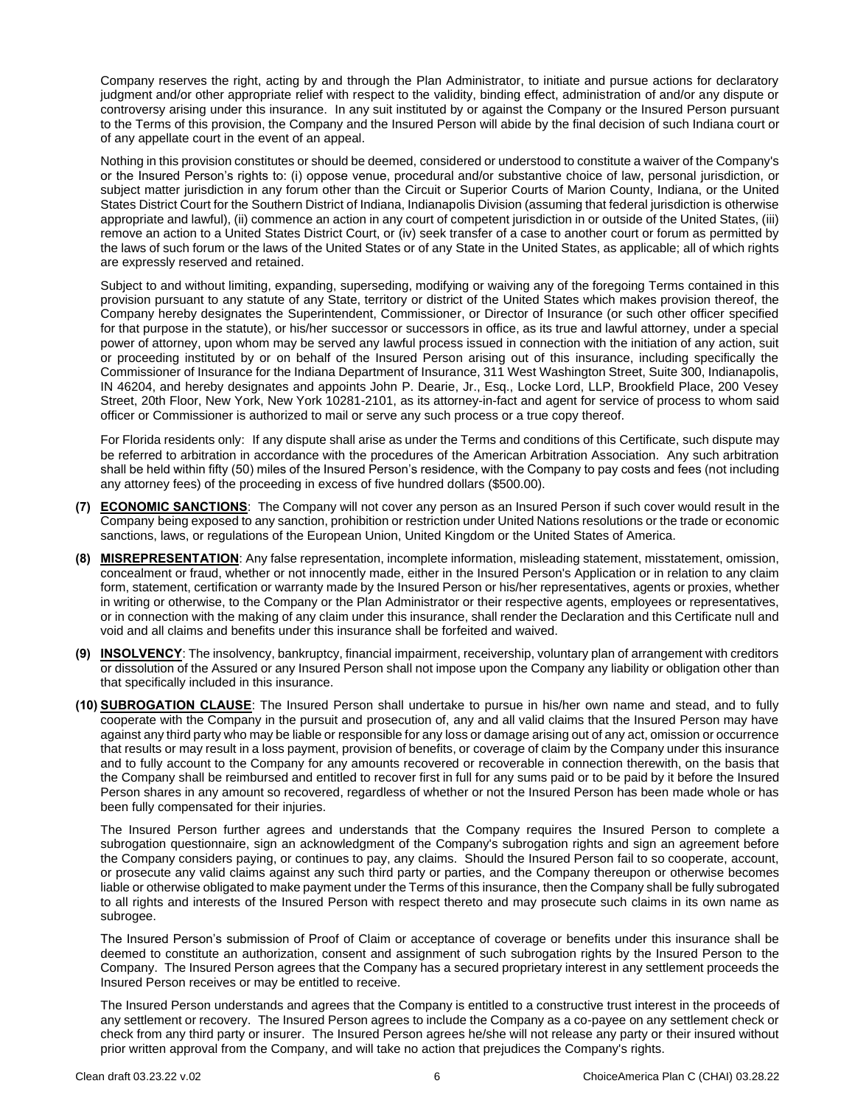Company reserves the right, acting by and through the Plan Administrator, to initiate and pursue actions for declaratory judgment and/or other appropriate relief with respect to the validity, binding effect, administration of and/or any dispute or controversy arising under this insurance. In any suit instituted by or against the Company or the Insured Person pursuant to the Terms of this provision, the Company and the Insured Person will abide by the final decision of such Indiana court or of any appellate court in the event of an appeal.

Nothing in this provision constitutes or should be deemed, considered or understood to constitute a waiver of the Company's or the Insured Person's rights to: (i) oppose venue, procedural and/or substantive choice of law, personal jurisdiction, or subject matter jurisdiction in any forum other than the Circuit or Superior Courts of Marion County, Indiana, or the United States District Court for the Southern District of Indiana, Indianapolis Division (assuming that federal jurisdiction is otherwise appropriate and lawful), (ii) commence an action in any court of competent jurisdiction in or outside of the United States, (iii) remove an action to a United States District Court, or (iv) seek transfer of a case to another court or forum as permitted by the laws of such forum or the laws of the United States or of any State in the United States, as applicable; all of which rights are expressly reserved and retained.

Subject to and without limiting, expanding, superseding, modifying or waiving any of the foregoing Terms contained in this provision pursuant to any statute of any State, territory or district of the United States which makes provision thereof, the Company hereby designates the Superintendent, Commissioner, or Director of Insurance (or such other officer specified for that purpose in the statute), or his/her successor or successors in office, as its true and lawful attorney, under a special power of attorney, upon whom may be served any lawful process issued in connection with the initiation of any action, suit or proceeding instituted by or on behalf of the Insured Person arising out of this insurance, including specifically the Commissioner of Insurance for the Indiana Department of Insurance, 311 West Washington Street, Suite 300, Indianapolis, IN 46204, and hereby designates and appoints John P. Dearie, Jr., Esq., Locke Lord, LLP, Brookfield Place, 200 Vesey Street, 20th Floor, New York, New York 10281-2101, as its attorney-in-fact and agent for service of process to whom said officer or Commissioner is authorized to mail or serve any such process or a true copy thereof.

For Florida residents only: If any dispute shall arise as under the Terms and conditions of this Certificate, such dispute may be referred to arbitration in accordance with the procedures of the American Arbitration Association. Any such arbitration shall be held within fifty (50) miles of the Insured Person's residence, with the Company to pay costs and fees (not including any attorney fees) of the proceeding in excess of five hundred dollars (\$500.00).

- **(7) ECONOMIC SANCTIONS**: The Company will not cover any person as an Insured Person if such cover would result in the Company being exposed to any sanction, prohibition or restriction under United Nations resolutions or the trade or economic sanctions, laws, or regulations of the European Union, United Kingdom or the United States of America.
- **(8) MISREPRESENTATION**: Any false representation, incomplete information, misleading statement, misstatement, omission, concealment or fraud, whether or not innocently made, either in the Insured Person's Application or in relation to any claim form, statement, certification or warranty made by the Insured Person or his/her representatives, agents or proxies, whether in writing or otherwise, to the Company or the Plan Administrator or their respective agents, employees or representatives, or in connection with the making of any claim under this insurance, shall render the Declaration and this Certificate null and void and all claims and benefits under this insurance shall be forfeited and waived.
- **(9) INSOLVENCY**: The insolvency, bankruptcy, financial impairment, receivership, voluntary plan of arrangement with creditors or dissolution of the Assured or any Insured Person shall not impose upon the Company any liability or obligation other than that specifically included in this insurance.
- **(10) SUBROGATION CLAUSE**: The Insured Person shall undertake to pursue in his/her own name and stead, and to fully cooperate with the Company in the pursuit and prosecution of, any and all valid claims that the Insured Person may have against any third party who may be liable or responsible for any loss or damage arising out of any act, omission or occurrence that results or may result in a loss payment, provision of benefits, or coverage of claim by the Company under this insurance and to fully account to the Company for any amounts recovered or recoverable in connection therewith, on the basis that the Company shall be reimbursed and entitled to recover first in full for any sums paid or to be paid by it before the Insured Person shares in any amount so recovered, regardless of whether or not the Insured Person has been made whole or has been fully compensated for their injuries.

The Insured Person further agrees and understands that the Company requires the Insured Person to complete a subrogation questionnaire, sign an acknowledgment of the Company's subrogation rights and sign an agreement before the Company considers paying, or continues to pay, any claims. Should the Insured Person fail to so cooperate, account, or prosecute any valid claims against any such third party or parties, and the Company thereupon or otherwise becomes liable or otherwise obligated to make payment under the Terms of this insurance, then the Company shall be fully subrogated to all rights and interests of the Insured Person with respect thereto and may prosecute such claims in its own name as subrogee.

The Insured Person's submission of Proof of Claim or acceptance of coverage or benefits under this insurance shall be deemed to constitute an authorization, consent and assignment of such subrogation rights by the Insured Person to the Company. The Insured Person agrees that the Company has a secured proprietary interest in any settlement proceeds the Insured Person receives or may be entitled to receive.

The Insured Person understands and agrees that the Company is entitled to a constructive trust interest in the proceeds of any settlement or recovery. The Insured Person agrees to include the Company as a co-payee on any settlement check or check from any third party or insurer. The Insured Person agrees he/she will not release any party or their insured without prior written approval from the Company, and will take no action that prejudices the Company's rights.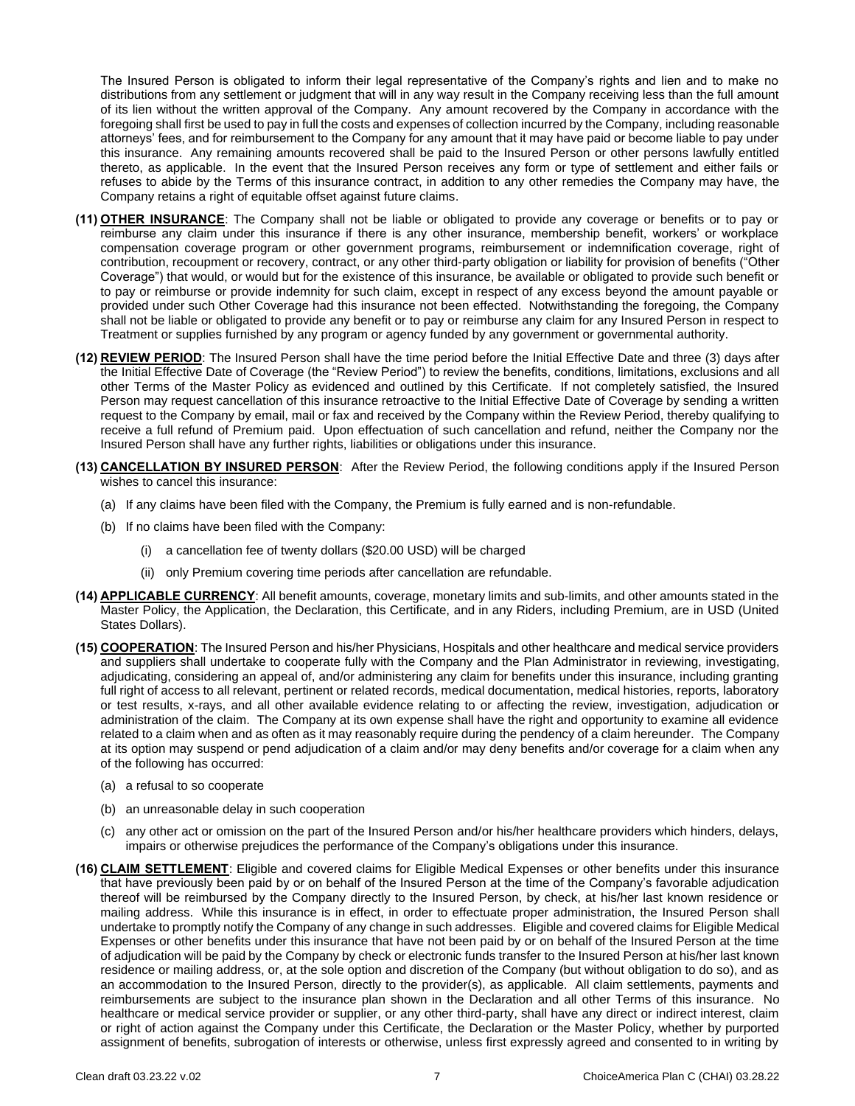The Insured Person is obligated to inform their legal representative of the Company's rights and lien and to make no distributions from any settlement or judgment that will in any way result in the Company receiving less than the full amount of its lien without the written approval of the Company. Any amount recovered by the Company in accordance with the foregoing shall first be used to pay in full the costs and expenses of collection incurred by the Company, including reasonable attorneys' fees, and for reimbursement to the Company for any amount that it may have paid or become liable to pay under this insurance. Any remaining amounts recovered shall be paid to the Insured Person or other persons lawfully entitled thereto, as applicable. In the event that the Insured Person receives any form or type of settlement and either fails or refuses to abide by the Terms of this insurance contract, in addition to any other remedies the Company may have, the Company retains a right of equitable offset against future claims.

- **(11) OTHER INSURANCE**: The Company shall not be liable or obligated to provide any coverage or benefits or to pay or reimburse any claim under this insurance if there is any other insurance, membership benefit, workers' or workplace compensation coverage program or other government programs, reimbursement or indemnification coverage, right of contribution, recoupment or recovery, contract, or any other third-party obligation or liability for provision of benefits ("Other Coverage") that would, or would but for the existence of this insurance, be available or obligated to provide such benefit or to pay or reimburse or provide indemnity for such claim, except in respect of any excess beyond the amount payable or provided under such Other Coverage had this insurance not been effected. Notwithstanding the foregoing, the Company shall not be liable or obligated to provide any benefit or to pay or reimburse any claim for any Insured Person in respect to Treatment or supplies furnished by any program or agency funded by any government or governmental authority.
- **(12) REVIEW PERIOD**: The Insured Person shall have the time period before the Initial Effective Date and three (3) days after the Initial Effective Date of Coverage (the "Review Period") to review the benefits, conditions, limitations, exclusions and all other Terms of the Master Policy as evidenced and outlined by this Certificate. If not completely satisfied, the Insured Person may request cancellation of this insurance retroactive to the Initial Effective Date of Coverage by sending a written request to the Company by email, mail or fax and received by the Company within the Review Period, thereby qualifying to receive a full refund of Premium paid. Upon effectuation of such cancellation and refund, neither the Company nor the Insured Person shall have any further rights, liabilities or obligations under this insurance.
- **(13) CANCELLATION BY INSURED PERSON**: After the Review Period, the following conditions apply if the Insured Person wishes to cancel this insurance:
	- (a) If any claims have been filed with the Company, the Premium is fully earned and is non-refundable.
	- (b) If no claims have been filed with the Company:
		- (i) a cancellation fee of twenty dollars (\$20.00 USD) will be charged
		- (ii) only Premium covering time periods after cancellation are refundable.
- **(14) APPLICABLE CURRENCY**: All benefit amounts, coverage, monetary limits and sub-limits, and other amounts stated in the Master Policy, the Application, the Declaration, this Certificate, and in any Riders, including Premium, are in USD (United States Dollars).
- **(15) COOPERATION**: The Insured Person and his/her Physicians, Hospitals and other healthcare and medical service providers and suppliers shall undertake to cooperate fully with the Company and the Plan Administrator in reviewing, investigating, adjudicating, considering an appeal of, and/or administering any claim for benefits under this insurance, including granting full right of access to all relevant, pertinent or related records, medical documentation, medical histories, reports, laboratory or test results, x-rays, and all other available evidence relating to or affecting the review, investigation, adjudication or administration of the claim. The Company at its own expense shall have the right and opportunity to examine all evidence related to a claim when and as often as it may reasonably require during the pendency of a claim hereunder. The Company at its option may suspend or pend adjudication of a claim and/or may deny benefits and/or coverage for a claim when any of the following has occurred:
	- (a) a refusal to so cooperate
	- (b) an unreasonable delay in such cooperation
	- (c) any other act or omission on the part of the Insured Person and/or his/her healthcare providers which hinders, delays, impairs or otherwise prejudices the performance of the Company's obligations under this insurance.
- **(16) CLAIM SETTLEMENT**: Eligible and covered claims for Eligible Medical Expenses or other benefits under this insurance that have previously been paid by or on behalf of the Insured Person at the time of the Company's favorable adjudication thereof will be reimbursed by the Company directly to the Insured Person, by check, at his/her last known residence or mailing address. While this insurance is in effect, in order to effectuate proper administration, the Insured Person shall undertake to promptly notify the Company of any change in such addresses. Eligible and covered claims for Eligible Medical Expenses or other benefits under this insurance that have not been paid by or on behalf of the Insured Person at the time of adjudication will be paid by the Company by check or electronic funds transfer to the Insured Person at his/her last known residence or mailing address, or, at the sole option and discretion of the Company (but without obligation to do so), and as an accommodation to the Insured Person, directly to the provider(s), as applicable. All claim settlements, payments and reimbursements are subject to the insurance plan shown in the Declaration and all other Terms of this insurance. No healthcare or medical service provider or supplier, or any other third-party, shall have any direct or indirect interest, claim or right of action against the Company under this Certificate, the Declaration or the Master Policy, whether by purported assignment of benefits, subrogation of interests or otherwise, unless first expressly agreed and consented to in writing by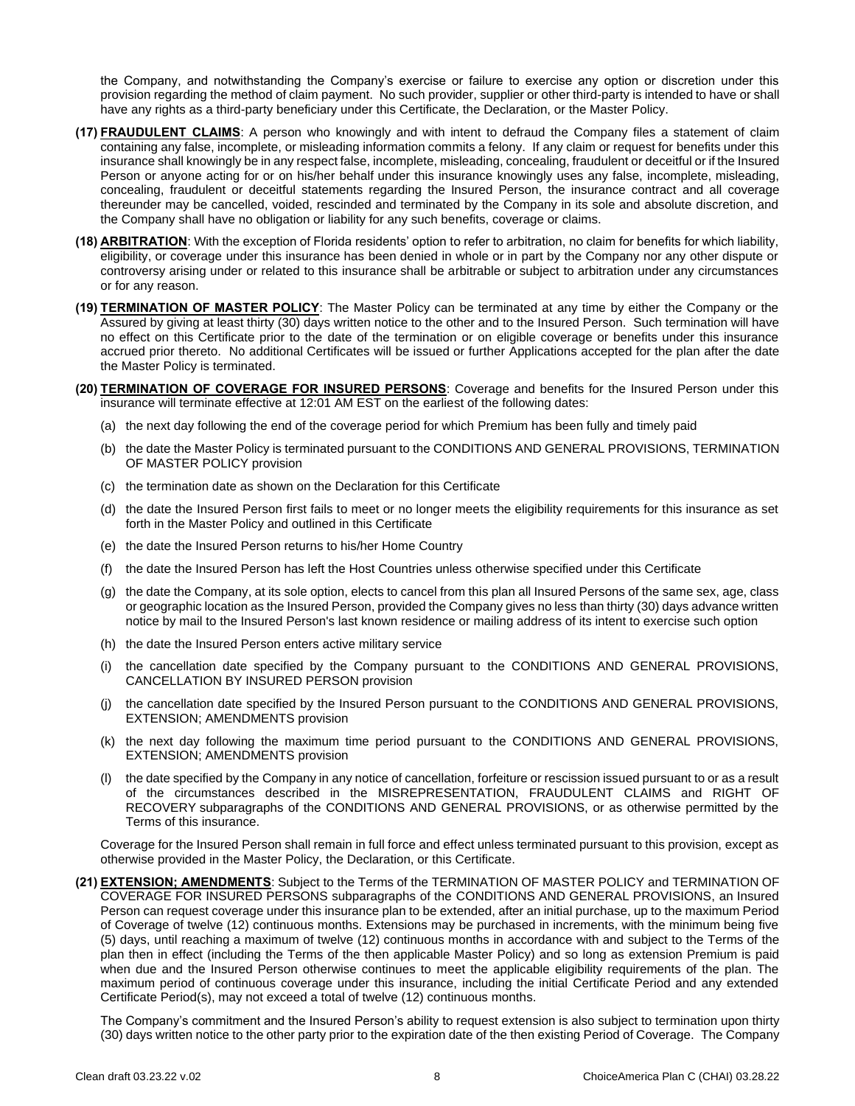the Company, and notwithstanding the Company's exercise or failure to exercise any option or discretion under this provision regarding the method of claim payment. No such provider, supplier or other third-party is intended to have or shall have any rights as a third-party beneficiary under this Certificate, the Declaration, or the Master Policy.

- **(17) FRAUDULENT CLAIMS**: A person who knowingly and with intent to defraud the Company files a statement of claim containing any false, incomplete, or misleading information commits a felony. If any claim or request for benefits under this insurance shall knowingly be in any respect false, incomplete, misleading, concealing, fraudulent or deceitful or if the Insured Person or anyone acting for or on his/her behalf under this insurance knowingly uses any false, incomplete, misleading, concealing, fraudulent or deceitful statements regarding the Insured Person, the insurance contract and all coverage thereunder may be cancelled, voided, rescinded and terminated by the Company in its sole and absolute discretion, and the Company shall have no obligation or liability for any such benefits, coverage or claims.
- **(18) ARBITRATION**: With the exception of Florida residents' option to refer to arbitration, no claim for benefits for which liability, eligibility, or coverage under this insurance has been denied in whole or in part by the Company nor any other dispute or controversy arising under or related to this insurance shall be arbitrable or subject to arbitration under any circumstances or for any reason.
- **(19) TERMINATION OF MASTER POLICY**: The Master Policy can be terminated at any time by either the Company or the Assured by giving at least thirty (30) days written notice to the other and to the Insured Person. Such termination will have no effect on this Certificate prior to the date of the termination or on eligible coverage or benefits under this insurance accrued prior thereto. No additional Certificates will be issued or further Applications accepted for the plan after the date the Master Policy is terminated.
- **(20) TERMINATION OF COVERAGE FOR INSURED PERSONS**: Coverage and benefits for the Insured Person under this insurance will terminate effective at 12:01 AM EST on the earliest of the following dates:
	- (a) the next day following the end of the coverage period for which Premium has been fully and timely paid
	- (b) the date the Master Policy is terminated pursuant to the CONDITIONS AND GENERAL PROVISIONS, TERMINATION OF MASTER POLICY provision
	- (c) the termination date as shown on the Declaration for this Certificate
	- (d) the date the Insured Person first fails to meet or no longer meets the eligibility requirements for this insurance as set forth in the Master Policy and outlined in this Certificate
	- (e) the date the Insured Person returns to his/her Home Country
	- (f) the date the Insured Person has left the Host Countries unless otherwise specified under this Certificate
	- (g) the date the Company, at its sole option, elects to cancel from this plan all Insured Persons of the same sex, age, class or geographic location as the Insured Person, provided the Company gives no less than thirty (30) days advance written notice by mail to the Insured Person's last known residence or mailing address of its intent to exercise such option
	- (h) the date the Insured Person enters active military service
	- (i) the cancellation date specified by the Company pursuant to the CONDITIONS AND GENERAL PROVISIONS, CANCELLATION BY INSURED PERSON provision
	- (j) the cancellation date specified by the Insured Person pursuant to the CONDITIONS AND GENERAL PROVISIONS, EXTENSION; AMENDMENTS provision
	- (k) the next day following the maximum time period pursuant to the CONDITIONS AND GENERAL PROVISIONS, EXTENSION; AMENDMENTS provision
	- (l) the date specified by the Company in any notice of cancellation, forfeiture or rescission issued pursuant to or as a result of the circumstances described in the MISREPRESENTATION, FRAUDULENT CLAIMS and RIGHT OF RECOVERY subparagraphs of the CONDITIONS AND GENERAL PROVISIONS, or as otherwise permitted by the Terms of this insurance.

Coverage for the Insured Person shall remain in full force and effect unless terminated pursuant to this provision, except as otherwise provided in the Master Policy, the Declaration, or this Certificate.

**(21) EXTENSION; AMENDMENTS**: Subject to the Terms of the TERMINATION OF MASTER POLICY and TERMINATION OF COVERAGE FOR INSURED PERSONS subparagraphs of the CONDITIONS AND GENERAL PROVISIONS, an Insured Person can request coverage under this insurance plan to be extended, after an initial purchase, up to the maximum Period of Coverage of twelve (12) continuous months. Extensions may be purchased in increments, with the minimum being five (5) days, until reaching a maximum of twelve (12) continuous months in accordance with and subject to the Terms of the plan then in effect (including the Terms of the then applicable Master Policy) and so long as extension Premium is paid when due and the Insured Person otherwise continues to meet the applicable eligibility requirements of the plan. The maximum period of continuous coverage under this insurance, including the initial Certificate Period and any extended Certificate Period(s), may not exceed a total of twelve (12) continuous months.

The Company's commitment and the Insured Person's ability to request extension is also subject to termination upon thirty (30) days written notice to the other party prior to the expiration date of the then existing Period of Coverage. The Company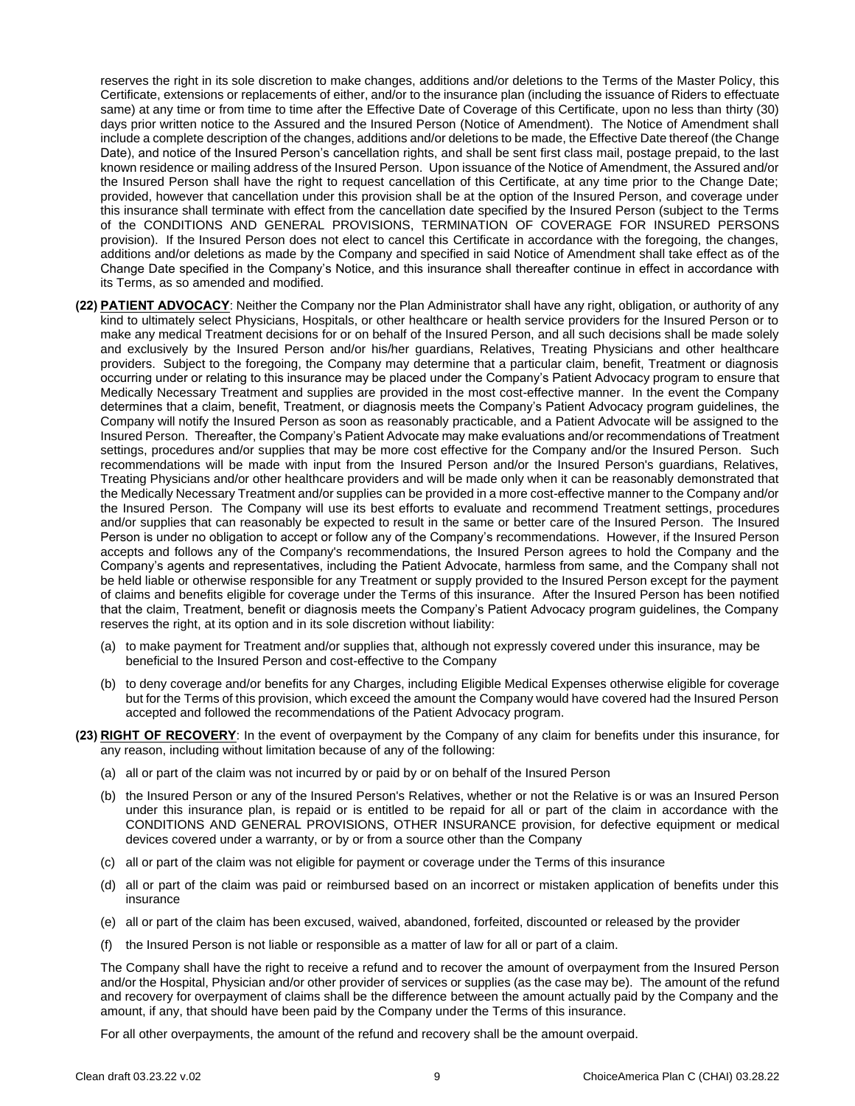reserves the right in its sole discretion to make changes, additions and/or deletions to the Terms of the Master Policy, this Certificate, extensions or replacements of either, and/or to the insurance plan (including the issuance of Riders to effectuate same) at any time or from time to time after the Effective Date of Coverage of this Certificate, upon no less than thirty (30) days prior written notice to the Assured and the Insured Person (Notice of Amendment). The Notice of Amendment shall include a complete description of the changes, additions and/or deletions to be made, the Effective Date thereof (the Change Date), and notice of the Insured Person's cancellation rights, and shall be sent first class mail, postage prepaid, to the last known residence or mailing address of the Insured Person. Upon issuance of the Notice of Amendment, the Assured and/or the Insured Person shall have the right to request cancellation of this Certificate, at any time prior to the Change Date; provided, however that cancellation under this provision shall be at the option of the Insured Person, and coverage under this insurance shall terminate with effect from the cancellation date specified by the Insured Person (subject to the Terms of the CONDITIONS AND GENERAL PROVISIONS, TERMINATION OF COVERAGE FOR INSURED PERSONS provision). If the Insured Person does not elect to cancel this Certificate in accordance with the foregoing, the changes, additions and/or deletions as made by the Company and specified in said Notice of Amendment shall take effect as of the Change Date specified in the Company's Notice, and this insurance shall thereafter continue in effect in accordance with its Terms, as so amended and modified.

- **(22) PATIENT ADVOCACY**: Neither the Company nor the Plan Administrator shall have any right, obligation, or authority of any kind to ultimately select Physicians, Hospitals, or other healthcare or health service providers for the Insured Person or to make any medical Treatment decisions for or on behalf of the Insured Person, and all such decisions shall be made solely and exclusively by the Insured Person and/or his/her guardians, Relatives, Treating Physicians and other healthcare providers. Subject to the foregoing, the Company may determine that a particular claim, benefit, Treatment or diagnosis occurring under or relating to this insurance may be placed under the Company's Patient Advocacy program to ensure that Medically Necessary Treatment and supplies are provided in the most cost-effective manner. In the event the Company determines that a claim, benefit, Treatment, or diagnosis meets the Company's Patient Advocacy program guidelines, the Company will notify the Insured Person as soon as reasonably practicable, and a Patient Advocate will be assigned to the Insured Person. Thereafter, the Company's Patient Advocate may make evaluations and/or recommendations of Treatment settings, procedures and/or supplies that may be more cost effective for the Company and/or the Insured Person. Such recommendations will be made with input from the Insured Person and/or the Insured Person's guardians, Relatives, Treating Physicians and/or other healthcare providers and will be made only when it can be reasonably demonstrated that the Medically Necessary Treatment and/or supplies can be provided in a more cost-effective manner to the Company and/or the Insured Person. The Company will use its best efforts to evaluate and recommend Treatment settings, procedures and/or supplies that can reasonably be expected to result in the same or better care of the Insured Person. The Insured Person is under no obligation to accept or follow any of the Company's recommendations. However, if the Insured Person accepts and follows any of the Company's recommendations, the Insured Person agrees to hold the Company and the Company's agents and representatives, including the Patient Advocate, harmless from same, and the Company shall not be held liable or otherwise responsible for any Treatment or supply provided to the Insured Person except for the payment of claims and benefits eligible for coverage under the Terms of this insurance. After the Insured Person has been notified that the claim, Treatment, benefit or diagnosis meets the Company's Patient Advocacy program guidelines, the Company reserves the right, at its option and in its sole discretion without liability:
	- (a) to make payment for Treatment and/or supplies that, although not expressly covered under this insurance, may be beneficial to the Insured Person and cost-effective to the Company
	- (b) to deny coverage and/or benefits for any Charges, including Eligible Medical Expenses otherwise eligible for coverage but for the Terms of this provision, which exceed the amount the Company would have covered had the Insured Person accepted and followed the recommendations of the Patient Advocacy program.
- **(23) RIGHT OF RECOVERY**: In the event of overpayment by the Company of any claim for benefits under this insurance, for any reason, including without limitation because of any of the following:
	- (a) all or part of the claim was not incurred by or paid by or on behalf of the Insured Person
	- (b) the Insured Person or any of the Insured Person's Relatives, whether or not the Relative is or was an Insured Person under this insurance plan, is repaid or is entitled to be repaid for all or part of the claim in accordance with the CONDITIONS AND GENERAL PROVISIONS, OTHER INSURANCE provision, for defective equipment or medical devices covered under a warranty, or by or from a source other than the Company
	- (c) all or part of the claim was not eligible for payment or coverage under the Terms of this insurance
	- (d) all or part of the claim was paid or reimbursed based on an incorrect or mistaken application of benefits under this insurance
	- (e) all or part of the claim has been excused, waived, abandoned, forfeited, discounted or released by the provider
	- (f) the Insured Person is not liable or responsible as a matter of law for all or part of a claim.

The Company shall have the right to receive a refund and to recover the amount of overpayment from the Insured Person and/or the Hospital, Physician and/or other provider of services or supplies (as the case may be). The amount of the refund and recovery for overpayment of claims shall be the difference between the amount actually paid by the Company and the amount, if any, that should have been paid by the Company under the Terms of this insurance.

For all other overpayments, the amount of the refund and recovery shall be the amount overpaid.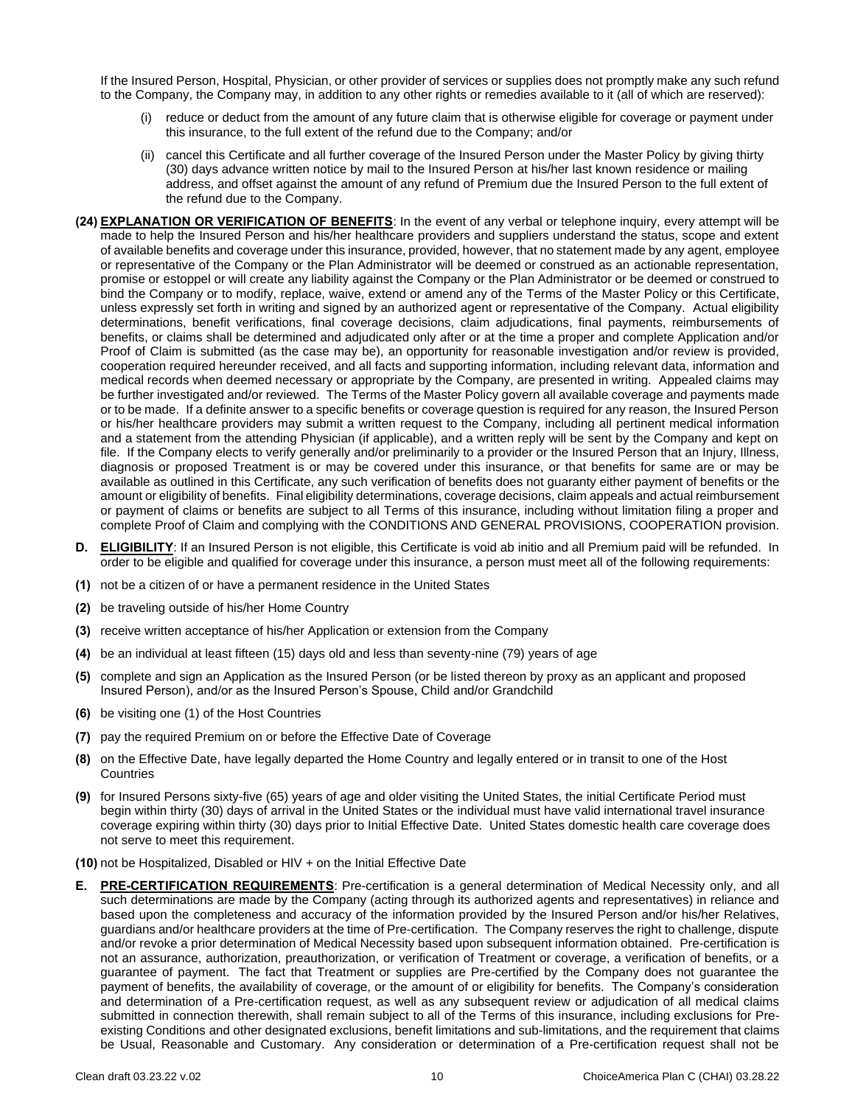If the Insured Person, Hospital, Physician, or other provider of services or supplies does not promptly make any such refund to the Company, the Company may, in addition to any other rights or remedies available to it (all of which are reserved):

- (i) reduce or deduct from the amount of any future claim that is otherwise eligible for coverage or payment under this insurance, to the full extent of the refund due to the Company; and/or
- (ii) cancel this Certificate and all further coverage of the Insured Person under the Master Policy by giving thirty (30) days advance written notice by mail to the Insured Person at his/her last known residence or mailing address, and offset against the amount of any refund of Premium due the Insured Person to the full extent of the refund due to the Company.
- **(24) EXPLANATION OR VERIFICATION OF BENEFITS**: In the event of any verbal or telephone inquiry, every attempt will be made to help the Insured Person and his/her healthcare providers and suppliers understand the status, scope and extent of available benefits and coverage under this insurance, provided, however, that no statement made by any agent, employee or representative of the Company or the Plan Administrator will be deemed or construed as an actionable representation, promise or estoppel or will create any liability against the Company or the Plan Administrator or be deemed or construed to bind the Company or to modify, replace, waive, extend or amend any of the Terms of the Master Policy or this Certificate, unless expressly set forth in writing and signed by an authorized agent or representative of the Company. Actual eligibility determinations, benefit verifications, final coverage decisions, claim adjudications, final payments, reimbursements of benefits, or claims shall be determined and adjudicated only after or at the time a proper and complete Application and/or Proof of Claim is submitted (as the case may be), an opportunity for reasonable investigation and/or review is provided, cooperation required hereunder received, and all facts and supporting information, including relevant data, information and medical records when deemed necessary or appropriate by the Company, are presented in writing. Appealed claims may be further investigated and/or reviewed. The Terms of the Master Policy govern all available coverage and payments made or to be made. If a definite answer to a specific benefits or coverage question is required for any reason, the Insured Person or his/her healthcare providers may submit a written request to the Company, including all pertinent medical information and a statement from the attending Physician (if applicable), and a written reply will be sent by the Company and kept on file. If the Company elects to verify generally and/or preliminarily to a provider or the Insured Person that an Injury, Illness, diagnosis or proposed Treatment is or may be covered under this insurance, or that benefits for same are or may be available as outlined in this Certificate, any such verification of benefits does not guaranty either payment of benefits or the amount or eligibility of benefits. Final eligibility determinations, coverage decisions, claim appeals and actual reimbursement or payment of claims or benefits are subject to all Terms of this insurance, including without limitation filing a proper and complete Proof of Claim and complying with the CONDITIONS AND GENERAL PROVISIONS, COOPERATION provision.
- <span id="page-69-0"></span>**D. ELIGIBILITY**: If an Insured Person is not eligible, this Certificate is void ab initio and all Premium paid will be refunded. In order to be eligible and qualified for coverage under this insurance, a person must meet all of the following requirements:
- **(1)** not be a citizen of or have a permanent residence in the United States
- **(2)** be traveling outside of his/her Home Country
- **(3)** receive written acceptance of his/her Application or extension from the Company
- **(4)** be an individual at least fifteen (15) days old and less than seventy-nine (79) years of age
- **(5)** complete and sign an Application as the Insured Person (or be listed thereon by proxy as an applicant and proposed Insured Person), and/or as the Insured Person's Spouse, Child and/or Grandchild
- **(6)** be visiting one (1) of the Host Countries
- **(7)** pay the required Premium on or before the Effective Date of Coverage
- **(8)** on the Effective Date, have legally departed the Home Country and legally entered or in transit to one of the Host **Countries**
- **(9)** for Insured Persons sixty-five (65) years of age and older visiting the United States, the initial Certificate Period must begin within thirty (30) days of arrival in the United States or the individual must have valid international travel insurance coverage expiring within thirty (30) days prior to Initial Effective Date. United States domestic health care coverage does not serve to meet this requirement.
- **(10)** not be Hospitalized, Disabled or HIV + on the Initial Effective Date
- <span id="page-69-1"></span>**E. PRE-CERTIFICATION REQUIREMENTS**: Pre-certification is a general determination of Medical Necessity only, and all such determinations are made by the Company (acting through its authorized agents and representatives) in reliance and based upon the completeness and accuracy of the information provided by the Insured Person and/or his/her Relatives, guardians and/or healthcare providers at the time of Pre-certification. The Company reserves the right to challenge, dispute and/or revoke a prior determination of Medical Necessity based upon subsequent information obtained. Pre-certification is not an assurance, authorization, preauthorization, or verification of Treatment or coverage, a verification of benefits, or a guarantee of payment. The fact that Treatment or supplies are Pre-certified by the Company does not guarantee the payment of benefits, the availability of coverage, or the amount of or eligibility for benefits. The Company's consideration and determination of a Pre-certification request, as well as any subsequent review or adjudication of all medical claims submitted in connection therewith, shall remain subject to all of the Terms of this insurance, including exclusions for Preexisting Conditions and other designated exclusions, benefit limitations and sub-limitations, and the requirement that claims be Usual, Reasonable and Customary. Any consideration or determination of a Pre-certification request shall not be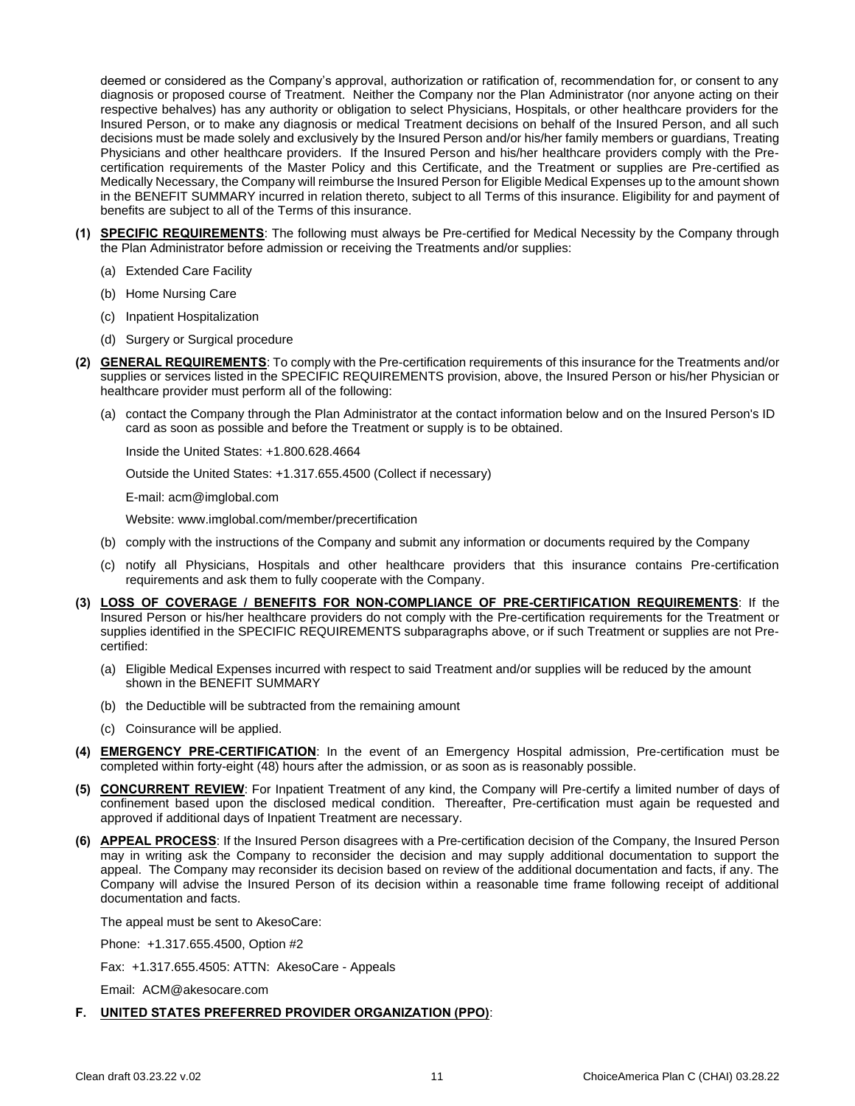deemed or considered as the Company's approval, authorization or ratification of, recommendation for, or consent to any diagnosis or proposed course of Treatment. Neither the Company nor the Plan Administrator (nor anyone acting on their respective behalves) has any authority or obligation to select Physicians, Hospitals, or other healthcare providers for the Insured Person, or to make any diagnosis or medical Treatment decisions on behalf of the Insured Person, and all such decisions must be made solely and exclusively by the Insured Person and/or his/her family members or guardians, Treating Physicians and other healthcare providers. If the Insured Person and his/her healthcare providers comply with the Precertification requirements of the Master Policy and this Certificate, and the Treatment or supplies are Pre-certified as Medically Necessary, the Company will reimburse the Insured Person for Eligible Medical Expenses up to the amount shown in the BENEFIT SUMMARY incurred in relation thereto, subject to all Terms of this insurance. Eligibility for and payment of benefits are subject to all of the Terms of this insurance.

- **(1) SPECIFIC REQUIREMENTS**: The following must always be Pre-certified for Medical Necessity by the Company through the Plan Administrator before admission or receiving the Treatments and/or supplies:
	- (a) Extended Care Facility
	- (b) Home Nursing Care
	- (c) Inpatient Hospitalization
	- (d) Surgery or Surgical procedure
- **(2) GENERAL REQUIREMENTS**: To comply with the Pre-certification requirements of this insurance for the Treatments and/or supplies or services listed in the SPECIFIC REQUIREMENTS provision, above, the Insured Person or his/her Physician or healthcare provider must perform all of the following:
	- (a) contact the Company through the Plan Administrator at the contact information below and on the Insured Person's ID card as soon as possible and before the Treatment or supply is to be obtained.

Inside the United States: +1.800.628.4664

Outside the United States: +1.317.655.4500 (Collect if necessary)

E-mail: acm@imglobal.com

Website: www.imglobal.com/member/precertification

- (b) comply with the instructions of the Company and submit any information or documents required by the Company
- (c) notify all Physicians, Hospitals and other healthcare providers that this insurance contains Pre-certification requirements and ask them to fully cooperate with the Company.
- **(3) LOSS OF COVERAGE / BENEFITS FOR NON-COMPLIANCE OF PRE-CERTIFICATION REQUIREMENTS**: If the Insured Person or his/her healthcare providers do not comply with the Pre-certification requirements for the Treatment or supplies identified in the SPECIFIC REQUIREMENTS subparagraphs above, or if such Treatment or supplies are not Precertified:
	- (a) Eligible Medical Expenses incurred with respect to said Treatment and/or supplies will be reduced by the amount shown in the BENEFIT SUMMARY
	- (b) the Deductible will be subtracted from the remaining amount
	- (c) Coinsurance will be applied.
- **(4) EMERGENCY PRE-CERTIFICATION**: In the event of an Emergency Hospital admission, Pre-certification must be completed within forty-eight (48) hours after the admission, or as soon as is reasonably possible.
- **(5) CONCURRENT REVIEW**: For Inpatient Treatment of any kind, the Company will Pre-certify a limited number of days of confinement based upon the disclosed medical condition. Thereafter, Pre-certification must again be requested and approved if additional days of Inpatient Treatment are necessary.
- **(6) APPEAL PROCESS**: If the Insured Person disagrees with a Pre-certification decision of the Company, the Insured Person may in writing ask the Company to reconsider the decision and may supply additional documentation to support the appeal. The Company may reconsider its decision based on review of the additional documentation and facts, if any. The Company will advise the Insured Person of its decision within a reasonable time frame following receipt of additional documentation and facts.

The appeal must be sent to AkesoCare:

Phone: +1.317.655.4500, Option #2

Fax: +1.317.655.4505: ATTN: AkesoCare - Appeals

Email: ACM@akesocare.com

#### <span id="page-70-0"></span>**F. UNITED STATES PREFERRED PROVIDER ORGANIZATION (PPO)**: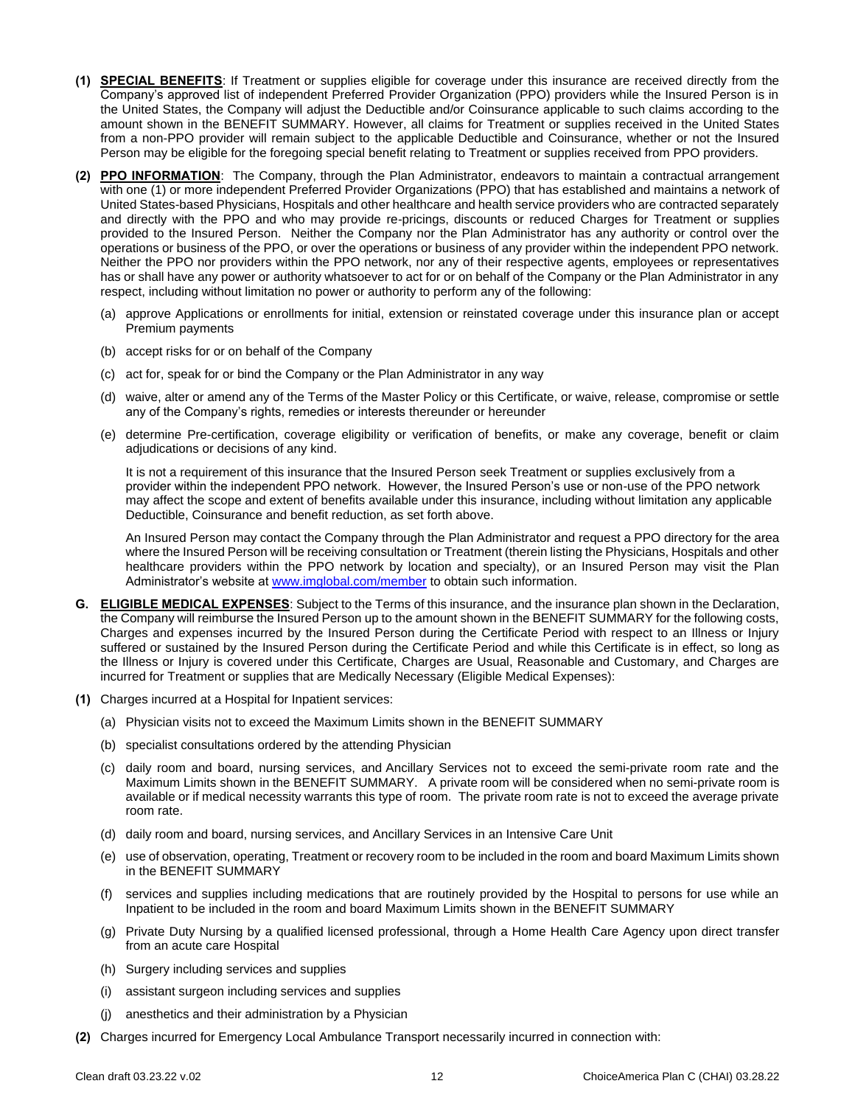- **(1) SPECIAL BENEFITS**: If Treatment or supplies eligible for coverage under this insurance are received directly from the Company's approved list of independent Preferred Provider Organization (PPO) providers while the Insured Person is in the United States, the Company will adjust the Deductible and/or Coinsurance applicable to such claims according to the amount shown in the BENEFIT SUMMARY. However, all claims for Treatment or supplies received in the United States from a non-PPO provider will remain subject to the applicable Deductible and Coinsurance, whether or not the Insured Person may be eligible for the foregoing special benefit relating to Treatment or supplies received from PPO providers.
- **(2) PPO INFORMATION**: The Company, through the Plan Administrator, endeavors to maintain a contractual arrangement with one (1) or more independent Preferred Provider Organizations (PPO) that has established and maintains a network of United States-based Physicians, Hospitals and other healthcare and health service providers who are contracted separately and directly with the PPO and who may provide re-pricings, discounts or reduced Charges for Treatment or supplies provided to the Insured Person. Neither the Company nor the Plan Administrator has any authority or control over the operations or business of the PPO, or over the operations or business of any provider within the independent PPO network. Neither the PPO nor providers within the PPO network, nor any of their respective agents, employees or representatives has or shall have any power or authority whatsoever to act for or on behalf of the Company or the Plan Administrator in any respect, including without limitation no power or authority to perform any of the following:
	- (a) approve Applications or enrollments for initial, extension or reinstated coverage under this insurance plan or accept Premium payments
	- (b) accept risks for or on behalf of the Company
	- (c) act for, speak for or bind the Company or the Plan Administrator in any way
	- (d) waive, alter or amend any of the Terms of the Master Policy or this Certificate, or waive, release, compromise or settle any of the Company's rights, remedies or interests thereunder or hereunder
	- (e) determine Pre-certification, coverage eligibility or verification of benefits, or make any coverage, benefit or claim adjudications or decisions of any kind.

It is not a requirement of this insurance that the Insured Person seek Treatment or supplies exclusively from a provider within the independent PPO network. However, the Insured Person's use or non-use of the PPO network may affect the scope and extent of benefits available under this insurance, including without limitation any applicable Deductible, Coinsurance and benefit reduction, as set forth above.

An Insured Person may contact the Company through the Plan Administrator and request a PPO directory for the area where the Insured Person will be receiving consultation or Treatment (therein listing the Physicians, Hospitals and other healthcare providers within the PPO network by location and specialty), or an Insured Person may visit the Plan Administrator's website at [www.imglobal.com/member](http://www.imglobal.com/member) to obtain such information.

- <span id="page-71-0"></span>**G. ELIGIBLE MEDICAL EXPENSES**: Subject to the Terms of this insurance, and the insurance plan shown in the Declaration, the Company will reimburse the Insured Person up to the amount shown in the BENEFIT SUMMARY for the following costs, Charges and expenses incurred by the Insured Person during the Certificate Period with respect to an Illness or Injury suffered or sustained by the Insured Person during the Certificate Period and while this Certificate is in effect, so long as the Illness or Injury is covered under this Certificate, Charges are Usual, Reasonable and Customary, and Charges are incurred for Treatment or supplies that are Medically Necessary (Eligible Medical Expenses):
- **(1)** Charges incurred at a Hospital for Inpatient services:
	- (a) Physician visits not to exceed the Maximum Limits shown in the BENEFIT SUMMARY
	- (b) specialist consultations ordered by the attending Physician
	- (c) daily room and board, nursing services, and Ancillary Services not to exceed the semi-private room rate and the Maximum Limits shown in the BENEFIT SUMMARY. A private room will be considered when no semi-private room is available or if medical necessity warrants this type of room. The private room rate is not to exceed the average private room rate.
	- (d) daily room and board, nursing services, and Ancillary Services in an Intensive Care Unit
	- (e) use of observation, operating, Treatment or recovery room to be included in the room and board Maximum Limits shown in the BENEFIT SUMMARY
	- (f) services and supplies including medications that are routinely provided by the Hospital to persons for use while an Inpatient to be included in the room and board Maximum Limits shown in the BENEFIT SUMMARY
	- (g) Private Duty Nursing by a qualified licensed professional, through a Home Health Care Agency upon direct transfer from an acute care Hospital
	- (h) Surgery including services and supplies
	- (i) assistant surgeon including services and supplies
	- (j) anesthetics and their administration by a Physician
- **(2)** Charges incurred for Emergency Local Ambulance Transport necessarily incurred in connection with: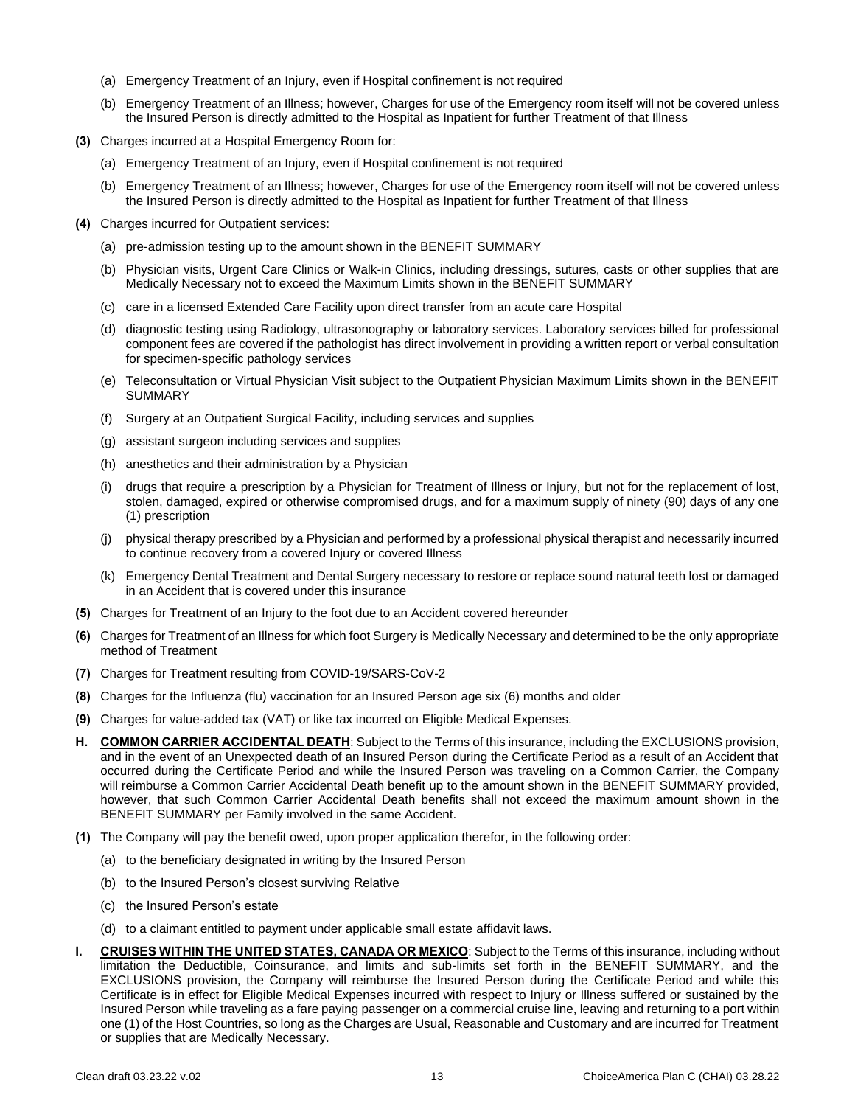- (a) Emergency Treatment of an Injury, even if Hospital confinement is not required
- (b) Emergency Treatment of an Illness; however, Charges for use of the Emergency room itself will not be covered unless the Insured Person is directly admitted to the Hospital as Inpatient for further Treatment of that Illness
- **(3)** Charges incurred at a Hospital Emergency Room for:
	- (a) Emergency Treatment of an Injury, even if Hospital confinement is not required
	- (b) Emergency Treatment of an Illness; however, Charges for use of the Emergency room itself will not be covered unless the Insured Person is directly admitted to the Hospital as Inpatient for further Treatment of that Illness
- **(4)** Charges incurred for Outpatient services:
	- (a) pre-admission testing up to the amount shown in the BENEFIT SUMMARY
	- (b) Physician visits, Urgent Care Clinics or Walk-in Clinics, including dressings, sutures, casts or other supplies that are Medically Necessary not to exceed the Maximum Limits shown in the BENEFIT SUMMARY
	- (c) care in a licensed Extended Care Facility upon direct transfer from an acute care Hospital
	- (d) diagnostic testing using Radiology, ultrasonography or laboratory services. Laboratory services billed for professional component fees are covered if the pathologist has direct involvement in providing a written report or verbal consultation for specimen-specific pathology services
	- (e) Teleconsultation or Virtual Physician Visit subject to the Outpatient Physician Maximum Limits shown in the BENEFIT SUMMARY
	- (f) Surgery at an Outpatient Surgical Facility, including services and supplies
	- (g) assistant surgeon including services and supplies
	- (h) anesthetics and their administration by a Physician
	- (i) drugs that require a prescription by a Physician for Treatment of Illness or Injury, but not for the replacement of lost, stolen, damaged, expired or otherwise compromised drugs, and for a maximum supply of ninety (90) days of any one (1) prescription
	- (j) physical therapy prescribed by a Physician and performed by a professional physical therapist and necessarily incurred to continue recovery from a covered Injury or covered Illness
	- (k) Emergency Dental Treatment and Dental Surgery necessary to restore or replace sound natural teeth lost or damaged in an Accident that is covered under this insurance
- **(5)** Charges for Treatment of an Injury to the foot due to an Accident covered hereunder
- **(6)** Charges for Treatment of an Illness for which foot Surgery is Medically Necessary and determined to be the only appropriate method of Treatment
- **(7)** Charges for Treatment resulting from COVID-19/SARS-CoV-2
- **(8)** Charges for the Influenza (flu) vaccination for an Insured Person age six (6) months and older
- **(9)** Charges for value-added tax (VAT) or like tax incurred on Eligible Medical Expenses.
- **H. COMMON CARRIER ACCIDENTAL DEATH**: Subject to the Terms of this insurance, including the EXCLUSIONS provision, and in the event of an Unexpected death of an Insured Person during the Certificate Period as a result of an Accident that occurred during the Certificate Period and while the Insured Person was traveling on a Common Carrier, the Company will reimburse a Common Carrier Accidental Death benefit up to the amount shown in the BENEFIT SUMMARY provided, however, that such Common Carrier Accidental Death benefits shall not exceed the maximum amount shown in the BENEFIT SUMMARY per Family involved in the same Accident.
- **(1)** The Company will pay the benefit owed, upon proper application therefor, in the following order:
	- (a) to the beneficiary designated in writing by the Insured Person
	- (b) to the Insured Person's closest surviving Relative
	- (c) the Insured Person's estate
	- (d) to a claimant entitled to payment under applicable small estate affidavit laws.
- **I. CRUISES WITHIN THE UNITED STATES, CANADA OR MEXICO**: Subject to the Terms of this insurance, including without limitation the Deductible, Coinsurance, and limits and sub-limits set forth in the BENEFIT SUMMARY, and the EXCLUSIONS provision, the Company will reimburse the Insured Person during the Certificate Period and while this Certificate is in effect for Eligible Medical Expenses incurred with respect to Injury or Illness suffered or sustained by the Insured Person while traveling as a fare paying passenger on a commercial cruise line, leaving and returning to a port within one (1) of the Host Countries, so long as the Charges are Usual, Reasonable and Customary and are incurred for Treatment or supplies that are Medically Necessary.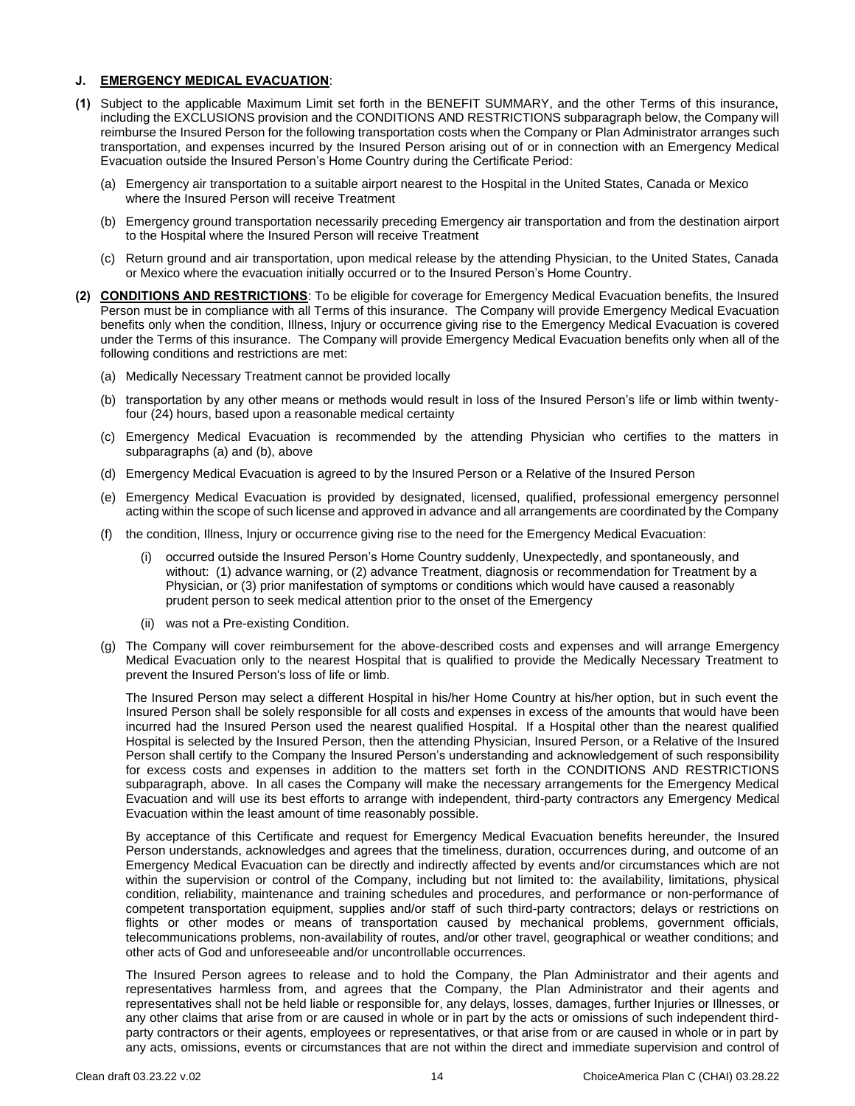## **J. EMERGENCY MEDICAL EVACUATION**:

- **(1)** Subject to the applicable Maximum Limit set forth in the BENEFIT SUMMARY, and the other Terms of this insurance, including the EXCLUSIONS provision and the CONDITIONS AND RESTRICTIONS subparagraph below, the Company will reimburse the Insured Person for the following transportation costs when the Company or Plan Administrator arranges such transportation, and expenses incurred by the Insured Person arising out of or in connection with an Emergency Medical Evacuation outside the Insured Person's Home Country during the Certificate Period:
	- (a) Emergency air transportation to a suitable airport nearest to the Hospital in the United States, Canada or Mexico where the Insured Person will receive Treatment
	- (b) Emergency ground transportation necessarily preceding Emergency air transportation and from the destination airport to the Hospital where the Insured Person will receive Treatment
	- (c) Return ground and air transportation, upon medical release by the attending Physician, to the United States, Canada or Mexico where the evacuation initially occurred or to the Insured Person's Home Country.
- **(2) CONDITIONS AND RESTRICTIONS**: To be eligible for coverage for Emergency Medical Evacuation benefits, the Insured Person must be in compliance with all Terms of this insurance. The Company will provide Emergency Medical Evacuation benefits only when the condition, Illness, Injury or occurrence giving rise to the Emergency Medical Evacuation is covered under the Terms of this insurance. The Company will provide Emergency Medical Evacuation benefits only when all of the following conditions and restrictions are met:
	- (a) Medically Necessary Treatment cannot be provided locally
	- (b) transportation by any other means or methods would result in loss of the Insured Person's life or limb within twentyfour (24) hours, based upon a reasonable medical certainty
	- (c) Emergency Medical Evacuation is recommended by the attending Physician who certifies to the matters in subparagraphs (a) and (b), above
	- (d) Emergency Medical Evacuation is agreed to by the Insured Person or a Relative of the Insured Person
	- (e) Emergency Medical Evacuation is provided by designated, licensed, qualified, professional emergency personnel acting within the scope of such license and approved in advance and all arrangements are coordinated by the Company
	- (f) the condition, Illness, Injury or occurrence giving rise to the need for the Emergency Medical Evacuation:
		- (i) occurred outside the Insured Person's Home Country suddenly, Unexpectedly, and spontaneously, and without: (1) advance warning, or (2) advance Treatment, diagnosis or recommendation for Treatment by a Physician, or (3) prior manifestation of symptoms or conditions which would have caused a reasonably prudent person to seek medical attention prior to the onset of the Emergency
		- (ii) was not a Pre-existing Condition.
	- (g) The Company will cover reimbursement for the above-described costs and expenses and will arrange Emergency Medical Evacuation only to the nearest Hospital that is qualified to provide the Medically Necessary Treatment to prevent the Insured Person's loss of life or limb.

The Insured Person may select a different Hospital in his/her Home Country at his/her option, but in such event the Insured Person shall be solely responsible for all costs and expenses in excess of the amounts that would have been incurred had the Insured Person used the nearest qualified Hospital. If a Hospital other than the nearest qualified Hospital is selected by the Insured Person, then the attending Physician, Insured Person, or a Relative of the Insured Person shall certify to the Company the Insured Person's understanding and acknowledgement of such responsibility for excess costs and expenses in addition to the matters set forth in the CONDITIONS AND RESTRICTIONS subparagraph, above. In all cases the Company will make the necessary arrangements for the Emergency Medical Evacuation and will use its best efforts to arrange with independent, third-party contractors any Emergency Medical Evacuation within the least amount of time reasonably possible.

By acceptance of this Certificate and request for Emergency Medical Evacuation benefits hereunder, the Insured Person understands, acknowledges and agrees that the timeliness, duration, occurrences during, and outcome of an Emergency Medical Evacuation can be directly and indirectly affected by events and/or circumstances which are not within the supervision or control of the Company, including but not limited to: the availability, limitations, physical condition, reliability, maintenance and training schedules and procedures, and performance or non-performance of competent transportation equipment, supplies and/or staff of such third-party contractors; delays or restrictions on flights or other modes or means of transportation caused by mechanical problems, government officials, telecommunications problems, non-availability of routes, and/or other travel, geographical or weather conditions; and other acts of God and unforeseeable and/or uncontrollable occurrences.

The Insured Person agrees to release and to hold the Company, the Plan Administrator and their agents and representatives harmless from, and agrees that the Company, the Plan Administrator and their agents and representatives shall not be held liable or responsible for, any delays, losses, damages, further Injuries or Illnesses, or any other claims that arise from or are caused in whole or in part by the acts or omissions of such independent thirdparty contractors or their agents, employees or representatives, or that arise from or are caused in whole or in part by any acts, omissions, events or circumstances that are not within the direct and immediate supervision and control of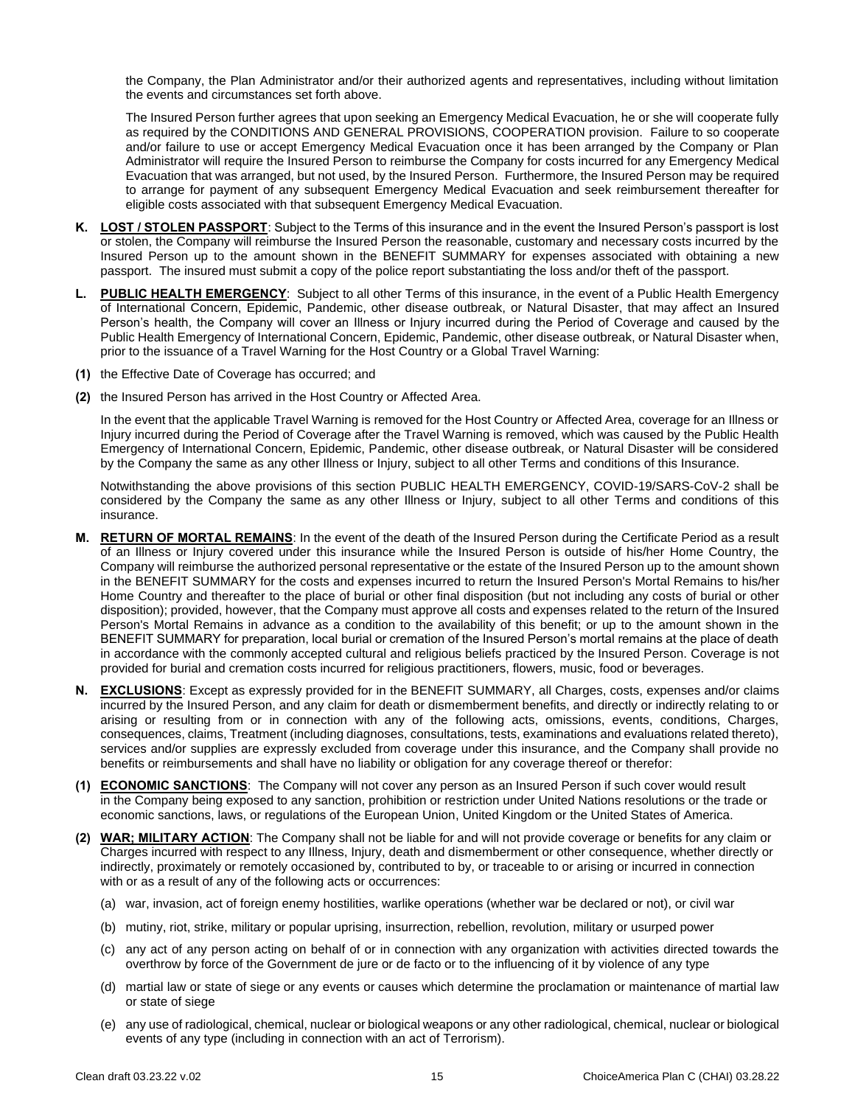the Company, the Plan Administrator and/or their authorized agents and representatives, including without limitation the events and circumstances set forth above.

The Insured Person further agrees that upon seeking an Emergency Medical Evacuation, he or she will cooperate fully as required by the CONDITIONS AND GENERAL PROVISIONS, COOPERATION provision. Failure to so cooperate and/or failure to use or accept Emergency Medical Evacuation once it has been arranged by the Company or Plan Administrator will require the Insured Person to reimburse the Company for costs incurred for any Emergency Medical Evacuation that was arranged, but not used, by the Insured Person. Furthermore, the Insured Person may be required to arrange for payment of any subsequent Emergency Medical Evacuation and seek reimbursement thereafter for eligible costs associated with that subsequent Emergency Medical Evacuation.

- **K. LOST / STOLEN PASSPORT**: Subject to the Terms of this insurance and in the event the Insured Person's passport is lost or stolen, the Company will reimburse the Insured Person the reasonable, customary and necessary costs incurred by the Insured Person up to the amount shown in the BENEFIT SUMMARY for expenses associated with obtaining a new passport. The insured must submit a copy of the police report substantiating the loss and/or theft of the passport.
- **L. PUBLIC HEALTH EMERGENCY**: Subject to all other Terms of this insurance, in the event of a Public Health Emergency of International Concern, Epidemic, Pandemic, other disease outbreak, or Natural Disaster, that may affect an Insured Person's health, the Company will cover an Illness or Injury incurred during the Period of Coverage and caused by the Public Health Emergency of International Concern, Epidemic, Pandemic, other disease outbreak, or Natural Disaster when, prior to the issuance of a Travel Warning for the Host Country or a Global Travel Warning:
- **(1)** the Effective Date of Coverage has occurred; and
- **(2)** the Insured Person has arrived in the Host Country or Affected Area.

In the event that the applicable Travel Warning is removed for the Host Country or Affected Area, coverage for an Illness or Injury incurred during the Period of Coverage after the Travel Warning is removed, which was caused by the Public Health Emergency of International Concern, Epidemic, Pandemic, other disease outbreak, or Natural Disaster will be considered by the Company the same as any other Illness or Injury, subject to all other Terms and conditions of this Insurance.

Notwithstanding the above provisions of this section PUBLIC HEALTH EMERGENCY, COVID-19/SARS-CoV-2 shall be considered by the Company the same as any other Illness or Injury, subject to all other Terms and conditions of this insurance.

- **M. RETURN OF MORTAL REMAINS**: In the event of the death of the Insured Person during the Certificate Period as a result of an Illness or Injury covered under this insurance while the Insured Person is outside of his/her Home Country, the Company will reimburse the authorized personal representative or the estate of the Insured Person up to the amount shown in the BENEFIT SUMMARY for the costs and expenses incurred to return the Insured Person's Mortal Remains to his/her Home Country and thereafter to the place of burial or other final disposition (but not including any costs of burial or other disposition); provided, however, that the Company must approve all costs and expenses related to the return of the Insured Person's Mortal Remains in advance as a condition to the availability of this benefit; or up to the amount shown in the BENEFIT SUMMARY for preparation, local burial or cremation of the Insured Person's mortal remains at the place of death in accordance with the commonly accepted cultural and religious beliefs practiced by the Insured Person. Coverage is not provided for burial and cremation costs incurred for religious practitioners, flowers, music, food or beverages.
- **N. EXCLUSIONS**: Except as expressly provided for in the BENEFIT SUMMARY, all Charges, costs, expenses and/or claims incurred by the Insured Person, and any claim for death or dismemberment benefits, and directly or indirectly relating to or arising or resulting from or in connection with any of the following acts, omissions, events, conditions, Charges, consequences, claims, Treatment (including diagnoses, consultations, tests, examinations and evaluations related thereto), services and/or supplies are expressly excluded from coverage under this insurance, and the Company shall provide no benefits or reimbursements and shall have no liability or obligation for any coverage thereof or therefor:
- **(1) ECONOMIC SANCTIONS**: The Company will not cover any person as an Insured Person if such cover would result in the Company being exposed to any sanction, prohibition or restriction under United Nations resolutions or the trade or economic sanctions, laws, or regulations of the European Union, United Kingdom or the United States of America.
- **(2) WAR; MILITARY ACTION**: The Company shall not be liable for and will not provide coverage or benefits for any claim or Charges incurred with respect to any Illness, Injury, death and dismemberment or other consequence, whether directly or indirectly, proximately or remotely occasioned by, contributed to by, or traceable to or arising or incurred in connection with or as a result of any of the following acts or occurrences:
	- (a) war, invasion, act of foreign enemy hostilities, warlike operations (whether war be declared or not), or civil war
	- (b) mutiny, riot, strike, military or popular uprising, insurrection, rebellion, revolution, military or usurped power
	- (c) any act of any person acting on behalf of or in connection with any organization with activities directed towards the overthrow by force of the Government de jure or de facto or to the influencing of it by violence of any type
	- (d) martial law or state of siege or any events or causes which determine the proclamation or maintenance of martial law or state of siege
	- (e) any use of radiological, chemical, nuclear or biological weapons or any other radiological, chemical, nuclear or biological events of any type (including in connection with an act of Terrorism).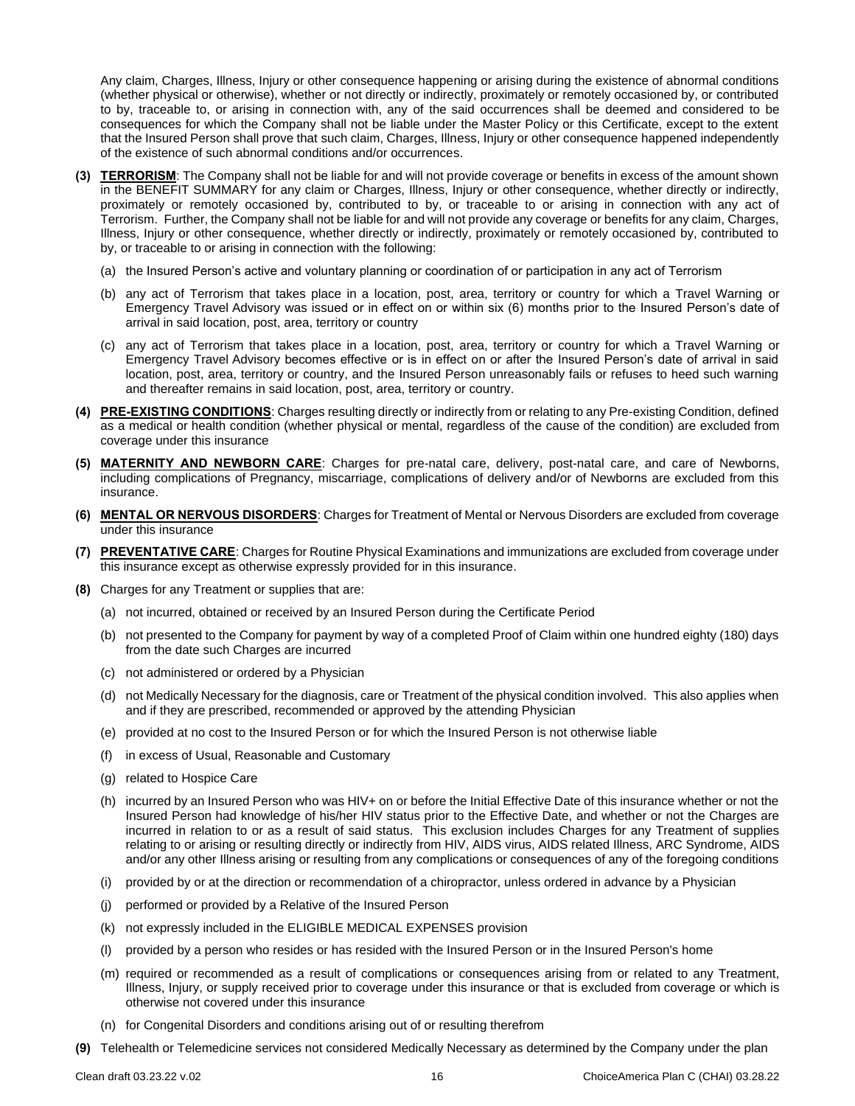Any claim, Charges, Illness, Injury or other consequence happening or arising during the existence of abnormal conditions (whether physical or otherwise), whether or not directly or indirectly, proximately or remotely occasioned by, or contributed to by, traceable to, or arising in connection with, any of the said occurrences shall be deemed and considered to be consequences for which the Company shall not be liable under the Master Policy or this Certificate, except to the extent that the Insured Person shall prove that such claim, Charges, Illness, Injury or other consequence happened independently of the existence of such abnormal conditions and/or occurrences.

- **(3) TERRORISM**: The Company shall not be liable for and will not provide coverage or benefits in excess of the amount shown in the BENEFIT SUMMARY for any claim or Charges, Illness, Injury or other consequence, whether directly or indirectly, proximately or remotely occasioned by, contributed to by, or traceable to or arising in connection with any act of Terrorism. Further, the Company shall not be liable for and will not provide any coverage or benefits for any claim, Charges, Illness, Injury or other consequence, whether directly or indirectly, proximately or remotely occasioned by, contributed to by, or traceable to or arising in connection with the following:
	- (a) the Insured Person's active and voluntary planning or coordination of or participation in any act of Terrorism
	- (b) any act of Terrorism that takes place in a location, post, area, territory or country for which a Travel Warning or Emergency Travel Advisory was issued or in effect on or within six (6) months prior to the Insured Person's date of arrival in said location, post, area, territory or country
	- (c) any act of Terrorism that takes place in a location, post, area, territory or country for which a Travel Warning or Emergency Travel Advisory becomes effective or is in effect on or after the Insured Person's date of arrival in said location, post, area, territory or country, and the Insured Person unreasonably fails or refuses to heed such warning and thereafter remains in said location, post, area, territory or country.
- **(4) PRE-EXISTING CONDITIONS**: Charges resulting directly or indirectly from or relating to any Pre-existing Condition, defined as a medical or health condition (whether physical or mental, regardless of the cause of the condition) are excluded from coverage under this insurance
- **(5) MATERNITY AND NEWBORN CARE**: Charges for pre-natal care, delivery, post-natal care, and care of Newborns, including complications of Pregnancy, miscarriage, complications of delivery and/or of Newborns are excluded from this insurance.
- **(6) MENTAL OR NERVOUS DISORDERS**: Charges for Treatment of Mental or Nervous Disorders are excluded from coverage under this insurance
- **(7) PREVENTATIVE CARE**: Charges for Routine Physical Examinations and immunizations are excluded from coverage under this insurance except as otherwise expressly provided for in this insurance.
- **(8)** Charges for any Treatment or supplies that are:
	- (a) not incurred, obtained or received by an Insured Person during the Certificate Period
	- (b) not presented to the Company for payment by way of a completed Proof of Claim within one hundred eighty (180) days from the date such Charges are incurred
	- (c) not administered or ordered by a Physician
	- (d) not Medically Necessary for the diagnosis, care or Treatment of the physical condition involved. This also applies when and if they are prescribed, recommended or approved by the attending Physician
	- (e) provided at no cost to the Insured Person or for which the Insured Person is not otherwise liable
	- (f) in excess of Usual, Reasonable and Customary
	- (g) related to Hospice Care
	- (h) incurred by an Insured Person who was HIV+ on or before the Initial Effective Date of this insurance whether or not the Insured Person had knowledge of his/her HIV status prior to the Effective Date, and whether or not the Charges are incurred in relation to or as a result of said status. This exclusion includes Charges for any Treatment of supplies relating to or arising or resulting directly or indirectly from HIV, AIDS virus, AIDS related Illness, ARC Syndrome, AIDS and/or any other Illness arising or resulting from any complications or consequences of any of the foregoing conditions
	- (i) provided by or at the direction or recommendation of a chiropractor, unless ordered in advance by a Physician
	- (j) performed or provided by a Relative of the Insured Person
	- (k) not expressly included in the ELIGIBLE MEDICAL EXPENSES provision
	- (l) provided by a person who resides or has resided with the Insured Person or in the Insured Person's home
	- (m) required or recommended as a result of complications or consequences arising from or related to any Treatment, Illness, Injury, or supply received prior to coverage under this insurance or that is excluded from coverage or which is otherwise not covered under this insurance
	- (n) for Congenital Disorders and conditions arising out of or resulting therefrom
- **(9)** Telehealth or Telemedicine services not considered Medically Necessary as determined by the Company under the plan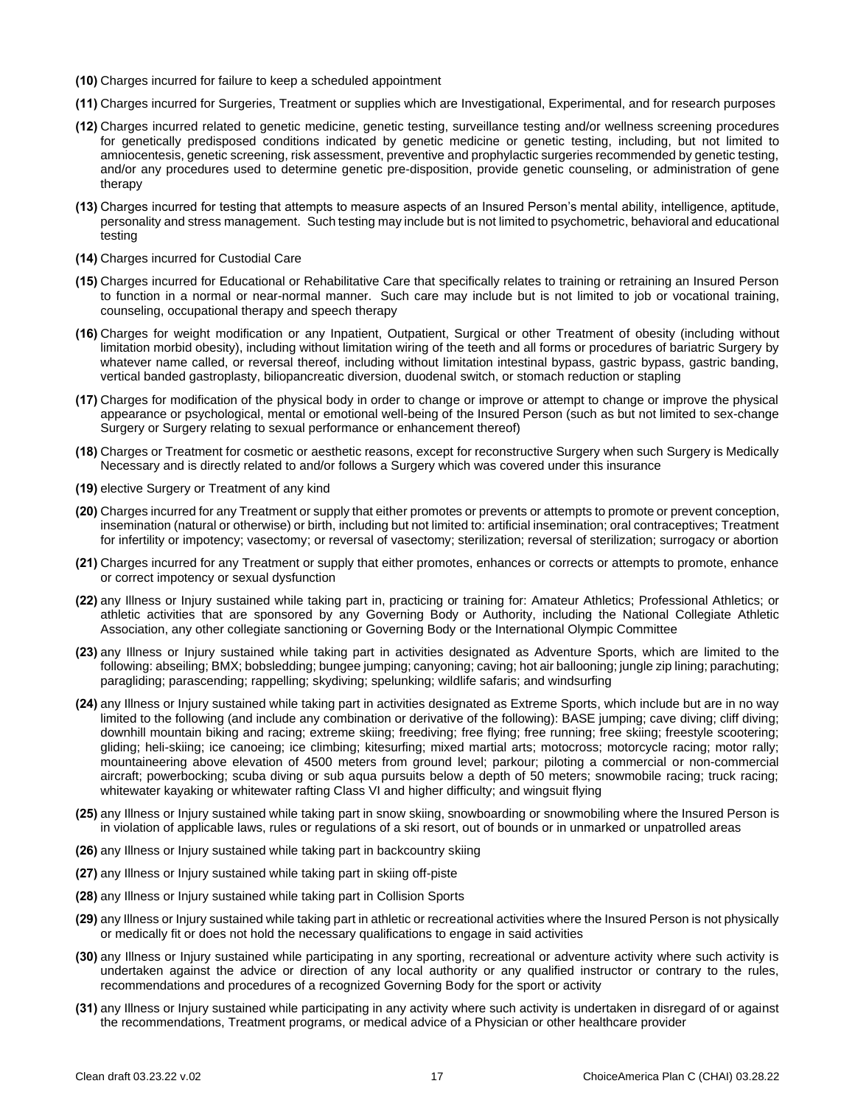- **(10)** Charges incurred for failure to keep a scheduled appointment
- **(11)** Charges incurred for Surgeries, Treatment or supplies which are Investigational, Experimental, and for research purposes
- **(12)** Charges incurred related to genetic medicine, genetic testing, surveillance testing and/or wellness screening procedures for genetically predisposed conditions indicated by genetic medicine or genetic testing, including, but not limited to amniocentesis, genetic screening, risk assessment, preventive and prophylactic surgeries recommended by genetic testing, and/or any procedures used to determine genetic pre-disposition, provide genetic counseling, or administration of gene therapy
- **(13)** Charges incurred for testing that attempts to measure aspects of an Insured Person's mental ability, intelligence, aptitude, personality and stress management. Such testing may include but is not limited to psychometric, behavioral and educational testing
- **(14)** Charges incurred for Custodial Care
- **(15)** Charges incurred for Educational or Rehabilitative Care that specifically relates to training or retraining an Insured Person to function in a normal or near-normal manner. Such care may include but is not limited to job or vocational training, counseling, occupational therapy and speech therapy
- **(16)** Charges for weight modification or any Inpatient, Outpatient, Surgical or other Treatment of obesity (including without limitation morbid obesity), including without limitation wiring of the teeth and all forms or procedures of bariatric Surgery by whatever name called, or reversal thereof, including without limitation intestinal bypass, gastric bypass, gastric banding, vertical banded gastroplasty, biliopancreatic diversion, duodenal switch, or stomach reduction or stapling
- **(17)** Charges for modification of the physical body in order to change or improve or attempt to change or improve the physical appearance or psychological, mental or emotional well-being of the Insured Person (such as but not limited to sex-change Surgery or Surgery relating to sexual performance or enhancement thereof)
- **(18)** Charges or Treatment for cosmetic or aesthetic reasons, except for reconstructive Surgery when such Surgery is Medically Necessary and is directly related to and/or follows a Surgery which was covered under this insurance
- **(19)** elective Surgery or Treatment of any kind
- **(20)** Charges incurred for any Treatment or supply that either promotes or prevents or attempts to promote or prevent conception, insemination (natural or otherwise) or birth, including but not limited to: artificial insemination; oral contraceptives; Treatment for infertility or impotency; vasectomy; or reversal of vasectomy; sterilization; reversal of sterilization; surrogacy or abortion
- **(21)** Charges incurred for any Treatment or supply that either promotes, enhances or corrects or attempts to promote, enhance or correct impotency or sexual dysfunction
- **(22)** any Illness or Injury sustained while taking part in, practicing or training for: Amateur Athletics; Professional Athletics; or athletic activities that are sponsored by any Governing Body or Authority, including the National Collegiate Athletic Association, any other collegiate sanctioning or Governing Body or the International Olympic Committee
- **(23)** any Illness or Injury sustained while taking part in activities designated as Adventure Sports, which are limited to the following: abseiling; BMX; bobsledding; bungee jumping; canyoning; caving; hot air ballooning; jungle zip lining; parachuting; paragliding; parascending; rappelling; skydiving; spelunking; wildlife safaris; and windsurfing
- **(24)** any Illness or Injury sustained while taking part in activities designated as Extreme Sports, which include but are in no way limited to the following (and include any combination or derivative of the following): BASE jumping; cave diving; cliff diving; downhill mountain biking and racing; extreme skiing; freediving; free flying; free running; free skiing; freestyle scootering; gliding; heli-skiing; ice canoeing; ice climbing; kitesurfing; mixed martial arts; motocross; motorcycle racing; motor rally; mountaineering above elevation of 4500 meters from ground level; parkour; piloting a commercial or non-commercial aircraft; powerbocking; scuba diving or sub aqua pursuits below a depth of 50 meters; snowmobile racing; truck racing; whitewater kayaking or whitewater rafting Class VI and higher difficulty; and wingsuit flying
- **(25)** any Illness or Injury sustained while taking part in snow skiing, snowboarding or snowmobiling where the Insured Person is in violation of applicable laws, rules or regulations of a ski resort, out of bounds or in unmarked or unpatrolled areas
- **(26)** any Illness or Injury sustained while taking part in backcountry skiing
- **(27)** any Illness or Injury sustained while taking part in skiing off-piste
- **(28)** any Illness or Injury sustained while taking part in Collision Sports
- **(29)** any Illness or Injury sustained while taking part in athletic or recreational activities where the Insured Person is not physically or medically fit or does not hold the necessary qualifications to engage in said activities
- **(30)** any Illness or Injury sustained while participating in any sporting, recreational or adventure activity where such activity is undertaken against the advice or direction of any local authority or any qualified instructor or contrary to the rules, recommendations and procedures of a recognized Governing Body for the sport or activity
- **(31)** any Illness or Injury sustained while participating in any activity where such activity is undertaken in disregard of or against the recommendations, Treatment programs, or medical advice of a Physician or other healthcare provider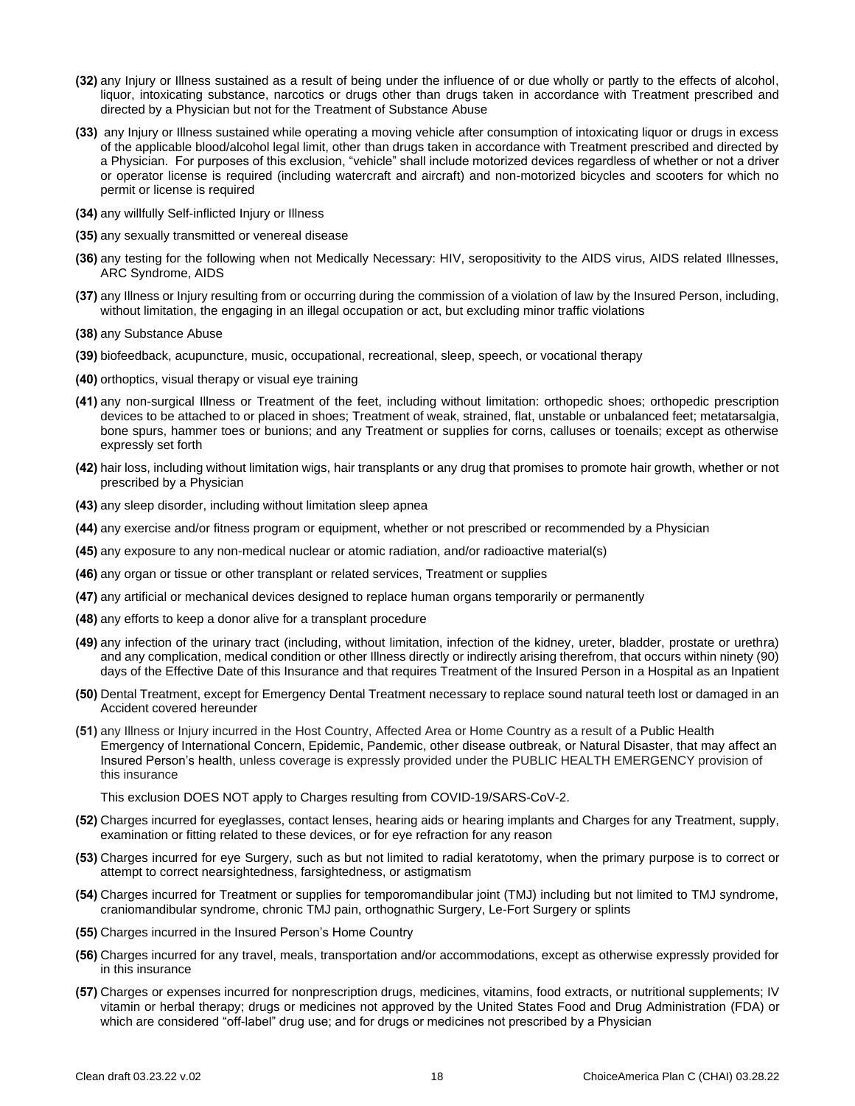- **(32)** any Injury or Illness sustained as a result of being under the influence of or due wholly or partly to the effects of alcohol, liquor, intoxicating substance, narcotics or drugs other than drugs taken in accordance with Treatment prescribed and directed by a Physician but not for the Treatment of Substance Abuse
- **(33)** any Injury or Illness sustained while operating a moving vehicle after consumption of intoxicating liquor or drugs in excess of the applicable blood/alcohol legal limit, other than drugs taken in accordance with Treatment prescribed and directed by a Physician. For purposes of this exclusion, "vehicle" shall include motorized devices regardless of whether or not a driver or operator license is required (including watercraft and aircraft) and non-motorized bicycles and scooters for which no permit or license is required
- **(34)** any willfully Self-inflicted Injury or Illness
- **(35)** any sexually transmitted or venereal disease
- **(36)** any testing for the following when not Medically Necessary: HIV, seropositivity to the AIDS virus, AIDS related Illnesses, ARC Syndrome, AIDS
- **(37)** any Illness or Injury resulting from or occurring during the commission of a violation of law by the Insured Person, including, without limitation, the engaging in an illegal occupation or act, but excluding minor traffic violations
- **(38)** any Substance Abuse
- **(39)** biofeedback, acupuncture, music, occupational, recreational, sleep, speech, or vocational therapy
- **(40)** orthoptics, visual therapy or visual eye training
- **(41)** any non-surgical Illness or Treatment of the feet, including without limitation: orthopedic shoes; orthopedic prescription devices to be attached to or placed in shoes; Treatment of weak, strained, flat, unstable or unbalanced feet; metatarsalgia, bone spurs, hammer toes or bunions; and any Treatment or supplies for corns, calluses or toenails; except as otherwise expressly set forth
- **(42)** hair loss, including without limitation wigs, hair transplants or any drug that promises to promote hair growth, whether or not prescribed by a Physician
- **(43)** any sleep disorder, including without limitation sleep apnea
- **(44)** any exercise and/or fitness program or equipment, whether or not prescribed or recommended by a Physician
- **(45)** any exposure to any non-medical nuclear or atomic radiation, and/or radioactive material(s)
- **(46)** any organ or tissue or other transplant or related services, Treatment or supplies
- **(47)** any artificial or mechanical devices designed to replace human organs temporarily or permanently
- **(48)** any efforts to keep a donor alive for a transplant procedure
- **(49)** any infection of the urinary tract (including, without limitation, infection of the kidney, ureter, bladder, prostate or urethra) and any complication, medical condition or other Illness directly or indirectly arising therefrom, that occurs within ninety (90) days of the Effective Date of this Insurance and that requires Treatment of the Insured Person in a Hospital as an Inpatient
- **(50)** Dental Treatment, except for Emergency Dental Treatment necessary to replace sound natural teeth lost or damaged in an Accident covered hereunder
- **(51)** any Illness or Injury incurred in the Host Country, Affected Area or Home Country as a result of a Public Health Emergency of International Concern, Epidemic, Pandemic, other disease outbreak, or Natural Disaster, that may affect an Insured Person's health, unless coverage is expressly provided under the PUBLIC HEALTH EMERGENCY provision of this insurance

This exclusion DOES NOT apply to Charges resulting from COVID-19/SARS-CoV-2.

- **(52)** Charges incurred for eyeglasses, contact lenses, hearing aids or hearing implants and Charges for any Treatment, supply, examination or fitting related to these devices, or for eye refraction for any reason
- **(53)** Charges incurred for eye Surgery, such as but not limited to radial keratotomy, when the primary purpose is to correct or attempt to correct nearsightedness, farsightedness, or astigmatism
- **(54)** Charges incurred for Treatment or supplies for temporomandibular joint (TMJ) including but not limited to TMJ syndrome, craniomandibular syndrome, chronic TMJ pain, orthognathic Surgery, Le-Fort Surgery or splints
- **(55)** Charges incurred in the Insured Person's Home Country
- **(56)** Charges incurred for any travel, meals, transportation and/or accommodations, except as otherwise expressly provided for in this insurance
- **(57)** Charges or expenses incurred for nonprescription drugs, medicines, vitamins, food extracts, or nutritional supplements; IV vitamin or herbal therapy; drugs or medicines not approved by the United States Food and Drug Administration (FDA) or which are considered "off-label" drug use; and for drugs or medicines not prescribed by a Physician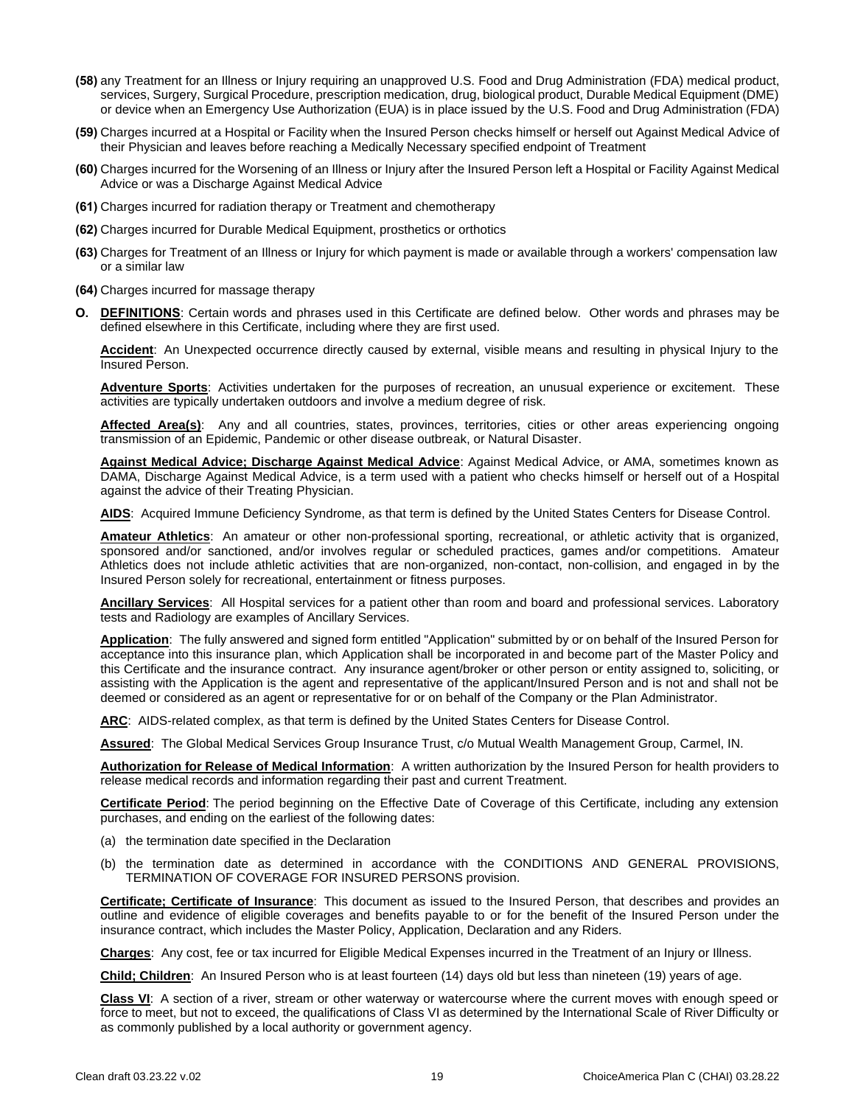- **(58)** any Treatment for an Illness or Injury requiring an unapproved U.S. Food and Drug Administration (FDA) medical product, services, Surgery, Surgical Procedure, prescription medication, drug, biological product, Durable Medical Equipment (DME) or device when an Emergency Use Authorization (EUA) is in place issued by the U.S. Food and Drug Administration (FDA)
- **(59)** Charges incurred at a Hospital or Facility when the Insured Person checks himself or herself out Against Medical Advice of their Physician and leaves before reaching a Medically Necessary specified endpoint of Treatment
- **(60)** Charges incurred for the Worsening of an Illness or Injury after the Insured Person left a Hospital or Facility Against Medical Advice or was a Discharge Against Medical Advice
- **(61)** Charges incurred for radiation therapy or Treatment and chemotherapy
- **(62)** Charges incurred for Durable Medical Equipment, prosthetics or orthotics
- **(63)** Charges for Treatment of an Illness or Injury for which payment is made or available through a workers' compensation law or a similar law
- **(64)** Charges incurred for massage therapy
- **O. DEFINITIONS**: Certain words and phrases used in this Certificate are defined below. Other words and phrases may be defined elsewhere in this Certificate, including where they are first used.

**Accident**: An Unexpected occurrence directly caused by external, visible means and resulting in physical Injury to the Insured Person.

**Adventure Sports**: Activities undertaken for the purposes of recreation, an unusual experience or excitement. These activities are typically undertaken outdoors and involve a medium degree of risk.

**Affected Area(s)**: Any and all countries, states, provinces, territories, cities or other areas experiencing ongoing transmission of an Epidemic, Pandemic or other disease outbreak, or Natural Disaster.

**Against Medical Advice; Discharge Against Medical Advice**: Against Medical Advice, or AMA, sometimes known as DAMA, Discharge Against Medical Advice, is a term used with a patient who checks himself or herself out of a Hospital against the advice of their Treating Physician.

**AIDS**: Acquired Immune Deficiency Syndrome, as that term is defined by the United States Centers for Disease Control.

**Amateur Athletics**: An amateur or other non-professional sporting, recreational, or athletic activity that is organized, sponsored and/or sanctioned, and/or involves regular or scheduled practices, games and/or competitions. Amateur Athletics does not include athletic activities that are non-organized, non-contact, non-collision, and engaged in by the Insured Person solely for recreational, entertainment or fitness purposes.

**Ancillary Services**: All Hospital services for a patient other than room and board and professional services. Laboratory tests and Radiology are examples of Ancillary Services.

**Application**: The fully answered and signed form entitled "Application" submitted by or on behalf of the Insured Person for acceptance into this insurance plan, which Application shall be incorporated in and become part of the Master Policy and this Certificate and the insurance contract. Any insurance agent/broker or other person or entity assigned to, soliciting, or assisting with the Application is the agent and representative of the applicant/Insured Person and is not and shall not be deemed or considered as an agent or representative for or on behalf of the Company or the Plan Administrator.

**ARC**: AIDS-related complex, as that term is defined by the United States Centers for Disease Control.

**Assured**: The Global Medical Services Group Insurance Trust, c/o Mutual Wealth Management Group, Carmel, IN.

**Authorization for Release of Medical Information**: A written authorization by the Insured Person for health providers to release medical records and information regarding their past and current Treatment.

**Certificate Period**: The period beginning on the Effective Date of Coverage of this Certificate, including any extension purchases, and ending on the earliest of the following dates:

- (a) the termination date specified in the Declaration
- (b) the termination date as determined in accordance with the CONDITIONS AND GENERAL PROVISIONS, TERMINATION OF COVERAGE FOR INSURED PERSONS provision.

**Certificate; Certificate of Insurance**: This document as issued to the Insured Person, that describes and provides an outline and evidence of eligible coverages and benefits payable to or for the benefit of the Insured Person under the insurance contract, which includes the Master Policy, Application, Declaration and any Riders.

**Charges**: Any cost, fee or tax incurred for Eligible Medical Expenses incurred in the Treatment of an Injury or Illness.

**Child; Children**: An Insured Person who is at least fourteen (14) days old but less than nineteen (19) years of age.

**Class VI**: A section of a river, stream or other waterway or watercourse where the current moves with enough speed or force to meet, but not to exceed, the qualifications of Class VI as determined by the International Scale of River Difficulty or as commonly published by a local authority or government agency.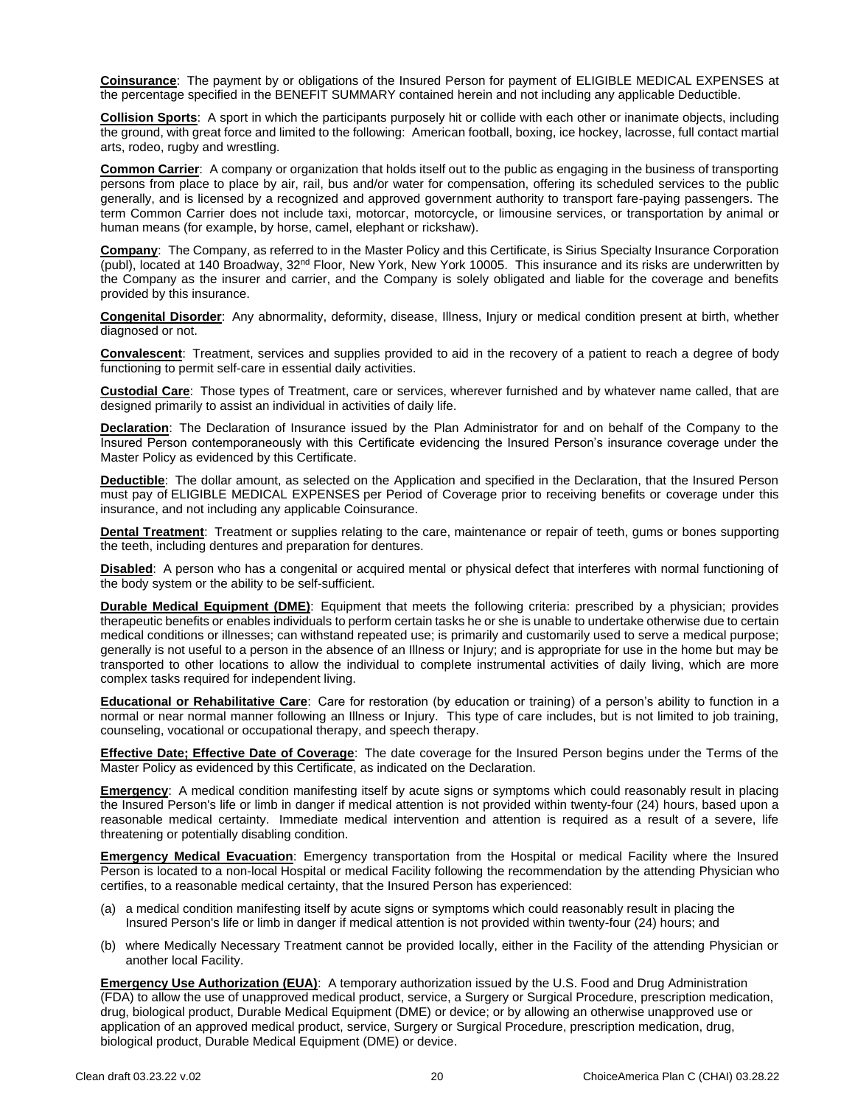**Coinsurance**: The payment by or obligations of the Insured Person for payment of ELIGIBLE MEDICAL EXPENSES at the percentage specified in the BENEFIT SUMMARY contained herein and not including any applicable Deductible.

**Collision Sports**: A sport in which the participants purposely hit or collide with each other or inanimate objects, including the ground, with great force and limited to the following: American football, boxing, ice hockey, lacrosse, full contact martial arts, rodeo, rugby and wrestling.

**Common Carrier**: A company or organization that holds itself out to the public as engaging in the business of transporting persons from place to place by air, rail, bus and/or water for compensation, offering its scheduled services to the public generally, and is licensed by a recognized and approved government authority to transport fare-paying passengers. The term Common Carrier does not include taxi, motorcar, motorcycle, or limousine services, or transportation by animal or human means (for example, by horse, camel, elephant or rickshaw).

**Company**: The Company, as referred to in the Master Policy and this Certificate, is Sirius Specialty Insurance Corporation (publ), located at 140 Broadway, 32<sup>nd</sup> Floor, New York, New York 10005. This insurance and its risks are underwritten by the Company as the insurer and carrier, and the Company is solely obligated and liable for the coverage and benefits provided by this insurance.

**Congenital Disorder**: Any abnormality, deformity, disease, Illness, Injury or medical condition present at birth, whether diagnosed or not.

**Convalescent**: Treatment, services and supplies provided to aid in the recovery of a patient to reach a degree of body functioning to permit self-care in essential daily activities.

**Custodial Care**: Those types of Treatment, care or services, wherever furnished and by whatever name called, that are designed primarily to assist an individual in activities of daily life.

**Declaration**: The Declaration of Insurance issued by the Plan Administrator for and on behalf of the Company to the Insured Person contemporaneously with this Certificate evidencing the Insured Person's insurance coverage under the Master Policy as evidenced by this Certificate.

**Deductible**: The dollar amount, as selected on the Application and specified in the Declaration, that the Insured Person must pay of ELIGIBLE MEDICAL EXPENSES per Period of Coverage prior to receiving benefits or coverage under this insurance, and not including any applicable Coinsurance.

**Dental Treatment**: Treatment or supplies relating to the care, maintenance or repair of teeth, gums or bones supporting the teeth, including dentures and preparation for dentures.

**Disabled**: A person who has a congenital or acquired mental or physical defect that interferes with normal functioning of the body system or the ability to be self-sufficient.

**Durable Medical Equipment (DME)**: Equipment that meets the following criteria: prescribed by a physician; provides therapeutic benefits or enables individuals to perform certain tasks he or she is unable to undertake otherwise due to certain medical conditions or illnesses; can withstand repeated use; is primarily and customarily used to serve a medical purpose; generally is not useful to a person in the absence of an Illness or Injury; and is appropriate for use in the home but may be transported to other locations to allow the individual to complete instrumental activities of daily living, which are more complex tasks required for independent living.

**Educational or Rehabilitative Care**: Care for restoration (by education or training) of a person's ability to function in a normal or near normal manner following an Illness or Injury. This type of care includes, but is not limited to job training, counseling, vocational or occupational therapy, and speech therapy.

**Effective Date; Effective Date of Coverage**: The date coverage for the Insured Person begins under the Terms of the Master Policy as evidenced by this Certificate, as indicated on the Declaration.

**Emergency**: A medical condition manifesting itself by acute signs or symptoms which could reasonably result in placing the Insured Person's life or limb in danger if medical attention is not provided within twenty-four (24) hours, based upon a reasonable medical certainty. Immediate medical intervention and attention is required as a result of a severe, life threatening or potentially disabling condition.

**Emergency Medical Evacuation**: Emergency transportation from the Hospital or medical Facility where the Insured Person is located to a non-local Hospital or medical Facility following the recommendation by the attending Physician who certifies, to a reasonable medical certainty, that the Insured Person has experienced:

- (a) a medical condition manifesting itself by acute signs or symptoms which could reasonably result in placing the Insured Person's life or limb in danger if medical attention is not provided within twenty-four (24) hours; and
- (b) where Medically Necessary Treatment cannot be provided locally, either in the Facility of the attending Physician or another local Facility.

**Emergency Use Authorization (EUA)**: A temporary authorization issued by the U.S. Food and Drug Administration (FDA) to allow the use of unapproved medical product, service, a Surgery or Surgical Procedure, prescription medication, drug, biological product, Durable Medical Equipment (DME) or device; or by allowing an otherwise unapproved use or application of an approved medical product, service, Surgery or Surgical Procedure, prescription medication, drug, biological product, Durable Medical Equipment (DME) or device.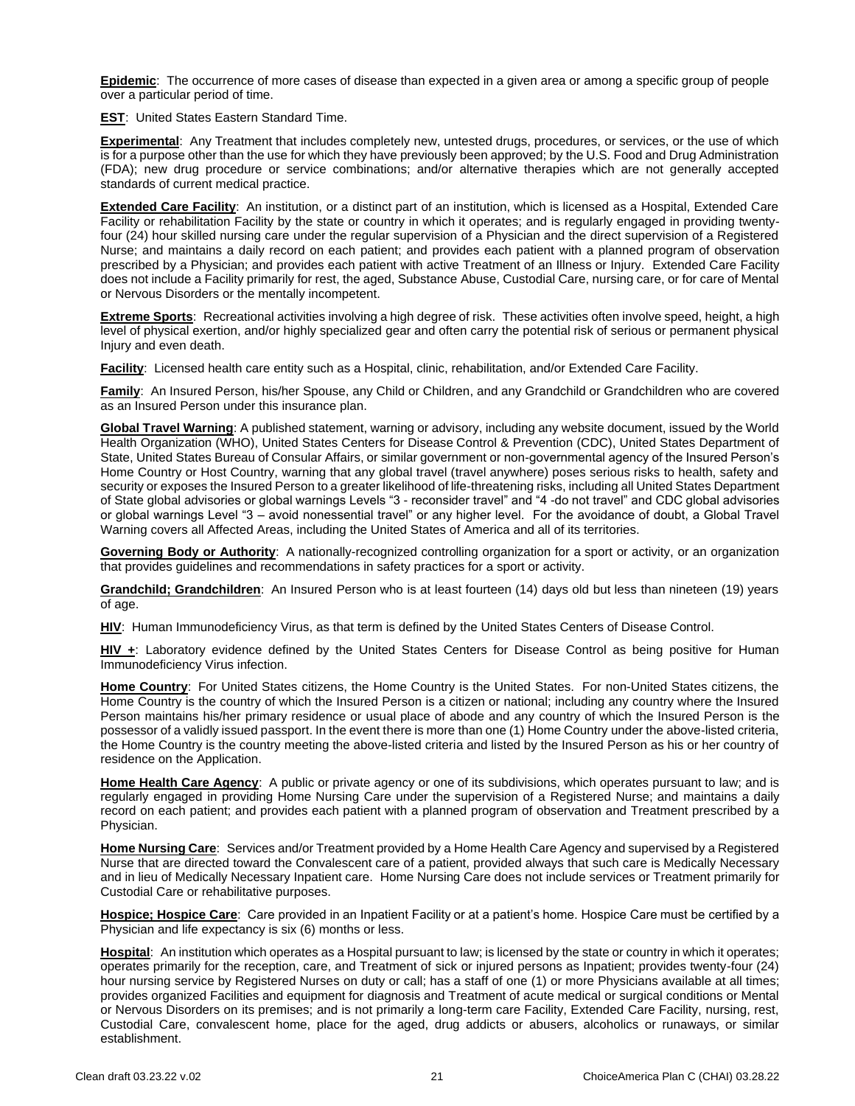**Epidemic**: The occurrence of more cases of disease than expected in a given area or among a specific group of people over a particular period of time.

**EST**: United States Eastern Standard Time.

**Experimental**: Any Treatment that includes completely new, untested drugs, procedures, or services, or the use of which is for a purpose other than the use for which they have previously been approved; by the U.S. Food and Drug Administration (FDA); new drug procedure or service combinations; and/or alternative therapies which are not generally accepted standards of current medical practice.

**Extended Care Facility**: An institution, or a distinct part of an institution, which is licensed as a Hospital, Extended Care Facility or rehabilitation Facility by the state or country in which it operates; and is regularly engaged in providing twentyfour (24) hour skilled nursing care under the regular supervision of a Physician and the direct supervision of a Registered Nurse; and maintains a daily record on each patient; and provides each patient with a planned program of observation prescribed by a Physician; and provides each patient with active Treatment of an Illness or Injury. Extended Care Facility does not include a Facility primarily for rest, the aged, Substance Abuse, Custodial Care, nursing care, or for care of Mental or Nervous Disorders or the mentally incompetent.

**Extreme Sports**: Recreational activities involving a high degree of risk. These activities often involve speed, height, a high level of physical exertion, and/or highly specialized gear and often carry the potential risk of serious or permanent physical Injury and even death.

**Facility**: Licensed health care entity such as a Hospital, clinic, rehabilitation, and/or Extended Care Facility.

**Family**: An Insured Person, his/her Spouse, any Child or Children, and any Grandchild or Grandchildren who are covered as an Insured Person under this insurance plan.

**Global Travel Warning**: A published statement, warning or advisory, including any website document, issued by the World Health Organization (WHO), United States Centers for Disease Control & Prevention (CDC), United States Department of State, United States Bureau of Consular Affairs, or similar government or non-governmental agency of the Insured Person's Home Country or Host Country, warning that any global travel (travel anywhere) poses serious risks to health, safety and security or exposes the Insured Person to a greater likelihood of life-threatening risks, including all United States Department of State global advisories or global warnings Levels "3 - reconsider travel" and "4 -do not travel" and CDC global advisories or global warnings Level "3 – avoid nonessential travel" or any higher level. For the avoidance of doubt, a Global Travel Warning covers all Affected Areas, including the United States of America and all of its territories.

**Governing Body or Authority**: A nationally-recognized controlling organization for a sport or activity, or an organization that provides guidelines and recommendations in safety practices for a sport or activity.

**Grandchild; Grandchildren**: An Insured Person who is at least fourteen (14) days old but less than nineteen (19) years of age.

**HIV**: Human Immunodeficiency Virus, as that term is defined by the United States Centers of Disease Control.

**HIV +**: Laboratory evidence defined by the United States Centers for Disease Control as being positive for Human Immunodeficiency Virus infection.

**Home Country**: For United States citizens, the Home Country is the United States. For non-United States citizens, the Home Country is the country of which the Insured Person is a citizen or national; including any country where the Insured Person maintains his/her primary residence or usual place of abode and any country of which the Insured Person is the possessor of a validly issued passport. In the event there is more than one (1) Home Country under the above-listed criteria, the Home Country is the country meeting the above-listed criteria and listed by the Insured Person as his or her country of residence on the Application.

**Home Health Care Agency**: A public or private agency or one of its subdivisions, which operates pursuant to law; and is regularly engaged in providing Home Nursing Care under the supervision of a Registered Nurse; and maintains a daily record on each patient; and provides each patient with a planned program of observation and Treatment prescribed by a Physician.

**Home Nursing Care**: Services and/or Treatment provided by a Home Health Care Agency and supervised by a Registered Nurse that are directed toward the Convalescent care of a patient, provided always that such care is Medically Necessary and in lieu of Medically Necessary Inpatient care. Home Nursing Care does not include services or Treatment primarily for Custodial Care or rehabilitative purposes.

**Hospice; Hospice Care**: Care provided in an Inpatient Facility or at a patient's home. Hospice Care must be certified by a Physician and life expectancy is six (6) months or less.

**Hospital**: An institution which operates as a Hospital pursuant to law; is licensed by the state or country in which it operates; operates primarily for the reception, care, and Treatment of sick or injured persons as Inpatient; provides twenty-four (24) hour nursing service by Registered Nurses on duty or call; has a staff of one (1) or more Physicians available at all times; provides organized Facilities and equipment for diagnosis and Treatment of acute medical or surgical conditions or Mental or Nervous Disorders on its premises; and is not primarily a long-term care Facility, Extended Care Facility, nursing, rest, Custodial Care, convalescent home, place for the aged, drug addicts or abusers, alcoholics or runaways, or similar establishment.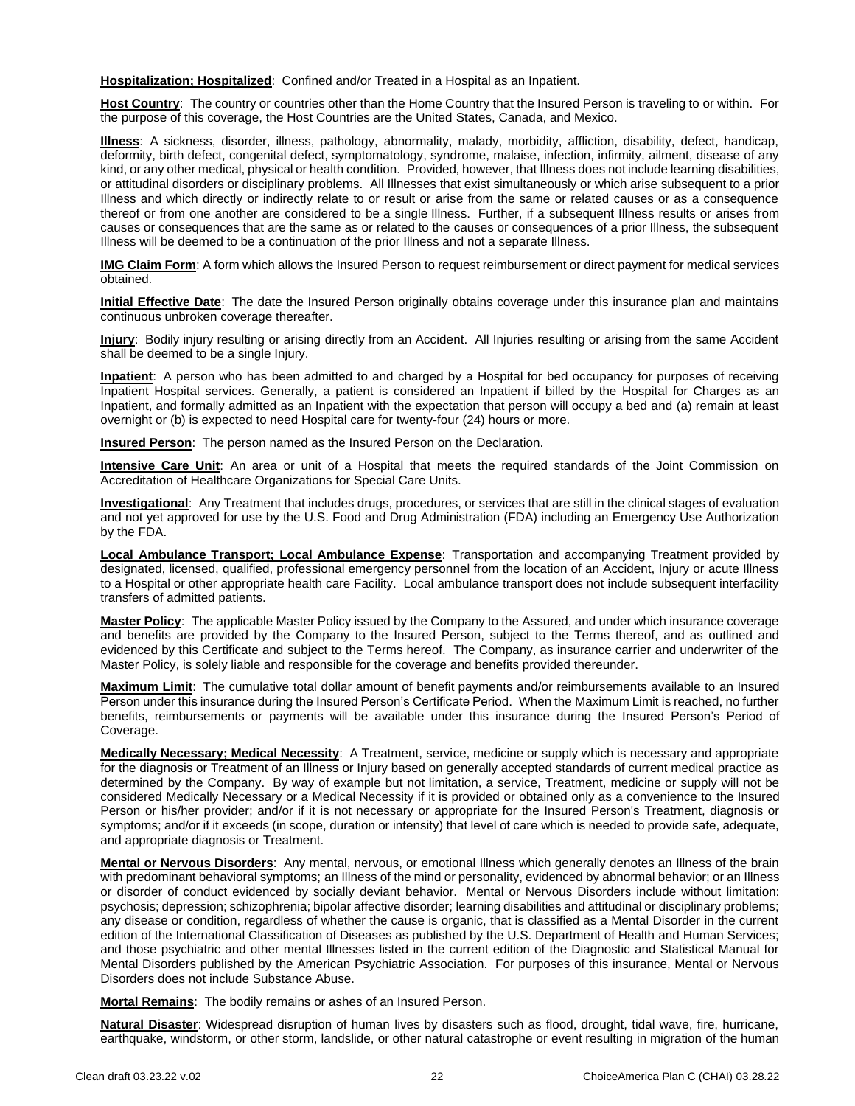**Hospitalization; Hospitalized**: Confined and/or Treated in a Hospital as an Inpatient.

**Host Country**: The country or countries other than the Home Country that the Insured Person is traveling to or within. For the purpose of this coverage, the Host Countries are the United States, Canada, and Mexico.

**Illness**: A sickness, disorder, illness, pathology, abnormality, malady, morbidity, affliction, disability, defect, handicap, deformity, birth defect, congenital defect, symptomatology, syndrome, malaise, infection, infirmity, ailment, disease of any kind, or any other medical, physical or health condition. Provided, however, that Illness does not include learning disabilities, or attitudinal disorders or disciplinary problems. All Illnesses that exist simultaneously or which arise subsequent to a prior Illness and which directly or indirectly relate to or result or arise from the same or related causes or as a consequence thereof or from one another are considered to be a single Illness. Further, if a subsequent Illness results or arises from causes or consequences that are the same as or related to the causes or consequences of a prior Illness, the subsequent Illness will be deemed to be a continuation of the prior Illness and not a separate Illness.

**IMG Claim Form**: A form which allows the Insured Person to request reimbursement or direct payment for medical services obtained.

**Initial Effective Date**: The date the Insured Person originally obtains coverage under this insurance plan and maintains continuous unbroken coverage thereafter.

**Injury**: Bodily injury resulting or arising directly from an Accident. All Injuries resulting or arising from the same Accident shall be deemed to be a single Injury.

**Inpatient**: A person who has been admitted to and charged by a Hospital for bed occupancy for purposes of receiving Inpatient Hospital services. Generally, a patient is considered an Inpatient if billed by the Hospital for Charges as an Inpatient, and formally admitted as an Inpatient with the expectation that person will occupy a bed and (a) remain at least overnight or (b) is expected to need Hospital care for twenty-four (24) hours or more.

**Insured Person**: The person named as the Insured Person on the Declaration.

**Intensive Care Unit**: An area or unit of a Hospital that meets the required standards of the Joint Commission on Accreditation of Healthcare Organizations for Special Care Units.

**Investigational**: Any Treatment that includes drugs, procedures, or services that are still in the clinical stages of evaluation and not yet approved for use by the U.S. Food and Drug Administration (FDA) including an Emergency Use Authorization by the FDA.

**Local Ambulance Transport; Local Ambulance Expense**: Transportation and accompanying Treatment provided by designated, licensed, qualified, professional emergency personnel from the location of an Accident, Injury or acute Illness to a Hospital or other appropriate health care Facility. Local ambulance transport does not include subsequent interfacility transfers of admitted patients.

**Master Policy**: The applicable Master Policy issued by the Company to the Assured, and under which insurance coverage and benefits are provided by the Company to the Insured Person, subject to the Terms thereof, and as outlined and evidenced by this Certificate and subject to the Terms hereof. The Company, as insurance carrier and underwriter of the Master Policy, is solely liable and responsible for the coverage and benefits provided thereunder.

**Maximum Limit**: The cumulative total dollar amount of benefit payments and/or reimbursements available to an Insured Person under this insurance during the Insured Person's Certificate Period. When the Maximum Limit is reached, no further benefits, reimbursements or payments will be available under this insurance during the Insured Person's Period of Coverage.

**Medically Necessary; Medical Necessity**: A Treatment, service, medicine or supply which is necessary and appropriate for the diagnosis or Treatment of an Illness or Injury based on generally accepted standards of current medical practice as determined by the Company. By way of example but not limitation, a service, Treatment, medicine or supply will not be considered Medically Necessary or a Medical Necessity if it is provided or obtained only as a convenience to the Insured Person or his/her provider; and/or if it is not necessary or appropriate for the Insured Person's Treatment, diagnosis or symptoms; and/or if it exceeds (in scope, duration or intensity) that level of care which is needed to provide safe, adequate, and appropriate diagnosis or Treatment.

**Mental or Nervous Disorders**: Any mental, nervous, or emotional Illness which generally denotes an Illness of the brain with predominant behavioral symptoms; an Illness of the mind or personality, evidenced by abnormal behavior; or an Illness or disorder of conduct evidenced by socially deviant behavior. Mental or Nervous Disorders include without limitation: psychosis; depression; schizophrenia; bipolar affective disorder; learning disabilities and attitudinal or disciplinary problems; any disease or condition, regardless of whether the cause is organic, that is classified as a Mental Disorder in the current edition of the International Classification of Diseases as published by the U.S. Department of Health and Human Services; and those psychiatric and other mental Illnesses listed in the current edition of the Diagnostic and Statistical Manual for Mental Disorders published by the American Psychiatric Association. For purposes of this insurance, Mental or Nervous Disorders does not include Substance Abuse.

**Mortal Remains**: The bodily remains or ashes of an Insured Person.

**Natural Disaster**: Widespread disruption of human lives by disasters such as flood, drought, tidal wave, fire, hurricane, earthquake, windstorm, or other storm, landslide, or other natural catastrophe or event resulting in migration of the human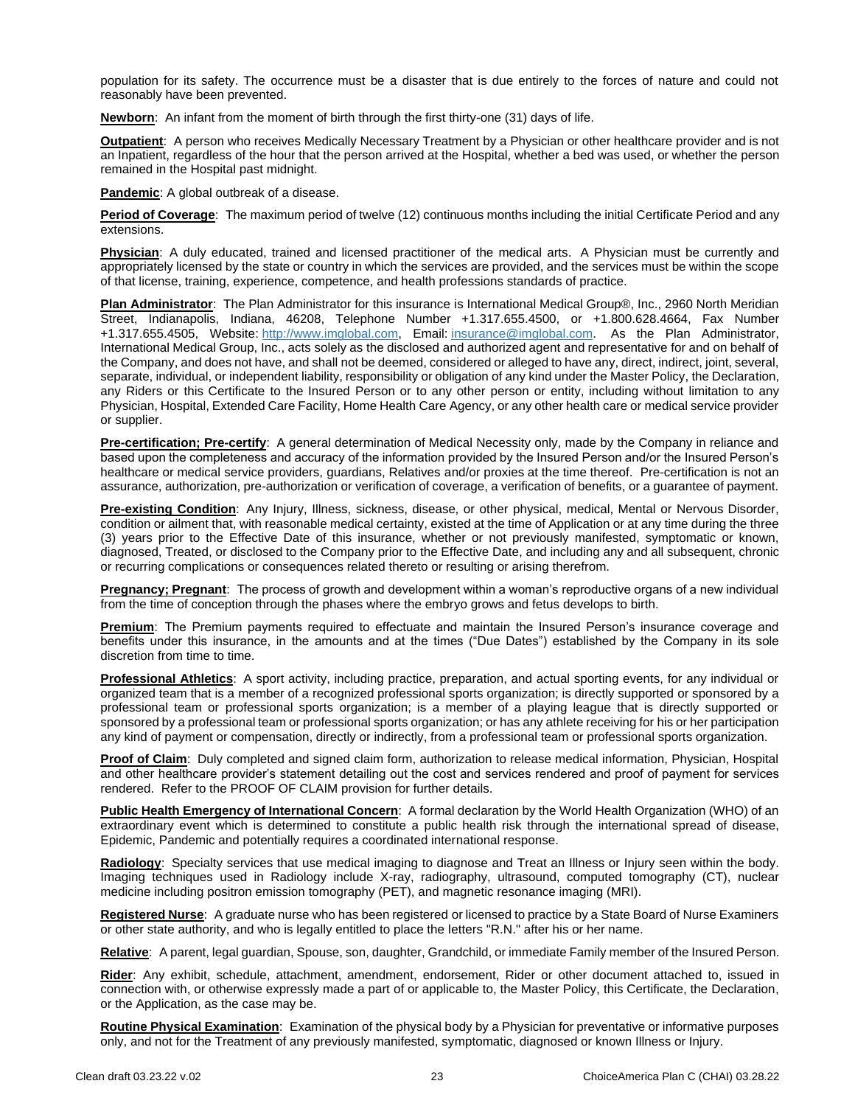population for its safety. The occurrence must be a disaster that is due entirely to the forces of nature and could not reasonably have been prevented.

**Newborn**: An infant from the moment of birth through the first thirty-one (31) days of life.

**Outpatient**: A person who receives Medically Necessary Treatment by a Physician or other healthcare provider and is not an Inpatient, regardless of the hour that the person arrived at the Hospital, whether a bed was used, or whether the person remained in the Hospital past midnight.

**Pandemic**: A global outbreak of a disease.

**Period of Coverage**: The maximum period of twelve (12) continuous months including the initial Certificate Period and any extensions.

**Physician**: A duly educated, trained and licensed practitioner of the medical arts. A Physician must be currently and appropriately licensed by the state or country in which the services are provided, and the services must be within the scope of that license, training, experience, competence, and health professions standards of practice.

**Plan Administrator**: The Plan Administrator for this insurance is International Medical Group®, Inc., 2960 North Meridian Street, Indianapolis, Indiana, 46208, Telephone Number +1.317.655.4500, or +1.800.628.4664, Fax Number +1.317.655.4505, Website: [http://www.imglobal.com,](http://www.imglobal.com/) Email: [insurance@imglobal.com.](mailto:insurance@imglobal.com) As the Plan Administrator, International Medical Group, Inc., acts solely as the disclosed and authorized agent and representative for and on behalf of the Company, and does not have, and shall not be deemed, considered or alleged to have any, direct, indirect, joint, several, separate, individual, or independent liability, responsibility or obligation of any kind under the Master Policy, the Declaration, any Riders or this Certificate to the Insured Person or to any other person or entity, including without limitation to any Physician, Hospital, Extended Care Facility, Home Health Care Agency, or any other health care or medical service provider or supplier.

**Pre-certification; Pre-certify**: A general determination of Medical Necessity only, made by the Company in reliance and based upon the completeness and accuracy of the information provided by the Insured Person and/or the Insured Person's healthcare or medical service providers, quardians, Relatives and/or proxies at the time thereof. Pre-certification is not an assurance, authorization, pre-authorization or verification of coverage, a verification of benefits, or a guarantee of payment.

**Pre-existing Condition**: Any Injury, Illness, sickness, disease, or other physical, medical, Mental or Nervous Disorder, condition or ailment that, with reasonable medical certainty, existed at the time of Application or at any time during the three (3) years prior to the Effective Date of this insurance, whether or not previously manifested, symptomatic or known, diagnosed, Treated, or disclosed to the Company prior to the Effective Date, and including any and all subsequent, chronic or recurring complications or consequences related thereto or resulting or arising therefrom.

**Pregnancy; Pregnant**: The process of growth and development within a woman's reproductive organs of a new individual from the time of conception through the phases where the embryo grows and fetus develops to birth.

**Premium**: The Premium payments required to effectuate and maintain the Insured Person's insurance coverage and benefits under this insurance, in the amounts and at the times ("Due Dates") established by the Company in its sole discretion from time to time.

**Professional Athletics**: A sport activity, including practice, preparation, and actual sporting events, for any individual or organized team that is a member of a recognized professional sports organization; is directly supported or sponsored by a professional team or professional sports organization; is a member of a playing league that is directly supported or sponsored by a professional team or professional sports organization; or has any athlete receiving for his or her participation any kind of payment or compensation, directly or indirectly, from a professional team or professional sports organization.

**Proof of Claim**: Duly completed and signed claim form, authorization to release medical information, Physician, Hospital and other healthcare provider's statement detailing out the cost and services rendered and proof of payment for services rendered. Refer to the PROOF OF CLAIM provision for further details.

**Public Health Emergency of International Concern**: A formal declaration by the World Health Organization (WHO) of an extraordinary event which is determined to constitute a public health risk through the international spread of disease, Epidemic, Pandemic and potentially requires a coordinated international response.

**Radiology**: Specialty services that use medical imaging to diagnose and Treat an Illness or Injury seen within the body. Imaging techniques used in Radiology include X-ray, radiography, ultrasound, computed tomography (CT), nuclear medicine including positron emission tomography (PET), and magnetic resonance imaging (MRI).

**Registered Nurse**: A graduate nurse who has been registered or licensed to practice by a State Board of Nurse Examiners or other state authority, and who is legally entitled to place the letters "R.N." after his or her name.

**Relative**: A parent, legal guardian, Spouse, son, daughter, Grandchild, or immediate Family member of the Insured Person.

**Rider**: Any exhibit, schedule, attachment, amendment, endorsement, Rider or other document attached to, issued in connection with, or otherwise expressly made a part of or applicable to, the Master Policy, this Certificate, the Declaration, or the Application, as the case may be.

**Routine Physical Examination**: Examination of the physical body by a Physician for preventative or informative purposes only, and not for the Treatment of any previously manifested, symptomatic, diagnosed or known Illness or Injury.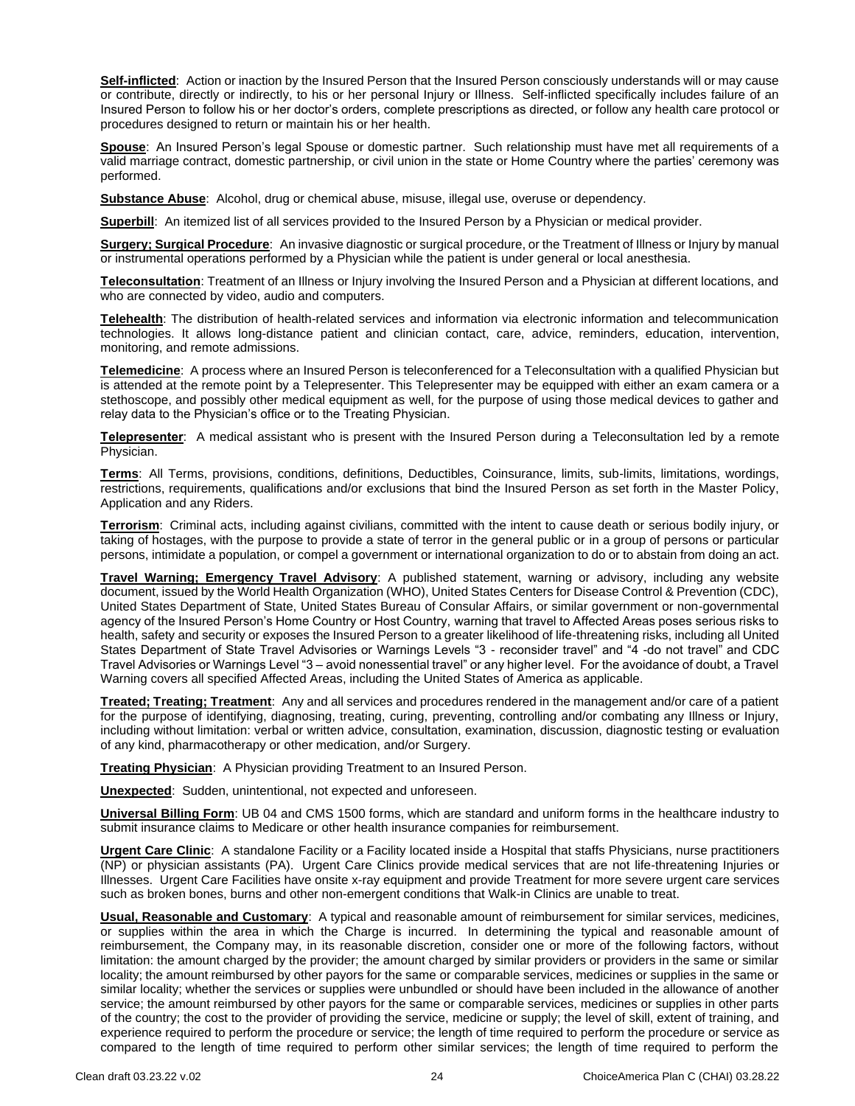**Self-inflicted**: Action or inaction by the Insured Person that the Insured Person consciously understands will or may cause or contribute, directly or indirectly, to his or her personal Injury or Illness. Self-inflicted specifically includes failure of an Insured Person to follow his or her doctor's orders, complete prescriptions as directed, or follow any health care protocol or procedures designed to return or maintain his or her health.

**Spouse**: An Insured Person's legal Spouse or domestic partner. Such relationship must have met all requirements of a valid marriage contract, domestic partnership, or civil union in the state or Home Country where the parties' ceremony was performed.

**Substance Abuse**: Alcohol, drug or chemical abuse, misuse, illegal use, overuse or dependency.

**Superbill**: An itemized list of all services provided to the Insured Person by a Physician or medical provider.

**Surgery; Surgical Procedure**: An invasive diagnostic or surgical procedure, or the Treatment of Illness or Injury by manual or instrumental operations performed by a Physician while the patient is under general or local anesthesia.

**Teleconsultation**: Treatment of an Illness or Injury involving the Insured Person and a Physician at different locations, and who are connected by video, audio and computers.

**Telehealth**: The distribution of health-related services and information via electronic information and telecommunication technologies. It allows long-distance patient and clinician contact, care, advice, reminders, education, intervention, monitoring, and remote admissions.

**Telemedicine**: A process where an Insured Person is teleconferenced for a Teleconsultation with a qualified Physician but is attended at the remote point by a Telepresenter. This Telepresenter may be equipped with either an exam camera or a stethoscope, and possibly other medical equipment as well, for the purpose of using those medical devices to gather and relay data to the Physician's office or to the Treating Physician.

**Telepresenter**: A medical assistant who is present with the Insured Person during a Teleconsultation led by a remote Physician.

**Terms**: All Terms, provisions, conditions, definitions, Deductibles, Coinsurance, limits, sub-limits, limitations, wordings, restrictions, requirements, qualifications and/or exclusions that bind the Insured Person as set forth in the Master Policy, Application and any Riders.

**Terrorism**: Criminal acts, including against civilians, committed with the intent to cause death or serious bodily injury, or taking of hostages, with the purpose to provide a state of terror in the general public or in a group of persons or particular persons, intimidate a population, or compel a government or international organization to do or to abstain from doing an act.

**Travel Warning; Emergency Travel Advisory**: A published statement, warning or advisory, including any website document, issued by the World Health Organization (WHO), United States Centers for Disease Control & Prevention (CDC), United States Department of State, United States Bureau of Consular Affairs, or similar government or non-governmental agency of the Insured Person's Home Country or Host Country, warning that travel to Affected Areas poses serious risks to health, safety and security or exposes the Insured Person to a greater likelihood of life-threatening risks, including all United States Department of State Travel Advisories or Warnings Levels "3 - reconsider travel" and "4 -do not travel" and CDC Travel Advisories or Warnings Level "3 – avoid nonessential travel" or any higher level. For the avoidance of doubt, a Travel Warning covers all specified Affected Areas, including the United States of America as applicable.

**Treated; Treating; Treatment**: Any and all services and procedures rendered in the management and/or care of a patient for the purpose of identifying, diagnosing, treating, curing, preventing, controlling and/or combating any Illness or Injury, including without limitation: verbal or written advice, consultation, examination, discussion, diagnostic testing or evaluation of any kind, pharmacotherapy or other medication, and/or Surgery.

**Treating Physician**: A Physician providing Treatment to an Insured Person.

**Unexpected**: Sudden, unintentional, not expected and unforeseen.

**Universal Billing Form**: UB 04 and CMS 1500 forms, which are standard and uniform forms in the healthcare industry to submit insurance claims to Medicare or other health insurance companies for reimbursement.

**Urgent Care Clinic**: A standalone Facility or a Facility located inside a Hospital that staffs Physicians, nurse practitioners (NP) or physician assistants (PA). Urgent Care Clinics provide medical services that are not life-threatening Injuries or Illnesses. Urgent Care Facilities have onsite x-ray equipment and provide Treatment for more severe urgent care services such as broken bones, burns and other non-emergent conditions that Walk-in Clinics are unable to treat.

**Usual, Reasonable and Customary**: A typical and reasonable amount of reimbursement for similar services, medicines, or supplies within the area in which the Charge is incurred. In determining the typical and reasonable amount of reimbursement, the Company may, in its reasonable discretion, consider one or more of the following factors, without limitation: the amount charged by the provider; the amount charged by similar providers or providers in the same or similar locality; the amount reimbursed by other payors for the same or comparable services, medicines or supplies in the same or similar locality; whether the services or supplies were unbundled or should have been included in the allowance of another service; the amount reimbursed by other payors for the same or comparable services, medicines or supplies in other parts of the country; the cost to the provider of providing the service, medicine or supply; the level of skill, extent of training, and experience required to perform the procedure or service; the length of time required to perform the procedure or service as compared to the length of time required to perform other similar services; the length of time required to perform the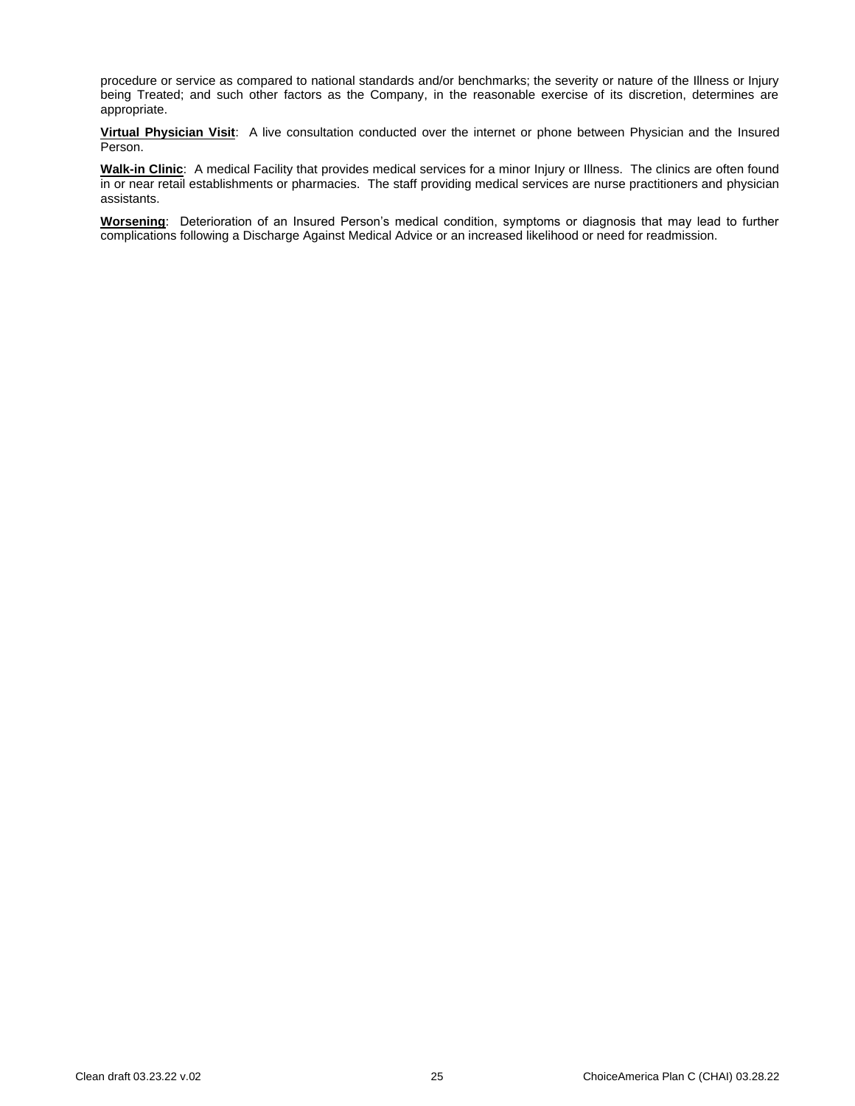procedure or service as compared to national standards and/or benchmarks; the severity or nature of the Illness or Injury being Treated; and such other factors as the Company, in the reasonable exercise of its discretion, determines are appropriate.

**Virtual Physician Visit**: A live consultation conducted over the internet or phone between Physician and the Insured Person.

**Walk-in Clinic**: A medical Facility that provides medical services for a minor Injury or Illness. The clinics are often found in or near retail establishments or pharmacies. The staff providing medical services are nurse practitioners and physician assistants.

**Worsening**: Deterioration of an Insured Person's medical condition, symptoms or diagnosis that may lead to further complications following a Discharge Against Medical Advice or an increased likelihood or need for readmission.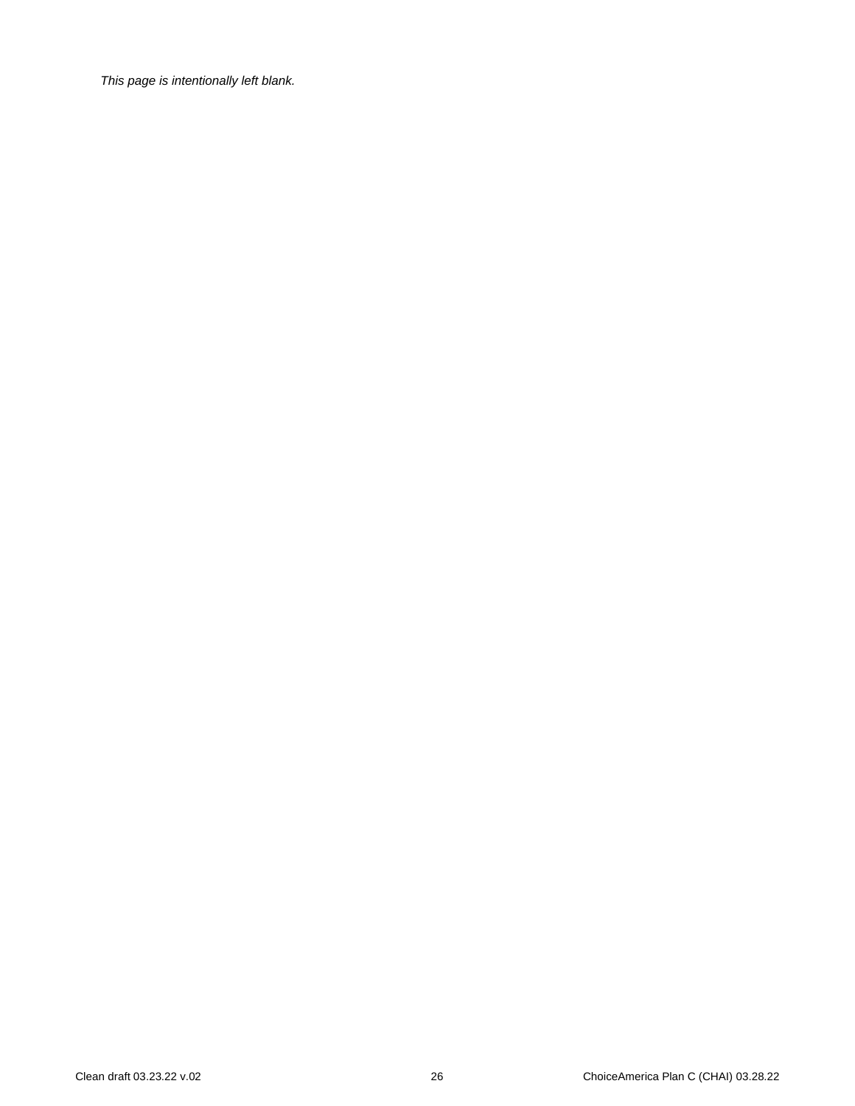*This page is intentionally left blank.*